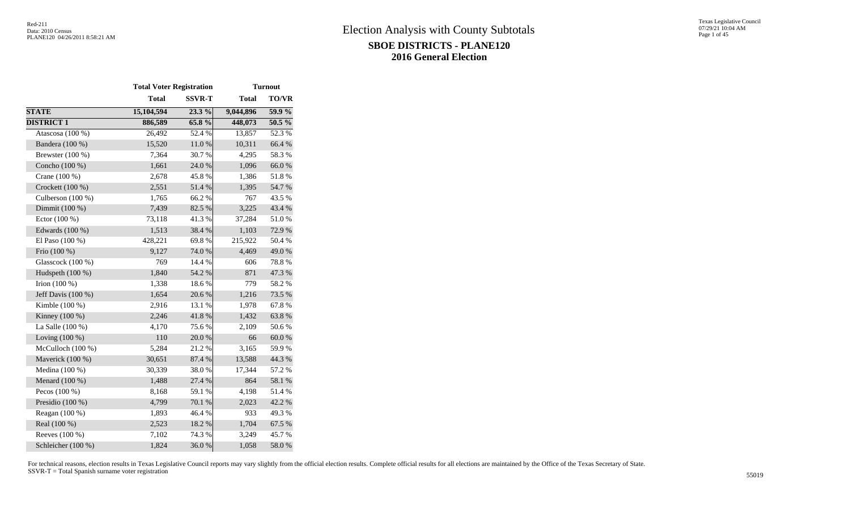|                     | <b>Total Voter Registration</b> |               | <b>Turnout</b> |              |  |  |  |
|---------------------|---------------------------------|---------------|----------------|--------------|--|--|--|
|                     | <b>Total</b>                    | <b>SSVR-T</b> | <b>Total</b>   | <b>TO/VR</b> |  |  |  |
| <b>STATE</b>        | 15,104,594                      | 23.3 %        | 9,044,896      | $59.9\%$     |  |  |  |
| <b>DISTRICT 1</b>   | 886,589                         | 65.8%         | 448,073        | 50.5 %       |  |  |  |
| Atascosa (100 %)    | 26,492                          | 52.4 %        | 13,857         | 52.3%        |  |  |  |
| Bandera (100 %)     | 15,520                          | 11.0%         | 10,311         | 66.4 %       |  |  |  |
| Brewster $(100\%)$  | 7,364                           | 30.7%         | 4,295          | 58.3%        |  |  |  |
| Concho (100 %)      | 1,661                           | 24.0 %        | 1,096          | 66.0%        |  |  |  |
| Crane (100 %)       | 2,678                           | 45.8%         | 1,386          | 51.8%        |  |  |  |
| Crockett (100 %)    | 2,551                           | 51.4%         | 1,395          | 54.7 %       |  |  |  |
| Culberson $(100\%)$ | 1,765                           | 66.2%         | 767            | 43.5 %       |  |  |  |
| Dimmit (100 %)      | 7,439                           | 82.5 %        | 3,225          | 43.4 %       |  |  |  |
| Ector (100 %)       | 73,118                          | 41.3%         | 37,284         | 51.0%        |  |  |  |
| Edwards (100 %)     | 1,513                           | 38.4 %        | 1,103          | 72.9 %       |  |  |  |
| El Paso (100 %)     | 428,221                         | 69.8%         | 215,922        | 50.4 %       |  |  |  |
| Frio (100 %)        | 9,127                           | 74.0 %        | 4,469          | 49.0%        |  |  |  |
| Glasscock (100 %)   | 769                             | 14.4 %        | 606            | 78.8%        |  |  |  |
| Hudspeth (100 %)    | 1,840                           | 54.2 %        | 871            | 47.3 %       |  |  |  |
| Irion $(100\%)$     | 1,338                           | 18.6%         | 779            | 58.2%        |  |  |  |
| Jeff Davis (100 %)  | 1,654                           | 20.6%         | 1,216          | 73.5 %       |  |  |  |
| Kimble $(100\%)$    | 2,916                           | 13.1 %        | 1,978          | 67.8%        |  |  |  |
| Kinney $(100\%)$    | 2,246                           | 41.8 %        | 1,432          | 63.8%        |  |  |  |
| La Salle (100 %)    | 4,170                           | 75.6%         | 2,109          | 50.6%        |  |  |  |
| Loving $(100\%)$    | 110                             | 20.0%         | 66             | $60.0~\%$    |  |  |  |
| McCulloch (100 %)   | 5,284                           | 21.2%         | 3,165          | 59.9%        |  |  |  |
| Maverick (100 %)    | 30,651                          | 87.4 %        | 13,588         | 44.3 %       |  |  |  |
| Medina (100 %)      | 30,339                          | 38.0%         | 17,344         | 57.2 %       |  |  |  |
| Menard (100 %)      | 1,488                           | 27.4 %        | 864            | 58.1 %       |  |  |  |
| Pecos $(100\%)$     | 8,168                           | 59.1 %        | 4,198          | 51.4 %       |  |  |  |
| Presidio (100 %)    | 4,799                           | 70.1 %        | 2,023          | 42.2 %       |  |  |  |
| Reagan (100 %)      | 1,893                           | 46.4%         | 933            | 49.3 %       |  |  |  |
| Real (100 %)        | 2,523                           | 18.2 %        | 1,704          | 67.5 %       |  |  |  |
| Reeves (100 %)      | 7,102                           | 74.3 %        | 3,249          | 45.7 %       |  |  |  |
| Schleicher (100 %)  | 1,824                           | 36.0%         | 1,058          | 58.0%        |  |  |  |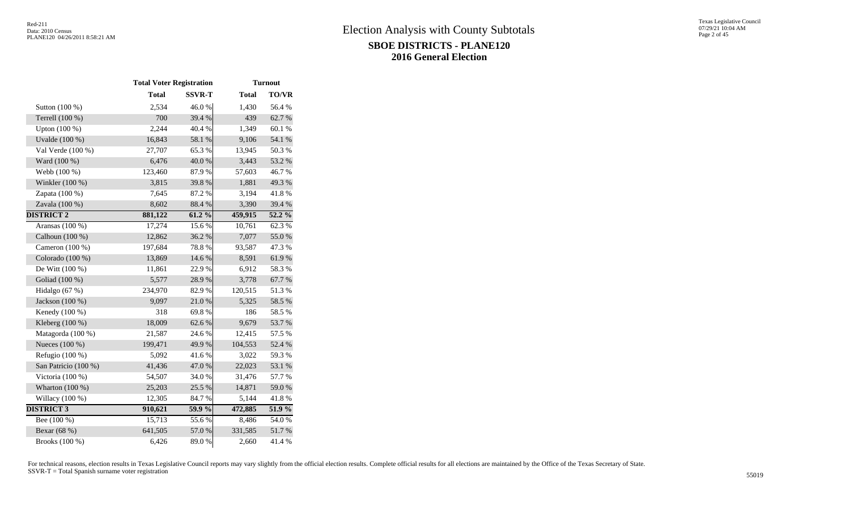|                      |              | <b>Total Voter Registration</b> |              | <b>Turnout</b> |  |
|----------------------|--------------|---------------------------------|--------------|----------------|--|
|                      | <b>Total</b> | <b>SSVR-T</b>                   | <b>Total</b> | <b>TO/VR</b>   |  |
| Sutton (100 %)       | 2,534        | 46.0%                           | 1,430        | 56.4%          |  |
| Terrell (100 %)      | 700          | 39.4 %                          | 439          | 62.7%          |  |
| Upton (100 %)        | 2,244        | 40.4 %                          | 1,349        | 60.1%          |  |
| Uvalde (100 %)       | 16,843       | 58.1 %                          | 9,106        | 54.1 %         |  |
| Val Verde (100 %)    | 27,707       | 65.3%                           | 13,945       | 50.3 %         |  |
| Ward (100 %)         | 6,476        | 40.0%                           | 3,443        | 53.2 %         |  |
| Webb (100 %)         | 123,460      | 87.9%                           | 57,603       | 46.7%          |  |
| Winkler (100 %)      | 3,815        | 39.8%                           | 1,881        | 49.3%          |  |
| Zapata (100 %)       | 7,645        | 87.2%                           | 3,194        | 41.8%          |  |
| Zavala (100 %)       | 8,602        | 88.4%                           | 3,390        | 39.4 %         |  |
| <b>DISTRICT 2</b>    | 881,122      | 61.2%                           | 459,915      | $52.2\%$       |  |
| Aransas (100 %)      | 17,274       | 15.6%                           | 10,761       | 62.3%          |  |
| Calhoun $(100\%)$    | 12,862       | 36.2%                           | 7,077        | 55.0%          |  |
| Cameron $(100\%)$    | 197,684      | 78.8%                           | 93,587       | 47.3%          |  |
| Colorado (100 %)     | 13,869       | 14.6 %                          | 8,591        | 61.9%          |  |
| De Witt $(100\%)$    | 11,861       | 22.9%                           | 6,912        | 58.3%          |  |
| Goliad (100 %)       | 5,577        | 28.9%                           | 3,778        | 67.7%          |  |
| Hidalgo $(67%)$      | 234,970      | 82.9%                           | 120,515      | 51.3%          |  |
| Jackson (100 %)      | 9,097        | 21.0%                           | 5,325        | 58.5 %         |  |
| Kenedy (100 %)       | 318          | 69.8%                           | 186          | 58.5%          |  |
| Kleberg (100 %)      | 18,009       | 62.6%                           | 9,679        | 53.7%          |  |
| Matagorda (100 %)    | 21,587       | 24.6 %                          | 12,415       | 57.5 %         |  |
| Nueces (100 %)       | 199,471      | 49.9%                           | 104,553      | 52.4 %         |  |
| Refugio (100 %)      | 5,092        | 41.6%                           | 3,022        | 59.3%          |  |
| San Patricio (100 %) | 41,436       | 47.0%                           | 22,023       | 53.1 %         |  |
| Victoria (100 %)     | 54,507       | 34.0%                           | 31,476       | 57.7 %         |  |
| Wharton $(100\%)$    | 25,203       | 25.5 %                          | 14,871       | 59.0 %         |  |
| Willacy (100 %)      | 12,305       | 84.7%                           | 5,144        | 41.8 %         |  |
| <b>DISTRICT 3</b>    | 910,621      | 59.9 %                          | 472,885      | 51.9%          |  |
| Bee (100 %)          | 15,713       | 55.6%                           | 8,486        | 54.0%          |  |
| Bexar (68 %)         | 641,505      | 57.0 %                          | 331,585      | $51.7\ \%$     |  |
| Brooks (100 %)       | 6,426        | 89.0%                           | 2,660        | 41.4%          |  |
|                      |              |                                 |              |                |  |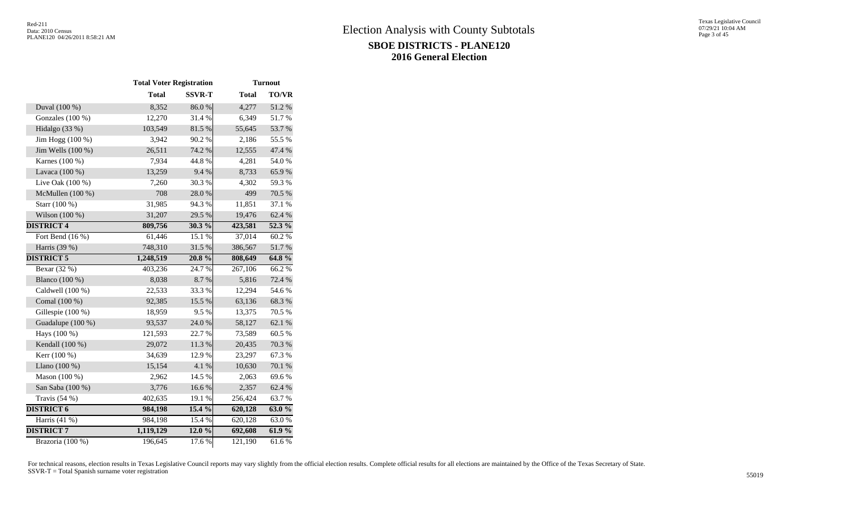|                    | <b>Total Voter Registration</b> |               | <b>Turnout</b> |           |  |  |  |
|--------------------|---------------------------------|---------------|----------------|-----------|--|--|--|
|                    | <b>Total</b>                    | <b>SSVR-T</b> | <b>Total</b>   | TO/VR     |  |  |  |
| Duval (100 %)      | 8,352                           | 86.0%         | 4,277          | 51.2%     |  |  |  |
| Gonzales (100 %)   | 12,270                          | 31.4%         | 6,349          | 51.7%     |  |  |  |
| Hidalgo (33 %)     | 103,549                         | 81.5 %        | 55,645         | 53.7%     |  |  |  |
| Jim Hogg (100 %)   | 3,942                           | 90.2%         | 2,186          | 55.5 %    |  |  |  |
| Jim Wells (100 %)  | 26,511                          | 74.2 %        | 12,555         | 47.4 %    |  |  |  |
| Karnes (100 %)     | 7,934                           | 44.8%         | 4,281          | 54.0 %    |  |  |  |
| Lavaca (100 %)     | 13,259                          | 9.4%          | 8,733          | 65.9%     |  |  |  |
| Live Oak $(100\%)$ | 7,260                           | 30.3%         | 4,302          | 59.3%     |  |  |  |
| McMullen (100 %)   | 708                             | 28.0%         | 499            | 70.5 %    |  |  |  |
| Starr (100 %)      | 31,985                          | 94.3%         | 11,851         | 37.1 %    |  |  |  |
| Wilson (100 %)     | 31,207                          | 29.5 %        | 19,476         | 62.4%     |  |  |  |
| <b>DISTRICT 4</b>  | 809,756                         | 30.3 %        | 423,581        | 52.3 %    |  |  |  |
| Fort Bend (16 %)   | 61,446                          | 15.1 %        | 37,014         | 60.2%     |  |  |  |
| Harris (39 %)      | 748,310                         | 31.5%         | 386,567        | 51.7%     |  |  |  |
| <b>DISTRICT 5</b>  | 1,248,519                       | 20.8%         | 808,649        | $64.8\%$  |  |  |  |
| Bexar (32 %)       | 403,236                         | 24.7%         | 267,106        | 66.2%     |  |  |  |
| Blanco (100 %)     | 8,038                           | 8.7%          | 5,816          | 72.4 %    |  |  |  |
| Caldwell (100 %)   | 22,533                          | 33.3%         | 12,294         | 54.6%     |  |  |  |
| Comal (100 %)      | 92,385                          | 15.5 %        | 63,136         | 68.3%     |  |  |  |
| Gillespie (100 %)  | 18,959                          | 9.5%          | 13,375         | 70.5 %    |  |  |  |
| Guadalupe (100 %)  | 93,537                          | 24.0 %        | 58,127         | 62.1 %    |  |  |  |
| Hays (100 %)       | 121,593                         | 22.7 %        | 73,589         | 60.5%     |  |  |  |
| Kendall (100 %)    | 29,072                          | 11.3 %        | 20,435         | $70.3~\%$ |  |  |  |
| Kerr (100 %)       | 34,639                          | 12.9%         | 23,297         | 67.3%     |  |  |  |
| Llano (100 %)      | 15,154                          | 4.1 %         | 10,630         | $70.1~\%$ |  |  |  |
| Mason (100 %)      | 2,962                           | 14.5 %        | 2,063          | 69.6%     |  |  |  |
| San Saba (100 %)   | 3,776                           | 16.6%         | 2,357          | 62.4 %    |  |  |  |
| Travis $(54%$      | 402,635                         | 19.1 %        | 256,424        | 63.7%     |  |  |  |
| <b>DISTRICT 6</b>  | 984,198                         | 15.4%         | 620,128        | $63.0\%$  |  |  |  |
| Harris $(41\%)$    | 984,198                         | 15.4 %        | 620,128        | 63.0%     |  |  |  |
| <b>DISTRICT 7</b>  | 1,119,129                       | 12.0 %        | 692,608        | $61.9\%$  |  |  |  |
| Brazoria (100 %)   | 196,645                         | 17.6 %        | 121,190        | 61.6%     |  |  |  |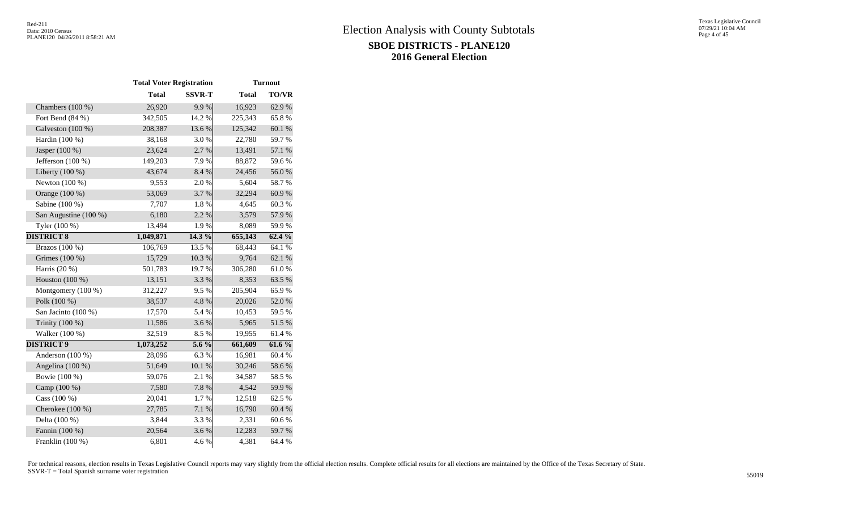|                       | <b>Total Voter Registration</b> |               |              | <b>Turnout</b> |  |
|-----------------------|---------------------------------|---------------|--------------|----------------|--|
|                       | <b>Total</b>                    | <b>SSVR-T</b> | <b>Total</b> | TO/VR          |  |
| Chambers $(100\%)$    | 26,920                          | 9.9%          | 16,923       | 62.9%          |  |
| Fort Bend (84 %)      | 342,505                         | 14.2 %        | 225,343      | 65.8%          |  |
| Galveston (100 %)     | 208,387                         | 13.6 %        | 125,342      | 60.1 %         |  |
| Hardin (100 %)        | 38,168                          | 3.0%          | 22,780       | 59.7%          |  |
| Jasper (100 %)        | 23,624                          | 2.7 %         | 13,491       | 57.1 %         |  |
| Jefferson (100 %)     | 149,203                         | 7.9%          | 88,872       | 59.6%          |  |
| Liberty (100 %)       | 43,674                          | 8.4%          | 24,456       | 56.0%          |  |
| Newton $(100\%)$      | 9,553                           | 2.0%          | 5,604        | 58.7%          |  |
| Orange (100 %)        | 53,069                          | 3.7%          | 32,294       | 60.9%          |  |
| Sabine (100 %)        | 7,707                           | 1.8%          | 4,645        | 60.3%          |  |
| San Augustine (100 %) | 6,180                           | 2.2 %         | 3,579        | 57.9%          |  |
| Tyler (100 %)         | 13,494                          | 1.9%          | 8,089        | 59.9%          |  |
| <b>DISTRICT 8</b>     | 1,049,871                       | $14.3\%$      | 655,143      | 62.4%          |  |
| Brazos (100 %)        | 106,769                         | 13.5 %        | 68,443       | 64.1 %         |  |
| Grimes (100 %)        | 15,729                          | 10.3 %        | 9,764        | 62.1 %         |  |
| Harris (20 %)         | 501,783                         | 19.7%         | 306,280      | 61.0%          |  |
| Houston $(100\%)$     | 13,151                          | 3.3 %         | 8,353        | 63.5 %         |  |
| Montgomery (100 %)    | 312,227                         | 9.5%          | 205,904      | 65.9%          |  |
| Polk (100 %)          | 38,537                          | 4.8 %         | 20,026       | $52.0\;\%$     |  |
| San Jacinto (100 %)   | 17,570                          | 5.4 %         | 10,453       | 59.5 %         |  |
| Trinity (100 %)       | 11,586                          | 3.6%          | 5,965        | 51.5 %         |  |
| Walker (100 %)        | 32,519                          | 8.5%          | 19,955       | 61.4%          |  |
| <b>DISTRICT 9</b>     | 1,073,252                       | $5.6\%$       | 661,609      | 61.6%          |  |
| Anderson (100 %)      | 28,096                          | 6.3%          | 16,981       | 60.4%          |  |
| Angelina (100 %)      | 51,649                          | $10.1~\%$     | 30,246       | 58.6 %         |  |
| Bowie (100 %)         | 59,076                          | 2.1%          | 34,587       | 58.5 %         |  |
| Camp (100 %)          | 7,580                           | 7.8 %         | 4,542        | 59.9%          |  |
| Cass (100 %)          | 20,041                          | 1.7%          | 12,518       | 62.5 %         |  |
| Cherokee $(100\%)$    | 27,785                          | 7.1 %         | 16,790       | 60.4%          |  |
| Delta (100 %)         | 3,844                           | 3.3 %         | 2,331        | 60.6%          |  |
| Fannin (100 %)        | 20,564                          | 3.6%          | 12,283       | 59.7%          |  |
| Franklin (100 %)      | 6,801                           | 4.6%          | 4,381        | 64.4 %         |  |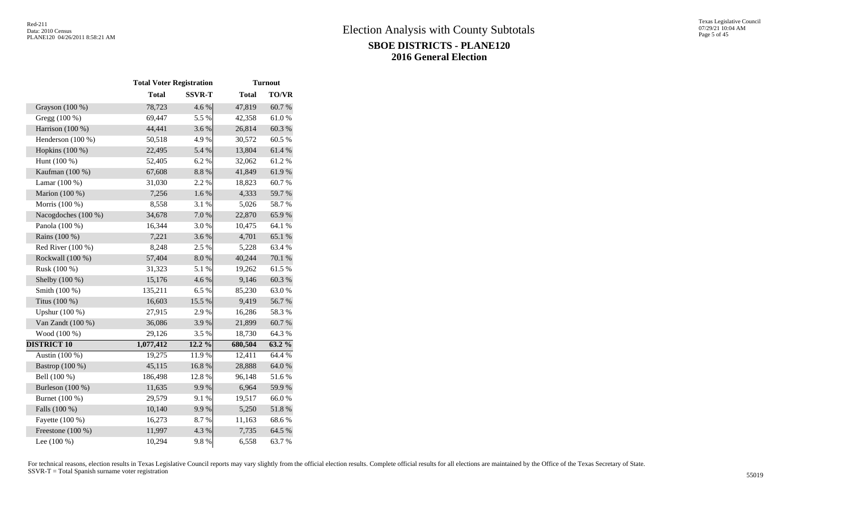|                     | <b>Total Voter Registration</b> |               |              | <b>Turnout</b> |  |
|---------------------|---------------------------------|---------------|--------------|----------------|--|
|                     | <b>Total</b>                    | <b>SSVR-T</b> | <b>Total</b> | TO/VR          |  |
| Grayson $(100\%)$   | 78,723                          | 4.6 %         | 47,819       | 60.7%          |  |
| Gregg (100 %)       | 69,447                          | 5.5 %         | 42,358       | 61.0%          |  |
| Harrison (100 %)    | 44,441                          | 3.6%          | 26,814       | 60.3%          |  |
| Henderson (100 %)   | 50,518                          | 4.9%          | 30,572       | 60.5%          |  |
| Hopkins (100 %)     | 22,495                          | 5.4 %         | 13,804       | 61.4%          |  |
| Hunt (100 %)        | 52,405                          | 6.2%          | 32,062       | 61.2%          |  |
| Kaufman (100 %)     | 67,608                          | 8.8%          | 41,849       | 61.9%          |  |
| Lamar (100 %)       | 31,030                          | 2.2 %         | 18,823       | 60.7%          |  |
| Marion (100 %)      | 7,256                           | 1.6 %         | 4,333        | 59.7 %         |  |
| Morris (100 %)      | 8,558                           | 3.1 %         | 5,026        | 58.7%          |  |
| Nacogdoches (100 %) | 34,678                          | 7.0 %         | 22,870       | 65.9%          |  |
| Panola (100 %)      | 16,344                          | 3.0%          | 10,475       | 64.1 %         |  |
| Rains (100 %)       | 7,221                           | 3.6%          | 4,701        | 65.1 %         |  |
| Red River (100 %)   | 8,248                           | 2.5 %         | 5,228        | 63.4 %         |  |
| Rockwall (100 %)    | 57,404                          | 8.0%          | 40,244       | 70.1 %         |  |
| Rusk (100 %)        | 31,323                          | 5.1 %         | 19,262       | 61.5%          |  |
| Shelby (100 %)      | 15,176                          | 4.6 %         | 9,146        | 60.3 %         |  |
| Smith (100 %)       | 135,211                         | 6.5 %         | 85,230       | 63.0%          |  |
| Titus (100 %)       | 16,603                          | 15.5 %        | 9,419        | 56.7%          |  |
| Upshur (100 %)      | 27,915                          | 2.9%          | 16,286       | 58.3%          |  |
| Van Zandt (100 %)   | 36,086                          | 3.9%          | 21,899       | 60.7%          |  |
| Wood (100 %)        | 29,126                          | 3.5%          | 18,730       | 64.3 %         |  |
| <b>DISTRICT 10</b>  | 1,077,412                       | $12.2\%$      | 680,504      | 63.2 %         |  |
| Austin (100 %)      | 19,275                          | 11.9%         | 12,411       | 64.4 %         |  |
| Bastrop (100 %)     | 45,115                          | 16.8%         | 28,888       | 64.0%          |  |
| Bell (100 %)        | 186,498                         | 12.8%         | 96,148       | 51.6%          |  |
| Burleson (100 %)    | 11,635                          | 9.9%          | 6,964        | 59.9%          |  |
| Burnet (100 %)      | 29,579                          | 9.1%          | 19,517       | 66.0%          |  |
| Falls (100 %)       | 10,140                          | 9.9%          | 5,250        | 51.8%          |  |
| Fayette (100 %)     | 16,273                          | 8.7%          | 11,163       | 68.6%          |  |
| Freestone (100 %)   | 11,997                          | 4.3 %         | 7,735        | 64.5 %         |  |
| Lee (100 %)         | 10,294                          | 9.8%          | 6,558        | 63.7%          |  |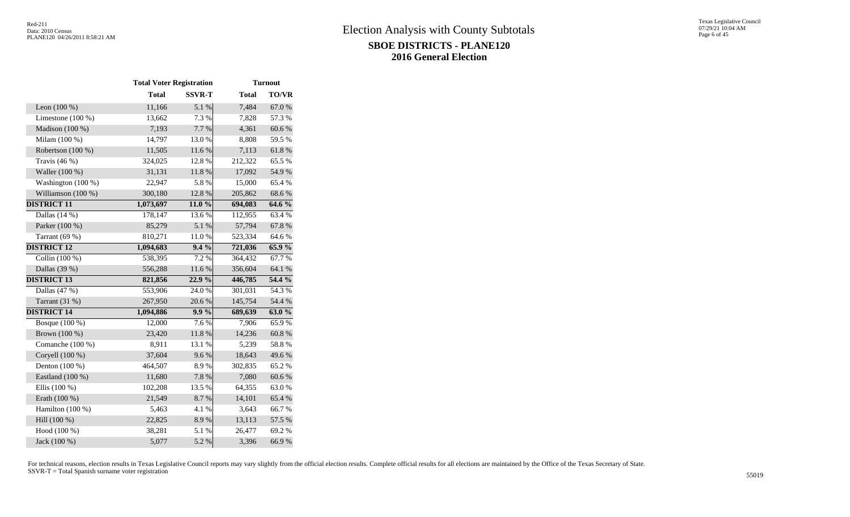|                     | <b>Total Voter Registration</b> |               |              | <b>Turnout</b> |  |  |
|---------------------|---------------------------------|---------------|--------------|----------------|--|--|
|                     | <b>Total</b>                    | <b>SSVR-T</b> | <b>Total</b> | <b>TO/VR</b>   |  |  |
| Leon $(100\%)$      | 11,166                          | 5.1 %         | 7,484        | 67.0 %         |  |  |
| Limestone $(100\%)$ | 13,662                          | 7.3 %         | 7,828        | 57.3 %         |  |  |
| Madison (100 %)     | 7,193                           | 7.7 %         | 4,361        | 60.6%          |  |  |
| Milam (100 %)       | 14,797                          | 13.0%         | 8,808        | 59.5 %         |  |  |
| Robertson (100 %)   | 11,505                          | 11.6 %        | 7,113        | 61.8 %         |  |  |
| Travis $(46%)$      | 324,025                         | 12.8%         | 212,322      | 65.5 %         |  |  |
| Waller (100 %)      | 31,131                          | 11.8%         | 17,092       | 54.9%          |  |  |
| Washington (100 %)  | 22,947                          | 5.8%          | 15,000       | 65.4%          |  |  |
| Williamson (100 %)  | 300,180                         | 12.8 %        | 205,862      | 68.6%          |  |  |
| <b>DISTRICT 11</b>  | 1,073,697                       | 11.0%         | 694,083      | $64.6\%$       |  |  |
| Dallas $(14%)$      | 178,147                         | 13.6 %        | 112,955      | 63.4 %         |  |  |
| Parker (100 %)      | 85,279                          | 5.1 %         | 57,794       | 67.8%          |  |  |
| Tarrant $(69%)$     | 810,271                         | $11.0\ \%$    | 523,334      | 64.6%          |  |  |
| <b>DISTRICT 12</b>  | 1,094,683                       | $9.4\%$       | 721,036      | 65.9%          |  |  |
| Collin $(100\%)$    | 538,395                         | 7.2 %         | 364,432      | 67.7%          |  |  |
| Dallas (39 %)       | 556,288                         | 11.6 %        | 356,604      | 64.1 %         |  |  |
| <b>DISTRICT 13</b>  | 821,856                         | 22.9%         | 446,785      | 54.4 %         |  |  |
| Dallas (47 %)       | 553,906                         | 24.0%         | 301,031      | 54.3%          |  |  |
| Tarrant $(31%)$     | 267,950                         | 20.6%         | 145,754      | 54.4 %         |  |  |
| <b>DISTRICT 14</b>  | 1,094,886                       | $9.9\%$       | 689,639      | 63.0%          |  |  |
| Bosque (100 %)      | 12,000                          | 7.6 %         | 7,906        | 65.9%          |  |  |
| Brown (100 %)       | 23,420                          | 11.8 %        | 14,236       | 60.8%          |  |  |
| Comanche (100 %)    | 8,911                           | 13.1 %        | 5,239        | 58.8%          |  |  |
| Coryell (100 %)     | 37,604                          | 9.6%          | 18,643       | 49.6%          |  |  |
| Denton (100 %)      | 464,507                         | 8.9%          | 302,835      | 65.2%          |  |  |
| Eastland (100 %)    | 11,680                          | 7.8 %         | 7,080        | 60.6%          |  |  |
| Ellis (100 %)       | 102,208                         | 13.5 %        | 64,355       | 63.0%          |  |  |
| Erath (100 %)       | 21,549                          | 8.7%          | 14,101       | 65.4%          |  |  |
| Hamilton (100 %)    | 5,463                           | 4.1 %         | 3,643        | 66.7%          |  |  |
| Hill (100 %)        | 22,825                          | 8.9%          | 13,113       | 57.5 %         |  |  |
| Hood (100 %)        | 38,281                          | 5.1 %         | 26,477       | 69.2 %         |  |  |
| Jack (100 %)        | 5,077                           | 5.2 %         | 3,396        | 66.9%          |  |  |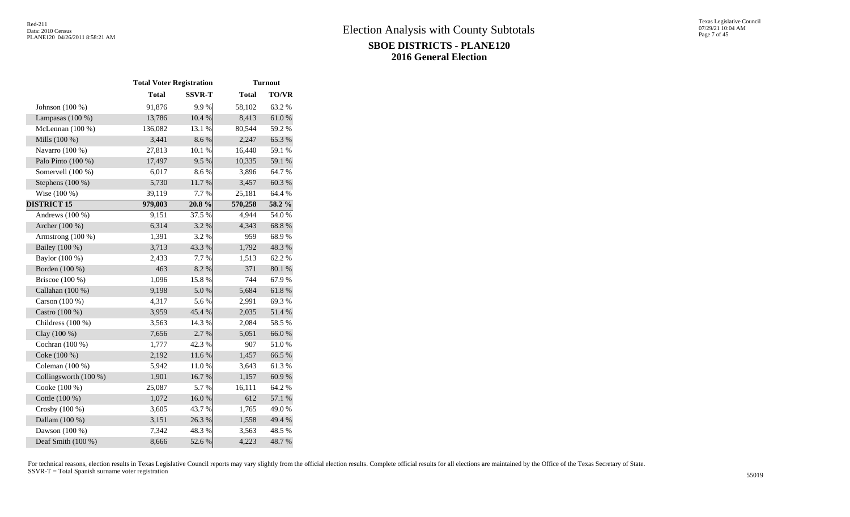|                       | <b>Total Voter Registration</b> |               |              | <b>Turnout</b> |
|-----------------------|---------------------------------|---------------|--------------|----------------|
|                       | <b>Total</b>                    | <b>SSVR-T</b> | <b>Total</b> | <b>TO/VR</b>   |
| Johnson (100 %)       | 91,876                          | 9.9%          | 58,102       | 63.2%          |
| Lampasas $(100\%)$    | 13,786                          | 10.4 %        | 8,413        | $61.0\ \%$     |
| McLennan (100 %)      | 136,082                         | 13.1 %        | 80,544       | 59.2%          |
| Mills (100 %)         | 3,441                           | 8.6%          | 2,247        | 65.3%          |
| Navarro (100 %)       | 27,813                          | 10.1 %        | 16,440       | 59.1 %         |
| Palo Pinto (100 %)    | 17,497                          | 9.5%          | 10,335       | 59.1 %         |
| Somervell (100 %)     | 6,017                           | 8.6%          | 3,896        | 64.7%          |
| Stephens $(100\%)$    | 5,730                           | 11.7%         | 3,457        | 60.3%          |
| Wise (100 %)          | 39,119                          | 7.7 %         | 25,181       | 64.4 %         |
| <b>DISTRICT 15</b>    | 979,003                         | 20.8%         | 570,258      | 58.2 %         |
| Andrews $(100\%)$     | 9,151                           | 37.5 %        | 4,944        | 54.0%          |
| Archer (100 %)        | 6,314                           | 3.2 %         | 4,343        | 68.8%          |
| Armstrong (100 %)     | 1,391                           | 3.2 %         | 959          | 68.9%          |
| Bailey (100 %)        | 3,713                           | 43.3%         | 1,792        | 48.3%          |
| Baylor (100 %)        | 2,433                           | 7.7 %         | 1,513        | 62.2%          |
| Borden (100 %)        | 463                             | 8.2 %         | 371          | 80.1 %         |
| Briscoe $(100\%)$     | 1,096                           | 15.8%         | 744          | 67.9%          |
| Callahan (100 %)      | 9,198                           | 5.0%          | 5,684        | 61.8%          |
| Carson (100 %)        | 4,317                           | 5.6%          | 2,991        | 69.3%          |
| Castro (100 %)        | 3,959                           | 45.4 %        | 2,035        | 51.4 %         |
| Childress (100 %)     | 3,563                           | 14.3 %        | 2,084        | 58.5 %         |
| Clay (100 %)          | 7,656                           | 2.7%          | 5,051        | 66.0%          |
| Cochran (100 %)       | 1,777                           | 42.3%         | 907          | 51.0%          |
| Coke (100 %)          | 2,192                           | 11.6 %        | 1,457        | 66.5 %         |
| Coleman (100 %)       | 5,942                           | 11.0%         | 3,643        | 61.3%          |
| Collingsworth (100 %) | 1,901                           | 16.7%         | 1,157        | 60.9%          |
| Cooke (100 %)         | 25,087                          | 5.7%          | 16,111       | 64.2%          |
| Cottle (100 %)        | 1,072                           | 16.0%         | 612          | 57.1 %         |
| Crosby (100 %)        | 3,605                           | 43.7%         | 1,765        | 49.0%          |
| Dallam (100 %)        | 3,151                           | 26.3%         | 1,558        | 49.4 %         |
| Dawson (100 %)        | 7,342                           | 48.3%         | 3,563        | 48.5 %         |
| Deaf Smith (100 %)    | 8,666                           | 52.6%         | 4,223        | 48.7%          |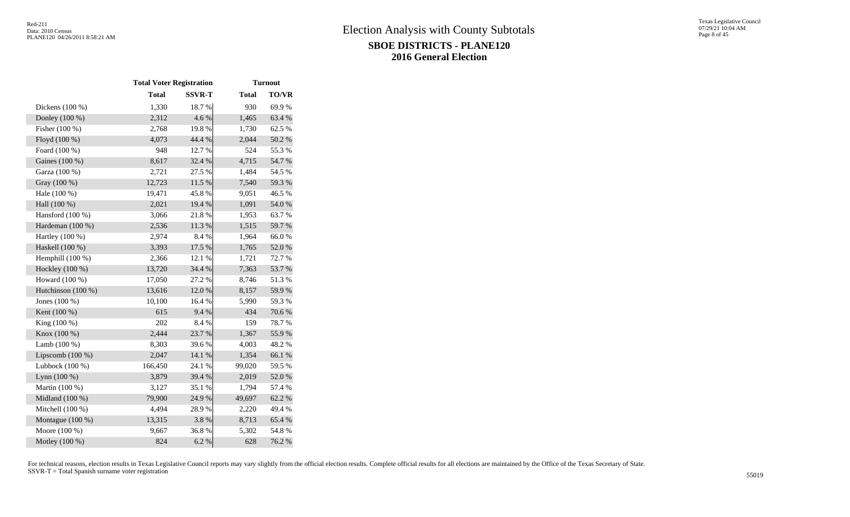|                    | <b>Total Voter Registration</b> |               |              | <b>Turnout</b> |  |  |
|--------------------|---------------------------------|---------------|--------------|----------------|--|--|
|                    | <b>Total</b>                    | <b>SSVR-T</b> | <b>Total</b> | <b>TO/VR</b>   |  |  |
| Dickens (100 %)    | 1,330                           | 18.7%         | 930          | 69.9%          |  |  |
| Donley (100 %)     | 2,312                           | 4.6 %         | 1,465        | 63.4 %         |  |  |
| Fisher (100 %)     | 2,768                           | 19.8%         | 1,730        | 62.5 %         |  |  |
| Floyd (100 %)      | 4,073                           | 44.4 %        | 2,044        | 50.2 %         |  |  |
| Foard (100 %)      | 948                             | 12.7 %        | 524          | 55.3%          |  |  |
| Gaines (100 %)     | 8,617                           | 32.4 %        | 4,715        | 54.7%          |  |  |
| Garza (100 %)      | 2,721                           | 27.5 %        | 1,484        | 54.5 %         |  |  |
| Gray (100 %)       | 12,723                          | 11.5 %        | 7,540        | 59.3%          |  |  |
| Hale (100 %)       | 19,471                          | 45.8%         | 9,051        | 46.5 %         |  |  |
| Hall (100 %)       | 2,021                           | 19.4 %        | 1,091        | 54.0%          |  |  |
| Hansford (100 %)   | 3,066                           | 21.8%         | 1,953        | 63.7%          |  |  |
| Hardeman (100 %)   | 2,536                           | 11.3 %        | 1,515        | 59.7 %         |  |  |
| Hartley (100 %)    | 2,974                           | 8.4 %         | 1,964        | 66.0%          |  |  |
| Haskell (100 %)    | 3,393                           | 17.5 %        | 1,765        | 52.0%          |  |  |
| Hemphill (100 %)   | 2,366                           | 12.1 %        | 1,721        | 72.7 %         |  |  |
| Hockley (100 %)    | 13,720                          | 34.4 %        | 7,363        | 53.7%          |  |  |
| Howard (100 %)     | 17,050                          | 27.2 %        | 8,746        | 51.3 %         |  |  |
| Hutchinson (100 %) | 13,616                          | 12.0 %        | 8,157        | 59.9%          |  |  |
| Jones (100 %)      | 10,100                          | 16.4 %        | 5,990        | 59.3 %         |  |  |
| Kent (100 %)       | 615                             | 9.4%          | 434          | 70.6%          |  |  |
| King $(100\%)$     | 202                             | 8.4%          | 159          | 78.7%          |  |  |
| Knox (100 %)       | 2,444                           | 23.7%         | 1,367        | 55.9%          |  |  |
| Lamb $(100\%)$     | 8,303                           | 39.6%         | 4,003        | 48.2%          |  |  |
| Lipscomb $(100\%)$ | 2,047                           | $14.1\ \%$    | 1,354        | 66.1%          |  |  |
| Lubbock $(100\%)$  | 166,450                         | 24.1 %        | 99,020       | 59.5 %         |  |  |
| Lynn $(100\%)$     | 3,879                           | 39.4 %        | 2,019        | 52.0%          |  |  |
| Martin (100 %)     | 3,127                           | 35.1 %        | 1,794        | 57.4 %         |  |  |
| Midland (100 %)    | 79,900                          | 24.9%         | 49,697       | 62.2%          |  |  |
| Mitchell (100 %)   | 4,494                           | 28.9%         | 2,220        | 49.4 %         |  |  |
| Montague (100 %)   | 13,315                          | 3.8%          | 8,713        | 65.4 %         |  |  |
| Moore (100 %)      | 9,667                           | 36.8%         | 5,302        | 54.8%          |  |  |
| Motley (100 %)     | 824                             | 6.2%          | 628          | 76.2 %         |  |  |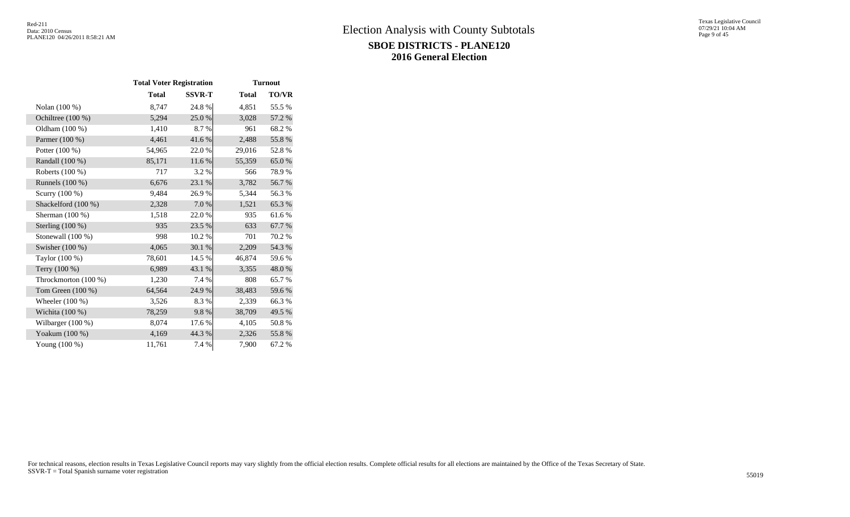|                      | <b>Total Voter Registration</b> |               |              | <b>Turnout</b> |
|----------------------|---------------------------------|---------------|--------------|----------------|
|                      | <b>Total</b>                    | <b>SSVR-T</b> | <b>Total</b> | <b>TO/VR</b>   |
| Nolan (100 %)        | 8,747                           | 24.8%         | 4,851        | 55.5 %         |
| Ochiltree $(100\%)$  | 5,294                           | 25.0%         | 3,028        | 57.2 %         |
| Oldham (100 %)       | 1,410                           | 8.7%          | 961          | 68.2%          |
| Parmer (100 %)       | 4,461                           | 41.6%         | 2,488        | 55.8%          |
| Potter $(100\%)$     | 54,965                          | 22.0%         | 29,016       | 52.8%          |
| Randall (100 %)      | 85,171                          | 11.6 %        | 55,359       | 65.0%          |
| Roberts (100 %)      | 717                             | 3.2 %         | 566          | 78.9%          |
| Runnels (100 %)      | 6,676                           | 23.1 %        | 3,782        | 56.7%          |
| Scurry (100 %)       | 9,484                           | 26.9%         | 5,344        | 56.3%          |
| Shackelford (100 %)  | 2,328                           | 7.0 %         | 1,521        | 65.3%          |
| Sherman $(100\%)$    | 1,518                           | 22.0%         | 935          | 61.6%          |
| Sterling (100 %)     | 935                             | 23.5 %        | 633          | 67.7 %         |
| Stonewall (100 %)    | 998                             | 10.2%         | 701          | 70.2%          |
| Swisher $(100\%)$    | 4,065                           | 30.1 %        | 2,209        | 54.3 %         |
| Taylor (100 %)       | 78,601                          | 14.5 %        | 46,874       | 59.6%          |
| Terry (100 %)        | 6,989                           | 43.1 %        | 3,355        | 48.0%          |
| Throckmorton (100 %) | 1,230                           | 7.4 %         | 808          | 65.7%          |
| Tom Green $(100\%)$  | 64,564                          | 24.9 %        | 38,483       | 59.6%          |
| Wheeler $(100\%)$    | 3,526                           | 8.3%          | 2,339        | 66.3%          |
| Wichita $(100\%)$    | 78,259                          | 9.8%          | 38,709       | 49.5 %         |
| Wilbarger (100 %)    | 8,074                           | 17.6 %        | 4,105        | 50.8%          |
| Yoakum (100 %)       | 4,169                           | 44.3 %        | 2,326        | 55.8%          |
| Young $(100\%)$      | 11,761                          | 7.4 %         | 7,900        | 67.2%          |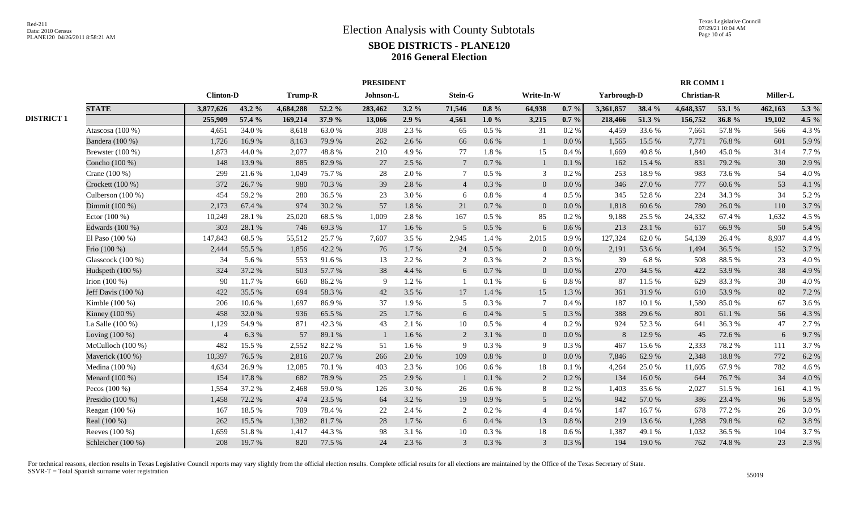|                   |                     |                  |        |           |        | <b>PRESIDENT</b> |           |                 |           | <b>RR COMM 1</b> |           |             |        |                    |        |          |         |
|-------------------|---------------------|------------------|--------|-----------|--------|------------------|-----------|-----------------|-----------|------------------|-----------|-------------|--------|--------------------|--------|----------|---------|
|                   |                     | <b>Clinton-D</b> |        | Trump-R   |        | Johnson-L        |           | Stein-G         |           | Write-In-W       |           | Yarbrough-D |        | <b>Christian-R</b> |        | Miller-L |         |
|                   | <b>STATE</b>        | 3,877,626        | 43.2 % | 4,684,288 | 52.2 % | 283,462          | $3.2\%$   | 71,546          | $0.8 \%$  | 64,938           | $0.7 \%$  | 3,361,857   | 38.4 % | 4,648,357          | 53.1 % | 462,163  | 5.3 %   |
| <b>DISTRICT 1</b> |                     | 255,909          | 57.4 % | 169,214   | 37.9 % | 13,066           | 2.9%      | 4,561           | $1.0\%$   | 3,215            | $0.7 \%$  | 218,466     | 51.3 % | 156,752            | 36.8%  | 19,102   | 4.5 $%$ |
|                   | Atascosa (100 %)    | 4,651            | 34.0%  | 8,618     | 63.0%  | 308              | 2.3 %     | 65              | $0.5~\%$  | 31               | 0.2 %     | 4,459       | 33.6 % | 7,661              | 57.8%  | 566      | 4.3 %   |
|                   | Bandera (100 %)     | 1,726            | 16.9%  | 8,163     | 79.9%  | 262              | 2.6 %     | 66              | $0.6\,\%$ |                  | 0.0 %     | 1,565       | 15.5 % | 7,771              | 76.8%  | 601      | 5.9%    |
|                   | Brewster (100 %)    | 1,873            | 44.0%  | 2,077     | 48.8%  | 210              | 4.9%      | 77              | 1.8 %     | 15               | 0.4 %     | 1,669       | 40.8%  | 1,840              | 45.0%  | 314      | 7.7%    |
|                   | Concho (100 %)      | 148              | 13.9%  | 885       | 82.9%  | 27               | 2.5 %     | $7\phantom{.0}$ | 0.7 %     |                  | 0.1%      | 162         | 15.4 % | 831                | 79.2 % | 30       | 2.9%    |
|                   | Crane (100 %)       | 299              | 21.6%  | 1,049     | 75.7%  | 28               | 2.0%      | $\tau$          | 0.5 %     | 3                | 0.2 %     | 253         | 18.9%  | 983                | 73.6%  | 54       | 4.0%    |
|                   | Crockett (100 %)    | 372              | 26.7%  | 980       | 70.3 % | 39               | 2.8%      | $\overline{4}$  | $0.3~\%$  | $\overline{0}$   | 0.0 %     | 346         | 27.0%  | 777                | 60.6%  | 53       | 4.1 %   |
|                   | Culberson $(100\%)$ | 454              | 59.2%  | 280       | 36.5%  | 23               | 3.0%      | 6               | $0.8\ \%$ | $\overline{4}$   | $0.5\%$   | 345         | 52.8%  | 224                | 34.3 % | 34       | 5.2%    |
|                   | Dimmit (100 %)      | 2,173            | 67.4%  | 974       | 30.2 % | 57               | $1.8\ \%$ | 21              | $0.7\ \%$ | $\overline{0}$   | 0.0 %     | 1,818       | 60.6%  | 780                | 26.0%  | 110      | 3.7%    |
|                   | Ector $(100\%)$     | 10,249           | 28.1 % | 25,020    | 68.5%  | 1,009            | 2.8%      | 167             | $0.5\%$   | 85               | 0.2 %     | 9,188       | 25.5 % | 24,332             | 67.4 % | 1,632    | 4.5 %   |
|                   | Edwards (100 %)     | 303              | 28.1 % | 746       | 69.3%  | 17               | 1.6 %     | 5               | $0.5\ \%$ | 6                | 0.6%      | 213         | 23.1 % | 617                | 66.9%  | 50       | 5.4 %   |
|                   | El Paso (100 %)     | 147,843          | 68.5%  | 55,512    | 25.7 % | 7,607            | 3.5 %     | 2,945           | 1.4 %     | 2,015            | 0.9%      | 127,324     | 62.0%  | 54,139             | 26.4 % | 8,937    | 4.4 %   |
|                   | Frio (100 %)        | 2,444            | 55.5 % | 1,856     | 42.2 % | 76               | 1.7%      | 24              | $0.5\ \%$ | $\overline{0}$   | $0.0\%$   | 2,191       | 53.6%  | 1,494              | 36.5 % | 152      | 3.7%    |
|                   | Glasscock $(100\%)$ | 34               | 5.6 %  | 553       | 91.6 % | 13               | 2.2 %     | 2               | 0.3%      | 2                | 0.3%      | 39          | 6.8%   | 508                | 88.5%  | 23       | 4.0%    |
|                   | Hudspeth (100 %)    | 324              | 37.2 % | 503       | 57.7 % | 38               | 4.4 %     | 6               | 0.7 %     | $\overline{0}$   | 0.0 %     | 270         | 34.5 % | 422                | 53.9%  | 38       | 4.9%    |
|                   | Irion $(100\%)$     | 90               | 11.7%  | 660       | 86.2%  | -9               | 1.2%      |                 | 0.1%      | 6                | 0.8%      | 87          | 11.5 % | 629                | 83.3%  | 30       | 4.0%    |
|                   | Jeff Davis (100 %)  | 422              | 35.5 % | 694       | 58.3%  | 42               | 3.5%      | 17              | 1.4 %     | 15               | 1.3%      | 361         | 31.9%  | 610                | 53.9 % | 82       | 7.2 %   |
|                   | Kimble $(100\%)$    | 206              | 10.6%  | 1,697     | 86.9%  | 37               | 1.9%      | 5               | 0.3 %     | $7\phantom{.0}$  | 0.4%      | 187         | 10.1 % | 1.580              | 85.0%  | 67       | 3.6%    |
|                   | Kinney (100 %)      | 458              | 32.0 % | 936       | 65.5 % | 25               | 1.7%      | 6               | 0.4%      | 5 <sup>5</sup>   | 0.3%      | 388         | 29.6 % | 801                | 61.1%  | 56       | 4.3 %   |
|                   | La Salle (100 %)    | 1,129            | 54.9%  | 871       | 42.3 % | 43               | 2.1 %     | 10              | 0.5 %     | $\overline{4}$   | 0.2 %     | 924         | 52.3 % | 641                | 36.3%  | 47       | 2.7%    |
|                   | Loving (100 %)      | $\overline{4}$   | 6.3%   | 57        | 89.1 % |                  | 1.6%      | 2               | 3.1 %     | $\theta$         | 0.0 %     | 8           | 12.9 % | 45                 | 72.6 % | 6        | 9.7%    |
|                   | McCulloch $(100\%)$ | 482              | 15.5 % | 2,552     | 82.2 % | 51               | $1.6\%$   | $\mathbf{Q}$    | $0.3\%$   | 9                | $0.3\%$   | 467         | 15.6 % | 2.333              | 78.2%  | 111      | 3.7%    |
|                   | Maverick (100 %)    | 10,397           | 76.5%  | 2,816     | 20.7%  | 266              | 2.0%      | 109             | 0.8%      | $\mathbf{0}$     | 0.0 %     | 7,846       | 62.9%  | 2,348              | 18.8%  | 772      | 6.2%    |
|                   | Medina (100 %)      | 4,634            | 26.9%  | 12,085    | 70.1 % | 403              | 2.3%      | 106             | $0.6\,\%$ | 18               | 0.1%      | 4,264       | 25.0%  | 11,605             | 67.9%  | 782      | 4.6%    |
|                   | Menard (100 %)      | 154              | 17.8 % | 682       | 78.9%  | 25               | 2.9%      |                 | $0.1\ \%$ | 2                | 0.2 %     | 134         | 16.0%  | 644                | 76.7%  | 34       | 4.0%    |
|                   | Pecos (100 %)       | 1,554            | 37.2 % | 2,468     | 59.0%  | 126              | 3.0%      | 26              | $0.6\,\%$ | 8                | $0.2~\%$  | 1,403       | 35.6 % | 2,027              | 51.5%  | 161      | 4.1 %   |
|                   | Presidio (100 %)    | 1,458            | 72.2 % | 474       | 23.5 % | 64               | 3.2%      | 19              | $0.9\ \%$ | $5\overline{)}$  | 0.2 %     | 942         | 57.0 % | 386                | 23.4 % | 96       | 5.8%    |
|                   | Reagan (100 %)      | 167              | 18.5 % | 709       | 78.4%  | 22               | 2.4 %     | 2               | $0.2~\%$  | $\overline{4}$   | 0.4%      | 147         | 16.7%  | 678                | 77.2 % | 26       | 3.0%    |
|                   | Real (100 %)        | 262              | 15.5 % | 1,382     | 81.7%  | 28               | 1.7%      | 6               | 0.4%      | 13               | $0.8\ \%$ | 219         | 13.6 % | 1,288              | 79.8%  | 62       | 3.8%    |
|                   | Reeves (100 %)      | 1,659            | 51.8%  | 1,417     | 44.3 % | 98               | 3.1 %     | 10              | $0.3~\%$  | 18               | 0.6 %     | 1,387       | 49.1 % | 1,032              | 36.5%  | 104      | 3.7%    |
|                   | Schleicher (100 %)  | 208              | 19.7%  | 820       | 77.5 % | 24               | 2.3%      | 3               | $0.3~\%$  | 3                | 0.3 %     | 194         | 19.0%  | 762                | 74.8%  | 23       | 2.3 %   |
|                   |                     |                  |        |           |        |                  |           |                 |           |                  |           |             |        |                    |        |          |         |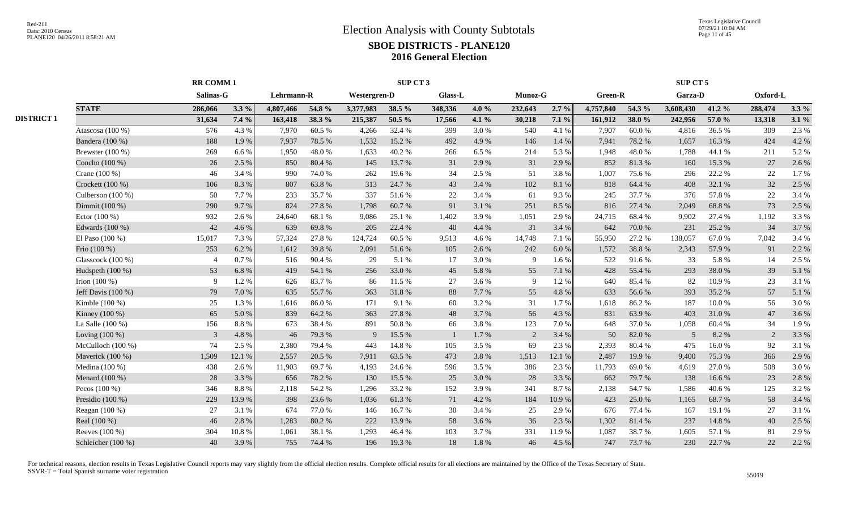|                   |                    |                | <b>RR COMM1</b> |            |        | SUP CT 3     |        |                |         |         |         |           | SUP CT 5 |           |        |          |         |  |
|-------------------|--------------------|----------------|-----------------|------------|--------|--------------|--------|----------------|---------|---------|---------|-----------|----------|-----------|--------|----------|---------|--|
|                   |                    | Salinas-G      |                 | Lehrmann-R |        | Westergren-D |        | <b>Glass-L</b> |         | Munoz-G |         | Green-R   |          | Garza-D   |        | Oxford-L |         |  |
|                   | <b>STATE</b>       | 286,066        | $3.3\%$         | 4,807,466  | 54.8 % | 3,377,983    | 38.5 % | 348,336        | 4.0%    | 232,643 | $2.7\%$ | 4,757,840 | 54.3 %   | 3,608,430 | 41.2%  | 288,474  | $3.3\%$ |  |
| <b>DISTRICT 1</b> |                    | 31,634         | 7.4 %           | 163,418    | 38.3%  | 215,387      | 50.5 % | 17,566         | 4.1 $%$ | 30,218  | $7.1\%$ | 161,912   | 38.0%    | 242,956   | 57.0 % | 13,318   | 3.1%    |  |
|                   | Atascosa (100 %)   | 576            | 4.3 %           | 7.970      | 60.5%  | 4,266        | 32.4 % | 399            | 3.0 %   | 540     | 4.1 %   | 7,907     | 60.0%    | 4,816     | 36.5 % | 309      | 2.3 %   |  |
|                   | Bandera (100 %)    | 188            | 1.9%            | 7,937      | 78.5 % | 1,532        | 15.2 % | 492            | 4.9%    | 146     | 1.4 %   | 7,941     | 78.2%    | 1,657     | 16.3%  | 424      | 4.2 %   |  |
|                   | Brewster $(100\%)$ | 269            | 6.6 %           | 1,950      | 48.0%  | 1,633        | 40.2%  | 266            | 6.5 %   | 214     | 5.3 %   | 1,948     | 48.0%    | 1,788     | 44.1 % | 211      | 5.2%    |  |
|                   | Concho (100 %)     | 26             | 2.5 %           | 850        | 80.4%  | 145          | 13.7 % | 31             | 2.9 %   | 31      | 2.9 %   | 852       | 81.3%    | 160       | 15.3 % | 27       | 2.6 %   |  |
|                   | Crane (100 %)      | 46             | 3.4 %           | 990        | 74.0%  | 262          | 19.6 % | 34             | 2.5 %   | 51      | 3.8%    | 1,007     | 75.6%    | 296       | 22.2 % | 22       | 1.7%    |  |
|                   | Crockett (100 %)   | 106            | 8.3%            | 807        | 63.8%  | 313          | 24.7 % | 43             | 3.4 %   | 102     | 8.1%    | 818       | 64.4 %   | 408       | 32.1 % | 32       | 2.5 %   |  |
|                   | Culberson (100 %)  | 50             | 7.7 %           | 233        | 35.7%  | 337          | 51.6%  | 22             | 3.4 %   | 61      | 9.3%    | 245       | 37.7 %   | 376       | 57.8%  | 22       | 3.4 %   |  |
|                   | Dimmit (100 %)     | 290            | 9.7%            | 824        | 27.8%  | 1,798        | 60.7%  | 91             | 3.1 %   | 251     | 8.5%    | 816       | 27.4 %   | 2,049     | 68.8%  | 73       | 2.5 %   |  |
|                   | Ector $(100\%)$    | 932            | 2.6 %           | 24,640     | 68.1%  | 9,086        | 25.1 % | 1,402          | 3.9%    | 1,051   | 2.9%    | 24,715    | 68.4%    | 9,902     | 27.4 % | 1,192    | 3.3%    |  |
|                   | Edwards (100 %)    | 42             | 4.6%            | 639        | 69.8%  | 205          | 22.4 % | 40             | 4.4 %   | 31      | 3.4 %   | 642       | 70.0%    | 231       | 25.2 % | 34       | 3.7%    |  |
|                   | El Paso $(100\%)$  | 15,017         | 7.3 %           | 57,324     | 27.8%  | 124,724      | 60.5%  | 9,513          | 4.6%    | 14,748  | 7.1 %   | 55,950    | 27.2 %   | 138,057   | 67.0%  | 7,042    | 3.4 %   |  |
|                   | Frio (100 %)       | 253            | 6.2 %           | 1,612      | 39.8%  | 2,091        | 51.6%  | 105            | 2.6 %   | 242     | 6.0%    | 1,572     | 38.8%    | 2,343     | 57.9%  | 91       | 2.2 %   |  |
|                   | Glasscock (100 %)  | $\overline{4}$ | 0.7%            | 516        | 90.4%  | 29           | 5.1 %  | 17             | 3.0%    | 9       | 1.6%    | 522       | 91.6%    | 33        | 5.8%   | 14       | 2.5 %   |  |
|                   | Hudspeth (100 %)   | 53             | 6.8%            | 419        | 54.1 % | 256          | 33.0%  | 45             | 5.8%    | 55      | 7.1 %   | 428       | 55.4 %   | 293       | 38.0%  | 39       | 5.1%    |  |
|                   | Irion $(100\%)$    | 9              | 1.2%            | 626        | 83.7%  | 86           | 11.5 % | 27             | 3.6 %   | -9      | 1.2%    | 640       | 85.4%    | 82        | 10.9%  | 23       | 3.1 %   |  |
|                   | Jeff Davis (100 %) | 79             | 7.0%            | 635        | 55.7%  | 363          | 31.8%  | 88             | 7.7 %   | 55      | 4.8%    | 633       | 56.6%    | 393       | 35.2 % | 57       | 5.1 %   |  |
|                   | Kimble $(100\%)$   | 25             | 1.3%            | 1,616      | 86.0%  | 171          | 9.1 %  | 60             | 3.2 %   | 31      | 1.7%    | 1,618     | 86.2%    | 187       | 10.0%  | 56       | 3.0%    |  |
|                   | Kinney (100 %)     | 65             | 5.0%            | 839        | 64.2%  | 363          | 27.8%  | 48             | 3.7 %   | 56      | 4.3 %   | 831       | 63.9%    | 403       | 31.0%  | 47       | 3.6%    |  |
|                   | La Salle (100 %)   | 156            | 8.8%            | 673        | 38.4%  | 891          | 50.8%  | 66             | 3.8%    | 123     | 7.0%    | 648       | 37.0%    | 1,058     | 60.4 % | 34       | 1.9%    |  |
|                   | Loving (100 %)     | $\overline{3}$ | 4.8%            | 46         | 79.3%  | 9            | 15.5 % | $\mathbf{1}$   | 1.7 %   | 2       | 3.4 %   | 50        | 82.0%    | .5        | 8.2 %  | 2        | 3.3 %   |  |
|                   | McCulloch (100 %)  | 74             | 2.5 %           | 2,380      | 79.4 % | 443          | 14.8%  | 105            | 3.5 %   | 69      | 2.3 %   | 2,393     | 80.4%    | 475       | 16.0%  | 92       | 3.1 %   |  |
|                   | Maverick (100 %)   | 1,509          | 12.1 %          | 2,557      | 20.5 % | 7,911        | 63.5 % | 473            | 3.8%    | 1,513   | 12.1 %  | 2,487     | 19.9 %   | 9,400     | 75.3 % | 366      | 2.9%    |  |
|                   | Medina (100 %)     | 438            | 2.6 %           | 11,903     | 69.7%  | 4,193        | 24.6 % | 596            | 3.5 %   | 386     | 2.3 %   | 11,793    | 69.0%    | 4,619     | 27.0 % | 508      | 3.0%    |  |
|                   | Menard (100 %)     | 28             | 3.3 %           | 656        | 78.2%  | 130          | 15.5 % | 25             | 3.0%    | 28      | 3.3 %   | 662       | 79.7 %   | 138       | 16.6%  | 23       | 2.8%    |  |
|                   | Pecos $(100\%)$    | 346            | 8.8%            | 2,118      | 54.2 % | 1,296        | 33.2 % | 152            | 3.9%    | 341     | 8.7%    | 2,138     | 54.7 %   | 1,586     | 40.6 % | 125      | 3.2 %   |  |
|                   | Presidio (100 %)   | 229            | 13.9%           | 398        | 23.6 % | 1,036        | 61.3%  | 71             | 4.2 %   | 184     | 10.9%   | 423       | 25.0%    | 1,165     | 68.7%  | 58       | 3.4 %   |  |
|                   | Reagan (100 %)     | 27             | 3.1 %           | 674        | 77.0%  | 146          | 16.7%  | 30             | 3.4 %   | 25      | 2.9 %   | 676       | 77.4 %   | 167       | 19.1 % | 27       | 3.1%    |  |
|                   | Real (100 %)       | 46             | 2.8 %           | 1,283      | 80.2%  | 222          | 13.9%  | 58             | 3.6 %   | 36      | 2.3 %   | 1,302     | 81.4%    | 237       | 14.8 % | 40       | 2.5 %   |  |
|                   | Reeves (100 %)     | 304            | 10.8%           | 1,061      | 38.1%  | 1,293        | 46.4%  | 103            | 3.7%    | 331     | 11.9%   | 1,087     | 38.7%    | 1,605     | 57.1 % | 81       | 2.9%    |  |
|                   | Schleicher (100 %) | 40             | 3.9%            | 755        | 74.4 % | 196          | 19.3%  | 18             | 1.8%    | 46      | 4.5 %   | 747       | 73.7 %   | 230       | 22.7 % | 22       | 2.2 %   |  |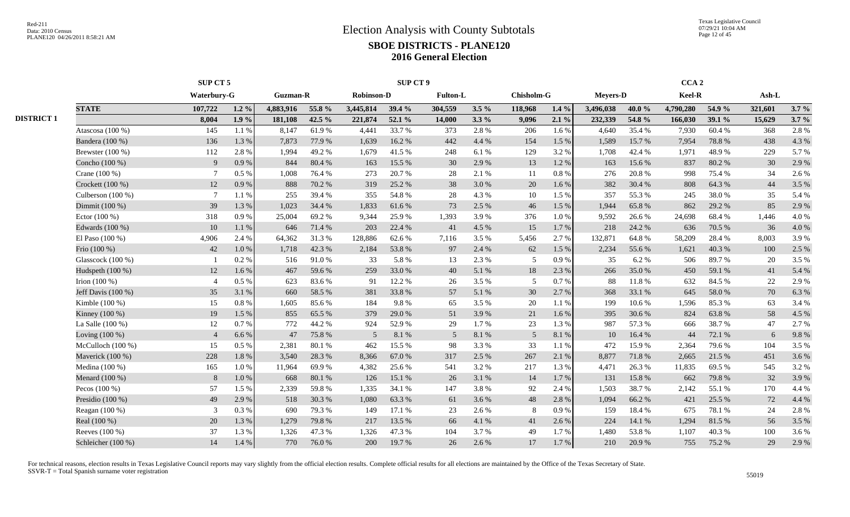Texas Legislative Council 07/29/21 10:04 AM Page 12 of 45

|                   |                      |                 | SUP CT 5  |                 |        | SUP CT 9          |        |                 |         |                   |           | CCA <sub>2</sub> |        |           |        |         |          |
|-------------------|----------------------|-----------------|-----------|-----------------|--------|-------------------|--------|-----------------|---------|-------------------|-----------|------------------|--------|-----------|--------|---------|----------|
|                   |                      | Waterbury-G     |           | <b>Guzman-R</b> |        | <b>Robinson-D</b> |        | <b>Fulton-L</b> |         | <b>Chisholm-G</b> |           | <b>Mevers-D</b>  |        | Keel-R    |        | Ash-L   |          |
|                   | <b>STATE</b>         | 107,722         | 1.2 $%$   | 4,883,916       | 55.8 % | 3,445,814         | 39.4 % | 304,559         | $3.5\%$ | 118.968           | $1.4\%$   | 3,496,038        | 40.0%  | 4,790,280 | 54.9 % | 321,601 | 3.7%     |
| <b>DISTRICT 1</b> |                      | 8,004           | $1.9\%$   | 181,108         | 42.5 % | 221,874           | 52.1 % | 14,000          | $3.3\%$ | 9,096             | $2.1\%$   | 232,339          | 54.8 % | 166,030   | 39.1 % | 15,629  | $3.7 \%$ |
|                   | Atascosa (100 %)     | 145             | 1.1 %     | 8,147           | 61.9%  | 4,441             | 33.7 % | 373             | 2.8%    | 206               | 1.6 %     | 4,640            | 35.4 % | 7,930     | 60.4%  | 368     | 2.8%     |
|                   | Bandera (100 %)      | 136             | 1.3%      | 7,873           | 77.9%  | 1.639             | 16.2 % | 442             | 4.4 %   | 154               | 1.5 %     | 1,589            | 15.7 % | 7.954     | 78.8%  | 438     | 4.3 %    |
|                   | Brewster (100 %)     | 112             | 2.8%      | 1,994           | 49.2%  | 1,679             | 41.5%  | 248             | 6.1%    | 129               | 3.2%      | 1,708            | 42.4 % | 1,971     | 48.9%  | 229     | 5.7%     |
|                   | Concho (100 %)       | 9               | 0.9%      | 844             | 80.4%  | 163               | 15.5 % | 30              | 2.9 %   | 13                | 1.2%      | 163              | 15.6%  | 837       | 80.2%  | 30      | 2.9 %    |
|                   | Crane (100 %)        | -7              | 0.5 %     | 1,008           | 76.4 % | 273               | 20.7%  | 28              | 2.1 %   | 11                | 0.8%      | 276              | 20.8%  | 998       | 75.4 % | 34      | 2.6 %    |
|                   | Crockett (100 %)     | 12              | 0.9%      | 888             | 70.2 % | 319               | 25.2 % | 38              | 3.0%    | 20                | 1.6%      | 382              | 30.4 % | 808       | 64.3 % | 44      | 3.5 %    |
|                   | Culberson (100 %)    | $7\phantom{.0}$ | 1.1 %     | 255             | 39.4 % | 355               | 54.8%  | 28              | 4.3 %   | 10                | 1.5 %     | 357              | 55.3%  | 245       | 38.0%  | 35      | 5.4 %    |
|                   | Dimmit (100 %)       | 39              | 1.3%      | 1,023           | 34.4 % | 1.833             | 61.6%  | 73              | 2.5 %   | 46                | 1.5 %     | 1,944            | 65.8%  | 862       | 29.2 % | 85      | 2.9%     |
|                   | Ector $(100\%)$      | 318             | 0.9%      | 25,004          | 69.2%  | 9.344             | 25.9%  | 1,393           | 3.9%    | 376               | $1.0\%$   | 9,592            | 26.6 % | 24,698    | 68.4%  | 1,446   | 4.0%     |
|                   | Edwards (100 %)      | 10              | 1.1%      | 646             | 71.4 % | 203               | 22.4 % | 41              | 4.5 %   | 15                | 1.7%      | 218              | 24.2 % | 636       | 70.5 % | 36      | 4.0%     |
|                   | El Paso $(100\%)$    | 4,906           | 2.4 %     | 64,362          | 31.3%  | 128,886           | 62.6 % | 7,116           | 3.5 %   | 5,456             | 2.7%      | 132,871          | 64.8%  | 58,209    | 28.4%  | 8,003   | 3.9%     |
|                   | Frio (100 %)         | 42              | 1.0 %     | 1,718           | 42.3 % | 2,184             | 53.8%  | 97              | 2.4 %   | 62                | 1.5 %     | 2,234            | 55.6%  | 1,621     | 40.3 % | 100     | 2.5 %    |
|                   | Glasscock (100 %)    |                 | 0.2 %     | 516             | 91.0%  | 33                | 5.8%   | 13              | 2.3 %   | 5                 | $0.9\ \%$ | 35               | 6.2%   | 506       | 89.7%  | 20      | 3.5 %    |
|                   | Hudspeth (100 %)     | 12              | 1.6 %     | 467             | 59.6%  | 259               | 33.0%  | 40              | 5.1 %   | 18                | 2.3 %     | 266              | 35.0%  | 450       | 59.1 % | 41      | 5.4 %    |
|                   | Irion $(100\%)$      | $\overline{4}$  | 0.5%      | 623             | 83.6%  | 91                | 12.2 % | 26              | 3.5 %   | 5                 | 0.7%      | 88               | 11.8%  | 632       | 84.5 % | 22      | 2.9%     |
|                   | Jeff Davis $(100\%)$ | 35              | 3.1%      | 660             | 58.5 % | 381               | 33.8%  | 57              | 5.1 %   | 30                | 2.7%      | 368              | 33.1 % | 645       | 58.0%  | 70      | 6.3 %    |
|                   | Kimble (100 %)       | 15              | 0.8%      | 1,605           | 85.6%  | 184               | 9.8%   | 65              | 3.5 %   | 20                | 1.1 %     | 199              | 10.6 % | 1,596     | 85.3%  | 63      | 3.4 %    |
|                   | Kinney (100 %)       | 19              | 1.5 %     | 855             | 65.5%  | 379               | 29.0%  | 51              | 3.9%    | 21                | 1.6%      | 395              | 30.6 % | 824       | 63.8%  | 58      | 4.5 %    |
|                   | La Salle (100 %)     | 12              | 0.7%      | 772             | 44.2 % | 924               | 52.9%  | 29              | 1.7%    | 23                | 1.3 %     | 987              | 57.3 % | 666       | 38.7%  | 47      | 2.7 %    |
|                   | Loving $(100\%)$     | $\overline{4}$  | 6.6%      | 47              | 75.8%  | $\overline{5}$    | 8.1 %  | 5               | 8.1 %   | $5\overline{)}$   | 8.1 %     | 10               | 16.4 % | 44        | 72.1 % | 6       | 9.8%     |
|                   | McCulloch $(100\%)$  | 15              | 0.5 %     | 2,381           | 80.1%  | 462               | 15.5 % | 98              | 3.3 %   | 33                | 1.1 %     | 472              | 15.9%  | 2,364     | 79.6%  | 104     | 3.5 %    |
|                   | Maverick (100 %)     | 228             | 1.8%      | 3,540           | 28.3 % | 8,366             | 67.0%  | 317             | 2.5 %   | 267               | 2.1 %     | 8,877            | 71.8%  | 2,665     | 21.5 % | 451     | 3.6 %    |
|                   | Medina (100 %)       | 165             | 1.0%      | 11,964          | 69.9%  | 4,382             | 25.6 % | 541             | 3.2 %   | 217               | 1.3 %     | 4,471            | 26.3%  | 11,835    | 69.5 % | 545     | 3.2 %    |
|                   | Menard (100 %)       | 8               | $1.0\ \%$ | 668             | 80.1 % | 126               | 15.1 % | 26              | 3.1 %   | 14                | 1.7%      | 131              | 15.8%  | 662       | 79.8%  | 32      | 3.9%     |
|                   | Pecos $(100\%)$      | 57              | 1.5 %     | 2,339           | 59.8%  | 1,335             | 34.1 % | 147             | 3.8%    | 92                | 2.4 %     | 1,503            | 38.7%  | 2,142     | 55.1 % | 170     | 4.4 %    |
|                   | Presidio $(100\%)$   | 49              | 2.9%      | 518             | 30.3%  | 1.080             | 63.3%  | 61              | 3.6%    | 48                | 2.8%      | 1,094            | 66.2%  | 421       | 25.5 % | 72      | 4.4 %    |
|                   | Reagan $(100\%)$     | 3               | 0.3%      | 690             | 79.3 % | 149               | 17.1 % | 23              | 2.6 %   | 8                 | 0.9%      | 159              | 18.4%  | 675       | 78.1 % | 24      | 2.8%     |
|                   | Real (100 %)         | 20              | 1.3%      | 1,279           | 79.8%  | 217               | 13.5 % | 66              | 4.1 %   | 41                | 2.6 %     | 224              | 14.1 % | 1,294     | 81.5%  | 56      | 3.5 %    |
|                   | Reeves (100 %)       | 37              | 1.3 %     | 1,326           | 47.3 % | 1,326             | 47.3 % | 104             | 3.7%    | 49                | 1.7 %     | 1,480            | 53.8%  | 1,107     | 40.3%  | 100     | 3.6 %    |
|                   | Schleicher (100 %)   | 14              | 1.4 %     | 770             | 76.0%  | 200               | 19.7 % | 26              | 2.6 %   | 17                | 1.7 %     | 210              | 20.9%  | 755       | 75.2 % | 29      | 2.9 %    |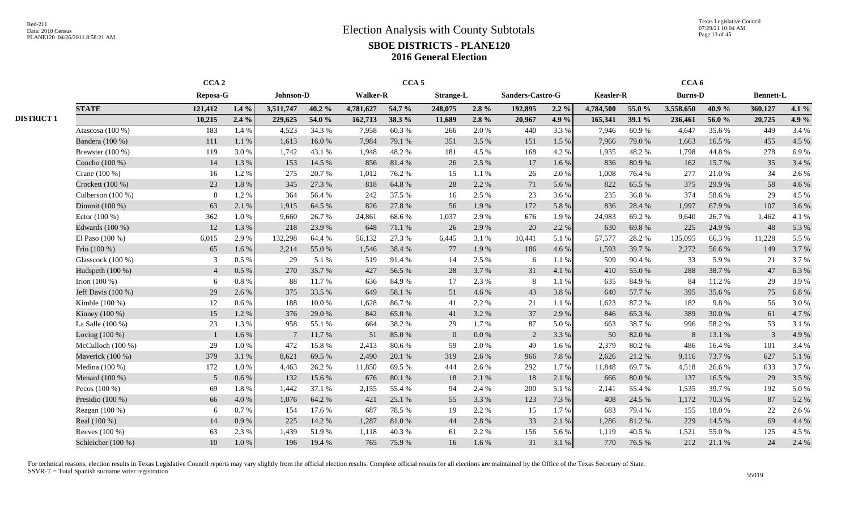|                   |                      | CCA <sub>2</sub> |         |                |        |                 | CCA <sub>5</sub> |                  |           |                  |         |                  |        | CCA <sub>6</sub> |        |                  |       |
|-------------------|----------------------|------------------|---------|----------------|--------|-----------------|------------------|------------------|-----------|------------------|---------|------------------|--------|------------------|--------|------------------|-------|
|                   |                      | Reposa-G         |         | Johnson-D      |        | <b>Walker-R</b> |                  | <b>Strange-L</b> |           | Sanders-Castro-G |         | <b>Keasler-R</b> |        | <b>Burns-D</b>   |        | <b>Bennett-L</b> |       |
|                   | <b>STATE</b>         | 121,412          | $1.4\%$ | 3,511,747      | 40.2%  | 4,781,627       | 54.7 %           | 248,075          | $2.8\%$   | 192.895          | $2.2\%$ | 4,784,500        | 55.0 % | 3,558,650        | 40.9%  | 360,127          | 4.1 % |
| <b>DISTRICT 1</b> |                      | 10,215           | $2.4\%$ | 229,625        | 54.0 % | 162,713         | 38.3 %           | 11,689           | $2.8\%$   | 20,967           | 4.9 %   | 165,341          | 39.1 % | 236,461          | 56.0%  | 20,725           | 4.9 % |
|                   | Atascosa (100 %)     | 183              | 1.4 %   | 4,523          | 34.3 % | 7,958           | 60.3%            | 266              | 2.0 %     | 440              | 3.3%    | 7,946            | 60.9%  | 4,647            | 35.6 % | 449              | 3.4 % |
|                   | Bandera (100 %)      | 111              | 1.1%    | 1,613          | 16.0%  | 7,984           | 79.1 %           | 351              | 3.5 %     | 151              | 1.5 %   | 7,966            | 79.0%  | 1,663            | 16.5 % | 455              | 4.5 % |
|                   | Brewster $(100\%)$   | 119              | 3.0%    | 1,742          | 43.1 % | 1,948           | 48.2%            | 181              | 4.5 %     | 168              | 4.2 %   | 1,935            | 48.2%  | 1,798            | 44.8%  | 278              | 6.9%  |
|                   | Concho (100 %)       | 14               | 1.3%    | 153            | 14.5 % | 856             | 81.4%            | 26               | 2.5 %     | 17               | 1.6%    | 836              | 80.9%  | 162              | 15.7%  | 35               | 3.4 % |
|                   | Crane (100 %)        | 16               | 1.2%    | 275            | 20.7%  | 1,012           | 76.2%            | 15               | 1.1%      | 26               | 2.0%    | 1,008            | 76.4%  | 277              | 21.0%  | 34               | 2.6 % |
|                   | Crockett $(100\%)$   | 23               | 1.8%    | 345            | 27.3 % | 818             | 64.8%            | 28               | 2.2 %     | 71               | 5.6%    | 822              | 65.5%  | 375              | 29.9%  | 58               | 4.6 % |
|                   | Culberson (100 %)    | 8                | 1.2%    | 364            | 56.4 % | 242             | 37.5 %           | 16               | 2.5 %     | 23               | 3.6 %   | 235              | 36.8%  | 374              | 58.6%  | 29               | 4.5 % |
|                   | Dimmit (100 %)       | 63               | 2.1 %   | 1,915          | 64.5 % | 826             | 27.8%            | 56               | 1.9%      | 172              | 5.8%    | 836              | 28.4 % | 1,997            | 67.9%  | 107              | 3.6 % |
|                   | Ector $(100\%)$      | 362              | 1.0%    | 9,660          | 26.7%  | 24,861          | 68.6%            | 1,037            | 2.9%      | 676              | 1.9 %   | 24,983           | 69.2%  | 9,640            | 26.7 % | 1,462            | 4.1 % |
|                   | Edwards (100 %)      | 12               | 1.3 %   | 218            | 23.9%  | 648             | 71.1 %           | 26               | 2.9%      | 20               | 2.2 %   | 630              | 69.8%  | 225              | 24.9 % | 48               | 5.3 % |
|                   | El Paso $(100\%)$    | 6,015            | 2.9%    | 132,298        | 64.4 % | 56,132          | 27.3 %           | 6,445            | 3.1 %     | 10,441           | 5.1 %   | 57,577           | 28.2%  | 135,095          | 66.3%  | 11,228           | 5.5 % |
|                   | Frio (100 %)         | 65               | 1.6%    | 2,214          | 55.0%  | 1,546           | 38.4 %           | 77               | 1.9%      | 186              | 4.6%    | 1,593            | 39.7 % | 2,272            | 56.6%  | 149              | 3.7%  |
|                   | Glasscock (100 %)    | $\mathfrak{Z}$   | 0.5 %   | 29             | 5.1 %  | 519             | 91.4%            | 14               | 2.5 %     | 6                | 1.1%    | 509              | 90.4%  | 33               | 5.9%   | 21               | 3.7%  |
|                   | Hudspeth (100 %)     | $\overline{4}$   | 0.5%    | 270            | 35.7 % | 427             | 56.5 %           | 28               | 3.7 %     | 31               | 4.1 %   | 410              | 55.0%  | 288              | 38.7%  | 47               | 6.3 % |
|                   | Irion $(100\%)$      | -6               | 0.8%    | 88             | 11.7 % | 636             | 84.9%            | 17               | 2.3 %     | 8                | 1.1 %   | 635              | 84.9%  | 84               | 11.2 % | 29               | 3.9%  |
|                   | Jeff Davis $(100\%)$ | 29               | 2.6 %   | 375            | 33.5 % | 649             | 58.1 %           | 51               | 4.6 %     | 43               | 3.8%    | 640              | 57.7 % | 395              | 35.6%  | 75               | 6.8%  |
|                   | Kimble (100 %)       | 12               | 0.6%    | 188            | 10.0%  | 1.628           | 86.7%            | 41               | 2.2 %     | 21               | 1.1%    | 1,623            | 87.2%  | 182              | 9.8%   | 56               | 3.0%  |
|                   | Kinney (100 %)       | 15               | 1.2%    | 376            | 29.0%  | 842             | 65.0%            | 41               | 3.2 %     | 37               | 2.9%    | 846              | 65.3%  | 389              | 30.0%  | 61               | 4.7%  |
|                   | La Salle $(100\%)$   | 23               | 1.3%    | 958            | 55.1 % | 664             | 38.2 %           | 29               | 1.7 %     | 87               | 5.0 %   | 663              | 38.7%  | 996              | 58.2 % | 53               | 3.1 % |
|                   | Loving $(100\%)$     |                  | 1.6 %   | $\overline{7}$ | 11.7 % | 51              | 85.0%            | $\overline{0}$   | $0.0\ \%$ | 2                | 3.3%    | 50               | 82.0%  |                  | 13.1 % | 3                | 4.9%  |
|                   | McCulloch $(100\%)$  | 29               | 1.0%    | 472            | 15.8%  | 2,413           | 80.6%            | 59               | 2.0%      | 49               | 1.6%    | 2,379            | 80.2%  | 486              | 16.4%  | 101              | 3.4 % |
|                   | Maverick (100 %)     | 379              | 3.1%    | 8,621          | 69.5%  | 2,490           | 20.1 %           | 319              | 2.6 %     | 966              | 7.8 %   | 2,626            | 21.2%  | 9,116            | 73.7%  | 627              | 5.1 % |
|                   | Medina (100 %)       | 172              | 1.0%    | 4,463          | 26.2 % | 11,850          | 69.5%            | 444              | 2.6 %     | 292              | 1.7%    | 11,848           | 69.7%  | 4,518            | 26.6%  | 633              | 3.7%  |
|                   | Menard (100 %)       | 5                | 0.6%    | 132            | 15.6 % | 676             | 80.1 %           | 18               | 2.1 %     | 18               | 2.1 %   | 666              | 80.0%  | 137              | 16.5%  | 29               | 3.5 % |
|                   | Pecos $(100\%)$      | 69               | 1.8%    | 1,442          | 37.1 % | 2,155           | 55.4 %           | 94               | 2.4 %     | 200              | 5.1 %   | 2,141            | 55.4 % | 1.535            | 39.7%  | 192              | 5.0%  |
|                   | Presidio $(100\%)$   | 66               | 4.0%    | 1,076          | 64.2%  | 421             | 25.1 %           | 55               | 3.3 %     | 123              | 7.3 %   | 408              | 24.5 % | 1,172            | 70.3 % | 87               | 5.2 % |
|                   | Reagan (100 %)       | 6                | 0.7%    | 154            | 17.6 % | 687             | 78.5%            | 19               | 2.2 %     | 15               | 1.7%    | 683              | 79.4 % | 155              | 18.0%  | 22               | 2.6 % |
|                   | Real (100 %)         | 14               | 0.9%    | 225            | 14.2 % | 1,287           | 81.0%            | 44               | 2.8 %     | 33               | 2.1 %   | 1,286            | 81.2%  | 229              | 14.5 % | 69               | 4.4 % |
|                   | Reeves (100 %)       | 63               | 2.3 %   | 1,439          | 51.9%  | 1,118           | 40.3%            | 61               | 2.2 %     | 156              | 5.6%    | 1,119            | 40.5 % | 1,521            | 55.0%  | 125              | 4.5 % |
|                   | Schleicher (100 %)   | 10               | 1.0 %   | 196            | 19.4 % | 765             | 75.9%            | 16               | 1.6 %     | 31               | 3.1 %   | 770              | 76.5%  | 212              | 21.1 % | 24               | 2.4 % |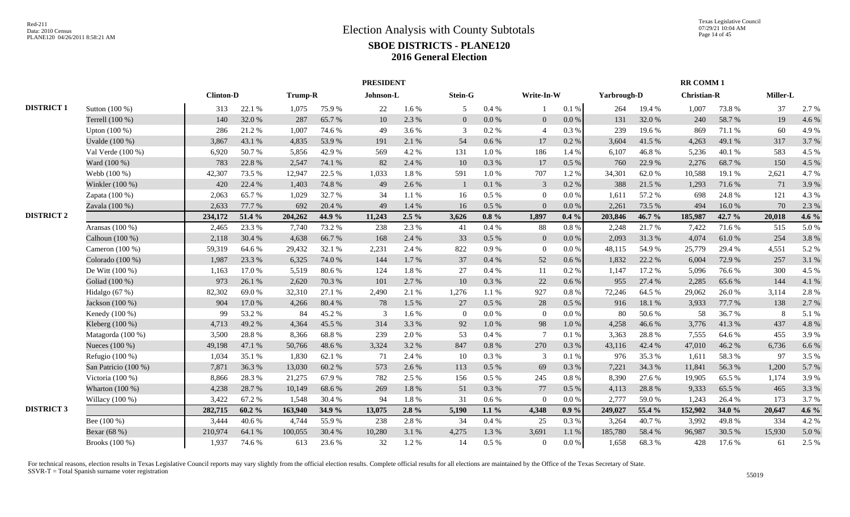|                   |                      |                  |           |         |        | <b>PRESIDENT</b> |           |                |          |                |           |             |        | <b>RR COMM 1</b>   |        |          |         |
|-------------------|----------------------|------------------|-----------|---------|--------|------------------|-----------|----------------|----------|----------------|-----------|-------------|--------|--------------------|--------|----------|---------|
|                   |                      | <b>Clinton-D</b> |           | Trump-R |        | Johnson-L        |           | Stein-G        |          | Write-In-W     |           | Yarbrough-D |        | <b>Christian-R</b> |        | Miller-L |         |
| <b>DISTRICT 1</b> | Sutton (100 %)       | 313              | 22.1 %    | 1,075   | 75.9%  | 22               | 1.6%      | 5              | 0.4%     |                | 0.1%      | 264         | 19.4 % | 1,007              | 73.8%  | 37       | 2.7 %   |
|                   | Terrell (100 %)      | 140              | 32.0%     | 287     | 65.7%  | 10               | 2.3%      | $\overline{0}$ | 0.0 %    | $\mathbf{0}$   | $0.0\,\%$ | 131         | 32.0%  | 240                | 58.7%  | 19       | 4.6%    |
|                   | Upton (100 %)        | 286              | 21.2%     | 1,007   | 74.6 % | 49               | 3.6%      | 3              | 0.2%     | $\overline{4}$ | 0.3%      | 239         | 19.6 % | 869                | 71.1 % | 60       | 4.9%    |
|                   | Uvalde (100 %)       | 3,867            | 43.1 %    | 4,835   | 53.9%  | 191              | 2.1 %     | 54             | 0.6 %    | 17             | 0.2 %     | 3,604       | 41.5 % | 4,263              | 49.1 % | 317      | 3.7%    |
|                   | Val Verde (100 %)    | 6,920            | 50.7%     | 5,856   | 42.9%  | 569              | 4.2%      | 131            | 1.0%     | 186            | 1.4 %     | 6,107       | 46.8%  | 5,236              | 40.1%  | 583      | 4.5 %   |
|                   | Ward (100 %)         | 783              | 22.8%     | 2,547   | 74.1 % | 82               | 2.4 %     | 10             | 0.3%     | 17             | $0.5\%$   | 760         | 22.9 % | 2,276              | 68.7%  | 150      | 4.5 %   |
|                   | Webb (100 %)         | 42,307           | 73.5 %    | 12,947  | 22.5 % | 1,033            | 1.8%      | 591            | 1.0%     | 707            | 1.2%      | 34,301      | 62.0%  | 10,588             | 19.1 % | 2,621    | 4.7%    |
|                   | Winkler (100 %)      | 420              | 22.4 %    | 1,403   | 74.8 % | 49               | 2.6%      | $\mathbf{1}$   | 0.1%     | 3              | $0.2~\%$  | 388         | 21.5 % | 1,293              | 71.6%  | 71       | 3.9%    |
|                   | Zapata (100 %)       | 2,063            | 65.7%     | 1,029   | 32.7%  | 34               | $1.1\ \%$ | 16             | $0.5\%$  | $\overline{0}$ | 0.0 %     | 1,611       | 57.2 % | 698                | 24.8%  | 121      | 4.3 %   |
|                   | Zavala (100 %)       | 2,633            | 77.7 %    | 692     | 20.4 % | 49               | 1.4 %     | 16             | 0.5%     | $\Omega$       | 0.0 %     | 2,261       | 73.5 % | 494                | 16.0%  | 70       | 2.3 %   |
| <b>DISTRICT 2</b> |                      | 234,172          | 51.4 %    | 204,262 | 44.9 % | 11,243           | $2.5\%$   | 3,626          | $0.8 \%$ | 1,897          | $0.4\%$   | 203,846     | 46.7%  | 185,987            | 42.7 % | 20,018   | 4.6 $%$ |
|                   | Aransas (100 %)      | 2,465            | 23.3 %    | 7,740   | 73.2 % | 238              | 2.3 %     | 41             | 0.4%     | 88             | 0.8%      | 2,248       | 21.7 % | 7,422              | 71.6%  | 515      | 5.0%    |
|                   | Calhoun (100 %)      | 2,118            | 30.4 %    | 4,638   | 66.7%  | 168              | 2.4 %     | 33             | 0.5 %    | $\overline{0}$ | 0.0 %     | 2,093       | 31.3%  | 4,074              | 61.0%  | 254      | 3.8%    |
|                   | Cameron $(100\%)$    | 59,319           | 64.6%     | 29,432  | 32.1 % | 2,231            | 2.4 %     | 822            | 0.9%     | $\overline{0}$ | 0.0 %     | 48,115      | 54.9%  | 25,779             | 29.4 % | 4,551    | 5.2 %   |
|                   | Colorado (100 %)     | 1,987            | 23.3 %    | 6,325   | 74.0%  | 144              | 1.7%      | 37             | 0.4%     | 52             | 0.6 %     | 1,832       | 22.2 % | 6,004              | 72.9 % | 257      | 3.1%    |
|                   | De Witt (100 %)      | 1,163            | 17.0%     | 5,519   | 80.6%  | 124              | 1.8%      | 27             | 0.4%     | 11             | $0.2\%$   | 1,147       | 17.2 % | 5,096              | 76.6%  | 300      | 4.5 %   |
|                   | Goliad (100 %)       | 973              | 26.1 %    | 2,620   | 70.3%  | 101              | 2.7 %     | 10             | 0.3%     | 22             | 0.6 %     | 955         | 27.4 % | 2,285              | 65.6%  | 144      | 4.1%    |
|                   | Hidalgo $(67%)$      | 82,302           | 69.0%     | 32,310  | 27.1 % | 2,490            | 2.1%      | 1,276          | 1.1 %    | 927            | 0.8%      | 72,246      | 64.5 % | 29,062             | 26.0%  | 3,114    | 2.8%    |
|                   | Jackson (100 %)      | 904              | 17.0 %    | 4,266   | 80.4%  | 78               | 1.5%      | 27             | $0.5\%$  | 28             | $0.5\%$   | 916         | 18.1%  | 3,933              | 77.7 % | 138      | 2.7 %   |
|                   | Kenedy (100 %)       | 99               | 53.2 %    | 84      | 45.2%  | $\mathcal{R}$    | 1.6 %     | $\theta$       | $0.0\%$  | $\theta$       | 0.0 %     | 80          | 50.6%  | 58                 | 36.7%  | 8        | 5.1 %   |
|                   | Kleberg (100 %)      | 4,713            | 49.2%     | 4,364   | 45.5 % | 314              | 3.3 %     | 92             | 1.0%     | 98             | 1.0%      | 4,258       | 46.6%  | 3,776              | 41.3%  | 437      | 4.8%    |
|                   | Matagorda (100 %)    | 3,500            | 28.8%     | 8,366   | 68.8%  | 239              | 2.0%      | 53             | 0.4%     | $\overline{7}$ | 0.1%      | 3,363       | 28.8%  | 7,555              | 64.6 % | 455      | 3.9%    |
|                   | Nueces (100 %)       | 49,198           | 47.1 %    | 50,766  | 48.6%  | 3,324            | 3.2%      | 847            | 0.8%     | 270            | 0.3%      | 43,116      | 42.4 % | 47,010             | 46.2%  | 6,736    | 6.6%    |
|                   | Refugio (100 %)      | 1,034            | 35.1 %    | 1,830   | 62.1 % | 71               | 2.4 %     | 10             | 0.3%     | 3              | 0.1%      | 976         | 35.3 % | 1,611              | 58.3%  | 97       | 3.5 %   |
|                   | San Patricio (100 %) | 7,871            | 36.3%     | 13,030  | 60.2%  | 573              | 2.6%      | 113            | $0.5\%$  | 69             | 0.3 %     | 7,221       | 34.3 % | 11,841             | 56.3%  | 1,200    | 5.7%    |
|                   | Victoria (100 %)     | 8,866            | 28.3%     | 21,275  | 67.9%  | 782              | 2.5 %     | 156            | $0.5\%$  | 245            | 0.8%      | 8,390       | 27.6 % | 19,905             | 65.5%  | 1,174    | 3.9%    |
|                   | Wharton (100 %)      | 4,238            | 28.7%     | 10,149  | 68.6%  | 269              | 1.8%      | 51             | 0.3%     | $77\,$         | $0.5\%$   | 4,113       | 28.8%  | 9,333              | 65.5%  | 465      | 3.3%    |
|                   | Willacy $(100\%)$    | 3,422            | 67.2%     | 1,548   | 30.4 % | 94               | 1.8%      | 31             | $0.6\%$  | $\Omega$       | 0.0 %     | 2,777       | 59.0%  | 1,243              | 26.4 % | 173      | 3.7%    |
| <b>DISTRICT 3</b> |                      | 282,715          | $60.2 \%$ | 163,940 | 34.9 % | 13,075           | $2.8 \%$  | 5,190          | $1.1\%$  | 4,348          | $0.9\%$   | 249,027     | 55.4 % | 152,902            | 34.0 % | 20,647   | 4.6 $%$ |
|                   | Bee $(100\%)$        | 3,444            | 40.6%     | 4,744   | 55.9%  | 238              | 2.8%      | 34             | 0.4 %    | 25             | 0.3%      | 3,264       | 40.7%  | 3,992              | 49.8%  | 334      | 4.2%    |
|                   | Bexar (68 %)         | 210,974          | 64.1 %    | 100,055 | 30.4 % | 10,280           | 3.1 %     | 4,275          | 1.3%     | 3,691          | $1.1\ \%$ | 185,780     | 58.4 % | 96,987             | 30.5 % | 15,930   | 5.0%    |
|                   | Brooks (100 %)       | 1,937            | 74.6%     | 613     | 23.6 % | 32               | 1.2%      | 14             | 0.5%     | $\Omega$       | $0.0\,\%$ | 1,658       | 68.3%  | 428                | 17.6 % | 61       | 2.5 %   |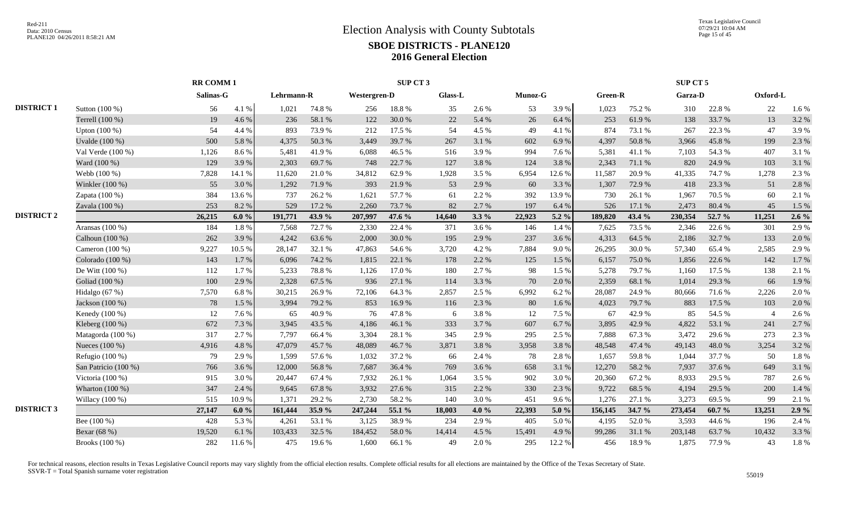|                   |                      |           | <b>RR COMM1</b> |            |        |                     | SUP CT 3 |         |           |                |         |                |        | SUP CT 5 |           |                |         |
|-------------------|----------------------|-----------|-----------------|------------|--------|---------------------|----------|---------|-----------|----------------|---------|----------------|--------|----------|-----------|----------------|---------|
|                   |                      | Salinas-G |                 | Lehrmann-R |        | <b>Westergren-D</b> |          | Glass-L |           | <b>Munoz-G</b> |         | <b>Green-R</b> |        | Garza-D  |           | Oxford-L       |         |
| <b>DISTRICT 1</b> | Sutton (100 %)       | 56        | 4.1 %           | 1,021      | 74.8%  | 256                 | 18.8%    | 35      | 2.6 %     | 53             | 3.9%    | 1,023          | 75.2 % | 310      | 22.8%     | 22             | 1.6%    |
|                   | Terrell (100 %)      | 19        | 4.6%            | 236        | 58.1 % | 122                 | 30.0%    | 22      | 5.4 %     | 26             | 6.4%    | 253            | 61.9%  | 138      | 33.7%     | 13             | 3.2%    |
|                   | Upton (100 %)        | 54        | 4.4 %           | 893        | 73.9%  | 212                 | 17.5 %   | 54      | 4.5 %     | 49             | 4.1%    | 874            | 73.1 % | 267      | 22.3 %    | 47             | 3.9%    |
|                   | Uvalde (100 %)       | 500       | 5.8%            | 4,375      | 50.3%  | 3,449               | 39.7%    | 267     | 3.1 %     | 602            | 6.9%    | 4,397          | 50.8%  | 3,966    | 45.8%     | 199            | 2.3 %   |
|                   | Val Verde (100 %)    | 1,126     | 8.6%            | 5,481      | 41.9%  | 6.088               | 46.5 %   | 516     | 3.9%      | 994            | 7.6 %   | 5.381          | 41.1 % | 7.103    | 54.3 %    | 407            | 3.1%    |
|                   | Ward (100 %)         | 129       | 3.9%            | 2,303      | 69.7%  | 748                 | 22.7 %   | 127     | 3.8%      | 124            | 3.8%    | 2,343          | 71.1 % | 820      | 24.9%     | 103            | 3.1%    |
|                   | Webb (100 %)         | 7,828     | 14.1 %          | 11,620     | 21.0%  | 34,812              | 62.9%    | 1,928   | 3.5 %     | 6,954          | 12.6 %  | 11,587         | 20.9%  | 41,335   | 74.7%     | 1,278          | 2.3 %   |
|                   | Winkler (100 %)      | 55        | 3.0%            | 1,292      | 71.9%  | 393                 | 21.9%    | 53      | 2.9%      | 60             | 3.3 %   | 1,307          | 72.9 % | 418      | 23.3 %    | 51             | 2.8%    |
|                   | Zapata (100 %)       | 384       | 13.6 %          | 737        | 26.2%  | 1,621               | 57.7 %   | 61      | 2.2 %     | 392            | 13.9%   | 730            | 26.1%  | 1,967    | 70.5 %    | 60             | 2.1%    |
|                   | Zavala (100 %)       | 253       | 8.2%            | 529        | 17.2 % | 2,260               | 73.7 %   | 82      | 2.7%      | 197            | 6.4%    | 526            | 17.1 % | 2,473    | 80.4%     | 45             | 1.5 %   |
| <b>DISTRICT 2</b> |                      | 26,215    | 6.0%            | 191,771    | 43.9%  | 207,997             | 47.6 %   | 14,640  | $3.3\%$   | 22,923         | 5.2 %   | 189,820        | 43.4 % | 230,354  | 52.7 %    | 11,251         | $2.6\%$ |
|                   | Aransas (100 %)      | 184       | 1.8 %           | 7,568      | 72.7%  | 2,330               | 22.4 %   | 371     | 3.6 %     | 146            | 1.4 %   | 7,625          | 73.5 % | 2,346    | 22.6 %    | 301            | 2.9%    |
|                   | Calhoun (100 %)      | 262       | 3.9%            | 4,242      | 63.6%  | 2,000               | 30.0%    | 195     | 2.9%      | 237            | 3.6%    | 4,313          | 64.5 % | 2,186    | 32.7%     | 133            | 2.0%    |
|                   | Cameron $(100\%)$    | 9,227     | 10.5 %          | 28.147     | 32.1 % | 47.863              | 54.6%    | 3,720   | 4.2 %     | 7,884          | 9.0%    | 26,295         | 30.0%  | 57,340   | 65.4%     | 2,585          | 2.9%    |
|                   | Colorado (100 %)     | 143       | 1.7%            | 6,096      | 74.2 % | 1,815               | 22.1 %   | 178     | 2.2 %     | 125            | 1.5 %   | 6,157          | 75.0%  | 1,856    | 22.6 %    | 142            | 1.7%    |
|                   | De Witt (100 %)      | 112       | 1.7%            | 5,233      | 78.8%  | 1,126               | 17.0%    | 180     | 2.7%      | 98             | 1.5 %   | 5,278          | 79.7%  | 1,160    | 17.5 %    | 138            | 2.1%    |
|                   | Goliad (100 %)       | 100       | 2.9%            | 2,328      | 67.5 % | 936                 | 27.1 %   | 114     | 3.3 %     | 70             | 2.0 %   | 2,359          | 68.1 % | 1,014    | 29.3 %    | 66             | 1.9%    |
|                   | Hidalgo (67 %)       | 7,570     | 6.8%            | 30,215     | 26.9%  | 72,106              | 64.3%    | 2,857   | 2.5 %     | 6,992          | 6.2%    | 28,087         | 24.9%  | 80,666   | 71.6%     | 2,226          | 2.0%    |
|                   | Jackson (100 %)      | 78        | 1.5 %           | 3,994      | 79.2 % | 853                 | 16.9%    | 116     | 2.3 %     | 80             | 1.6%    | 4,023          | 79.7%  | 883      | 17.5 %    | 103            | 2.0%    |
|                   | Kenedy (100 %)       | 12        | 7.6%            | 65         | 40.9%  | 76                  | 47.8%    | 6       | 3.8%      | 12             | 7.5 %   | 67             | 42.9%  | 85       | 54.5 %    | $\overline{4}$ | 2.6 %   |
|                   | Kleberg (100 %)      | 672       | 7.3 %           | 3,945      | 43.5 % | 4,186               | 46.1%    | 333     | 3.7%      | 607            | 6.7%    | 3,895          | 42.9%  | 4,822    | 53.1 %    | 241            | 2.7 %   |
|                   | Matagorda (100 %)    | 317       | 2.7%            | 7,797      | 66.4%  | 3,304               | 28.1 %   | 345     | 2.9%      | 295            | 2.5 %   | 7,888          | 67.3%  | 3,472    | 29.6%     | 273            | 2.3 %   |
|                   | Nueces (100 %)       | 4,916     | 4.8%            | 47,079     | 45.7%  | 48,089              | 46.7%    | 3,871   | 3.8%      | 3,958          | 3.8%    | 48,548         | 47.4 % | 49,143   | 48.0%     | 3,254          | 3.2%    |
|                   | Refugio (100 %)      | 79        | 2.9%            | 1,599      | 57.6%  | 1,032               | 37.2 %   | 66      | 2.4 %     | 78             | 2.8%    | 1,657          | 59.8%  | 1,044    | 37.7 %    | 50             | 1.8%    |
|                   | San Patricio (100 %) | 766       | 3.6%            | 12,000     | 56.8%  | 7,687               | 36.4 %   | 769     | 3.6%      | 658            | 3.1%    | 12,270         | 58.2%  | 7,937    | 37.6%     | 649            | 3.1 %   |
|                   | Victoria (100 %)     | 915       | 3.0%            | 20,447     | 67.4 % | 7,932               | 26.1 %   | 1,064   | 3.5 %     | 902            | 3.0%    | 20,360         | 67.2%  | 8,933    | 29.5 %    | 787            | 2.6%    |
|                   | Wharton (100 %)      | 347       | 2.4 %           | 9,645      | 67.8%  | 3,932               | 27.6 %   | 315     | 2.2 %     | 330            | 2.3 %   | 9,722          | 68.5 % | 4,194    | 29.5 %    | 200            | 1.4 %   |
|                   | Willacy $(100\%)$    | 515       | 10.9%           | 1,371      | 29.2%  | 2,730               | 58.2%    | 140     | 3.0%      | 451            | 9.6%    | 1,276          | 27.1 % | 3,273    | 69.5%     | 99             | 2.1 %   |
| <b>DISTRICT 3</b> |                      | 27,147    | 6.0%            | 161,444    | 35.9%  | 247,244             | 55.1 %   | 18,003  | 4.0%      | 22,393         | 5.0 $%$ | 156,145        | 34.7 % | 273,454  | $60.7 \%$ | 13,251         | $2.9\%$ |
|                   | Bee $(100\%)$        | 428       | 5.3 %           | 4,261      | 53.1 % | 3,125               | 38.9%    | 234     | 2.9 %     | 405            | 5.0 %   | 4,195          | 52.0%  | 3,593    | 44.6 %    | 196            | 2.4 %   |
|                   | Bexar (68 %)         | 19,520    | 6.1%            | 103,433    | 32.5 % | 184,452             | 58.0%    | 14,414  | 4.5 %     | 15,491         | 4.9%    | 99,286         | 31.1 % | 203,148  | 63.7%     | 10,432         | 3.3 %   |
|                   | Brooks (100 %)       | 282       | 11.6%           | 475        | 19.6%  | 1,600               | 66.1%    | 49      | $2.0\ \%$ | 295            | 12.2 %  | 456            | 18.9%  | 1,875    | 77.9%     | 43             | 1.8%    |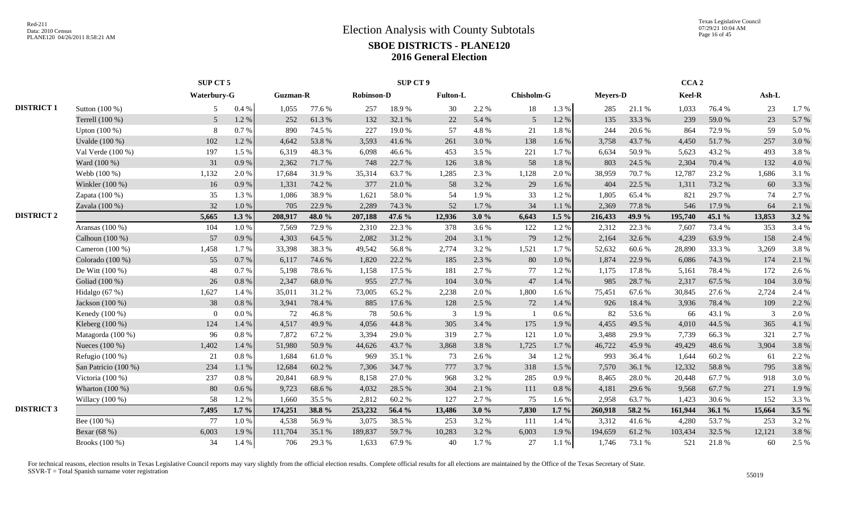|                   |                      | SUP CT 5       |          |                 |        |                   | <b>SUP CT 9</b> |                 |       |                   |           |                 |        | CCA <sub>2</sub> |        |        |         |
|-------------------|----------------------|----------------|----------|-----------------|--------|-------------------|-----------------|-----------------|-------|-------------------|-----------|-----------------|--------|------------------|--------|--------|---------|
|                   |                      | Waterbury-G    |          | <b>Guzman-R</b> |        | <b>Robinson-D</b> |                 | <b>Fulton-L</b> |       | <b>Chisholm-G</b> |           | <b>Meyers-D</b> |        | Keel-R           |        | Ash-L  |         |
| <b>DISTRICT 1</b> | Sutton (100 %)       | 5              | 0.4%     | 1.055           | 77.6 % | 257               | 18.9%           | 30              | 2.2 % | 18                | 1.3%      | 285             | 21.1 % | 1,033            | 76.4 % | 23     | 1.7 %   |
|                   | Terrell (100 %)      | 5 <sup>5</sup> | 1.2%     | 252             | 61.3%  | 132               | 32.1 %          | 22              | 5.4 % | 5 <sup>5</sup>    | 1.2%      | 135             | 33.3 % | 239              | 59.0%  | 23     | 5.7%    |
|                   | Upton (100 %)        | 8              | 0.7%     | 890             | 74.5 % | 227               | 19.0%           | 57              | 4.8%  | 21                | 1.8%      | 244             | 20.6 % | 864              | 72.9 % | 59     | 5.0%    |
|                   | Uvalde $(100\%)$     | 102            | 1.2 %    | 4,642           | 53.8%  | 3,593             | 41.6 %          | 261             | 3.0 % | 138               | 1.6 %     | 3,758           | 43.7%  | 4,450            | 51.7%  | 257    | 3.0%    |
|                   | Val Verde (100 %)    | 197            | 1.5 %    | 6,319           | 48.3%  | 6.098             | 46.6%           | 453             | 3.5 % | 221               | 1.7 %     | 6,634           | 50.9%  | 5,623            | 43.2 % | 493    | 3.8%    |
|                   | Ward (100 %)         | 31             | 0.9%     | 2,362           | 71.7%  | 748               | 22.7 %          | 126             | 3.8%  | 58                | $1.8\ \%$ | 803             | 24.5 % | 2,304            | 70.4 % | 132    | 4.0%    |
|                   | Webb (100 %)         | 1,132          | 2.0%     | 17,684          | 31.9%  | 35,314            | 63.7%           | 1,285           | 2.3 % | 1,128             | 2.0%      | 38,959          | 70.7%  | 12,787           | 23.2 % | 1,686  | 3.1 %   |
|                   | Winkler (100 %)      | 16             | 0.9%     | 1,331           | 74.2 % | 377               | 21.0%           | 58              | 3.2 % | 29                | 1.6%      | 404             | 22.5 % | 1,311            | 73.2 % | 60     | 3.3 %   |
|                   | Zapata (100 %)       | 35             | 1.3%     | 1,086           | 38.9%  | 1,621             | 58.0%           | 54              | 1.9%  | 33                | 1.2%      | 1,805           | 65.4 % | 821              | 29.7%  | 74     | 2.7%    |
|                   | Zavala (100 %)       | 32             | 1.0%     | 705             | 22.9 % | 2,289             | 74.3 %          | 52              | 1.7%  | 34                | 1.1%      | 2,369           | 77.8 % | 546              | 17.9 % | 64     | 2.1 %   |
| <b>DISTRICT 2</b> |                      | 5,665          | $1.3\%$  | 208,917         | 48.0 % | 207,188           | 47.6 %          | 12,936          | 3.0%  | 6,643             | $1.5\%$   | 216,433         | 49.9%  | 195,740          | 45.1 % | 13,853 | $3.2\%$ |
|                   | Aransas (100 %)      | 104            | 1.0%     | 7,569           | 72.9 % | 2,310             | 22.3 %          | 378             | 3.6%  | 122               | 1.2%      | 2,312           | 22.3 % | 7,607            | 73.4 % | 353    | 3.4 %   |
|                   | Calhoun (100 %)      | 57             | 0.9%     | 4,303           | 64.5 % | 2,082             | 31.2%           | 204             | 3.1 % | 79                | 1.2%      | 2,164           | 32.6 % | 4,239            | 63.9%  | 158    | 2.4 %   |
|                   | Cameron (100 %)      | 1,458          | 1.7 %    | 33,398          | 38.3%  | 49,542            | 56.8%           | 2,774           | 3.2 % | 1,521             | 1.7 %     | 52,632          | 60.6%  | 28,890           | 33.3 % | 3,269  | 3.8%    |
|                   | Colorado (100 %)     | 55             | 0.7%     | 6,117           | 74.6%  | 1,820             | 22.2 %          | 185             | 2.3 % | 80                | $1.0\ \%$ | 1,874           | 22.9%  | 6,086            | 74.3 % | 174    | 2.1 %   |
|                   | De Witt (100 %)      | 48             | 0.7%     | 5,198           | 78.6%  | 1,158             | 17.5 %          | 181             | 2.7%  | 77                | 1.2 %     | 1,175           | 17.8%  | 5,161            | 78.4%  | 172    | 2.6 %   |
|                   | Goliad (100 %)       | 26             | 0.8%     | 2,347           | 68.0%  | 955               | 27.7 %          | 104             | 3.0%  | 47                | 1.4 %     | 985             | 28.7%  | 2,317            | 67.5 % | 104    | 3.0%    |
|                   | Hidalgo (67 %)       | 1,627          | 1.4 %    | 35,011          | 31.2%  | 73,005            | 65.2%           | 2,238           | 2.0 % | 1,800             | 1.6 %     | 75,451          | 67.6 % | 30,845           | 27.6 % | 2,724  | 2.4 %   |
|                   | Jackson (100 %)      | 38             | 0.8%     | 3,941           | 78.4%  | 885               | 17.6 %          | 128             | 2.5 % | 72                | 1.4 %     | 926             | 18.4 % | 3,936            | 78.4%  | 109    | 2.2 %   |
|                   | Kenedy (100 %)       | $\Omega$       | 0.0 %    | 72              | 46.8%  | 78                | 50.6%           | 3               | 1.9%  |                   | 0.6 %     | 82              | 53.6%  | 66               | 43.1 % | 3      | 2.0%    |
|                   | Kleberg (100 %)      | 124            | 1.4 %    | 4,517           | 49.9%  | 4,056             | 44.8%           | 305             | 3.4 % | 175               | 1.9%      | 4,455           | 49.5 % | 4.010            | 44.5 % | 365    | 4.1 %   |
|                   | Matagorda (100 %)    | 96             | 0.8 %    | 7,872           | 67.2%  | 3,394             | 29.0%           | 319             | 2.7%  | 121               | $1.0\ \%$ | 3,488           | 29.9%  | 7,739            | 66.3%  | 321    | 2.7 %   |
|                   | Nueces (100 %)       | 1,402          | 1.4 %    | 51,980          | 50.9%  | 44,626            | 43.7%           | 3,868           | 3.8%  | 1,725             | 1.7%      | 46,722          | 45.9%  | 49,429           | 48.6%  | 3,904  | 3.8%    |
|                   | Refugio $(100\%)$    | 21             | 0.8%     | 1,684           | 61.0%  | 969               | 35.1 %          | 73              | 2.6 % | 34                | 1.2%      | 993             | 36.4 % | 1,644            | 60.2%  | 61     | 2.2 %   |
|                   | San Patricio (100 %) | 234            | 1.1 %    | 12,684          | 60.2%  | 7,306             | 34.7%           | 777             | 3.7%  | 318               | 1.5 %     | 7,570           | 36.1 % | 12,332           | 58.8%  | 795    | 3.8%    |
|                   | Victoria (100 %)     | 237            | $0.8~\%$ | 20,841          | 68.9%  | 8,158             | 27.0%           | 968             | 3.2 % | 285               | 0.9%      | 8,465           | 28.0%  | 20,448           | 67.7%  | 918    | 3.0%    |
|                   | Wharton (100 %)      | 80             | $0.6\%$  | 9,723           | 68.6%  | 4,032             | 28.5 %          | 304             | 2.1 % | 111               | $0.8 \%$  | 4,181           | 29.6 % | 9.568            | 67.7 % | 271    | 1.9%    |
|                   | Willacy $(100\%)$    | 58             | 1.2%     | 1,660           | 35.5 % | 2,812             | 60.2%           | 127             | 2.7 % | 75                | 1.6 %     | 2,958           | 63.7%  | 1,423            | 30.6%  | 152    | 3.3 %   |
| <b>DISTRICT 3</b> |                      | 7,495          | $1.7\%$  | 174,251         | 38.8%  | 253,232           | 56.4 %          | 13,486          | 3.0%  | 7,830             | $1.7\%$   | 260,918         | 58.2 % | 161,944          | 36.1%  | 15,664 | $3.5\%$ |
|                   | Bee (100 %)          | 77             | 1.0%     | 4,538           | 56.9%  | 3,075             | 38.5 %          | 253             | 3.2 % | 111               | 1.4 %     | 3,312           | 41.6 % | 4,280            | 53.7%  | 253    | 3.2%    |
|                   | Bexar (68 %)         | 6,003          | 1.9%     | 111,704         | 35.1 % | 189,837           | 59.7%           | 10,283          | 3.2 % | 6,003             | 1.9%      | 194,659         | 61.2%  | 103,434          | 32.5 % | 12,121 | 3.8%    |
|                   | Brooks (100 %)       | 34             | 1.4 %    | 706             | 29.3%  | 1,633             | 67.9%           | 40              | 1.7%  | 27                | 1.1%      | 1,746           | 73.1 % | 521              | 21.8%  | 60     | 2.5 %   |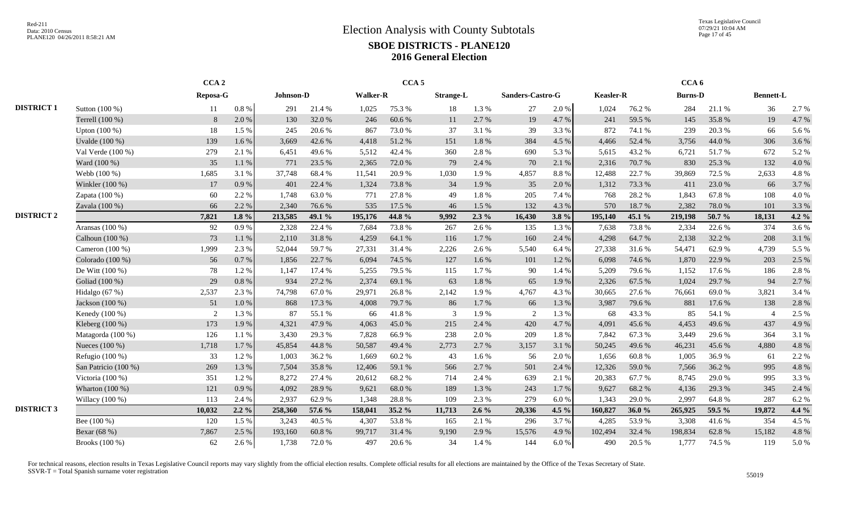Texas Legislative Council 07/29/21 10:04 AM Page 17 of 45

|                   |                      |          | CCA <sub>2</sub> |           |        |                 | CCA <sub>5</sub> |                  |         |                  |       |                  |        | CCA <sub>6</sub> |        |                          |         |
|-------------------|----------------------|----------|------------------|-----------|--------|-----------------|------------------|------------------|---------|------------------|-------|------------------|--------|------------------|--------|--------------------------|---------|
|                   |                      | Reposa-G |                  | Johnson-D |        | <b>Walker-R</b> |                  | <b>Strange-L</b> |         | Sanders-Castro-G |       | <b>Keasler-R</b> |        | <b>Burns-D</b>   |        | <b>Bennett-L</b>         |         |
| <b>DISTRICT 1</b> | Sutton (100 %)       | 11       | $0.8\%$          | 291       | 21.4%  | 1,025           | 75.3 %           | 18               | 1.3%    | 27               | 2.0%  | 1,024            | 76.2 % | 284              | 21.1 % | 36                       | 2.7 %   |
|                   | Terrell (100 %)      | 8        | 2.0 %            | 130       | 32.0%  | 246             | 60.6%            | 11               | 2.7 %   | 19               | 4.7%  | 241              | 59.5 % | 145              | 35.8%  | 19                       | 4.7%    |
|                   | Upton $(100\%)$      | 18       | 1.5 %            | 245       | 20.6%  | 867             | 73.0%            | 37               | 3.1 %   | 39               | 3.3%  | 872              | 74.1 % | 239              | 20.3 % | 66                       | 5.6%    |
|                   | Uvalde (100 %)       | 139      | $1.6\%$          | 3,669     | 42.6 % | 4,418           | 51.2%            | 151              | 1.8%    | 384              | 4.5 % | 4,466            | 52.4 % | 3,756            | 44.0%  | 306                      | 3.6%    |
|                   | Val Verde (100 %)    | 279      | 2.1 %            | 6,451     | 49.6%  | 5,512           | 42.4 %           | 360              | 2.8%    | 690              | 5.3%  | 5,615            | 43.2%  | 6,721            | 51.7%  | 672                      | 5.2 %   |
|                   | Ward (100 %)         | 35       | 1.1 %            | 771       | 23.5 % | 2,365           | 72.0 %           | 79               | 2.4 %   | 70               | 2.1%  | 2,316            | 70.7%  | 830              | 25.3 % | 132                      | 4.0%    |
|                   | Webb (100 %)         | 1,685    | 3.1 %            | 37,748    | 68.4%  | 11,541          | 20.9%            | 1,030            | 1.9%    | 4,857            | 8.8%  | 12,488           | 22.7 % | 39,869           | 72.5 % | 2,633                    | 4.8 %   |
|                   | Winkler (100 %)      | 17       | 0.9%             | 401       | 22.4 % | 1,324           | 73.8%            | 34               | 1.9%    | 35               | 2.0%  | 1,312            | 73.3 % | 411              | 23.0%  | 66                       | 3.7%    |
|                   | Zapata (100 %)       | 60       | 2.2 %            | 1,748     | 63.0%  | 771             | 27.8%            | 49               | 1.8%    | 205              | 7.4 % | 768              | 28.2 % | 1,843            | 67.8%  | 108                      | 4.0%    |
|                   | Zavala (100 %)       | 66       | 2.2 %            | 2,340     | 76.6%  | 535             | 17.5 %           | 46               | 1.5%    | 132              | 4.3 % | 570              | 18.7%  | 2,382            | 78.0%  | 101                      | 3.3 %   |
| <b>DISTRICT 2</b> |                      | 7,821    | $1.8 \%$         | 213,585   | 49.1 % | 195,176         | 44.8 %           | 9,992            | $2.3\%$ | 16,430           | 3.8%  | 195,140          | 45.1 % | 219,198          | 50.7%  | 18,131                   | 4.2 $%$ |
|                   | Aransas (100 %)      | 92       | 0.9%             | 2,328     | 22.4 % | 7,684           | 73.8%            | 267              | 2.6 %   | 135              | 1.3 % | 7,638            | 73.8%  | 2,334            | 22.6 % | 374                      | 3.6%    |
|                   | Calhoun (100 %)      | 73       | 1.1 %            | 2,110     | 31.8 % | 4,259           | 64.1 %           | 116              | 1.7%    | 160              | 2.4 % | 4,298            | 64.7%  | 2,138            | 32.2 % | 208                      | 3.1%    |
|                   | Cameron (100 %)      | 1,999    | 2.3 %            | 52,044    | 59.7%  | 27,331          | 31.4 %           | 2,226            | 2.6 %   | 5,540            | 6.4 % | 27,338           | 31.6%  | 54,471           | 62.9%  | 4,739                    | 5.5 %   |
|                   | Colorado (100 %)     | 56       | 0.7 %            | 1,856     | 22.7 % | 6,094           | 74.5 %           | 127              | 1.6 %   | 101              | 1.2 % | 6,098            | 74.6 % | 1,870            | 22.9 % | 203                      | 2.5 %   |
|                   | De Witt $(100\%)$    | 78       | 1.2%             | 1,147     | 17.4 % | 5,255           | 79.5 %           | 115              | 1.7%    | 90               | 1.4 % | 5,209            | 79.6%  | 1,152            | 17.6 % | 186                      | 2.8%    |
|                   | Goliad (100 %)       | 29       | 0.8%             | 934       | 27.2 % | 2,374           | 69.1 %           | 63               | 1.8%    | 65               | 1.9%  | 2,326            | 67.5 % | 1.024            | 29.7%  | 94                       | 2.7%    |
|                   | Hidalgo $(67%)$      | 2,537    | 2.3 %            | 74,798    | 67.0%  | 29,971          | 26.8%            | 2,142            | 1.9%    | 4,767            | 4.3 % | 30,665           | 27.6 % | 76,661           | 69.0%  | 3,821                    | 3.4 %   |
|                   | Jackson (100 %)      | 51       | 1.0%             | 868       | 17.3 % | 4,008           | 79.7%            | 86               | 1.7%    | 66               | 1.3%  | 3,987            | 79.6%  | 881              | 17.6 % | 138                      | 2.8%    |
|                   | Kenedy (100 %)       | 2        | 1.3%             | 87        | 55.1 % | 66              | 41.8%            | 3                | 1.9%    | 2                | 1.3%  | 68               | 43.3%  | 85               | 54.1 % | $\overline{\mathcal{A}}$ | 2.5 %   |
|                   | Kleberg (100 %)      | 173      | 1.9%             | 4,321     | 47.9%  | 4,063           | 45.0%            | 215              | 2.4 %   | 420              | 4.7%  | 4,091            | 45.6 % | 4,453            | 49.6%  | 437                      | 4.9%    |
|                   | Matagorda (100 %)    | 126      | 1.1%             | 3,430     | 29.3 % | 7,828           | 66.9%            | 238              | 2.0 %   | 209              | 1.8%  | 7,842            | 67.3%  | 3,449            | 29.6%  | 364                      | 3.1 %   |
|                   | Nueces (100 %)       | 1,718    | 1.7%             | 45,854    | 44.8%  | 50,587          | 49.4 %           | 2,773            | 2.7 %   | 3,157            | 3.1 % | 50,245           | 49.6%  | 46,231           | 45.6%  | 4,880                    | 4.8%    |
|                   | Refugio (100 %)      | 33       | 1.2%             | 1,003     | 36.2%  | 1.669           | 60.2%            | 43               | 1.6 %   | 56               | 2.0%  | 1,656            | 60.8%  | 1.005            | 36.9%  | 61                       | 2.2 %   |
|                   | San Patricio (100 %) | 269      | 1.3 %            | 7,504     | 35.8%  | 12,406          | 59.1 %           | 566              | 2.7 %   | 501              | 2.4 % | 12,326           | 59.0%  | 7,566            | 36.2%  | 995                      | 4.8%    |
|                   | Victoria (100 %)     | 351      | 1.2 %            | 8,272     | 27.4 % | 20,612          | 68.2%            | 714              | 2.4 %   | 639              | 2.1 % | 20,383           | 67.7 % | 8,745            | 29.0%  | 995                      | 3.3 %   |
|                   | Wharton (100 %)      | 121      | 0.9%             | 4,092     | 28.9%  | 9,621           | 68.0%            | 189              | 1.3%    | 243              | 1.7 % | 9,627            | 68.2%  | 4,136            | 29.3 % | 345                      | 2.4 %   |
|                   | Willacy $(100\%)$    | 113      | 2.4 %            | 2.937     | 62.9%  | 1.348           | 28.8%            | 109              | 2.3 %   | 279              | 6.0%  | 1.343            | 29.0%  | 2.997            | 64.8%  | 287                      | 6.2%    |
| <b>DISTRICT 3</b> |                      | 10,032   | $2.2\%$          | 258,360   | 57.6 % | 158,041         | 35.2 %           | 11,713           | $2.6\%$ | 20,336           | 4.5 % | 160,827          | 36.0%  | 265,925          | 59.5 % | 19,872                   | 4.4 %   |
|                   | Bee (100 %)          | 120      | 1.5 %            | 3,243     | 40.5 % | 4,307           | 53.8%            | 165              | 2.1%    | 296              | 3.7%  | 4,285            | 53.9%  | 3,308            | 41.6%  | 354                      | 4.5 %   |
|                   | Bexar (68 %)         | 7,867    | 2.5 %            | 193,160   | 60.8%  | 99,717          | 31.4 %           | 9,190            | 2.9 %   | 15,576           | 4.9%  | 102,494          | 32.4 % | 198,834          | 62.8%  | 15,182                   | 4.8%    |
|                   | Brooks (100 %)       | 62       | 2.6 %            | 1,738     | 72.0 % | 497             | 20.6 %           | 34               | 1.4 %   | 144              | 6.0%  | 490              | 20.5 % | 1.777            | 74.5 % | 119                      | 5.0%    |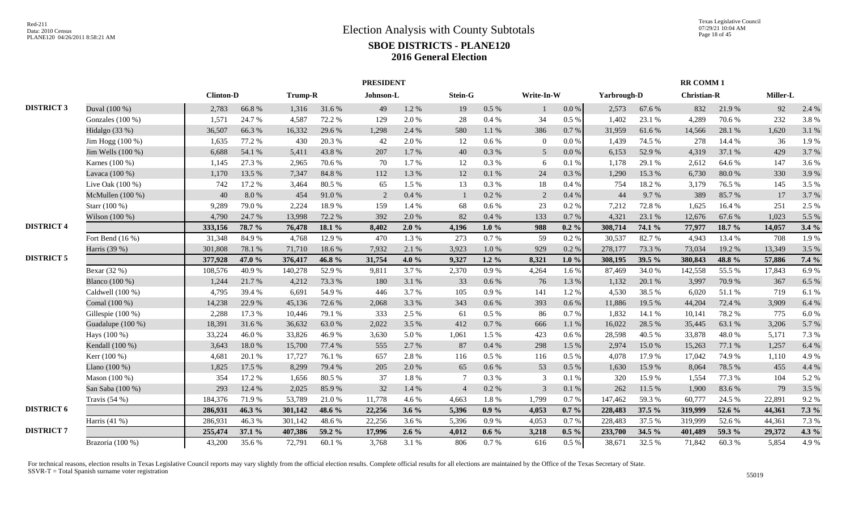|                   |                    |                  |        |         |        | <b>PRESIDENT</b> |         |                |           |                 |           |             |        | <b>RR COMM 1</b>   |        |          |         |
|-------------------|--------------------|------------------|--------|---------|--------|------------------|---------|----------------|-----------|-----------------|-----------|-------------|--------|--------------------|--------|----------|---------|
|                   |                    | <b>Clinton-D</b> |        | Trump-R |        | Johnson-L        |         | Stein-G        |           | Write-In-W      |           | Yarbrough-D |        | <b>Christian-R</b> |        | Miller-L |         |
| <b>DISTRICT 3</b> | Duval (100 %)      | 2,783            | 66.8%  | 1,316   | 31.6%  | 49               | 1.2%    | 19             | $0.5\%$   |                 | $0.0\,\%$ | 2,573       | 67.6 % | 832                | 21.9%  | 92       | 2.4 %   |
|                   | Gonzales (100 %)   | 1,571            | 24.7%  | 4,587   | 72.2 % | 129              | 2.0%    | 28             | 0.4%      | 34              | $0.5\%$   | 1,402       | 23.1 % | 4,289              | 70.6%  | 232      | 3.8%    |
|                   | Hidalgo (33 %)     | 36,507           | 66.3%  | 16,332  | 29.6%  | 1,298            | 2.4 %   | 580            | 1.1%      | 386             | 0.7 %     | 31,959      | 61.6%  | 14,566             | 28.1%  | 1,620    | 3.1 %   |
|                   | Jim Hogg (100 %)   | 1,635            | 77.2 % | 430     | 20.3%  | 42               | 2.0%    | 12             | $0.6\,\%$ | $\theta$        | $0.0\,\%$ | 1,439       | 74.5 % | 278                | 14.4 % | 36       | 1.9%    |
|                   | Jim Wells (100 %)  | 6,688            | 54.1 % | 5,411   | 43.8%  | 207              | 1.7%    | 40             | 0.3 %     | $5\overline{)}$ | $0.0\,\%$ | 6,153       | 52.9%  | 4,319              | 37.1 % | 429      | 3.7%    |
|                   | Karnes (100 %)     | 1,145            | 27.3 % | 2,965   | 70.6%  | 70               | 1.7%    | 12             | 0.3%      | 6               | 0.1%      | 1,178       | 29.1 % | 2,612              | 64.6 % | 147      | 3.6 %   |
|                   | Lavaca (100 %)     | 1,170            | 13.5 % | 7,347   | 84.8%  | 112              | 1.3%    | 12             | 0.1 %     | 24              | 0.3%      | 1,290       | 15.3 % | 6,730              | 80.0%  | 330      | 3.9%    |
|                   | Live Oak (100 %)   | 742              | 17.2 % | 3,464   | 80.5 % | 65               | 1.5%    | 13             | $0.3~\%$  | 18              | 0.4%      | 754         | 18.2%  | 3,179              | 76.5 % | 145      | 3.5 %   |
|                   | McMullen (100 %)   | 40               | 8.0%   | 454     | 91.0%  | $\overline{2}$   | 0.4%    | $\mathbf{1}$   | 0.2 %     | 2               | 0.4%      | 44          | 9.7%   | 389                | 85.7%  | 17       | 3.7%    |
|                   | Starr (100 %)      | 9,289            | 79.0%  | 2,224   | 18.9%  | 159              | 1.4 %   | 68             | 0.6 %     | 23              | 0.2 %     | 7,212       | 72.8%  | 1.625              | 16.4%  | 251      | 2.5 %   |
|                   | Wilson (100 %)     | 4,790            | 24.7 % | 13,998  | 72.2 % | 392              | 2.0%    | 82             | 0.4%      | 133             | 0.7%      | 4,321       | 23.1 % | 12,676             | 67.6%  | 1,023    | 5.5 %   |
| <b>DISTRICT 4</b> |                    | 333,156          | 78.7 % | 76,478  | 18.1 % | 8.402            | 2.0%    | 4.196          | $1.0\%$   | 988             | $0.2 \%$  | 308,714     | 74.1 % | 77,977             | 18.7 % | 14,057   | 3.4%    |
|                   | Fort Bend $(16\%)$ | 31,348           | 84.9%  | 4,768   | 12.9%  | 470              | 1.3%    | 273            | 0.7%      | 59              | $0.2~\%$  | 30,537      | 82.7%  | 4,943              | 13.4 % | 708      | 1.9%    |
|                   | Harris (39 %)      | 301,808          | 78.1 % | 71,710  | 18.6%  | 7,932            | 2.1 %   | 3,923          | 1.0%      | 929             | 0.2 %     | 278,177     | 73.3 % | 73,034             | 19.2 % | 13,349   | 3.5 %   |
| <b>DISTRICT 5</b> |                    | 377,928          | 47.0 % | 376,417 | 46.8%  | 31,754           | 4.0%    | 9,327          | $1.2\%$   | 8,321           | $1.0 \%$  | 308,195     | 39.5 % | 380,843            | 48.8%  | 57,886   | 7.4 %   |
|                   | Bexar (32 %)       | 108,576          | 40.9%  | 140,278 | 52.9%  | 9,811            | 3.7%    | 2,370          | 0.9%      | 4,264           | 1.6 %     | 87,469      | 34.0%  | 142,558            | 55.5 % | 17,843   | 6.9%    |
|                   | Blanco (100 %)     | 1,244            | 21.7%  | 4,212   | 73.3 % | 180              | 3.1 %   | 33             | 0.6 %     | 76              | 1.3 %     | 1,132       | 20.1 % | 3,997              | 70.9%  | 367      | 6.5 %   |
|                   | Caldwell (100 %)   | 4,795            | 39.4%  | 6,691   | 54.9%  | 446              | 3.7%    | 105            | 0.9%      | 141             | 1.2%      | 4,530       | 38.5 % | 6,020              | 51.1 % | 719      | 6.1 %   |
|                   | Comal (100 %)      | 14,238           | 22.9%  | 45,136  | 72.6 % | 2.068            | 3.3 %   | 343            | 0.6 %     | 393             | 0.6 %     | 11,886      | 19.5 % | 44,204             | 72.4 % | 3,909    | 6.4 %   |
|                   | Gillespie (100 %)  | 2,288            | 17.3 % | 10,446  | 79.1 % | 333              | 2.5 %   | 61             | 0.5%      | 86              | 0.7%      | 1,832       | 14.1 % | 10.141             | 78.2 % | 775      | 6.0%    |
|                   | Guadalupe (100 %)  | 18,391           | 31.6%  | 36,632  | 63.0%  | 2,022            | 3.5 %   | 412            | 0.7%      | 666             | 1.1%      | 16,022      | 28.5 % | 35,445             | 63.1 % | 3,206    | 5.7%    |
|                   | Hays (100 %)       | 33,224           | 46.0%  | 33,826  | 46.9%  | 3,630            | 5.0%    | 1,061          | 1.5 %     | 423             | 0.6 %     | 28,598      | 40.5 % | 33,878             | 48.0%  | 5,171    | 7.3 %   |
|                   | Kendall (100 %)    | 3,643            | 18.0%  | 15,700  | 77.4 % | 555              | 2.7 %   | 87             | 0.4%      | 298             | 1.5 %     | 2.974       | 15.0%  | 15,263             | 77.1 % | 1,257    | 6.4 %   |
|                   | Kerr (100 %)       | 4,681            | 20.1 % | 17,727  | 76.1 % | 657              | 2.8%    | 116            | 0.5 %     | 116             | $0.5\%$   | 4,078       | 17.9%  | 17,042             | 74.9%  | 1,110    | 4.9 %   |
|                   | Llano (100 %)      | 1,825            | 17.5 % | 8,299   | 79.4 % | 205              | 2.0%    | 65             | $0.6\,\%$ | 53              | 0.5 %     | 1,630       | 15.9%  | 8,064              | 78.5 % | 455      | 4.4 %   |
|                   | Mason (100 %)      | 354              | 17.2 % | 1,656   | 80.5%  | 37               | 1.8%    | $\overline{7}$ | $0.3~\%$  | $\mathcal{R}$   | 0.1%      | 320         | 15.9%  | 1,554              | 77.3 % | 104      | 5.2%    |
|                   | San Saba (100 %)   | 293              | 12.4 % | 2,025   | 85.9%  | 32               | 1.4 %   | $\overline{4}$ | $0.2~\%$  | 3               | $0.1\ \%$ | 262         | 11.5 % | 1,900              | 83.6%  | 79       | 3.5 %   |
|                   | Travis $(54%)$     | 184,376          | 71.9%  | 53,789  | 21.0%  | 11,778           | 4.6%    | 4,663          | 1.8 %     | 1,799           | $0.7\%$   | 147,462     | 59.3%  | 60,777             | 24.5 % | 22,891   | 9.2%    |
| <b>DISTRICT 6</b> |                    | 286,931          | 46.3%  | 301,142 | 48.6 % | 22,256           | 3.6%    | 5,396          | $0.9\%$   | 4,053           | $0.7 \%$  | 228,483     | 37.5 % | 319,999            | 52.6 % | 44,361   | $7.3\%$ |
|                   | Harris $(41\% )$   | 286,931          | 46.3%  | 301,142 | 48.6%  | 22,256           | 3.6%    | 5,396          | 0.9%      | 4,053           | $0.7\%$   | 228,483     | 37.5 % | 319,999            | 52.6%  | 44,361   | 7.3 %   |
| <b>DISTRICT 7</b> |                    | 255,474          | 37.1 % | 407,386 | 59.2 % | 17,996           | $2.6\%$ | 4,012          | $0.6\%$   | 3,218           | $0.5\%$   | 233,700     | 34.5 % | 401,489            | 59.3 % | 29,372   | 4.3 $%$ |
|                   | Brazoria (100 %)   | 43,200           | 35.6%  | 72,791  | 60.1%  | 3,768            | 3.1%    | 806            | 0.7%      | 616             | $0.5\%$   | 38,671      | 32.5 % | 71,842             | 60.3%  | 5,854    | 4.9%    |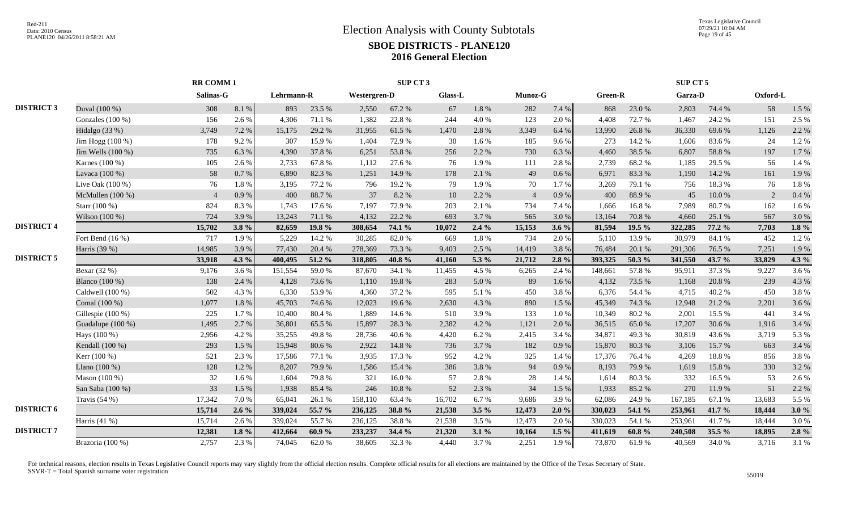|                   |                       |                | <b>RR COMM1</b><br>Salinas-G |            |        |                     | SUP CT 3 |                |         |                |           |         |            | SUP CT 5       |        |          |         |
|-------------------|-----------------------|----------------|------------------------------|------------|--------|---------------------|----------|----------------|---------|----------------|-----------|---------|------------|----------------|--------|----------|---------|
|                   |                       |                |                              | Lehrmann-R |        | <b>Westergren-D</b> |          | <b>Glass-L</b> |         | Munoz-G        |           | Green-R |            | <b>Garza-D</b> |        | Oxford-L |         |
| <b>DISTRICT 3</b> | Duval (100 %)         | 308            | 8.1 %                        | 893        | 23.5 % | 2,550               | 67.2%    | 67             | 1.8%    | 282            | 7.4 %     | 868     | 23.0%      | 2,803          | 74.4 % | 58       | 1.5 %   |
|                   | Gonzales $(100\%)$    | 156            | 2.6 %                        | 4.306      | 71.1 % | 1,382               | 22.8%    | 244            | 4.0%    | 123            | 2.0%      | 4.408   | 72.7%      | 1.467          | 24.2 % | 151      | 2.5 %   |
|                   | Hidalgo $(33%)$       | 3,749          | 7.2 %                        | 15,175     | 29.2 % | 31,955              | 61.5%    | 1,470          | 2.8%    | 3,349          | 6.4%      | 13,990  | 26.8%      | 36,330         | 69.6%  | 1,126    | 2.2 %   |
|                   | Jim Hogg (100 %)      | 178            | 9.2%                         | 307        | 15.9%  | 1,404               | 72.9%    | 30             | $1.6\%$ | 185            | 9.6%      | 273     | 14.2 %     | 1,606          | 83.6%  | 24       | 1.2%    |
|                   | Jim Wells $(100\%)$   | 735            | 6.3%                         | 4,390      | 37.8%  | 6,251               | 53.8%    | 256            | 2.2 %   | 730            | 6.3 %     | 4,460   | 38.5 %     | 6,807          | 58.8%  | 197      | 1.7%    |
|                   | Karnes (100 %)        | 105            | 2.6 %                        | 2,733      | 67.8%  | 1.112               | 27.6 %   | 76             | 1.9%    | 111            | 2.8%      | 2,739   | 68.2%      | 1,185          | 29.5 % | 56       | 1.4 %   |
|                   | Lavaca (100 %)        | 58             | 0.7%                         | 6,890      | 82.3%  | 1,251               | 14.9%    | 178            | 2.1%    | 49             | $0.6\,\%$ | 6,971   | 83.3%      | 1,190          | 14.2 % | 161      | 1.9%    |
|                   | Live Oak $(100\%)$    | 76             | 1.8%                         | 3,195      | 77.2 % | 796                 | 19.2%    | 79             | 1.9%    | 70             | 1.7%      | 3,269   | 79.1 %     | 756            | 18.3%  | 76       | 1.8%    |
|                   | McMullen $(100\%)$    | $\overline{4}$ | 0.9%                         | 400        | 88.7%  | 37                  | 8.2%     | 10             | 2.2 %   | $\overline{4}$ | 0.9%      | 400     | 88.9%      | 45             | 10.0%  | 2        | 0.4 %   |
|                   | Starr (100 %)         | 824            | 8.3%                         | 1.743      | 17.6 % | 7.197               | 72.9%    | 203            | 2.1 %   | 734            | 7.4 %     | 1,666   | 16.8%      | 7.989          | 80.7%  | 162      | $1.6\%$ |
|                   | Wilson $(100\%)$      | 724            | 3.9%                         | 13,243     | 71.1 % | 4,132               | 22.2 %   | 693            | 3.7%    | 565            | 3.0%      | 13,164  | 70.8%      | 4,660          | 25.1 % | 567      | 3.0%    |
| <b>DISTRICT 4</b> |                       | 15,702         | 3.8%                         | 82,659     | 19.8 % | 308,654             | 74.1 %   | 10,072         | $2.4\%$ | 15,153         | $3.6\%$   | 81,594  | 19.5 %     | 322,285        | 77.2 % | 7,703    | $1.8\%$ |
|                   | Fort Bend $(16\%)$    | 717            | 1.9%                         | 5,229      | 14.2 % | 30,285              | 82.0%    | 669            | 1.8%    | 734            | 2.0%      | 5,110   | 13.9%      | 30,979         | 84.1 % | 452      | 1.2%    |
|                   | Harris (39 %)         | 14,985         | 3.9%                         | 77,430     | 20.4 % | 278,369             | 73.3 %   | 9,403          | 2.5 %   | 14,419         | 3.8%      | 76,484  | 20.1 %     | 291,306        | 76.5 % | 7,251    | 1.9%    |
| <b>DISTRICT 5</b> |                       | 33,918         | 4.3 $%$                      | 400,495    | 51.2 % | 318,805             | 40.8%    | 41,160         | 5.3 %   | 21,712         | $2.8\%$   | 393,325 | 50.3 %     | 341,550        | 43.7 % | 33,829   | $4.3\%$ |
|                   | Bexar $(32%)$         | 9,176          | 3.6%                         | 151,554    | 59.0%  | 87,670              | 34.1 %   | 11,455         | 4.5 %   | 6,265          | 2.4 %     | 148,661 | 57.8%      | 95,911         | 37.3 % | 9,227    | 3.6%    |
|                   | <b>Blanco</b> (100 %) | 138            | 2.4 %                        | 4,128      | 73.6%  | 1,110               | 19.8%    | 283            | 5.0 %   | 89             | 1.6 %     | 4,132   | 73.5 %     | 1,168          | 20.8%  | 239      | 4.3%    |
|                   | Caldwell (100 %)      | 502            | 4.3 %                        | 6,330      | 53.9%  | 4.360               | 37.2 %   | 595            | 5.1 %   | 450            | 3.8%      | 6.376   | 54.4 %     | 4.715          | 40.2%  | 450      | 3.8%    |
|                   | Comal (100 %)         | 1,077          | $1.8\ \%$                    | 45,703     | 74.6%  | 12,023              | 19.6%    | 2,630          | 4.3 %   | 890            | 1.5 %     | 45,349  | 74.3 %     | 12,948         | 21.2%  | 2,201    | 3.6%    |
|                   | Gillespie (100 %)     | 225            | 1.7%                         | 10,400     | 80.4%  | 1,889               | 14.6 %   | 510            | 3.9%    | 133            | 1.0%      | 10,349  | 80.2%      | 2,001          | 15.5 % | 441      | 3.4 %   |
|                   | Guadalupe (100 %)     | 1,495          | 2.7%                         | 36,801     | 65.5 % | 15,897              | 28.3 %   | 2,382          | 4.2 %   | 1,121          | 2.0 %     | 36,515  | 65.0%      | 17,207         | 30.6%  | 1,916    | 3.4 %   |
|                   | Hays (100 %)          | 2,956          | 4.2 %                        | 35,255     | 49.8%  | 28,736              | 40.6 %   | 4,420          | 6.2%    | 2,415          | 3.4 %     | 34,871  | 49.3%      | 30,819         | 43.6 % | 3,719    | 5.3 %   |
|                   | Kendall (100 %)       | 293            | 1.5 %                        | 15,948     | 80.6%  | 2,922               | 14.8 %   | 736            | 3.7%    | 182            | 0.9%      | 15,870  | 80.3%      | 3,106          | 15.7%  | 663      | 3.4 %   |
|                   | Kerr (100 %)          | 521            | 2.3 %                        | 17,586     | 77.1 % | 3,935               | 17.3 %   | 952            | 4.2 %   | 325            | 1.4 %     | 17,376  | 76.4%      | 4,269          | 18.8%  | 856      | 3.8%    |
|                   | Llano $(100\%)$       | 128            | 1.2%                         | 8,207      | 79.9%  | 1,586               | 15.4 %   | 386            | 3.8%    | 94             | 0.9%      | 8,193   | 79.9%      | 1,619          | 15.8%  | 330      | 3.2%    |
|                   | Mason $(100\%)$       | 32             | 1.6%                         | 1.604      | 79.8%  | 321                 | 16.0%    | 57             | 2.8%    | 28             | 1.4 %     | 1,614   | 80.3%      | 332            | 16.5%  | 53       | 2.6 %   |
|                   | San Saba (100 %)      | 33             | 1.5 %                        | 1,938      | 85.4%  | 246                 | 10.8 %   | 52             | 2.3 %   | 34             | 1.5 %     | 1,933   | 85.2%      | 270            | 11.9%  | 51       | 2.2 %   |
|                   | Travis $(54%)$        | 17,342         | 7.0%                         | 65,041     | 26.1%  | 158,110             | 63.4 %   | 16,702         | 6.7%    | 9,686          | 3.9%      | 62,086  | 24.9%      | 167,185        | 67.1 % | 13,683   | 5.5 %   |
| <b>DISTRICT 6</b> |                       | 15,714         | $2.6\%$                      | 339,024    | 55.7 % | 236,125             | 38.8%    | 21,538         | $3.5\%$ | 12,473         | 2.0%      | 330,023 | 54.1 %     | 253,961        | 41.7%  | 18,444   | 3.0%    |
|                   | Harris $(41 \%)$      | 15,714         | 2.6 %                        | 339,024    | 55.7%  | 236,125             | 38.8%    | 21,538         | 3.5 %   | 12,473         | 2.0%      | 330,023 | 54.1 %     | 253,961        | 41.7%  | 18,444   | 3.0%    |
| <b>DISTRICT 7</b> |                       | 12,381         | $1.8 \%$                     | 412,664    | 60.9%  | 233,237             | 34.4 %   | 21,320         | $3.1\%$ | 10,164         | $1.5 \%$  | 411,619 | $60.8\ \%$ | 240,508        | 35.5 % | 18,895   | $2.8\%$ |
|                   | Brazoria (100 %)      | 2,757          | 2.3 %                        | 74,045     | 62.0%  | 38,605              | 32.3 %   | 4,440          | 3.7%    | 2,251          | 1.9%      | 73,870  | 61.9%      | 40,569         | 34.0%  | 3,716    | 3.1%    |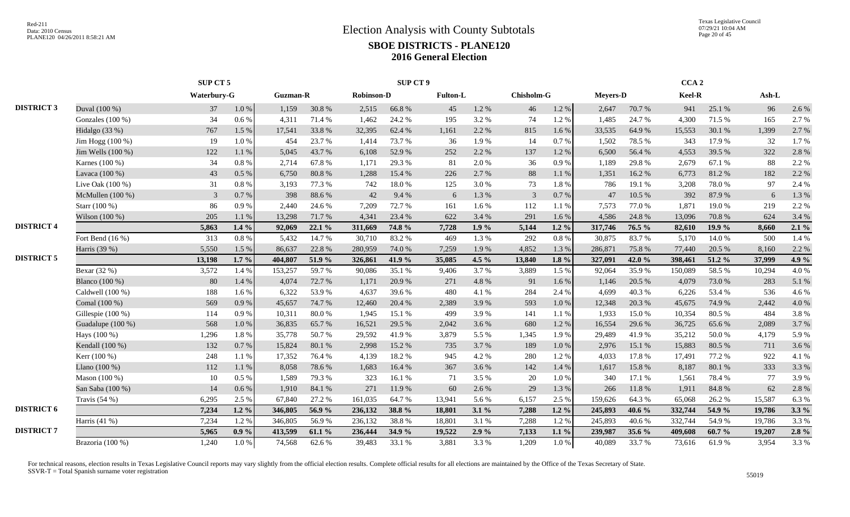|                   |                       |             | SUP CT 5  |                 |        |                   | SUP CT 9 |                 |           |                |          |                 |          | CCA <sub>2</sub> |        |        |         |
|-------------------|-----------------------|-------------|-----------|-----------------|--------|-------------------|----------|-----------------|-----------|----------------|----------|-----------------|----------|------------------|--------|--------|---------|
|                   |                       | Waterbury-G |           | <b>Guzman-R</b> |        | <b>Robinson-D</b> |          | <b>Fulton-L</b> |           | Chisholm-G     |          | <b>Meyers-D</b> |          | Keel-R           |        | Ash-L  |         |
| <b>DISTRICT 3</b> | Duval (100 %)         | 37          | $1.0\ \%$ | 1,159           | 30.8%  | 2,515             | 66.8%    | 45              | 1.2%      | 46             | $1.2 \%$ | 2,647           | 70.7%    | 941              | 25.1 % | 96     | 2.6 %   |
|                   | Gonzales $(100\%)$    | 34          | $0.6\%$   | 4,311           | 71.4 % | 1,462             | 24.2 %   | 195             | 3.2 %     | 74             | 1.2%     | 1,485           | 24.7 %   | 4,300            | 71.5 % | 165    | 2.7 %   |
|                   | Hidalgo (33 %)        | 767         | 1.5 %     | 17,541          | 33.8%  | 32,395            | 62.4 %   | 1,161           | 2.2 %     | 815            | 1.6%     | 33,535          | 64.9%    | 15,553           | 30.1 % | 1,399  | 2.7 %   |
|                   | Jim Hogg (100 %)      | 19          | 1.0%      | 454             | 23.7%  | 1,414             | 73.7%    | 36              | 1.9%      | 14             | 0.7%     | 1,502           | 78.5 %   | 343              | 17.9%  | 32     | 1.7%    |
|                   | Jim Wells (100 %)     | 122         | 1.1%      | 5,045           | 43.7%  | 6,108             | 52.9%    | 252             | 2.2 %     | 137            | 1.2%     | 6,500           | 56.4%    | 4,553            | 39.5 % | 322    | 2.8%    |
|                   | Karnes (100 %)        | 34          | 0.8 %     | 2,714           | 67.8%  | 1,171             | 29.3 %   | 81              | 2.0 %     | 36             | 0.9%     | 1,189           | 29.8%    | 2,679            | 67.1 % | 88     | 2.2 %   |
|                   | Lavaca (100 %)        | 43          | 0.5 %     | 6,750           | 80.8%  | 1,288             | 15.4 %   | 226             | 2.7%      | 88             | 1.1 %    | 1,351           | 16.2%    | 6,773            | 81.2%  | 182    | 2.2 %   |
|                   | Live Oak (100 %)      | 31          | 0.8%      | 3,193           | 77.3 % | 742               | 18.0%    | 125             | $3.0\,\%$ | 73             | 1.8%     | 786             | 19.1 %   | 3,208            | 78.0%  | 97     | 2.4 %   |
|                   | McMullen $(100\%)$    | 3           | 0.7%      | 398             | 88.6%  | 42                | 9.4 %    | 6               | 1.3 %     | $\overline{3}$ | 0.7%     | 47              | 10.5 %   | 392              | 87.9%  | 6      | 1.3%    |
|                   | Starr (100 %)         | 86          | 0.9%      | 2,440           | 24.6 % | 7,209             | 72.7%    | 161             | 1.6 %     | 112            | 1.1 %    | 7,573           | 77.0%    | 1,871            | 19.0%  | 219    | 2.2 %   |
|                   | Wilson (100 %)        | 205         | 1.1%      | 13,298          | 71.7%  | 4.341             | 23.4 %   | 622             | 3.4 %     | 291            | 1.6 %    | 4,586           | 24.8%    | 13,096           | 70.8%  | 624    | 3.4 %   |
| <b>DISTRICT 4</b> |                       | 5,863       | $1.4\%$   | 92,069          | 22.1%  | 311,669           | 74.8%    | 7,728           | 1.9%      | 5,144          | $1.2\%$  | 317,746         | 76.5 %   | 82,610           | 19.9 % | 8,660  | $2.1\%$ |
|                   | Fort Bend $(16\%)$    | 313         | 0.8 %     | 5,432           | 14.7%  | 30,710            | 83.2%    | 469             | 1.3 %     | 292            | 0.8%     | 30,875          | 83.7%    | 5,170            | 14.0%  | 500    | 1.4 %   |
|                   | Harris (39 %)         | 5,550       | 1.5 %     | 86,637          | 22.8 % | 280,959           | 74.0 %   | 7,259           | 1.9%      | 4,852          | 1.3%     | 286,871         | 75.8%    | 77,440           | 20.5 % | 8,160  | 2.2 %   |
| <b>DISTRICT 5</b> |                       | 13,198      | $1.7\%$   | 404,807         | 51.9 % | 326,861           | 41.9%    | 35,085          | 4.5 $\%$  | 13,840         | $1.8\%$  | 327,091         | 42.0%    | 398,461          | 51.2 % | 37,999 | $4.9\%$ |
|                   | Bexar (32 %)          | 3,572       | 1.4 %     | 153,257         | 59.7%  | 90,086            | 35.1 %   | 9,406           | 3.7%      | 3,889          | 1.5 %    | 92,064          | 35.9%    | 150,089          | 58.5%  | 10,294 | 4.0%    |
|                   | <b>Blanco</b> (100 %) | 80          | 1.4 %     | 4,074           | 72.7 % | 1,171             | 20.9%    | 271             | 4.8%      | 91             | 1.6%     | 1,146           | 20.5 %   | 4,079            | 73.0%  | 283    | 5.1 %   |
|                   | Caldwell (100 %)      | 188         | 1.6%      | 6,322           | 53.9%  | 4,637             | 39.6 %   | 480             | 4.1 %     | 284            | 2.4 %    | 4.699           | 40.3%    | 6,226            | 53.4 % | 536    | 4.6%    |
|                   | Comal (100 %)         | 569         | 0.9%      | 45,657          | 74.7%  | 12,460            | 20.4 %   | 2,389           | 3.9%      | 593            | 1.0%     | 12,348          | 20.3 %   | 45,675           | 74.9%  | 2,442  | 4.0%    |
|                   | Gillespie (100 %)     | 114         | 0.9%      | 10,311          | 80.0%  | 1.945             | 15.1 %   | 499             | 3.9%      | 141            | 1.1%     | 1,933           | 15.0%    | 10.354           | 80.5%  | 484    | 3.8%    |
|                   | Guadalupe (100 %)     | 568         | 1.0%      | 36,835          | 65.7%  | 16,521            | 29.5 %   | 2,042           | 3.6%      | 680            | 1.2%     | 16,554          | 29.6 %   | 36,725           | 65.6%  | 2,089  | 3.7%    |
|                   | Hays (100 %)          | 1,296       | 1.8%      | 35,778          | 50.7%  | 29.592            | 41.9%    | 3,879           | 5.5 %     | 1,345          | 1.9%     | 29.489          | 41.9%    | 35,212           | 50.0%  | 4,179  | 5.9%    |
|                   | Kendall (100 %)       | 132         | 0.7 %     | 15,824          | 80.1 % | 2,998             | 15.2 %   | 735             | 3.7%      | 189            | 1.0%     | 2,976           | 15.1 %   | 15,883           | 80.5%  | 711    | 3.6%    |
|                   | Kerr (100 %)          | 248         | 1.1%      | 17,352          | 76.4%  | 4,139             | 18.2%    | 945             | 4.2 %     | 280            | 1.2%     | 4,033           | 17.8%    | 17,491           | 77.2 % | 922    | 4.1%    |
|                   | Llano $(100\%)$       | 112         | 1.1%      | 8,058           | 78.6%  | 1,683             | 16.4 %   | 367             | 3.6%      | 142            | 1.4 %    | 1,617           | 15.8 %   | 8,187            | 80.1 % | 333    | 3.3%    |
|                   | Mason (100 %)         | 10          | $0.5\%$   | 1,589           | 79.3%  | 323               | 16.1%    | 71              | 3.5 %     | 20             | 1.0%     | 340             | 17.1 %   | 1,561            | 78.4%  | 77     | 3.9%    |
|                   | San Saba (100 %)      | 14          | $0.6\,\%$ | 1,910           | 84.1 % | 271               | 11.9%    | 60              | 2.6 %     | 29             | 1.3 %    | 266             | 11.8 %   | 1,911            | 84.8%  | 62     | 2.8%    |
|                   | Travis $(54%)$        | 6,295       | 2.5 %     | 67,840          | 27.2 % | 161,035           | 64.7%    | 13,941          | 5.6%      | 6,157          | 2.5 %    | 159,626         | 64.3%    | 65,068           | 26.2%  | 15,587 | 6.3%    |
| <b>DISTRICT 6</b> |                       | 7,234       | $1.2\%$   | 346,805         | 56.9%  | 236,132           | 38.8%    | 18,801          | $3.1\%$   | 7,288          | $1.2\%$  | 245,893         | 40.6 $%$ | 332,744          | 54.9 % | 19,786 | $3.3\%$ |
|                   | Harris (41 %)         | 7,234       | 1.2%      | 346,805         | 56.9%  | 236,132           | 38.8%    | 18,801          | 3.1 %     | 7,288          | 1.2%     | 245,893         | 40.6%    | 332,744          | 54.9%  | 19,786 | 3.3%    |
| <b>DISTRICT 7</b> |                       | 5,965       | $0.9\%$   | 413,599         | 61.1 % | 236,444           | 34.9 %   | 19,522          | 2.9%      | 7,133          | $1.1\%$  | 239,987         | 35.6 %   | 409,608          | 60.7%  | 19,207 | $2.8\%$ |
|                   | Brazoria (100 %)      | 1,240       | 1.0 %     | 74,568          | 62.6%  | 39,483            | 33.1 %   | 3,881           | 3.3 %     | 1,209          | 1.0 %    | 40,089          | 33.7%    | 73,616           | 61.9%  | 3,954  | 3.3 %   |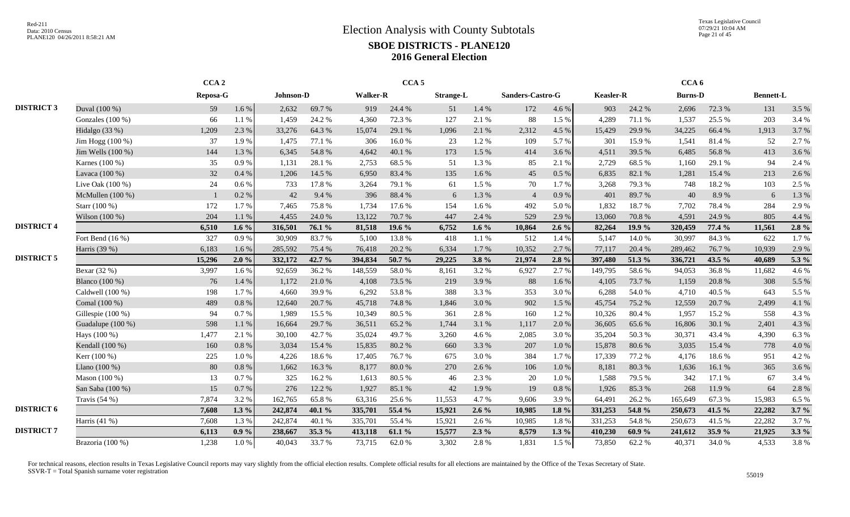Texas Legislative Council 07/29/21 10:04 AM Page 21 of 45

|                   |                    | CCA <sub>2</sub> |         |           |        |                 | CCA <sub>5</sub> |                  |         |                  |          |                  |        | CCA <sub>6</sub> |        |                  |         |
|-------------------|--------------------|------------------|---------|-----------|--------|-----------------|------------------|------------------|---------|------------------|----------|------------------|--------|------------------|--------|------------------|---------|
|                   |                    | Reposa-G         |         | Johnson-D |        | <b>Walker-R</b> |                  | <b>Strange-L</b> |         | Sanders-Castro-G |          | <b>Keasler-R</b> |        | <b>Burns-D</b>   |        | <b>Bennett-L</b> |         |
| <b>DISTRICT 3</b> | Duval (100 %)      | 59               | 1.6%    | 2,632     | 69.7%  | 919             | 24.4 %           | 51               | 1.4 %   | 172              | 4.6 %    | 903              | 24.2 % | 2,696            | 72.3 % | 131              | 3.5 %   |
|                   | Gonzales (100 %)   | 66               | 1.1 %   | 1.459     | 24.2 % | 4.360           | 72.3 %           | 127              | 2.1 %   | 88               | 1.5 %    | 4,289            | 71.1 % | 1,537            | 25.5 % | 203              | 3.4 %   |
|                   | Hidalgo $(33%)$    | 1,209            | 2.3 %   | 33,276    | 64.3 % | 15,074          | 29.1 %           | 1,096            | 2.1 %   | 2,312            | 4.5 %    | 15,429           | 29.9%  | 34,225           | 66.4%  | 1,913            | 3.7%    |
|                   | Jim Hogg $(100\%)$ | 37               | 1.9%    | 1,475     | 77.1 % | 306             | 16.0%            | 23               | 1.2%    | 109              | 5.7%     | 301              | 15.9%  | 1,541            | 81.4%  | 52               | 2.7%    |
|                   | Jim Wells (100 %)  | 144              | 1.3 %   | 6,345     | 54.8%  | 4,642           | 40.1 %           | 173              | 1.5 %   | 414              | 3.6 %    | 4,511            | 39.5 % | 6,485            | 56.8%  | 413              | 3.6%    |
|                   | Karnes (100 %)     | 35               | 0.9%    | 1,131     | 28.1%  | 2,753           | 68.5 %           | 51               | 1.3 %   | 85               | 2.1 %    | 2,729            | 68.5%  | 1,160            | 29.1 % | 94               | 2.4 %   |
|                   | Lavaca (100 %)     | 32               | 0.4%    | 1,206     | 14.5 % | 6,950           | 83.4 %           | 135              | 1.6 %   | 45               | 0.5 %    | 6,835            | 82.1 % | 1,281            | 15.4 % | 213              | 2.6%    |
|                   | Live Oak $(100\%)$ | 24               | 0.6 %   | 733       | 17.8%  | 3,264           | 79.1 %           | 61               | 1.5 %   | 70               | 1.7%     | 3,268            | 79.3 % | 748              | 18.2%  | 103              | 2.5 %   |
|                   | McMullen (100 %)   |                  | 0.2 %   | 42        | 9.4 %  | 396             | 88.4%            | 6                | 1.3 %   | $\overline{4}$   | 0.9%     | 401              | 89.7%  | 40               | 8.9%   | 6                | 1.3%    |
|                   | Starr (100 %)      | 172              | 1.7%    | 7,465     | 75.8%  | 1,734           | 17.6 %           | 154              | 1.6 %   | 492              | 5.0%     | 1,832            | 18.7%  | 7,702            | 78.4%  | 284              | 2.9%    |
|                   | Wilson (100 %)     | 204              | 1.1 %   | 4,455     | 24.0 % | 13,122          | 70.7%            | 447              | 2.4 %   | 529              | 2.9%     | 13,060           | 70.8%  | 4,591            | 24.9%  | 805              | 4.4 %   |
| <b>DISTRICT 4</b> |                    | 6,510            | 1.6 $%$ | 316,501   | 76.1 % | 81,518          | 19.6 %           | 6,752            | 1.6 $%$ | 10,864           | $2.6\%$  | 82,264           | 19.9 % | 320,459          | 77.4 % | 11,561           | 2.8%    |
|                   | Fort Bend (16 %)   | 327              | 0.9%    | 30.909    | 83.7%  | 5,100           | 13.8%            | 418              | 1.1%    | 512              | 1.4 %    | 5,147            | 14.0%  | 30,997           | 84.3%  | 622              | 1.7%    |
|                   | Harris (39 %)      | 6,183            | 1.6%    | 285,592   | 75.4 % | 76,418          | 20.2 %           | 6,334            | 1.7%    | 10,352           | 2.7 %    | 77,117           | 20.4 % | 289,462          | 76.7%  | 10,939           | 2.9%    |
| <b>DISTRICT 5</b> |                    | 15,296           | 2.0%    | 332,172   | 42.7 % | 394,834         | 50.7 %           | 29,225           | $3.8\%$ | 21,974           | $2.8\%$  | 397,480          | 51.3%  | 336,721          | 43.5 % | 40,689           | 5.3 %   |
|                   | Bexar (32 %)       | 3,997            | 1.6%    | 92,659    | 36.2%  | 148,559         | 58.0%            | 8,161            | 3.2%    | 6,927            | 2.7%     | 149,795          | 58.6%  | 94,053           | 36.8%  | 11,682           | 4.6%    |
|                   | Blanco (100 %)     | 76               | 1.4%    | 1,172     | 21.0%  | 4,108           | 73.5 %           | 219              | 3.9%    | 88               | 1.6%     | 4,105            | 73.7%  | 1,159            | 20.8%  | 308              | 5.5 %   |
|                   | Caldwell (100 %)   | 198              | 1.7%    | 4.660     | 39.9%  | 6.292           | 53.8%            | 388              | 3.3 %   | 353              | 3.0%     | 6,288            | 54.0%  | 4.710            | 40.5 % | 643              | 5.5 %   |
|                   | Comal (100 %)      | 489              | 0.8%    | 12,640    | 20.7%  | 45,718          | 74.8%            | 1,846            | 3.0%    | 902              | 1.5 %    | 45,754           | 75.2 % | 12,559           | 20.7%  | 2,499            | 4.1%    |
|                   | Gillespie (100 %)  | 94               | 0.7%    | 1,989     | 15.5 % | 10,349          | 80.5%            | 361              | 2.8%    | 160              | 1.2%     | 10,326           | 80.4%  | 1,957            | 15.2 % | 558              | 4.3%    |
|                   | Guadalupe (100 %)  | 598              | 1.1 %   | 16,664    | 29.7 % | 36,511          | 65.2 %           | 1,744            | 3.1 %   | 1,117            | 2.0%     | 36,605           | 65.6%  | 16,806           | 30.1 % | 2,401            | 4.3%    |
|                   | Hays (100 %)       | 1,477            | 2.1 %   | 30,100    | 42.7 % | 35,024          | 49.7%            | 3,260            | 4.6%    | 2,085            | 3.0%     | 35,204           | 50.3%  | 30,371           | 43.4 % | 4,390            | 6.3%    |
|                   | Kendall (100 %)    | 160              | 0.8%    | 3,034     | 15.4 % | 15,835          | 80.2%            | 660              | 3.3%    | 207              | 1.0%     | 15,878           | 80.6%  | 3,035            | 15.4 % | 778              | 4.0%    |
|                   | Kerr (100 %)       | 225              | 1.0%    | 4,226     | 18.6%  | 17,405          | 76.7%            | 675              | 3.0%    | 384              | 1.7%     | 17,339           | 77.2 % | 4,176            | 18.6%  | 951              | 4.2%    |
|                   | Llano (100 %)      | 80               | 0.8%    | 1,662     | 16.3%  | 8,177           | 80.0%            | 270              | 2.6 %   | 106              | 1.0 %    | 8,181            | 80.3%  | 1,636            | 16.1%  | 365              | 3.6%    |
|                   | Mason $(100\%)$    | 13               | 0.7%    | 325       | 16.2%  | 1,613           | 80.5%            | 46               | 2.3 %   | 20               | 1.0%     | 1,588            | 79.5 % | 342              | 17.1 % | 67               | 3.4 %   |
|                   | San Saba (100 %)   | 15               | 0.7%    | 276       | 12.2 % | 1,927           | 85.1 %           | 42               | 1.9%    | 19               | 0.8%     | 1,926            | 85.3%  | 268              | 11.9%  | 64               | 2.8%    |
|                   | Travis $(54%)$     | 7,874            | 3.2 %   | 162,765   | 65.8%  | 63,316          | 25.6%            | 11,553           | 4.7%    | 9,606            | 3.9%     | 64,491           | 26.2%  | 165,649          | 67.3%  | 15,983           | 6.5 %   |
| <b>DISTRICT 6</b> |                    | 7,608            | $1.3\%$ | 242,874   | 40.1 % | 335,701         | 55.4 %           | 15,921           | $2.6\%$ | 10,985           | $1.8 \%$ | 331,253          | 54.8 % | 250,673          | 41.5 % | 22,282           | $3.7\%$ |
|                   | Harris (41 %)      | 7,608            | 1.3%    | 242,874   | 40.1%  | 335,701         | 55.4 %           | 15,921           | 2.6%    | 10,985           | 1.8%     | 331,253          | 54.8%  | 250,673          | 41.5%  | 22,282           | 3.7%    |
| <b>DISTRICT 7</b> |                    | 6,113            | $0.9\%$ | 238,667   | 35.3 % | 413,118         | 61.1 %           | 15,577           | $2.3\%$ | 8,579            | $1.3\%$  | 410,230          | 60.9%  | 241,612          | 35.9%  | 21,925           | $3.3\%$ |
|                   | Brazoria (100 %)   | 1,238            | 1.0%    | 40,043    | 33.7%  | 73,715          | 62.0%            | 3,302            | 2.8%    | 1,831            | 1.5 %    | 73,850           | 62.2%  | 40,371           | 34.0%  | 4,533            | 3.8%    |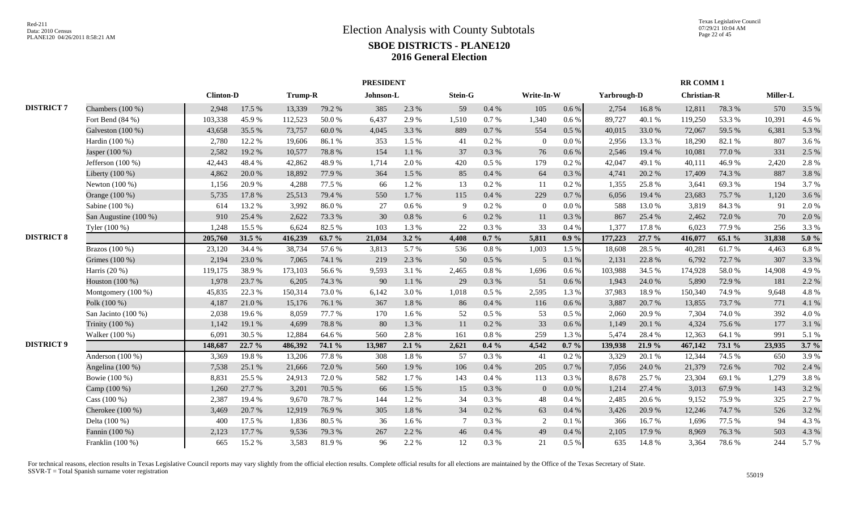|                   |                       |                  |        |                |        | <b>PRESIDENT</b> |           |                 |          |                |          |             |        | <b>RR COMM1</b>    |        |          |         |
|-------------------|-----------------------|------------------|--------|----------------|--------|------------------|-----------|-----------------|----------|----------------|----------|-------------|--------|--------------------|--------|----------|---------|
|                   |                       | <b>Clinton-D</b> |        | <b>Trump-R</b> |        | Johnson-L        |           | Stein-G         |          | Write-In-W     |          | Yarbrough-D |        | <b>Christian-R</b> |        | Miller-L |         |
| <b>DISTRICT 7</b> | Chambers $(100\%)$    | 2,948            | 17.5 % | 13,339         | 79.2 % | 385              | 2.3%      | 59              | 0.4%     | 105            | $0.6\%$  | 2,754       | 16.8%  | 12,811             | 78.3%  | 570      | 3.5 %   |
|                   | Fort Bend (84 %)      | 103,338          | 45.9%  | 112,523        | 50.0%  | 6.437            | 2.9%      | 1,510           | 0.7 %    | 1,340          | 0.6%     | 89,727      | 40.1%  | 119,250            | 53.3%  | 10,391   | 4.6 %   |
|                   | Galveston $(100\%)$   | 43,658           | 35.5 % | 73,757         | 60.0%  | 4.045            | 3.3 %     | 889             | 0.7 %    | 554            | $0.5\%$  | 40,015      | 33.0%  | 72,067             | 59.5 % | 6,381    | 5.3 %   |
|                   | Hardin (100 %)        | 2,780            | 12.2 % | 19,606         | 86.1%  | 353              | 1.5 %     | 41              | 0.2 %    | $\Omega$       | $0.0\%$  | 2,956       | 13.3 % | 18,290             | 82.1 % | 807      | 3.6 %   |
|                   | Jasper (100 %)        | 2,582            | 19.2%  | 10,577         | 78.8%  | 154              | 1.1%      | 37              | 0.3 %    | 76             | 0.6%     | 2,546       | 19.4 % | 10,081             | 77.0 % | 331      | 2.5 %   |
|                   | Jefferson $(100\%)$   | 42,443           | 48.4%  | 42,862         | 48.9%  | 1.714            | 2.0%      | 420             | $0.5\%$  | 179            | 0.2%     | 42,047      | 49.1 % | 40,111             | 46.9%  | 2,420    | 2.8%    |
|                   | Liberty (100 %)       | 4,862            | 20.0%  | 18,892         | 77.9 % | 364              | 1.5 %     | 85              | 0.4%     | 64             | 0.3%     | 4,741       | 20.2 % | 17,409             | 74.3 % | 887      | 3.8%    |
|                   | Newton (100 %)        | 1,156            | 20.9%  | 4,288          | 77.5 % | 66               | 1.2%      | 13              | 0.2 %    | 11             | 0.2 %    | 1,355       | 25.8%  | 3.641              | 69.3%  | 194      | 3.7%    |
|                   | Orange (100 %)        | 5,735            | 17.8%  | 25,513         | 79.4 % | 550              | 1.7%      | 115             | 0.4%     | 229            | 0.7%     | 6,056       | 19.4 % | 23,683             | 75.7%  | 1,120    | 3.6%    |
|                   | Sabine (100 %)        | 614              | 13.2 % | 3,992          | 86.0%  | 27               | $0.6\%$   | 9               | 0.2 %    | $\Omega$       | 0.0 %    | 588         | 13.0%  | 3,819              | 84.3%  | 91       | 2.0%    |
|                   | San Augustine (100 %) | 910              | 25.4 % | 2,622          | 73.3 % | 30               | $0.8\ \%$ | 6               | 0.2 %    | 11             | 0.3%     | 867         | 25.4 % | 2.462              | 72.0%  | 70       | 2.0 %   |
|                   | Tyler (100 %)         | 1,248            | 15.5 % | 6,624          | 82.5 % | 103              | 1.3%      | 22              | 0.3%     | 33             | 0.4%     | 1,377       | 17.8 % | 6.023              | 77.9 % | 256      | 3.3 %   |
| <b>DISTRICT 8</b> |                       | 205,760          | 31.5 % | 416,239        | 63.7 % | 21,034           | $3.2\%$   | 4,408           | $0.7 \%$ | 5,811          | $0.9\%$  | 177,223     | 27.7 % | 416,077            | 65.1 % | 31,838   | 5.0 $%$ |
|                   | Brazos (100 %)        | 23,120           | 34.4 % | 38,734         | 57.6 % | 3,813            | 5.7%      | 536             | $0.8~\%$ | 1,003          | 1.5%     | 18,608      | 28.5 % | 40,281             | 61.7%  | 4,463    | 6.8%    |
|                   | Grimes (100 %)        | 2,194            | 23.0%  | 7,065          | 74.1 % | 219              | 2.3 %     | 50              | $0.5\%$  | 5              | 0.1 %    | 2,131       | 22.8%  | 6,792              | 72.7 % | 307      | 3.3 %   |
|                   | Harris $(20\%)$       | 119,175          | 38.9%  | 173,103        | 56.6%  | 9,593            | 3.1 %     | 2,465           | $0.8 \%$ | 1,696          | $0.6\%$  | 103,988     | 34.5 % | 174,928            | 58.0%  | 14,908   | 4.9 %   |
|                   | Houston $(100\%)$     | 1,978            | 23.7 % | 6,205          | 74.3 % | 90               | 1.1%      | 29              | 0.3 %    | 51             | 0.6%     | 1,943       | 24.0 % | 5,890              | 72.9 % | 181      | 2.2 %   |
|                   | Montgomery (100 %)    | 45,835           | 22.3 % | 150,314        | 73.0%  | 6,142            | 3.0%      | 1,018           | $0.5\%$  | 2,595          | 1.3%     | 37,983      | 18.9%  | 150,340            | 74.9%  | 9,648    | 4.8%    |
|                   | Polk (100 %)          | 4,187            | 21.0%  | 15,176         | 76.1 % | 367              | 1.8%      | 86              | 0.4%     | 116            | 0.6%     | 3,887       | 20.7%  | 13,855             | 73.7%  | 771      | 4.1 %   |
|                   | San Jacinto (100 %)   | 2,038            | 19.6%  | 8,059          | 77.7 % | 170              | 1.6 %     | 52              | $0.5\%$  | 53             | 0.5%     | 2.060       | 20.9 % | 7.304              | 74.0%  | 392      | 4.0%    |
|                   | Trinity (100 %)       | 1,142            | 19.1 % | 4,699          | 78.8 % | 80               | 1.3%      | 11              | 0.2 %    | 33             | 0.6 %    | 1,149       | 20.1 % | 4,324              | 75.6%  | 177      | 3.1 %   |
|                   | Walker (100 %)        | 6,091            | 30.5 % | 12,884         | 64.6 % | 560              | 2.8%      | 161             | 0.8%     | 259            | 1.3%     | 5,474       | 28.4 % | 12,363             | 64.1 % | 991      | 5.1 %   |
| <b>DISTRICT 9</b> |                       | 148,687          | 22.7 % | 486,392        | 74.1 % | 13,987           | 2.1%      | 2,621           | $0.4\%$  | 4,542          | $0.7 \%$ | 139,938     | 21.9 % | 467,142            | 73.1 % | 23,935   | 3.7%    |
|                   | Anderson $(100\%)$    | 3,369            | 19.8%  | 13,206         | 77.8 % | 308              | 1.8%      | 57              | 0.3 %    | 41             | 0.2%     | 3,329       | 20.1 % | 12,344             | 74.5 % | 650      | 3.9%    |
|                   | Angelina (100 %)      | 7,538            | 25.1 % | 21,666         | 72.0 % | 560              | 1.9%      | 106             | 0.4 %    | 205            | 0.7%     | 7,056       | 24.0 % | 21,379             | 72.6 % | 702      | 2.4 %   |
|                   | Bowie (100 %)         | 8,831            | 25.5 % | 24,913         | 72.0%  | 582              | 1.7%      | 143             | 0.4 %    | 113            | 0.3%     | 8,678       | 25.7%  | 23,304             | 69.1 % | 1,279    | 3.8%    |
|                   | Camp (100 %)          | 1,260            | 27.7 % | 3,201          | 70.5 % | 66               | 1.5%      | 15              | 0.3%     | $\overline{0}$ | 0.0 %    | 1,214       | 27.4 % | 3,013              | 67.9%  | 143      | 3.2 %   |
|                   | Cass $(100\%)$        | 2,387            | 19.4 % | 9,670          | 78.7%  | 144              | 1.2%      | 34              | 0.3%     | 48             | 0.4%     | 2,485       | 20.6%  | 9,152              | 75.9%  | 325      | 2.7 %   |
|                   | Cherokee (100 %)      | 3,469            | 20.7%  | 12,919         | 76.9%  | 305              | 1.8%      | 34              | 0.2 %    | 63             | 0.4%     | 3,426       | 20.9%  | 12,246             | 74.7%  | 526      | 3.2 %   |
|                   | Delta (100 %)         | 400              | 17.5 % | 1,836          | 80.5 % | 36               | 1.6%      | $7\phantom{.0}$ | 0.3 %    | 2              | 0.1 %    | 366         | 16.7%  | 1,696              | 77.5 % | 94       | 4.3%    |
|                   | Fannin (100 %)        | 2,123            | 17.7 % | 9,536          | 79.3 % | 267              | 2.2%      | 46              | $0.4~\%$ | 49             | 0.4 %    | 2,105       | 17.9%  | 8,969              | 76.3%  | 503      | 4.3 %   |
|                   | Franklin $(100\%)$    | 665              | 15.2%  | 3,583          | 81.9%  | 96               | 2.2%      | 12              | 0.3%     | 21             | $0.5\%$  | 635         | 14.8 % | 3,364              | 78.6%  | 244      | 5.7 %   |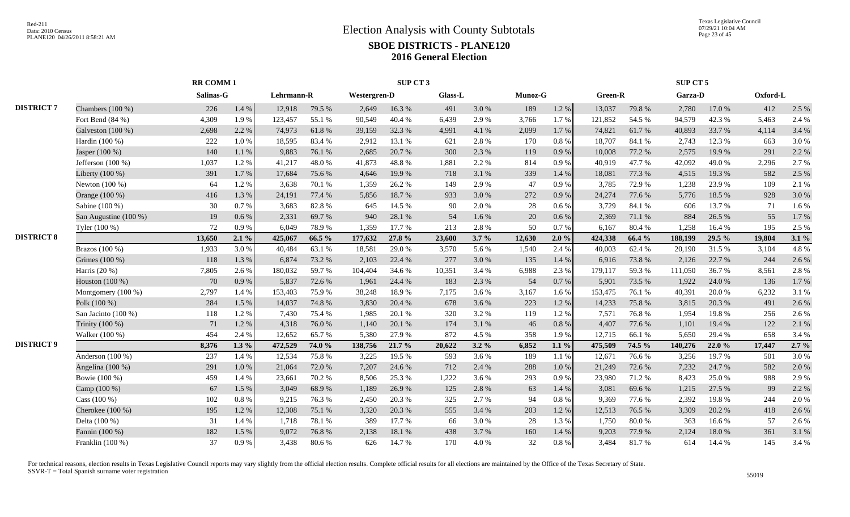|                   |                       |           | <b>RR COMM1</b> |            |        |                     | SUP CT <sub>3</sub> |         |         |         |           |         |        | SUP CT 5 |        |          |         |
|-------------------|-----------------------|-----------|-----------------|------------|--------|---------------------|---------------------|---------|---------|---------|-----------|---------|--------|----------|--------|----------|---------|
|                   |                       | Salinas-G |                 | Lehrmann-R |        | <b>Westergren-D</b> |                     | Glass-L |         | Munoz-G |           | Green-R |        | Garza-D  |        | Oxford-L |         |
| <b>DISTRICT 7</b> | Chambers (100 %)      | 226       | 1.4%            | 12,918     | 79.5 % | 2,649               | 16.3%               | 491     | 3.0%    | 189     | $1.2 \%$  | 13,037  | 79.8%  | 2,780    | 17.0%  | 412      | 2.5 %   |
|                   | Fort Bend $(84%)$     | 4,309     | 1.9%            | 123,457    | 55.1 % | 90,549              | 40.4 %              | 6,439   | 2.9 %   | 3,766   | 1.7 %     | 121,852 | 54.5 % | 94,579   | 42.3 % | 5,463    | 2.4 %   |
|                   | Galveston $(100\%)$   | 2,698     | 2.2 %           | 74,973     | 61.8%  | 39,159              | 32.3 %              | 4,991   | 4.1 %   | 2,099   | 1.7 %     | 74,821  | 61.7%  | 40,893   | 33.7 % | 4,114    | 3.4 %   |
|                   | Hardin (100 %)        | 222       | 1.0%            | 18,595     | 83.4%  | 2,912               | 13.1 %              | 621     | 2.8%    | 170     | 0.8%      | 18,707  | 84.1 % | 2,743    | 12.3 % | 663      | 3.0%    |
|                   | Jasper (100 %)        | 140       | 1.1 %           | 9,883      | 76.1%  | 2,685               | 20.7%               | 300     | 2.3 %   | 119     | $0.9\ \%$ | 10,008  | 77.2 % | 2,575    | 19.9%  | 291      | 2.2 %   |
|                   | Jefferson $(100\%)$   | 1,037     | 1.2%            | 41,217     | 48.0%  | 41,873              | 48.8%               | 1,881   | 2.2 %   | 814     | 0.9%      | 40.919  | 47.7 % | 42,092   | 49.0%  | 2,296    | 2.7%    |
|                   | Liberty $(100\%)$     | 391       | 1.7%            | 17,684     | 75.6%  | 4,646               | 19.9%               | 718     | 3.1 %   | 339     | 1.4 %     | 18,081  | 77.3 % | 4,515    | 19.3 % | 582      | 2.5 %   |
|                   | Newton $(100\%)$      | 64        | 1.2%            | 3,638      | 70.1%  | 1,359               | 26.2%               | 149     | 2.9%    | 47      | $0.9\ \%$ | 3,785   | 72.9%  | 1,238    | 23.9%  | 109      | 2.1 %   |
|                   | Orange (100 %)        | 416       | 1.3%            | 24,191     | 77.4 % | 5,856               | 18.7%               | 933     | 3.0%    | 272     | 0.9%      | 24,274  | 77.6 % | 5,776    | 18.5 % | 928      | 3.0%    |
|                   | Sabine (100 %)        | 30        | 0.7%            | 3,683      | 82.8%  | 645                 | 14.5 %              | 90      | 2.0 %   | 28      | 0.6%      | 3,729   | 84.1 % | 606      | 13.7 % | 71       | 1.6%    |
|                   | San Augustine (100 %) | 19        | $0.6\%$         | 2,331      | 69.7%  | 940                 | 28.1 %              | 54      | 1.6 %   | 20      | 0.6 %     | 2,369   | 71.1 % | 884      | 26.5 % | 55       | 1.7%    |
|                   | Tyler (100 %)         | 72        | 0.9%            | 6,049      | 78.9%  | 1,359               | 17.7 %              | 213     | 2.8%    | 50      | 0.7%      | 6,167   | 80.4%  | 1,258    | 16.4 % | 195      | 2.5 %   |
| <b>DISTRICT 8</b> |                       | 13,650    | $2.1\%$         | 425,067    | 66.5 % | 177,632             | 27.8 %              | 23,600  | 3.7%    | 12,630  | 2.0%      | 424,338 | 66.4 % | 188,199  | 29.5 % | 19,804   | 3.1%    |
|                   | Brazos $(100\%)$      | 1,933     | 3.0%            | 40,484     | 63.1 % | 18,581              | 29.0%               | 3,570   | 5.6 %   | 1,540   | 2.4 %     | 40,003  | 62.4 % | 20,190   | 31.5 % | 3,104    | 4.8%    |
|                   | Grimes (100 %)        | 118       | 1.3%            | 6,874      | 73.2 % | 2,103               | 22.4 %              | 277     | 3.0%    | 135     | 1.4 %     | 6,916   | 73.8%  | 2.126    | 22.7 % | 244      | 2.6 %   |
|                   | Harris (20 %)         | 7,805     | 2.6%            | 180,032    | 59.7%  | 104,404             | 34.6 %              | 10,351  | 3.4 %   | 6,988   | 2.3 %     | 179,117 | 59.3%  | 111,050  | 36.7%  | 8,561    | 2.8%    |
|                   | Houston (100 %)       | 70        | 0.9%            | 5,837      | 72.6%  | 1,961               | 24.4 %              | 183     | 2.3 %   | 54      | $0.7~\%$  | 5,901   | 73.5 % | 1,922    | 24.0%  | 136      | 1.7%    |
|                   | Montgomery $(100\%)$  | 2,797     | 1.4 %           | 153,403    | 75.9%  | 38,248              | 18.9%               | 7,175   | 3.6 %   | 3,167   | 1.6%      | 153,475 | 76.1 % | 40,391   | 20.0%  | 6,232    | 3.1 %   |
|                   | Polk (100 %)          | 284       | 1.5 %           | 14,037     | 74.8%  | 3,830               | 20.4 %              | 678     | 3.6 %   | 223     | 1.2%      | 14,233  | 75.8%  | 3,815    | 20.3 % | 491      | 2.6 %   |
|                   | San Jacinto (100 %)   | 118       | 1.2%            | 7,430      | 75.4 % | 1,985               | 20.1 %              | 320     | 3.2%    | 119     | 1.2%      | 7,571   | 76.8%  | 1,954    | 19.8%  | 256      | 2.6 %   |
|                   | Trinity (100 %)       | 71        | 1.2%            | 4,318      | 76.0%  | 1,140               | 20.1 %              | 174     | 3.1 %   | 46      | $0.8~\%$  | 4,407   | 77.6 % | 1,101    | 19.4 % | 122      | 2.1 %   |
|                   | Walker (100 %)        | 454       | 2.4 %           | 12,652     | 65.7%  | 5,380               | 27.9%               | 872     | 4.5 %   | 358     | 1.9%      | 12,715  | 66.1%  | 5,650    | 29.4 % | 658      | 3.4 %   |
| <b>DISTRICT 9</b> |                       | 8,376     | $1.3\%$         | 472,529    | 74.0 % | 138,756             | 21.7 %              | 20,622  | $3.2\%$ | 6,852   | $1.1\%$   | 475,509 | 74.5 % | 140,276  | 22.0%  | 17,447   | $2.7\%$ |
|                   | Anderson (100 %)      | 237       | 1.4 %           | 12,534     | 75.8%  | 3,225               | 19.5 %              | 593     | 3.6%    | 189     | 1.1%      | 12,671  | 76.6%  | 3,256    | 19.7%  | 501      | 3.0%    |
|                   | Angelina (100 %)      | 291       | 1.0%            | 21,064     | 72.0%  | 7,207               | 24.6 %              | 712     | 2.4 %   | 288     | 1.0 %     | 21,249  | 72.6%  | 7,232    | 24.7 % | 582      | 2.0%    |
|                   | Bowie (100 %)         | 459       | 1.4 %           | 23,661     | 70.2%  | 8,506               | 25.3 %              | 1,222   | 3.6 %   | 293     | 0.9%      | 23,980  | 71.2%  | 8,423    | 25.0%  | 988      | 2.9 %   |
|                   | Camp (100 %)          | 67        | 1.5 %           | 3,049      | 68.9%  | 1,189               | 26.9%               | 125     | 2.8%    | 63      | 1.4 %     | 3,081   | 69.6%  | 1,215    | 27.5 % | 99       | 2.2 %   |
|                   | Cass (100 %)          | 102       | 0.8%            | 9,215      | 76.3%  | 2,450               | 20.3 %              | 325     | 2.7%    | 94      | $0.8~\%$  | 9,369   | 77.6 % | 2,392    | 19.8%  | 244      | 2.0%    |
|                   | Cherokee (100 %)      | 195       | 1.2%            | 12,308     | 75.1 % | 3,320               | 20.3 %              | 555     | 3.4 %   | 203     | 1.2 %     | 12,513  | 76.5 % | 3,309    | 20.2 % | 418      | 2.6 %   |
|                   | Delta (100 %)         | 31        | 1.4 %           | 1,718      | 78.1 % | 389                 | 17.7 %              | 66      | 3.0 %   | 28      | 1.3 %     | 1,750   | 80.0%  | 363      | 16.6 % | 57       | 2.6 %   |
|                   | Fannin (100 %)        | 182       | 1.5 %           | 9,072      | 76.8%  | 2,138               | 18.1 %              | 438     | 3.7 %   | 160     | 1.4 %     | 9,203   | 77.9 % | 2,124    | 18.0%  | 361      | 3.1 %   |
|                   | Franklin $(100\%)$    | 37        | 0.9%            | 3,438      | 80.6%  | 626                 | 14.7%               | 170     | 4.0 %   | 32      | $0.8~\%$  | 3,484   | 81.7%  | 614      | 14.4 % | 145      | 3.4 %   |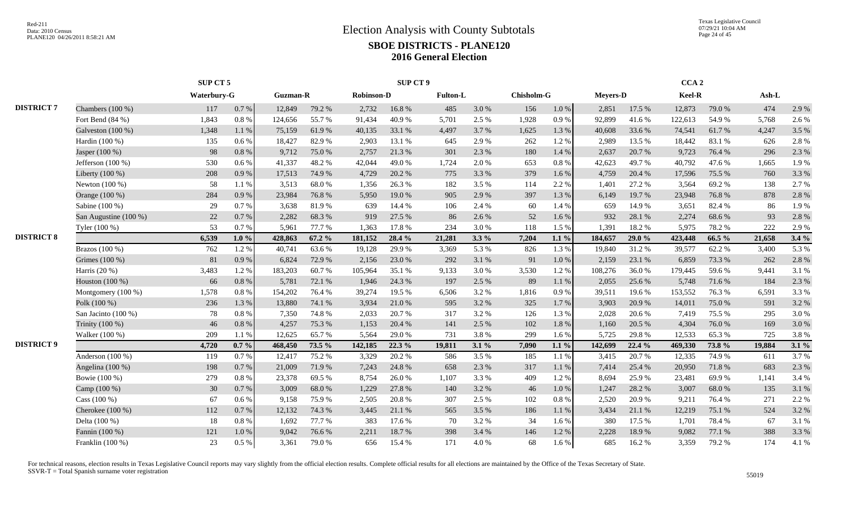Texas Legislative Council 07/29/21 10:04 AM Page 24 of 45

|                   |                       | SUP CT 5    |          |                 |        |                   | <b>SUP CT 9</b> |                 |         |            |           |                 |          | CCA <sub>2</sub> |        |         |         |
|-------------------|-----------------------|-------------|----------|-----------------|--------|-------------------|-----------------|-----------------|---------|------------|-----------|-----------------|----------|------------------|--------|---------|---------|
|                   |                       | Waterbury-G |          | <b>Guzman-R</b> |        | <b>Robinson-D</b> |                 | <b>Fulton-L</b> |         | Chisholm-G |           | <b>Meyers-D</b> |          | Keel-R           |        | $Ash-L$ |         |
| <b>DISTRICT 7</b> | Chambers (100 %)      | 117         | 0.7 %    | 12,849          | 79.2 % | 2,732             | 16.8%           | 485             | 3.0%    | 156        | $1.0\ \%$ | 2,851           | 17.5 %   | 12,873           | 79.0%  | 474     | 2.9 %   |
|                   | Fort Bend (84 %)      | 1,843       | 0.8%     | 124,656         | 55.7%  | 91,434            | 40.9%           | 5,701           | 2.5 %   | 1,928      | 0.9%      | 92,899          | 41.6%    | 122,613          | 54.9%  | 5,768   | 2.6%    |
|                   | Galveston $(100\%)$   | 1,348       | 1.1%     | 75,159          | 61.9%  | 40,135            | 33.1 %          | 4,497           | 3.7 %   | 1,625      | 1.3 %     | 40,608          | 33.6 %   | 74,541           | 61.7%  | 4,247   | 3.5 %   |
|                   | Hardin (100 %)        | 135         | 0.6 %    | 18,427          | 82.9%  | 2,903             | 13.1 %          | 645             | 2.9 %   | 262        | 1.2%      | 2,989           | 13.5 %   | 18,442           | 83.1 % | 626     | 2.8%    |
|                   | Jasper (100 %)        | 98          | 0.8%     | 9,712           | 75.0 % | 2,757             | 21.3%           | 301             | 2.3 %   | 180        | 1.4 %     | 2,637           | 20.7%    | 9,723            | 76.4 % | 296     | 2.3 %   |
|                   | Jefferson $(100\%)$   | 530         | 0.6%     | 41,337          | 48.2%  | 42,044            | 49.0%           | 1,724           | 2.0 %   | 653        | $0.8\%$   | 42,623          | 49.7%    | 40,792           | 47.6 % | 1,665   | 1.9%    |
|                   | Liberty $(100\%)$     | 208         | 0.9%     | 17,513          | 74.9%  | 4,729             | 20.2 %          | 775             | 3.3 %   | 379        | 1.6 %     | 4,759           | 20.4 %   | 17,596           | 75.5 % | 760     | 3.3 %   |
|                   | Newton (100 %)        | 58          | 1.1%     | 3,513           | 68.0%  | 1,356             | 26.3%           | 182             | 3.5 %   | 114        | 2.2 %     | 1,401           | 27.2 %   | 3,564            | 69.2%  | 138     | 2.7%    |
|                   | Orange (100 %)        | 284         | 0.9 %    | 23,984          | 76.8%  | 5,950             | 19.0%           | 905             | 2.9 %   | 397        | 1.3%      | 6,149           | 19.7%    | 23,948           | 76.8%  | 878     | 2.8%    |
|                   | Sabine (100 %)        | 29          | 0.7 %    | 3,638           | 81.9%  | 639               | 14.4 %          | 106             | 2.4 %   | 60         | 1.4 %     | 659             | 14.9%    | 3,651            | 82.4%  | 86      | 1.9%    |
|                   | San Augustine (100 %) | 22          | 0.7%     | 2,282           | 68.3%  | 919               | 27.5 %          | 86              | 2.6 %   | 52         | 1.6%      | 932             | 28.1 %   | 2,274            | 68.6%  | 93      | 2.8%    |
|                   | Tyler (100 %)         | 53          | 0.7%     | 5,961           | 77.7 % | 1,363             | 17.8%           | 234             | 3.0%    | 118        | 1.5 %     | 1,391           | 18.2 %   | 5,975            | 78.2%  | 222     | 2.9%    |
| <b>DISTRICT 8</b> |                       | 6,539       | $1.0 \%$ | 428,863         | 67.2 % | 181,152           | 28.4 %          | 21,281          | $3.3\%$ | 7,204      | $1.1\%$   | 184,657         | 29.0 %   | 423,448          | 66.5 % | 21,658  | 3.4%    |
|                   | Brazos (100 %)        | 762         | 1.2%     | 40,741          | 63.6%  | 19,128            | 29.9%           | 3,369           | 5.3 %   | 826        | 1.3%      | 19,840          | 31.2%    | 39,577           | 62.2%  | 3,400   | 5.3 %   |
|                   | Grimes (100 %)        | 81          | 0.9%     | 6,824           | 72.9 % | 2,156             | 23.0%           | 292             | 3.1 %   | 91         | 1.0%      | 2,159           | 23.1 %   | 6,859            | 73.3 % | 262     | 2.8%    |
|                   | Harris $(20\%)$       | 3,483       | 1.2%     | 183,203         | 60.7%  | 105,964           | 35.1 %          | 9,133           | 3.0%    | 3,530      | 1.2%      | 108,276         | 36.0%    | 179,445          | 59.6%  | 9,441   | 3.1%    |
|                   | Houston (100 %)       | 66          | 0.8 %    | 5,781           | 72.1 % | 1.946             | 24.3 %          | 197             | 2.5 %   | 89         | 1.1%      | 2,055           | 25.6%    | 5.748            | 71.6%  | 184     | 2.3 %   |
|                   | Montgomery (100 %)    | 1,578       | 0.8 %    | 154,202         | 76.4%  | 39,274            | 19.5 %          | 6,506           | 3.2 %   | 1,816      | 0.9%      | 39,511          | 19.6%    | 153,552          | 76.3%  | 6,591   | 3.3%    |
|                   | Polk (100 %)          | 236         | 1.3%     | 13,880          | 74.1 % | 3,934             | 21.0%           | 595             | 3.2 %   | 325        | 1.7%      | 3,903           | 20.9%    | 14,011           | 75.0%  | 591     | 3.2%    |
|                   | San Jacinto (100 %)   | 78          | 0.8%     | 7,350           | 74.8%  | 2,033             | 20.7%           | 317             | 3.2%    | 126        | 1.3%      | 2,028           | 20.6%    | 7,419            | 75.5 % | 295     | 3.0%    |
|                   | Trinity (100 %)       | 46          | 0.8%     | 4,257           | 75.3 % | 1,153             | 20.4 %          | 141             | 2.5 %   | 102        | 1.8%      | 1,160           | 20.5 %   | 4,304            | 76.0%  | 169     | 3.0%    |
|                   | Walker (100 %)        | 209         | 1.1%     | 12,625          | 65.7%  | 5,564             | 29.0 %          | 731             | 3.8%    | 299        | 1.6%      | 5,725           | 29.8%    | 12,533           | 65.3%  | 725     | 3.8%    |
| <b>DISTRICT 9</b> |                       | 4,720       | $0.7 \%$ | 468,450         | 73.5 % | 142,185           | 22.3 %          | 19,811          | $3.1\%$ | 7,090      | $1.1\%$   | 142,699         | $22.4\%$ | 469.330          | 73.8%  | 19,884  | $3.1\%$ |
|                   | Anderson $(100\%)$    | 119         | 0.7%     | 12,417          | 75.2 % | 3,329             | 20.2 %          | 586             | 3.5 %   | 185        | 1.1 %     | 3,415           | 20.7%    | 12,335           | 74.9%  | 611     | 3.7%    |
|                   | Angelina $(100\%)$    | 198         | 0.7%     | 21,009          | 71.9%  | 7,243             | 24.8%           | 658             | 2.3 %   | 317        | 1.1%      | 7,414           | 25.4 %   | 20,950           | 71.8%  | 683     | 2.3 %   |
|                   | Bowie (100 %)         | 279         | $0.8 \%$ | 23,378          | 69.5 % | 8,754             | 26.0%           | 1,107           | 3.3 %   | 409        | 1.2%      | 8,694           | 25.9%    | 23,481           | 69.9%  | 1,141   | 3.4 %   |
|                   | Camp (100 %)          | 30          | 0.7 %    | 3,009           | 68.0%  | 1,229             | 27.8%           | 140             | 3.2%    | 46         | 1.0%      | 1,247           | 28.2 %   | 3,007            | 68.0%  | 135     | 3.1%    |
|                   | Cass (100 %)          | 67          | $0.6\%$  | 9,158           | 75.9%  | 2,505             | 20.8%           | 307             | 2.5 %   | 102        | 0.8 %     | 2,520           | 20.9%    | 9,211            | 76.4%  | 271     | 2.2 %   |
|                   | Cherokee (100 %)      | 112         | 0.7%     | 12,132          | 74.3 % | 3,445             | 21.1 %          | 565             | 3.5 %   | 186        | 1.1%      | 3,434           | 21.1 %   | 12,219           | 75.1 % | 524     | 3.2%    |
|                   | Delta (100 %)         | 18          | $0.8~\%$ | 1,692           | 77.7 % | 383               | 17.6 %          | 70              | 3.2%    | 34         | 1.6%      | 380             | 17.5 %   | 1,701            | 78.4%  | 67      | 3.1%    |
|                   | Fannin (100 %)        | 121         | 1.0%     | 9,042           | 76.6%  | 2,211             | 18.7%           | 398             | 3.4 %   | 146        | 1.2%      | 2,228           | 18.9%    | 9,082            | 77.1 % | 388     | 3.3 %   |
|                   | Franklin (100 %)      | 23          | $0.5\%$  | 3,361           | 79.0%  | 656               | 15.4 %          | 171             | 4.0%    | 68         | 1.6%      | 685             | 16.2%    | 3,359            | 79.2 % | 174     | 4.1 %   |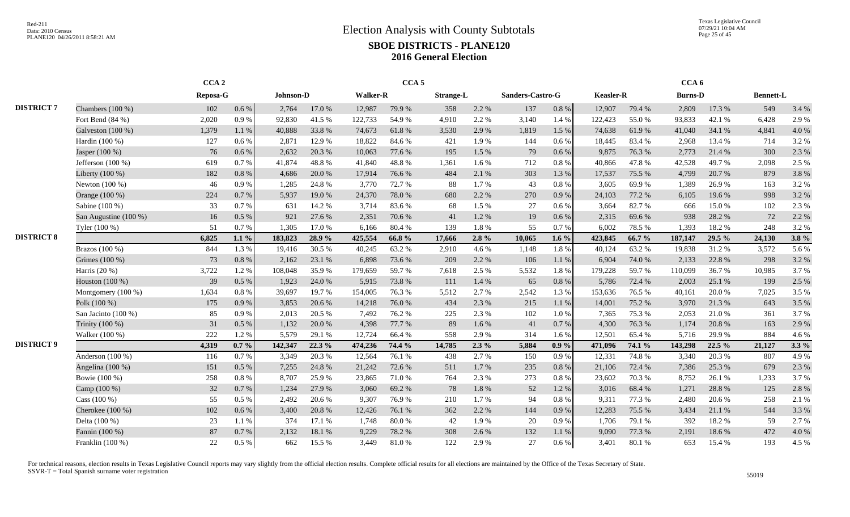Texas Legislative Council 07/29/21 10:04 AM Page 25 of 45

|                   |                       | CCA <sub>2</sub> |          |           |        |                 | CCA <sub>5</sub> |                  |           |                  |           |                  |        | CCA <sub>6</sub> |          |                  |         |
|-------------------|-----------------------|------------------|----------|-----------|--------|-----------------|------------------|------------------|-----------|------------------|-----------|------------------|--------|------------------|----------|------------------|---------|
|                   |                       | Reposa-G         |          | Johnson-D |        | <b>Walker-R</b> |                  | <b>Strange-L</b> |           | Sanders-Castro-G |           | <b>Keasler-R</b> |        | <b>Burns-D</b>   |          | <b>Bennett-L</b> |         |
| <b>DISTRICT 7</b> | Chambers $(100\%)$    | 102              | $0.6\%$  | 2.764     | 17.0 % | 12,987          | 79.9%            | 358              | 2.2 %     | 137              | $0.8\ \%$ | 12,907           | 79.4 % | 2,809            | 17.3 %   | 549              | 3.4 %   |
|                   | Fort Bend $(84%)$     | 2,020            | 0.9%     | 92.830    | 41.5 % | 122,733         | 54.9%            | 4.910            | 2.2 %     | 3.140            | 1.4 %     | 122.423          | 55.0 % | 93.833           | 42.1 %   | 6.428            | 2.9%    |
|                   | Galveston $(100\%)$   | 1,379            | 1.1%     | 40,888    | 33.8%  | 74,673          | 61.8%            | 3,530            | 2.9 %     | 1,819            | 1.5 %     | 74,638           | 61.9%  | 41,040           | 34.1 %   | 4,841            | 4.0%    |
|                   | Hardin (100 %)        | 127              | 0.6 %    | 2,871     | 12.9 % | 18,822          | 84.6 %           | 421              | 1.9%      | 144              | $0.6\%$   | 18,445           | 83.4%  | 2,968            | 13.4 %   | 714              | 3.2 %   |
|                   | Jasper (100 %)        | 76               | $0.6\%$  | 2,632     | 20.3 % | 10,063          | 77.6 %           | 195              | 1.5 %     | 79               | $0.6\%$   | 9,875            | 76.3%  | 2,773            | 21.4 %   | 300              | 2.3 %   |
|                   | Jefferson $(100\%)$   | 619              | 0.7%     | 41,874    | 48.8%  | 41,840          | 48.8%            | 1,361            | 1.6 %     | 712              | 0.8 %     | 40,866           | 47.8%  | 42,528           | 49.7%    | 2,098            | 2.5 %   |
|                   | Liberty $(100\%)$     | 182              | 0.8%     | 4,686     | 20.0 % | 17,914          | 76.6 %           | 484              | 2.1 %     | 303              | 1.3%      | 17,537           | 75.5 % | 4.799            | 20.7 %   | 879              | 3.8%    |
|                   | Newton (100 %)        | 46               | 0.9%     | 1,285     | 24.8%  | 3,770           | 72.7 %           | 88               | 1.7%      | 43               | 0.8%      | 3,605            | 69.9%  | 1.389            | 26.9%    | 163              | 3.2 %   |
|                   | Orange (100 %)        | 224              | 0.7%     | 5,937     | 19.0%  | 24,370          | 78.0%            | 680              | 2.2 %     | 270              | 0.9%      | 24,103           | 77.2 % | 6,105            | 19.6%    | 998              | 3.2%    |
|                   | Sabine (100 %)        | 33               | 0.7%     | 631       | 14.2 % | 3,714           | 83.6%            | 68               | 1.5 %     | 27               | 0.6 %     | 3,664            | 82.7%  | 666              | 15.0%    | 102              | 2.3 %   |
|                   | San Augustine (100 %) | 16               | 0.5 %    | 921       | 27.6 % | 2,351           | 70.6%            | 41               | 1.2%      | 19               | 0.6 %     | 2,315            | 69.6%  | 938              | 28.2 %   | 72               | 2.2 %   |
|                   | Tyler (100 %)         | 51               | 0.7%     | 1.305     | 17.0 % | 6,166           | 80.4%            | 139              | 1.8%      | 55               | 0.7%      | 6.002            | 78.5%  | 1,393            | 18.2%    | 248              | 3.2%    |
| <b>DISTRICT 8</b> |                       | 6,825            | $1.1\%$  | 183,823   | 28.9%  | 425,554         | 66.8%            | 17.666           | $2.8\%$   | 10,065           | $1.6\%$   | 423,845          | 66.7%  | 187,147          | 29.5 %   | 24,130           | $3.8\%$ |
|                   | Brazos (100 %)        | 844              | 1.3%     | 19,416    | 30.5 % | 40,245          | 63.2%            | 2,910            | 4.6 %     | 1,148            | 1.8%      | 40,124           | 63.2%  | 19,838           | 31.2 %   | 3,572            | 5.6%    |
|                   | Grimes (100 %)        | 73               | 0.8%     | 2,162     | 23.1 % | 6,898           | 73.6 %           | 209              | 2.2 %     | 106              | 1.1 %     | 6,904            | 74.0%  | 2,133            | 22.8%    | 298              | 3.2 %   |
|                   | Harris $(20\%)$       | 3,722            | 1.2%     | 108,048   | 35.9%  | 179,659         | 59.7%            | 7,618            | 2.5 %     | 5,532            | 1.8%      | 179,228          | 59.7%  | 110,099          | 36.7%    | 10,985           | 3.7%    |
|                   | Houston $(100\%)$     | 39               | $0.5\%$  | 1,923     | 24.0%  | 5.915           | 73.8%            | 111              | 1.4 %     | 65               | 0.8 %     | 5,786            | 72.4 % | 2.003            | 25.1 %   | 199              | 2.5 %   |
|                   | Montgomery (100 %)    | 1,634            | 0.8%     | 39.697    | 19.7 % | 154,005         | 76.3%            | 5,512            | 2.7 %     | 2,542            | 1.3%      | 153.636          | 76.5%  | 40,161           | 20.0 %   | 7,025            | 3.5%    |
|                   | Polk (100 %)          | 175              | 0.9%     | 3,853     | 20.6 % | 14,218          | 76.0%            | 434              | 2.3 %     | 215              | 1.1 %     | 14,001           | 75.2%  | 3,970            | 21.3%    | 643              | 3.5 %   |
|                   | San Jacinto (100 %)   | 85               | 0.9%     | 2,013     | 20.5 % | 7,492           | 76.2%            | 225              | 2.3 %     | 102              | 1.0%      | 7,365            | 75.3%  | 2,053            | 21.0%    | 361              | 3.7 %   |
|                   | Trinity (100 %)       | 31               | 0.5 %    | 1,132     | 20.0%  | 4,398           | 77.7 %           | 89               | 1.6%      | 41               | 0.7%      | 4,300            | 76.3%  | 1,174            | 20.8%    | 163              | 2.9%    |
|                   | Walker (100 %)        | 222              | 1.2%     | 5,579     | 29.1 % | 12,724          | 66.4%            | 558              | 2.9%      | 314              | 1.6%      | 12,501           | 65.4%  | 5,716            | 29.9%    | 884              | 4.6%    |
| <b>DISTRICT 9</b> |                       | 4,319            | $0.7 \%$ | 142,347   | 22.3 % | 474,236         | 74.4 %           | 14,785           | $2.3\%$   | 5,884            | $0.9\%$   | 471,096          | 74.1 % | 143,298          | $22.5\%$ | 21,127           | $3.3\%$ |
|                   | Anderson (100 %)      | 116              | 0.7 %    | 3,349     | 20.3 % | 12,564          | 76.1 %           | 438              | 2.7%      | 150              | 0.9%      | 12,331           | 74.8%  | 3,340            | 20.3 %   | 807              | 4.9%    |
|                   | Angelina (100 %)      | 151              | 0.5 %    | 7,255     | 24.8%  | 21,242          | 72.6%            | 511              | 1.7%      | 235              | 0.8%      | 21,106           | 72.4 % | 7,386            | 25.3 %   | 679              | 2.3 %   |
|                   | Bowie (100 %)         | 258              | $0.8~\%$ | 8,707     | 25.9%  | 23,865          | 71.0%            | 764              | 2.3 %     | 273              | $0.8\%$   | 23,602           | 70.3%  | 8,752            | 26.1 %   | 1,233            | 3.7%    |
|                   | Camp (100 %)          | 32               | 0.7%     | 1,234     | 27.9 % | 3,060           | 69.2%            | 78               | $1.8\ \%$ | 52               | 1.2%      | 3,016            | 68.4%  | 1,271            | 28.8%    | 125              | 2.8%    |
|                   | Cass (100 %)          | 55               | 0.5 %    | 2,492     | 20.6%  | 9,307           | 76.9%            | 210              | 1.7%      | 94               | $0.8~\%$  | 9,311            | 77.3 % | 2,480            | 20.6%    | 258              | 2.1 %   |
|                   | Cherokee (100 %)      | 102              | 0.6 %    | 3,400     | 20.8 % | 12,426          | 76.1 %           | 362              | 2.2 %     | 144              | 0.9%      | 12,283           | 75.5 % | 3,434            | 21.1 %   | 544              | 3.3 %   |
|                   | Delta (100 %)         | 23               | 1.1 %    | 374       | 17.1 % | 1,748           | 80.0%            | 42               | 1.9%      | 20               | 0.9%      | 1,706            | 79.1 % | 392              | 18.2%    | 59               | 2.7%    |
|                   | Fannin (100 %)        | 87               | 0.7%     | 2,132     | 18.1 % | 9,229           | 78.2 %           | 308              | 2.6 %     | 132              | 1.1%      | 9,090            | 77.3 % | 2,191            | 18.6%    | 472              | 4.0%    |
|                   | Franklin (100 %)      | 22               | $0.5\%$  | 662       | 15.5 % | 3,449           | 81.0%            | 122              | 2.9%      | 27               | 0.6%      | 3,401            | 80.1 % | 653              | 15.4 %   | 193              | 4.5 %   |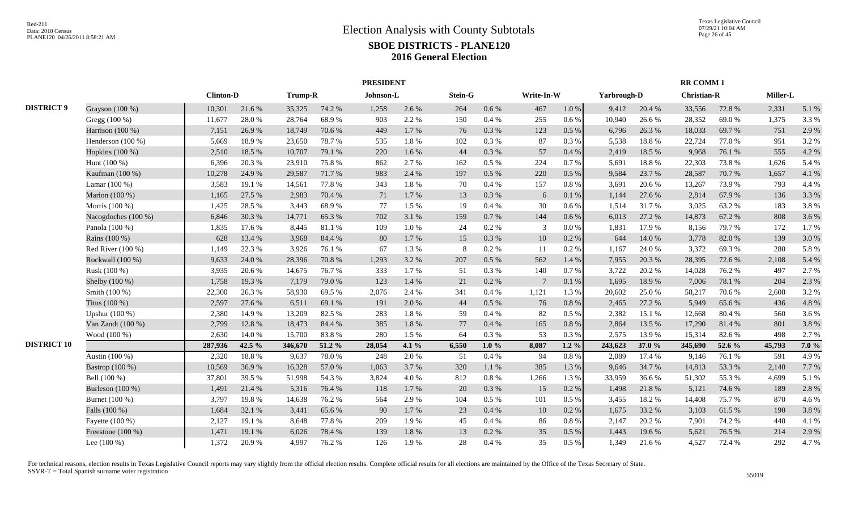|                    |                     |                  |        |         |        | <b>PRESIDENT</b> |       |         |           |                 |           |             |        | <b>RR COMM1</b>    |        |          |       |
|--------------------|---------------------|------------------|--------|---------|--------|------------------|-------|---------|-----------|-----------------|-----------|-------------|--------|--------------------|--------|----------|-------|
|                    |                     | <b>Clinton-D</b> |        | Trump-R |        | Johnson-L        |       | Stein-G |           | Write-In-W      |           | Yarbrough-D |        | <b>Christian-R</b> |        | Miller-L |       |
| <b>DISTRICT 9</b>  | Grayson (100 %)     | 10,301           | 21.6%  | 35,325  | 74.2 % | 1,258            | 2.6%  | 264     | 0.6 %     | 467             | $1.0\,\%$ | 9,412       | 20.4 % | 33,556             | 72.8%  | 2,331    | 5.1 % |
|                    | Gregg (100 %)       | 11,677           | 28.0%  | 28,764  | 68.9%  | 903              | 2.2%  | 150     | 0.4 %     | 255             | 0.6 %     | 10,940      | 26.6%  | 28,352             | 69.0%  | 1,375    | 3.3%  |
|                    | Harrison (100 %)    | 7,151            | 26.9%  | 18,749  | 70.6%  | 449              | 1.7%  | 76      | $0.3~\%$  | 123             | $0.5\ \%$ | 6,796       | 26.3 % | 18,033             | 69.7%  | 751      | 2.9%  |
|                    | Henderson $(100\%)$ | 5,669            | 18.9%  | 23,650  | 78.7%  | 535              | 1.8%  | 102     | 0.3%      | 87              | 0.3%      | 5,538       | 18.8%  | 22,724             | 77.0%  | 951      | 3.2%  |
|                    | Hopkins (100 %)     | 2,510            | 18.5 % | 10,707  | 79.1 % | 220              | 1.6%  | 44      | 0.3 %     | 57              | 0.4%      | 2,419       | 18.5 % | 9,968              | 76.1 % | 555      | 4.2%  |
|                    | Hunt $(100\%)$      | 6,396            | 20.3%  | 23,910  | 75.8%  | 862              | 2.7%  | 162     | $0.5\%$   | 224             | 0.7%      | 5,691       | 18.8%  | 22,303             | 73.8%  | 1,626    | 5.4 % |
|                    | Kaufman (100 %)     | 10,278           | 24.9%  | 29,587  | 71.7%  | 983              | 2.4 % | 197     | 0.5%      | 220             | 0.5%      | 9,584       | 23.7 % | 28,587             | 70.7%  | 1,657    | 4.1 % |
|                    | Lamar $(100\%)$     | 3,583            | 19.1 % | 14,561  | 77.8%  | 343              | 1.8%  | 70      | 0.4 %     | 157             | 0.8%      | 3,691       | 20.6 % | 13,267             | 73.9%  | 793      | 4.4 % |
|                    | Marion (100 %)      | 1,165            | 27.5 % | 2,983   | 70.4 % | 71               | 1.7%  | 13      | $0.3~\%$  | 6               | 0.1 %     | 1,144       | 27.6 % | 2,814              | 67.9%  | 136      | 3.3 % |
|                    | Morris (100 %)      | 1,425            | 28.5 % | 3,443   | 68.9%  | 77               | 1.5%  | 19      | 0.4%      | 30              | 0.6 %     | 1,514       | 31.7%  | 3,025              | 63.2%  | 183      | 3.8%  |
|                    | Nacogdoches (100 %) | 6,846            | 30.3%  | 14,771  | 65.3%  | 702              | 3.1%  | 159     | $0.7\ \%$ | 144             | $0.6\,\%$ | 6,013       | 27.2 % | 14,873             | 67.2%  | 808      | 3.6 % |
|                    | Panola (100 %)      | 1,835            | 17.6%  | 8,445   | 81.1%  | 109              | 1.0%  | 24      | 0.2 %     | 3               | $0.0\,\%$ | 1,831       | 17.9%  | 8,156              | 79.7%  | 172      | 1.7%  |
|                    | Rains (100 %)       | 628              | 13.4 % | 3,968   | 84.4 % | 80               | 1.7%  | 15      | $0.3~\%$  | $10\,$          | $0.2~\%$  | 644         | 14.0 % | 3,778              | 82.0%  | 139      | 3.0%  |
|                    | Red River $(100\%)$ | 1,149            | 22.3 % | 3,926   | 76.1 % | 67               | 1.3 % | 8       | $0.2~\%$  | -11             | 0.2%      | 1,167       | 24.0 % | 3,372              | 69.3%  | 280      | 5.8%  |
|                    | Rockwall (100 %)    | 9,633            | 24.0%  | 28,396  | 70.8%  | 1,293            | 3.2 % | 207     | 0.5%      | 562             | 1.4 %     | 7,955       | 20.3 % | 28,395             | 72.6 % | 2,108    | 5.4 % |
|                    | Rusk (100 %)        | 3,935            | 20.6%  | 14,675  | 76.7%  | 333              | 1.7%  | 51      | 0.3%      | 140             | 0.7%      | 3,722       | 20.2 % | 14,028             | 76.2%  | 497      | 2.7%  |
|                    | Shelby (100 %)      | 1,758            | 19.3 % | 7,179   | 79.0%  | 123              | 1.4 % | 21      | 0.2 %     | $7\phantom{.0}$ | 0.1%      | 1,695       | 18.9%  | 7,006              | 78.1 % | 204      | 2.3 % |
|                    | Smith (100 %)       | 22,300           | 26.3%  | 58,930  | 69.5 % | 2,076            | 2.4 % | 341     | 0.4%      | 1,121           | 1.3%      | 20.602      | 25.0%  | 58,217             | 70.6%  | 2,608    | 3.2%  |
|                    | Titus (100 %)       | 2,597            | 27.6 % | 6,511   | 69.1 % | 191              | 2.0%  | 44      | $0.5\ \%$ | 76              | $0.8\ \%$ | 2,465       | 27.2 % | 5,949              | 65.6%  | 436      | 4.8%  |
|                    | Upshur $(100\%)$    | 2,380            | 14.9%  | 13,209  | 82.5 % | 283              | 1.8%  | 59      | 0.4%      | 82              | $0.5\%$   | 2,382       | 15.1 % | 12,668             | 80.4%  | 560      | 3.6%  |
|                    | Van Zandt (100 %)   | 2,799            | 12.8%  | 18,473  | 84.4 % | 385              | 1.8%  | 77      | 0.4%      | 165             | 0.8 %     | 2,864       | 13.5 % | 17,290             | 81.4%  | 801      | 3.8%  |
|                    | Wood (100 %)        | 2,630            | 14.0%  | 15,700  | 83.8%  | 280              | 1.5%  | 64      | $0.3~\%$  | 53              | 0.3%      | 2,575       | 13.9%  | 15,314             | 82.6%  | 498      | 2.7%  |
| <b>DISTRICT 10</b> |                     | 287,936          | 42.5 % | 346,670 | 51.2 % | 28,054           | 4.1 % | 6,550   | $1.0 \%$  | 8,087           | $1.2\%$   | 243,623     | 37.0 % | 345,690            | 52.6 % | 45,793   | 7.0%  |
|                    | Austin (100 %)      | 2,320            | 18.8%  | 9,637   | 78.0%  | 248              | 2.0%  | 51      | 0.4 %     | 94              | 0.8%      | 2,089       | 17.4 % | 9,146              | 76.1 % | 591      | 4.9%  |
|                    | Bastrop (100 %)     | 10,569           | 36.9%  | 16,328  | 57.0%  | 1,063            | 3.7 % | 320     | 1.1 %     | 385             | 1.3%      | 9,646       | 34.7 % | 14,813             | 53.3%  | 2,140    | 7.7 % |
|                    | Bell (100 %)        | 37,801           | 39.5 % | 51,998  | 54.3 % | 3.824            | 4.0%  | 812     | 0.8%      | 1,266           | 1.3%      | 33,959      | 36.6 % | 51,302             | 55.3%  | 4,699    | 5.1%  |
|                    | Burleson $(100\%)$  | 1,491            | 21.4%  | 5,316   | 76.4 % | 118              | 1.7%  | 20      | 0.3 %     | 15              | 0.2 %     | 1,498       | 21.8%  | 5,121              | 74.6%  | 189      | 2.8%  |
|                    | Burnet (100 %)      | 3,797            | 19.8%  | 14,638  | 76.2 % | 564              | 2.9%  | 104     | 0.5 %     | 101             | $0.5\%$   | 3,455       | 18.2%  | 14,408             | 75.7%  | 870      | 4.6 % |
|                    | Falls (100 %)       | 1,684            | 32.1 % | 3,441   | 65.6%  | 90               | 1.7%  | 23      | 0.4%      | 10              | $0.2~\%$  | 1,675       | 33.2 % | 3,103              | 61.5%  | 190      | 3.8%  |
|                    | Fayette (100 %)     | 2,127            | 19.1 % | 8,648   | 77.8 % | 209              | 1.9%  | 45      | $0.4~\%$  | 86              | $0.8\ \%$ | 2,147       | 20.2 % | 7,901              | 74.2 % | 440      | 4.1%  |
|                    | Freestone (100 %)   | 1,471            | 19.1 % | 6,026   | 78.4%  | 139              | 1.8%  | 13      | $0.2~\%$  | 35              | 0.5 %     | 1,443       | 19.6%  | 5,621              | 76.5 % | 214      | 2.9%  |
|                    | Lee $(100\%)$       | 1,372            | 20.9%  | 4,997   | 76.2 % | 126              | 1.9%  | 28      | 0.4%      | 35              | 0.5 %     | 1,349       | 21.6%  | 4,527              | 72.4 % | 292      | 4.7%  |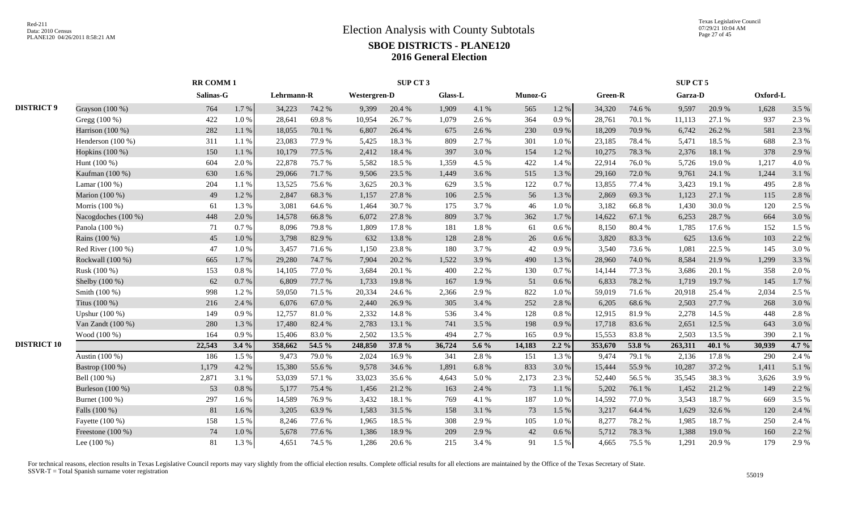|                    |                     | <b>RR COMM1</b> |           |            |        |                     | SUP CT 3 |                |       |                |         |         |        | SUP CT 5 |        |          |       |
|--------------------|---------------------|-----------------|-----------|------------|--------|---------------------|----------|----------------|-------|----------------|---------|---------|--------|----------|--------|----------|-------|
|                    |                     | Salinas-G       |           | Lehrmann-R |        | <b>Westergren-D</b> |          | <b>Glass-L</b> |       | <b>Munoz-G</b> |         | Green-R |        | Garza-D  |        | Oxford-L |       |
| <b>DISTRICT 9</b>  | Grayson $(100\%)$   | 764             | 1.7%      | 34,223     | 74.2 % | 9,399               | 20.4 %   | 1,909          | 4.1 % | 565            | 1.2%    | 34,320  | 74.6 % | 9,597    | 20.9%  | 1,628    | 3.5 % |
|                    | Gregg (100 %)       | 422             | $1.0\ \%$ | 28,641     | 69.8%  | 10,954              | 26.7%    | 1,079          | 2.6%  | 364            | 0.9%    | 28,761  | 70.1%  | 11,113   | 27.1 % | 937      | 2.3 % |
|                    | Harrison (100 %)    | 282             | 1.1%      | 18,055     | 70.1 % | 6,807               | 26.4 %   | 675            | 2.6 % | 230            | 0.9%    | 18,209  | 70.9%  | 6,742    | 26.2 % | 581      | 2.3 % |
|                    | Henderson $(100\%)$ | 311             | 1.1%      | 23,083     | 77.9%  | 5,425               | 18.3%    | 809            | 2.7 % | 301            | $1.0\%$ | 23,185  | 78.4%  | 5,471    | 18.5 % | 688      | 2.3 % |
|                    | Hopkins (100 %)     | 150             | 1.1%      | 10,179     | 77.5 % | 2,412               | 18.4%    | 397            | 3.0%  | 154            | 1.2%    | 10,275  | 78.3%  | 2,376    | 18.1 % | 378      | 2.9%  |
|                    | Hunt $(100\%)$      | 604             | 2.0%      | 22,878     | 75.7%  | 5,582               | 18.5 %   | 1,359          | 4.5 % | 422            | 1.4 %   | 22,914  | 76.0%  | 5,726    | 19.0%  | 1,217    | 4.0%  |
|                    | Kaufman (100 %)     | 630             | 1.6%      | 29,066     | 71.7%  | 9,506               | 23.5 %   | 1,449          | 3.6%  | 515            | 1.3 %   | 29,160  | 72.0%  | 9,761    | 24.1 % | 1,244    | 3.1 % |
|                    | Lamar $(100\%)$     | 204             | 1.1%      | 13,525     | 75.6 % | 3,625               | 20.3%    | 629            | 3.5 % | 122            | 0.7%    | 13,855  | 77.4 % | 3,423    | 19.1 % | 495      | 2.8%  |
|                    | Marion (100 %)      | 49              | 1.2%      | 2,847      | 68.3%  | 1,157               | 27.8%    | 106            | 2.5 % | 56             | 1.3%    | 2,869   | 69.3%  | 1,123    | 27.1 % | 115      | 2.8%  |
|                    | Morris (100 %)      | 61              | 1.3 %     | 3,081      | 64.6 % | 1,464               | 30.7%    | 175            | 3.7%  | 46             | 1.0%    | 3,182   | 66.8%  | 1,430    | 30.0%  | 120      | 2.5 % |
|                    | Nacogdoches (100 %) | 448             | 2.0%      | 14,578     | 66.8%  | 6,072               | 27.8%    | 809            | 3.7 % | 362            | 1.7%    | 14,622  | 67.1 % | 6,253    | 28.7%  | 664      | 3.0%  |
|                    | Panola (100 %)      | 71              | 0.7 %     | 8,096      | 79.8%  | 1,809               | 17.8 %   | 181            | 1.8%  | 61             | 0.6 %   | 8,150   | 80.4%  | 1,785    | 17.6 % | 152      | 1.5 % |
|                    | Rains (100 %)       | 45              | 1.0%      | 3,798      | 82.9%  | 632                 | 13.8%    | 128            | 2.8 % | 26             | 0.6 %   | 3,820   | 83.3%  | 625      | 13.6 % | 103      | 2.2 % |
|                    | Red River (100 %)   | 47              | $1.0\ \%$ | 3,457      | 71.6%  | 1,150               | 23.8%    | 180            | 3.7%  | 42             | 0.9%    | 3,540   | 73.6%  | 1,081    | 22.5 % | 145      | 3.0%  |
|                    | Rockwall (100 %)    | 665             | 1.7%      | 29,280     | 74.7%  | 7,904               | 20.2%    | 1,522          | 3.9%  | 490            | 1.3%    | 28,960  | 74.0%  | 8,584    | 21.9%  | 1,299    | 3.3%  |
|                    | Rusk (100 %)        | 153             | $0.8 \%$  | 14,105     | 77.0 % | 3,684               | 20.1 %   | 400            | 2.2 % | 130            | 0.7%    | 14,144  | 77.3 % | 3,686    | 20.1 % | 358      | 2.0 % |
|                    | Shelby (100 %)      | 62              | $0.7~\%$  | 6,809      | 77.7 % | 1,733               | 19.8%    | 167            | 1.9%  | 51             | 0.6 %   | 6,833   | 78.2%  | 1,719    | 19.7%  | 145      | 1.7%  |
|                    | Smith (100 %)       | 998             | 1.2 %     | 59,050     | 71.5 % | 20,334              | 24.6 %   | 2,366          | 2.9%  | 822            | 1.0%    | 59,019  | 71.6 % | 20,918   | 25.4 % | 2,034    | 2.5 % |
|                    | Titus (100 %)       | 216             | 2.4 %     | 6,076      | 67.0%  | 2,440               | 26.9%    | 305            | 3.4 % | 252            | 2.8%    | 6,205   | 68.6%  | 2,503    | 27.7 % | 268      | 3.0%  |
|                    | Upshur (100 %)      | 149             | 0.9%      | 12,757     | 81.0%  | 2,332               | 14.8%    | 536            | 3.4 % | 128            | 0.8 %   | 12,915  | 81.9%  | 2,278    | 14.5 % | 448      | 2.8%  |
|                    | Van Zandt (100 %)   | 280             | 1.3 %     | 17,480     | 82.4 % | 2,783               | 13.1 %   | 741            | 3.5 % | 198            | 0.9%    | 17,718  | 83.6%  | 2,651    | 12.5 % | 643      | 3.0%  |
|                    | Wood (100 %)        | 164             | 0.9%      | 15,406     | 83.0%  | 2,502               | 13.5 %   | 494            | 2.7%  | 165            | 0.9%    | 15,553  | 83.8%  | 2,503    | 13.5 % | 390      | 2.1 % |
| <b>DISTRICT 10</b> |                     | 22,543          | 3.4%      | 358,662    | 54.5 % | 248,850             | 37.8 %   | 36,724         | 5.6 % | 14,183         | $2.2\%$ | 353,670 | 53.8%  | 263,311  | 40.1 % | 30,939   | 4.7 % |
|                    | Austin (100 %)      | 186             | 1.5 %     | 9,473      | 79.0%  | 2,024               | 16.9%    | 341            | 2.8%  | 151            | 1.3%    | 9,474   | 79.1 % | 2,136    | 17.8%  | 290      | 2.4 % |
|                    | Bastrop (100 %)     | 1,179           | 4.2 %     | 15,380     | 55.6%  | 9,578               | 34.6 %   | 1,891          | 6.8%  | 833            | 3.0%    | 15,444  | 55.9%  | 10,287   | 37.2 % | 1,411    | 5.1%  |
|                    | Bell (100 %)        | 2,871           | 3.1 %     | 53,039     | 57.1 % | 33,023              | 35.6 %   | 4,643          | 5.0%  | 2,173          | 2.3%    | 52,440  | 56.5%  | 35,545   | 38.3%  | 3,626    | 3.9%  |
|                    | Burleson (100 %)    | 53              | $0.8~\%$  | 5,177      | 75.4 % | 1,456               | 21.2%    | 163            | 2.4 % | 73             | 1.1%    | 5,202   | 76.1 % | 1,452    | 21.2%  | 149      | 2.2 % |
|                    | Burnet (100 %)      | 297             | $1.6\%$   | 14,589     | 76.9%  | 3,432               | 18.1%    | 769            | 4.1 % | 187            | 1.0%    | 14,592  | 77.0%  | 3,543    | 18.7%  | 669      | 3.5 % |
|                    | Falls (100 %)       | 81              | 1.6%      | 3,205      | 63.9%  | 1,583               | 31.5%    | 158            | 3.1 % | 73             | 1.5 %   | 3,217   | 64.4 % | 1,629    | 32.6 % | 120      | 2.4 % |
|                    | Fayette (100 %)     | 158             | 1.5 %     | 8,246      | 77.6 % | 1,965               | 18.5 %   | 308            | 2.9%  | 105            | 1.0%    | 8,277   | 78.2%  | 1,985    | 18.7%  | 250      | 2.4 % |
|                    | Freestone $(100\%)$ | 74              | 1.0%      | 5,678      | 77.6 % | 1,386               | 18.9%    | 209            | 2.9 % | 42             | 0.6 %   | 5,712   | 78.3%  | 1,388    | 19.0 % | 160      | 2.2 % |
|                    | Lee $(100\%)$       | 81              | 1.3 %     | 4,651      | 74.5 % | 1,286               | 20.6 %   | 215            | 3.4 % | 91             | 1.5 %   | 4,665   | 75.5 % | 1,291    | 20.9%  | 179      | 2.9%  |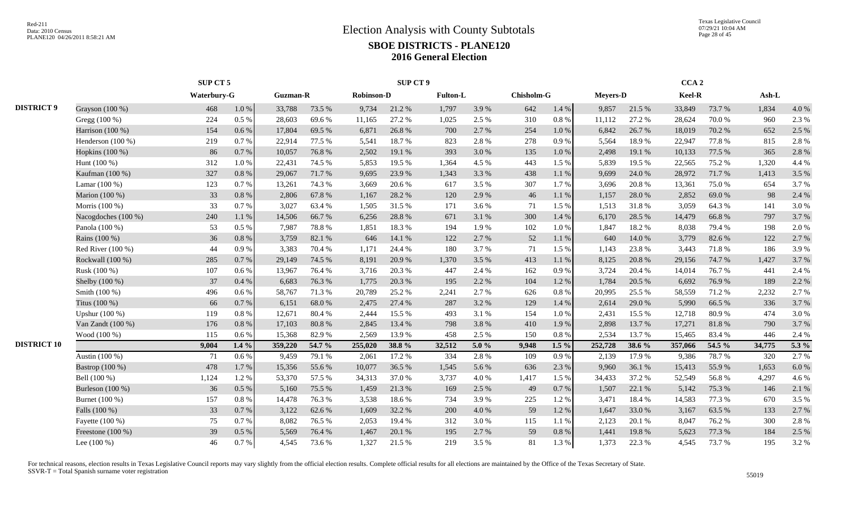|                    |                     | SUP CT 5           |           |                 |        |                   | SUP CT 9 |                 |          |                   |         |                 |           | CCA <sub>2</sub> |        |        |         |
|--------------------|---------------------|--------------------|-----------|-----------------|--------|-------------------|----------|-----------------|----------|-------------------|---------|-----------------|-----------|------------------|--------|--------|---------|
|                    |                     | <b>Waterbury-G</b> |           | <b>Guzman-R</b> |        | <b>Robinson-D</b> |          | <b>Fulton-L</b> |          | <b>Chisholm-G</b> |         | <b>Meyers-D</b> |           | Keel-R           |        | Ash-L  |         |
| <b>DISTRICT 9</b>  | Grayson (100 %)     | 468                | $1.0\ \%$ | 33,788          | 73.5 % | 9,734             | 21.2%    | 1,797           | 3.9%     | 642               | 1.4 %   | 9,857           | 21.5 %    | 33,849           | 73.7%  | 1,834  | 4.0%    |
|                    | Gregg (100 %)       | 224                | 0.5 %     | 28,603          | 69.6%  | 11,165            | 27.2 %   | 1,025           | 2.5 %    | 310               | 0.8%    | 11,112          | 27.2 %    | 28,624           | 70.0%  | 960    | 2.3 %   |
|                    | Harrison $(100\%)$  | 154                | 0.6 %     | 17,804          | 69.5 % | 6,871             | 26.8%    | 700             | 2.7 %    | 254               | 1.0%    | 6,842           | 26.7%     | 18,019           | 70.2 % | 652    | 2.5 %   |
|                    | Henderson (100 %)   | 219                | 0.7 %     | 22,914          | 77.5 % | 5,541             | 18.7%    | 823             | 2.8%     | 278               | 0.9%    | 5,564           | 18.9%     | 22,947           | 77.8%  | 815    | 2.8%    |
|                    | Hopkins $(100\%)$   | 86                 | 0.7%      | 10,057          | 76.8%  | 2,502             | 19.1 %   | 393             | 3.0%     | 135               | 1.0%    | 2,498           | 19.1 %    | 10,133           | 77.5 % | 365    | 2.8%    |
|                    | Hunt $(100\%)$      | 312                | $1.0\ \%$ | 22,431          | 74.5 % | 5,853             | 19.5 %   | 1,364           | 4.5 %    | 443               | 1.5 %   | 5,839           | 19.5 %    | 22,565           | 75.2 % | 1,320  | 4.4 %   |
|                    | Kaufman (100 %)     | 327                | 0.8%      | 29,067          | 71.7%  | 9,695             | 23.9%    | 1,343           | 3.3 %    | 438               | 1.1%    | 9,699           | 24.0 %    | 28,972           | 71.7 % | 1,413  | 3.5 %   |
|                    | Lamar (100 %)       | 123                | 0.7%      | 13,261          | 74.3 % | 3,669             | 20.6%    | 617             | 3.5 %    | 307               | 1.7%    | 3,696           | 20.8 %    | 13,361           | 75.0%  | 654    | 3.7%    |
|                    | Marion (100 %)      | 33                 | 0.8 %     | 2,806           | 67.8%  | 1,167             | 28.2 %   | 120             | 2.9%     | 46                | 1.1 %   | 1,157           | 28.0%     | 2,852            | 69.0%  | 98     | 2.4 %   |
|                    | Morris (100 %)      | 33                 | 0.7%      | 3,027           | 63.4 % | 1,505             | 31.5 %   | 171             | 3.6 %    | 71                | 1.5 %   | 1,513           | 31.8%     | 3,059            | 64.3%  | 141    | 3.0%    |
|                    | Nacogdoches (100 %) | 240                | 1.1 %     | 14,506          | 66.7%  | 6,256             | 28.8 %   | 671             | 3.1 %    | 300               | 1.4 %   | 6,170           | 28.5 %    | 14,479           | 66.8%  | 797    | 3.7 %   |
|                    | Panola (100 %)      | 53                 | 0.5 %     | 7,987           | 78.8%  | 1,851             | 18.3%    | 194             | 1.9%     | 102               | 1.0%    | 1,847           | 18.2%     | 8,038            | 79.4 % | 198    | 2.0 %   |
|                    | Rains (100 %)       | 36                 | $0.8~\%$  | 3,759           | 82.1 % | 646               | 14.1 %   | 122             | 2.7%     | 52                | 1.1 %   | 640             | 14.0 $\%$ | 3,779            | 82.6%  | 122    | 2.7 %   |
|                    | Red River $(100\%)$ | 44                 | 0.9%      | 3,383           | 70.4%  | 1.171             | 24.4 %   | 180             | 3.7%     | 71                | 1.5 %   | 1,143           | 23.8%     | 3,443            | 71.8%  | 186    | 3.9%    |
|                    | Rockwall (100 %)    | 285                | 0.7%      | 29,149          | 74.5 % | 8,191             | 20.9%    | 1,370           | 3.5 %    | 413               | 1.1 %   | 8,125           | 20.8 %    | 29,156           | 74.7 % | 1,427  | 3.7%    |
|                    | Rusk (100 %)        | 107                | 0.6 %     | 13,967          | 76.4 % | 3,716             | 20.3 %   | 447             | 2.4 %    | 162               | 0.9%    | 3,724           | 20.4 %    | 14,014           | 76.7%  | 441    | 2.4 %   |
|                    | Shelby (100 %)      | 37                 | 0.4%      | 6,683           | 76.3%  | 1,775             | 20.3%    | 195             | 2.2 %    | 104               | 1.2%    | 1,784           | 20.5 %    | 6.692            | 76.9%  | 189    | 2.2 %   |
|                    | Smith (100 %)       | 496                | 0.6 %     | 58,767          | 71.3%  | 20,789            | 25.2 %   | 2,241           | 2.7%     | 626               | 0.8%    | 20,995          | 25.5 %    | 58,559           | 71.2%  | 2,232  | 2.7 %   |
|                    | Titus (100 %)       | 66                 | 0.7 %     | 6,151           | 68.0%  | 2,475             | 27.4 %   | 287             | 3.2 %    | 129               | 1.4 %   | 2,614           | 29.0%     | 5.990            | 66.5%  | 336    | 3.7 %   |
|                    | Upshur (100 %)      | 119                | $0.8 \%$  | 12,671          | 80.4%  | 2,444             | 15.5 %   | 493             | 3.1%     | 154               | 1.0%    | 2,431           | 15.5 %    | 12,718           | 80.9%  | 474    | 3.0%    |
|                    | Van Zandt (100 %)   | 176                | 0.8 %     | 17,103          | 80.8%  | 2,845             | 13.4 %   | 798             | 3.8%     | 410               | 1.9%    | 2,898           | 13.7%     | 17,271           | 81.8%  | 790    | 3.7%    |
|                    | Wood (100 %)        | 115                | 0.6 %     | 15,368          | 82.9%  | 2,569             | 13.9%    | 458             | 2.5 %    | 150               | 0.8%    | 2,534           | 13.7%     | 15,465           | 83.4%  | 446    | 2.4 %   |
| <b>DISTRICT 10</b> |                     | 9,004              | $1.4\%$   | 359,220         | 54.7 % | 255,020           | 38.8%    | 32,512          | $5.0 \%$ | 9,948             | $1.5\%$ | 252,728         | 38.6 %    | 357,066          | 54.5 % | 34,775 | 5.3 $%$ |
|                    | Austin (100 %)      | 71                 | $0.6\%$   | 9,459           | 79.1 % | 2,061             | 17.2 %   | 334             | 2.8%     | 109               | 0.9%    | 2,139           | 17.9%     | 9,386            | 78.7%  | 320    | 2.7 %   |
|                    | Bastrop (100 %)     | 478                | 1.7%      | 15,356          | 55.6%  | 10,077            | 36.5 %   | 1,545           | 5.6%     | 636               | 2.3 %   | 9,960           | 36.1 %    | 15,413           | 55.9%  | 1,653  | 6.0 %   |
|                    | Bell (100 %)        | 1,124              | 1.2%      | 53,370          | 57.5 % | 34,313            | 37.0%    | 3,737           | 4.0%     | 1,417             | 1.5 %   | 34,433          | 37.2 %    | 52,549           | 56.8%  | 4,297  | 4.6 %   |
|                    | Burleson (100 %)    | 36                 | $0.5\ \%$ | 5,160           | 75.5 % | 1,459             | 21.3%    | 169             | 2.5 %    | 49                | 0.7%    | 1,507           | 22.1 %    | 5,142            | 75.3 % | 146    | 2.1 %   |
|                    | Burnet (100 %)      | 157                | $0.8\ \%$ | 14,478          | 76.3%  | 3,538             | 18.6%    | 734             | 3.9%     | 225               | 1.2%    | 3,471           | 18.4%     | 14,583           | 77.3 % | 670    | 3.5 %   |
|                    | Falls (100 %)       | 33                 | 0.7%      | 3,122           | 62.6 % | 1,609             | 32.2 %   | 200             | 4.0%     | 59                | 1.2%    | 1,647           | 33.0 %    | 3,167            | 63.5 % | 133    | 2.7 %   |
|                    | Fayette (100 %)     | 75                 | 0.7%      | 8,082           | 76.5 % | 2,053             | 19.4 %   | 312             | 3.0%     | 115               | 1.1 %   | 2,123           | 20.1 %    | 8,047            | 76.2 % | 300    | 2.8%    |
|                    | Freestone (100 %)   | 39                 | 0.5 %     | 5,569           | 76.4%  | 1,467             | 20.1 %   | 195             | 2.7 %    | 59                | 0.8 %   | 1,441           | 19.8%     | 5,623            | 77.3 % | 184    | 2.5 %   |
|                    | Lee $(100\%)$       | 46                 | 0.7 %     | 4,545           | 73.6%  | 1,327             | 21.5 %   | 219             | 3.5 %    | 81                | 1.3 %   | 1,373           | 22.3 %    | 4,545            | 73.7 % | 195    | 3.2%    |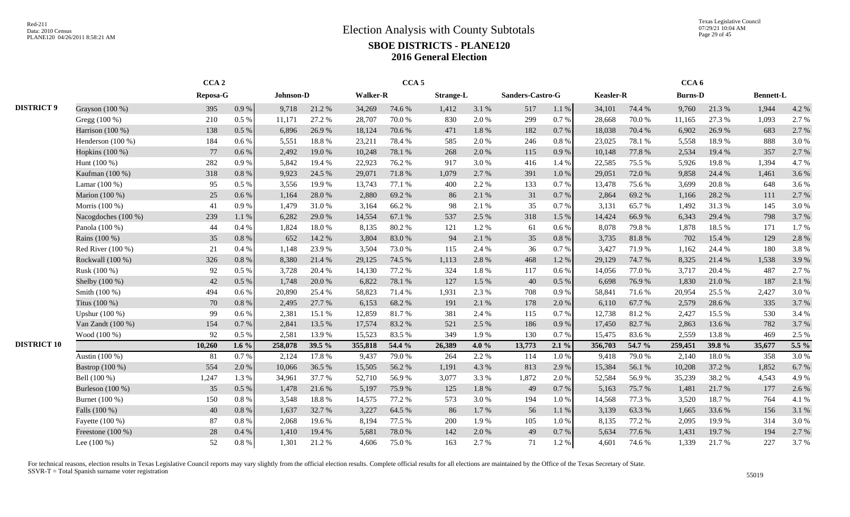Texas Legislative Council 07/29/21 10:04 AM Page 29 of 45

|                    |                     | CCA <sub>2</sub> |           |           |        |                 | CCA <sub>5</sub> |                  |         |                  |           |           |        | CCA <sub>6</sub> |        |                  |       |
|--------------------|---------------------|------------------|-----------|-----------|--------|-----------------|------------------|------------------|---------|------------------|-----------|-----------|--------|------------------|--------|------------------|-------|
|                    |                     | Reposa-G         |           | Johnson-D |        | <b>Walker-R</b> |                  | <b>Strange-L</b> |         | Sanders-Castro-G |           | Keasler-R |        | <b>Burns-D</b>   |        | <b>Bennett-L</b> |       |
| <b>DISTRICT 9</b>  | Grayson (100 %)     | 395              | 0.9 %     | 9,718     | 21.2%  | 34,269          | 74.6%            | 1,412            | 3.1 %   | 517              | 1.1%      | 34,101    | 74.4 % | 9,760            | 21.3%  | 1,944            | 4.2 % |
|                    | Gregg (100 %)       | 210              | $0.5\%$   | 11,171    | 27.2 % | 28,707          | 70.0%            | 830              | 2.0%    | 299              | 0.7%      | 28,668    | 70.0%  | 11,165           | 27.3 % | 1,093            | 2.7 % |
|                    | Harrison (100 %)    | 138              | $0.5\ \%$ | 6,896     | 26.9%  | 18,124          | 70.6%            | 471              | 1.8%    | 182              | 0.7%      | 18,038    | 70.4 % | 6,902            | 26.9%  | 683              | 2.7 % |
|                    | Henderson (100 %)   | 184              | $0.6\,\%$ | 5,551     | 18.8 % | 23,211          | 78.4%            | 585              | 2.0%    | 246              | 0.8%      | 23,025    | 78.1 % | 5,558            | 18.9%  | 888              | 3.0%  |
|                    | Hopkins (100 %)     | 77               | 0.6 %     | 2,492     | 19.0%  | 10,248          | 78.1 %           | 268              | 2.0%    | 115              | 0.9%      | 10,148    | 77.8 % | 2,534            | 19.4 % | 357              | 2.7 % |
|                    | Hunt (100 %)        | 282              | 0.9 %     | 5,842     | 19.4 % | 22,923          | 76.2%            | 917              | 3.0%    | 416              | 1.4 %     | 22,585    | 75.5 % | 5,926            | 19.8%  | 1,394            | 4.7%  |
|                    | Kaufman (100 %)     | 318              | $0.8~\%$  | 9,923     | 24.5 % | 29,071          | 71.8%            | 1,079            | 2.7 %   | 391              | 1.0%      | 29,051    | 72.0%  | 9,858            | 24.4 % | 1,461            | 3.6 % |
|                    | Lamar (100 %)       | 95               | $0.5\%$   | 3,556     | 19.9%  | 13,743          | 77.1 %           | 400              | 2.2 %   | 133              | 0.7%      | 13,478    | 75.6 % | 3.699            | 20.8%  | 648              | 3.6 % |
|                    | Marion (100 %)      | 25               | 0.6 %     | 1,164     | 28.0%  | 2,880           | 69.2%            | 86               | 2.1 %   | 31               | 0.7%      | 2,864     | 69.2%  | 1,166            | 28.2 % | 111              | 2.7 % |
|                    | Morris (100 %)      | 41               | 0.9%      | 1,479     | 31.0%  | 3,164           | 66.2%            | 98               | 2.1 %   | 35               | 0.7%      | 3,131     | 65.7%  | 1,492            | 31.3%  | 145              | 3.0%  |
|                    | Nacogdoches (100 %) | 239              | 1.1%      | 6,282     | 29.0%  | 14,554          | 67.1 %           | 537              | 2.5 %   | 318              | 1.5 %     | 14,424    | 66.9%  | 6,343            | 29.4 % | 798              | 3.7%  |
|                    | Panola (100 %)      | 44               | 0.4%      | 1,824     | 18.0%  | 8,135           | 80.2%            | 121              | 1.2%    | 61               | 0.6 %     | 8,078     | 79.8%  | 1,878            | 18.5%  | 171              | 1.7%  |
|                    | Rains (100 %)       | 35               | 0.8%      | 652       | 14.2 % | 3,804           | 83.0%            | 94               | 2.1 %   | 35               | 0.8%      | 3,735     | 81.8%  | 702              | 15.4 % | 129              | 2.8%  |
|                    | Red River $(100\%)$ | 21               | 0.4%      | 1,148     | 23.9%  | 3,504           | 73.0%            | 115              | 2.4 %   | 36               | 0.7%      | 3,427     | 71.9%  | 1,162            | 24.4 % | 180              | 3.8%  |
|                    | Rockwall (100 %)    | 326              | $0.8~\%$  | 8,380     | 21.4 % | 29,125          | 74.5 %           | 1,113            | 2.8%    | 468              | 1.2%      | 29,129    | 74.7%  | 8,325            | 21.4%  | 1,538            | 3.9%  |
|                    | Rusk (100 %)        | 92               | $0.5\%$   | 3,728     | 20.4 % | 14,130          | 77.2 %           | 324              | 1.8%    | 117              | $0.6\,\%$ | 14,056    | 77.0%  | 3,717            | 20.4 % | 487              | 2.7 % |
|                    | Shelby (100 %)      | 42               | $0.5\ \%$ | 1,748     | 20.0%  | 6,822           | 78.1 %           | 127              | 1.5 %   | 40               | 0.5 %     | 6,698     | 76.9%  | 1,830            | 21.0%  | 187              | 2.1 % |
|                    | Smith (100 %)       | 494              | 0.6 %     | 20,890    | 25.4 % | 58,823          | 71.4 %           | 1,931            | 2.3 %   | 708              | 0.9%      | 58,841    | 71.6%  | 20,954           | 25.5 % | 2,427            | 3.0%  |
|                    | Titus (100 %)       | 70               | 0.8 %     | 2,495     | 27.7 % | 6,153           | 68.2%            | 191              | 2.1 %   | 178              | 2.0%      | 6,110     | 67.7%  | 2,579            | 28.6%  | 335              | 3.7%  |
|                    | Upshur (100 %)      | 99               | 0.6 %     | 2,381     | 15.1 % | 12,859          | 81.7%            | 381              | 2.4 %   | 115              | 0.7%      | 12,738    | 81.2%  | 2,427            | 15.5 % | 530              | 3.4 % |
|                    | Van Zandt (100 %)   | 154              | $0.7\ \%$ | 2,841     | 13.5 % | 17,574          | 83.2%            | 521              | 2.5 %   | 186              | 0.9%      | 17,450    | 82.7%  | 2,863            | 13.6%  | 782              | 3.7 % |
|                    | Wood (100 %)        | 92               | $0.5\%$   | 2,581     | 13.9%  | 15,523          | 83.5 %           | 349              | 1.9%    | 130              | 0.7%      | 15,475    | 83.6%  | 2,559            | 13.8%  | 469              | 2.5 % |
| <b>DISTRICT 10</b> |                     | 10,260           | 1.6 $%$   | 258,078   | 39.5 % | 355,818         | 54.4 %           | 26,389           | 4.0 $%$ | 13,773           | 2.1%      | 356,703   | 54.7 % | 259,451          | 39.8 % | 35,677           | 5.5 % |
|                    | Austin (100 %)      | 81               | 0.7%      | 2,124     | 17.8%  | 9,437           | 79.0%            | 264              | 2.2 %   | 114              | 1.0%      | 9,418     | 79.0%  | 2,140            | 18.0%  | 358              | 3.0%  |
|                    | Bastrop (100 %)     | 554              | 2.0%      | 10,066    | 36.5 % | 15,505          | 56.2%            | 1,191            | 4.3 %   | 813              | 2.9%      | 15,384    | 56.1%  | 10,208           | 37.2 % | 1,852            | 6.7%  |
|                    | Bell (100 %)        | 1,247            | 1.3 %     | 34,961    | 37.7 % | 52,710          | 56.9%            | 3,077            | 3.3 %   | 1,872            | 2.0%      | 52,584    | 56.9%  | 35,239           | 38.2%  | 4,543            | 4.9%  |
|                    | Burleson (100 %)    | 35               | $0.5\%$   | 1,478     | 21.6 % | 5,197           | 75.9%            | 125              | 1.8%    | 49               | 0.7%      | 5,163     | 75.7%  | 1,481            | 21.7%  | 177              | 2.6 % |
|                    | Burnet (100 %)      | 150              | $0.8~\%$  | 3,548     | 18.8%  | 14,575          | 77.2 %           | 573              | 3.0%    | 194              | 1.0%      | 14,568    | 77.3 % | 3,520            | 18.7%  | 764              | 4.1 % |
|                    | Falls (100 %)       | 40               | 0.8 %     | 1,637     | 32.7 % | 3,227           | 64.5 %           | 86               | 1.7%    | 56               | 1.1%      | 3,139     | 63.3%  | 1.665            | 33.6 % | 156              | 3.1 % |
|                    | Fayette (100 %)     | 87               | $0.8 \%$  | 2,068     | 19.6%  | 8,194           | 77.5 %           | 200              | 1.9%    | 105              | 1.0%      | 8,135     | 77.2 % | 2,095            | 19.9%  | 314              | 3.0%  |
|                    | Freestone (100 %)   | 28               | $0.4~\%$  | 1,410     | 19.4 % | 5,681           | 78.0%            | 142              | 2.0%    | 49               | 0.7%      | 5,634     | 77.6 % | 1,431            | 19.7%  | 194              | 2.7 % |
|                    | Lee $(100\%)$       | 52               | $0.8~\%$  | 1,301     | 21.2%  | 4,606           | 75.0%            | 163              | 2.7 %   | 71               | 1.2%      | 4,601     | 74.6%  | 1,339            | 21.7%  | 227              | 3.7%  |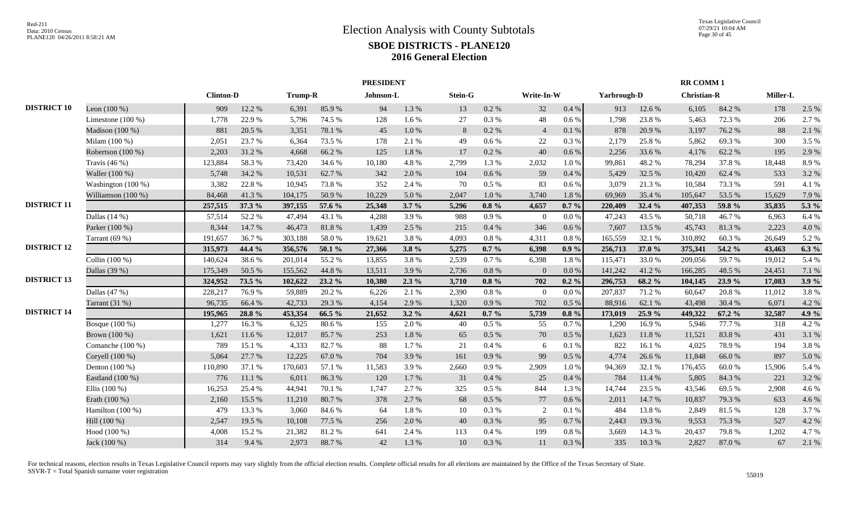|                    |                     |                  |        |         |        | <b>PRESIDENT</b> |           |         |           |                |           |             |            | <b>RR COMM1</b>    |        |          |         |
|--------------------|---------------------|------------------|--------|---------|--------|------------------|-----------|---------|-----------|----------------|-----------|-------------|------------|--------------------|--------|----------|---------|
|                    |                     | <b>Clinton-D</b> |        | Trump-R |        | Johnson-L        |           | Stein-G |           | Write-In-W     |           | Yarbrough-D |            | <b>Christian-R</b> |        | Miller-L |         |
| <b>DISTRICT 10</b> | Leon $(100\%)$      | 909              | 12.2 % | 6,391   | 85.9%  | 94               | 1.3%      | 13      | 0.2 %     | 32             | 0.4%      | 913         | 12.6 %     | 6,105              | 84.2%  | 178      | 2.5 %   |
|                    | Limestone $(100\%)$ | 1,778            | 22.9 % | 5,796   | 74.5 % | 128              | 1.6%      | 27      | 0.3%      | 48             | 0.6 %     | 1,798       | 23.8%      | 5,463              | 72.3 % | 206      | 2.7 %   |
|                    | Madison (100 %)     | 881              | 20.5 % | 3,351   | 78.1 % | 45               | $1.0\ \%$ | 8       | $0.2~\%$  | $\overline{4}$ | 0.1 %     | 878         | 20.9%      | 3,197              | 76.2 % | 88       | 2.1 %   |
|                    | Milam (100 %)       | 2,051            | 23.7%  | 6,364   | 73.5 % | 178              | 2.1%      | 49      | 0.6 %     | 22             | 0.3%      | 2,179       | 25.8%      | 5,862              | 69.3%  | 300      | 3.5 %   |
|                    | Robertson (100 %)   | 2,203            | 31.2%  | 4,668   | 66.2%  | 125              | $1.8\ \%$ | 17      | $0.2~\%$  | 40             | $0.6\,\%$ | 2,256       | 33.6 %     | 4,176              | 62.2%  | 195      | 2.9%    |
|                    | Travis $(46\%)$     | 123,884          | 58.3%  | 73,420  | 34.6 % | 10,180           | 4.8%      | 2,799   | 1.3%      | 2,032          | $1.0\ \%$ | 99,861      | 48.2%      | 78,294             | 37.8%  | 18,448   | 8.9%    |
|                    | Waller (100 %)      | 5,748            | 34.2 % | 10,531  | 62.7%  | 342              | 2.0%      | 104     | $0.6\,\%$ | 59             | 0.4%      | 5,429       | 32.5 %     | 10,420             | 62.4 % | 533      | 3.2%    |
|                    | Washington (100 %)  | 3,382            | 22.8%  | 10,945  | 73.8%  | 352              | 2.4 %     | 70      | 0.5 %     | 83             | 0.6 %     | 3,079       | 21.3%      | 10,584             | 73.3 % | 591      | 4.1 %   |
|                    | Williamson (100 %)  | 84,468           | 41.3%  | 104,175 | 50.9%  | 10,229           | 5.0%      | 2,047   | 1.0%      | 3,740          | 1.8%      | 69,969      | 35.4 %     | 105,647            | 53.5 % | 15,629   | 7.9 %   |
| <b>DISTRICT 11</b> |                     | 257,515          | 37.3 % | 397,155 | 57.6 % | 25,348           | 3.7%      | 5,296   | $0.8 \%$  | 4,657          | $0.7\%$   | 220,409     | 32.4 %     | 407,353            | 59.8%  | 35,835   | 5.3 $%$ |
|                    | Dallas $(14%)$      | 57,514           | 52.2%  | 47,494  | 43.1 % | 4,288            | 3.9%      | 988     | 0.9%      | $\overline{0}$ | 0.0 %     | 47,243      | 43.5 %     | 50,718             | 46.7%  | 6,963    | 6.4%    |
|                    | Parker (100 %)      | 8,344            | 14.7%  | 46,473  | 81.8%  | 1,439            | 2.5 %     | 215     | $0.4\ \%$ | 346            | 0.6 %     | 7,607       | 13.5 %     | 45,743             | 81.3%  | 2,223    | 4.0%    |
|                    | Tarrant (69 %)      | 191,657          | 36.7%  | 303,188 | 58.0%  | 19,621           | 3.8%      | 4,093   | $0.8\ \%$ | 4,311          | $0.8\ \%$ | 165,559     | 32.1 %     | 310,892            | 60.3%  | 26,649   | 5.2%    |
| <b>DISTRICT 12</b> |                     | 315,973          | 44.4 % | 356,576 | 50.1 % | 27,366           | 3.8%      | 5,275   | $0.7\%$   | 6,398          | $0.9\%$   | 256,713     | 37.0 %     | 375,341            | 54.2 % | 43,463   | $6.3\%$ |
|                    | Collin (100 %)      | 140,624          | 38.6%  | 201,014 | 55.2%  | 13,855           | 3.8%      | 2,539   | 0.7 %     | 6,398          | 1.8%      | 115,471     | 33.0%      | 209,056            | 59.7%  | 19,012   | 5.4 %   |
|                    | Dallas (39 %)       | 175,349          | 50.5 % | 155,562 | 44.8%  | 13,511           | 3.9%      | 2,736   | $0.8\ \%$ | $\overline{0}$ | 0.0 %     | 141,242     | 41.2%      | 166,285            | 48.5 % | 24,451   | 7.1 %   |
| <b>DISTRICT 13</b> |                     | 324,952          | 73.5 % | 102,622 | 23.2 % | 10,380           | $2.3\%$   | 3,710   | $0.8 \%$  | 702            | $0.2 \%$  | 296,753     | 68.2%      | 104,145            | 23.9%  | 17,083   | 3.9%    |
|                    | Dallas (47 %)       | 228,217          | 76.9%  | 59,889  | 20.2 % | 6,226            | 2.1%      | 2,390   | $0.8~\%$  | $\overline{0}$ | $0.0\,\%$ | 207,837     | 71.2%      | 60,647             | 20.8%  | 11,012   | 3.8%    |
|                    | Tarrant (31 %)      | 96,735           | 66.4%  | 42,733  | 29.3 % | 4,154            | 2.9%      | 1,320   | 0.9%      | 702            | $0.5\ \%$ | 88,916      | 62.1%      | 43,498             | 30.4 % | 6,071    | 4.2 %   |
| <b>DISTRICT 14</b> |                     | 195,965          | 28.8%  | 453,354 | 66.5 % | 21,652           | $3.2\%$   | 4,621   | $0.7 \%$  | 5,739          | $0.8 \%$  | 173,019     | 25.9%      | 449,322            | 67.2 % | 32,587   | 4.9%    |
|                    | Bosque (100 %)      | 1,277            | 16.3%  | 6,325   | 80.6%  | 155              | 2.0%      | 40      | 0.5 %     | 55             | 0.7%      | 1,290       | 16.9%      | 5,946              | 77.7 % | 318      | 4.2 %   |
|                    | Brown (100 %)       | 1,621            | 11.6%  | 12,017  | 85.7%  | 253              | $1.8\ \%$ | 65      | $0.5\ \%$ | 70             | 0.5 %     | 1,623       | $11.8\ \%$ | 11,521             | 83.8%  | 431      | 3.1 %   |
|                    | Comanche (100 %)    | 789              | 15.1 % | 4,333   | 82.7%  | 88               | 1.7%      | 21      | 0.4%      | -6             | $0.1\ \%$ | 822         | 16.1 %     | 4,025              | 78.9%  | 194      | 3.8%    |
|                    | Coryell (100 %)     | 5,064            | 27.7 % | 12,225  | 67.0%  | 704              | 3.9%      | 161     | $0.9\ \%$ | 99             | 0.5 %     | 4,774       | 26.6%      | 11,848             | 66.0%  | 897      | 5.0%    |
|                    | Denton $(100\%)$    | 110,890          | 37.1 % | 170,603 | 57.1 % | 11,583           | 3.9%      | 2,660   | 0.9 %     | 2,909          | $1.0%$    | 94,369      | 32.1 %     | 176,455            | 60.0%  | 15,906   | 5.4 %   |
|                    | Eastland (100 %)    | 776              | 11.1 % | 6,011   | 86.3%  | 120              | 1.7%      | 31      | $0.4\ \%$ | 25             | $0.4~\%$  | 784         | 11.4 %     | 5,805              | 84.3 % | 221      | 3.2%    |
|                    | Ellis $(100\%)$     | 16,253           | 25.4 % | 44,941  | 70.1 % | 1,747            | 2.7%      | 325     | 0.5 %     | 844            | 1.3%      | 14,744      | 23.5 %     | 43,546             | 69.5%  | 2,908    | 4.6%    |
|                    | Erath (100 %)       | 2,160            | 15.5 % | 11,210  | 80.7%  | 378              | 2.7 %     | 68      | 0.5%      | 77             | 0.6%      | 2,011       | 14.7 %     | 10,837             | 79.3%  | 633      | 4.6%    |
|                    | Hamilton (100 %)    | 479              | 13.3 % | 3,060   | 84.6%  | 64               | 1.8 %     | 10      | $0.3~\%$  | 2              | 0.1%      | 484         | 13.8 %     | 2,849              | 81.5%  | 128      | 3.7%    |
|                    | Hill (100 %)        | 2,547            | 19.5 % | 10,108  | 77.5 % | 256              | 2.0%      | 40      | $0.3~\%$  | 95             | 0.7%      | 2,443       | 19.3%      | 9,553              | 75.3 % | 527      | 4.2%    |
|                    | Hood (100 %)        | 4,008            | 15.2 % | 21,382  | 81.2%  | 641              | 2.4 %     | 113     | 0.4%      | 199            | 0.8%      | 3,669       | 14.3 %     | 20,437             | 79.8%  | 1,202    | 4.7%    |
|                    | Jack (100 %)        | 314              | 9.4%   | 2,973   | 88.7%  | 42               | 1.3%      | 10      | 0.3 %     | 11             | 0.3 %     | 335         | 10.3%      | 2,827              | 87.0%  | 67       | 2.1%    |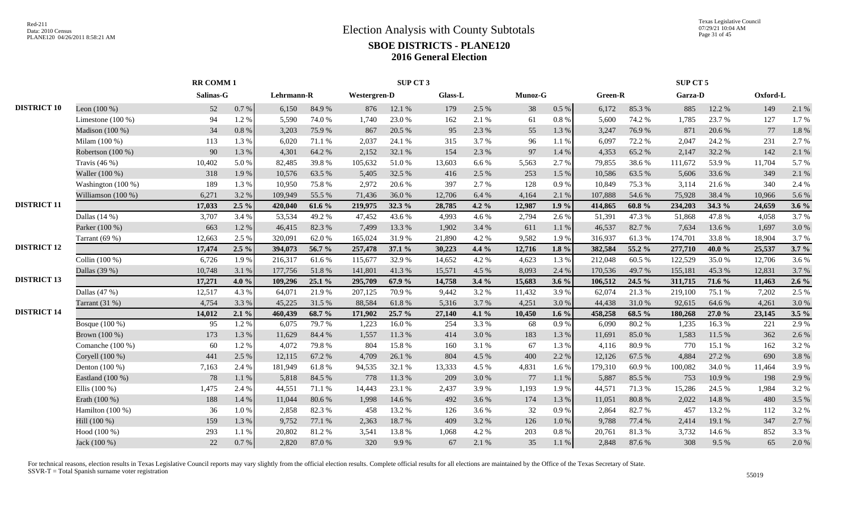|                    |                     | <b>RR COMM1</b> |          |            |        |              | SUP CT 3 |         |         |         |           |         |           | SUP CT 5 |        |          |         |
|--------------------|---------------------|-----------------|----------|------------|--------|--------------|----------|---------|---------|---------|-----------|---------|-----------|----------|--------|----------|---------|
|                    |                     | Salinas-G       |          | Lehrmann-R |        | Westergren-D |          | Glass-L |         | Munoz-G |           | Green-R |           | Garza-D  |        | Oxford-L |         |
| <b>DISTRICT 10</b> | Leon $(100\%)$      | 52              | 0.7 %    | 6,150      | 84.9%  | 876          | 12.1 %   | 179     | 2.5 %   | 38      | $0.5~\%$  | 6,172   | 85.3%     | 885      | 12.2 % | 149      | 2.1 %   |
|                    | Limestone $(100\%)$ | 94              | 1.2%     | 5,590      | 74.0%  | 1.740        | 23.0%    | 162     | 2.1 %   | 61      | 0.8 %     | 5,600   | 74.2 %    | 1.785    | 23.7 % | 127      | 1.7%    |
|                    | Madison (100 %)     | 34              | 0.8 %    | 3,203      | 75.9%  | 867          | 20.5 %   | 95      | 2.3 %   | 55      | 1.3%      | 3,247   | 76.9%     | 871      | 20.6%  | 77       | 1.8%    |
|                    | Milam (100 %)       | 113             | 1.3%     | 6,020      | 71.1 % | 2,037        | 24.1 %   | 315     | 3.7 %   | 96      | 1.1 %     | 6,097   | 72.2 %    | 2.047    | 24.2 % | 231      | 2.7%    |
|                    | Robertson (100 %)   | 90              | 1.3%     | 4,301      | 64.2%  | 2,152        | 32.1 %   | 154     | 2.3 %   | 97      | 1.4%      | 4,353   | 65.2%     | 2,147    | 32.2 % | 142      | 2.1%    |
|                    | Travis $(46\%)$     | 10,402          | 5.0%     | 82,485     | 39.8%  | 105,632      | 51.0%    | 13,603  | 6.6%    | 5,563   | 2.7%      | 79,855  | 38.6%     | 111,672  | 53.9%  | 11,704   | 5.7%    |
|                    | Waller (100 %)      | 318             | 1.9%     | 10,576     | 63.5%  | 5,405        | 32.5 %   | 416     | 2.5 %   | 253     | 1.5 %     | 10,586  | 63.5 %    | 5,606    | 33.6%  | 349      | 2.1%    |
|                    | Washington (100 %)  | 189             | 1.3%     | 10,950     | 75.8%  | 2,972        | 20.6 %   | 397     | 2.7%    | 128     | 0.9%      | 10,849  | 75.3 %    | 3,114    | 21.6 % | 340      | 2.4 %   |
|                    | Williamson (100 %)  | 6,271           | 3.2%     | 109.949    | 55.5 % | 71,436       | 36.0%    | 12,706  | 6.4%    | 4,164   | 2.1%      | 107,888 | 54.6 %    | 75,928   | 38.4%  | 10,966   | 5.6%    |
| <b>DISTRICT 11</b> |                     | 17,033          | $2.5\%$  | 420,040    | 61.6 % | 219,975      | 32.3 %   | 28,785  | 4.2 %   | 12,987  | 1.9%      | 414,865 | $60.8 \%$ | 234,203  | 34.3 % | 24,659   | $3.6\%$ |
|                    | Dallas $(14%)$      | 3,707           | 3.4 %    | 53,534     | 49.2%  | 47,452       | 43.6%    | 4,993   | 4.6 %   | 2,794   | 2.6%      | 51,391  | 47.3 %    | 51,868   | 47.8%  | 4,058    | 3.7%    |
|                    | Parker (100 %)      | 663             | 1.2%     | 46,415     | 82.3%  | 7,499        | 13.3 %   | 1,902   | 3.4 %   | 611     | $1.1~\%$  | 46,537  | 82.7%     | 7,634    | 13.6%  | 1,697    | 3.0%    |
|                    | Tarrant $(69%$      | 12,663          | 2.5 %    | 320,091    | 62.0%  | 165,024      | 31.9%    | 21,890  | 4.2 %   | 9,582   | 1.9%      | 316,937 | 61.3%     | 174,701  | 33.8%  | 18,904   | 3.7%    |
| <b>DISTRICT 12</b> |                     | 17,474          | $2.5\%$  | 394,073    | 56.7 % | 257,478      | 37.1 %   | 30,223  | 4.4 %   | 12,716  | $1.8\%$   | 382,584 | 55.2 %    | 277,710  | 40.0%  | 25,537   | 3.7%    |
|                    | Collin (100 %)      | 6,726           | 1.9%     | 216,317    | 61.6%  | 115,677      | 32.9 %   | 14,652  | 4.2 %   | 4,623   | 1.3%      | 212,048 | 60.5%     | 122,529  | 35.0%  | 12,706   | 3.6%    |
|                    | Dallas (39 %)       | 10,748          | 3.1 %    | 177,756    | 51.8%  | 141,801      | 41.3%    | 15,571  | 4.5 %   | 8,093   | 2.4 %     | 170,536 | 49.7%     | 155,181  | 45.3%  | 12,831   | 3.7%    |
| <b>DISTRICT 13</b> |                     | 17,271          | 4.0 $%$  | 109,296    | 25.1 % | 295,709      | 67.9%    | 14,758  | 3.4%    | 15,683  | $3.6\%$   | 106,512 | 24.5 %    | 311,715  | 71.6 % | 11,463   | $2.6\%$ |
|                    | Dallas $(47%)$      | 12,517          | 4.3 %    | 64,071     | 21.9%  | 207,125      | 70.9%    | 9,442   | 3.2 %   | 11,432  | 3.9%      | 62,074  | 21.3%     | 219,100  | 75.1 % | 7,202    | 2.5 %   |
|                    | Tarrant (31 %)      | 4,754           | 3.3 %    | 45,225     | 31.5 % | 88,584       | 61.8%    | 5,316   | 3.7%    | 4,251   | 3.0%      | 44,438  | 31.0%     | 92,615   | 64.6%  | 4,261    | 3.0%    |
| <b>DISTRICT 14</b> |                     | 14,012          | 2.1%     | 460,439    | 68.7 % | 171,902      | 25.7 %   | 27,140  | 4.1 $%$ | 10,450  | 1.6 $%$   | 458,258 | 68.5 %    | 180,268  | 27.0 % | 23,145   | $3.5\%$ |
|                    | Bosque (100 %)      | 95              | 1.2%     | 6,075      | 79.7%  | 1,223        | 16.0%    | 254     | 3.3 %   | 68      | 0.9%      | 6,090   | 80.2%     | 1,235    | 16.3%  | 221      | 2.9%    |
|                    | Brown (100 %)       | 173             | 1.3%     | 11,629     | 84.4 % | 1,557        | 11.3 %   | 414     | 3.0%    | 183     | 1.3%      | 11,691  | 85.0%     | 1,583    | 11.5 % | 362      | 2.6%    |
|                    | Comanche (100 %)    | 60              | 1.2%     | 4,072      | 79.8%  | 804          | 15.8%    | 160     | 3.1 %   | 67      | 1.3%      | 4,116   | 80.9%     | 770      | 15.1 % | 162      | 3.2 %   |
|                    | Coryell (100 %)     | 441             | 2.5 %    | 12,115     | 67.2 % | 4,709        | 26.1 %   | 804     | 4.5 %   | 400     | 2.2 %     | 12,126  | 67.5 %    | 4,884    | 27.2 % | 690      | 3.8%    |
|                    | Denton (100 %)      | 7,163           | 2.4 %    | 181,949    | 61.8%  | 94,535       | 32.1 %   | 13,333  | 4.5 %   | 4,831   | 1.6%      | 179,310 | 60.9%     | 100,082  | 34.0%  | 11,464   | 3.9%    |
|                    | Eastland (100 %)    | 78              | 1.1%     | 5,818      | 84.5 % | 778          | 11.3 %   | 209     | 3.0%    | 77      | $1.1~\%$  | 5,887   | 85.5%     | 753      | 10.9%  | 198      | 2.9%    |
|                    | Ellis $(100\%)$     | 1,475           | 2.4 %    | 44,551     | 71.1 % | 14,443       | 23.1 %   | 2,437   | 3.9%    | 1,193   | 1.9%      | 44,571  | 71.3%     | 15,286   | 24.5 % | 1,984    | 3.2%    |
|                    | Erath (100 %)       | 188             | 1.4 %    | 11,044     | 80.6%  | 1,998        | 14.6 %   | 492     | 3.6%    | 174     | 1.3 %     | 11,051  | 80.8%     | 2,022    | 14.8 % | 480      | 3.5 %   |
|                    | Hamilton $(100\%)$  | 36              | 1.0%     | 2,858      | 82.3%  | 458          | 13.2 %   | 126     | 3.6 %   | 32      | 0.9%      | 2,864   | 82.7%     | 457      | 13.2 % | 112      | 3.2%    |
|                    | Hill (100 %)        | 159             | 1.3%     | 9,752      | 77.1 % | 2,363        | 18.7%    | 409     | 3.2 %   | 126     | 1.0%      | 9,788   | 77.4 %    | 2,414    | 19.1 % | 347      | 2.7%    |
|                    | Hood (100 %)        | 293             | 1.1 %    | 20,802     | 81.2%  | 3,541        | 13.8%    | 1,068   | 4.2%    | 203     | $0.8\ \%$ | 20,761  | 81.3%     | 3,732    | 14.6 % | 852      | 3.3 %   |
|                    | Jack (100 %)        | 22              | $0.7~\%$ | 2,820      | 87.0%  | 320          | 9.9%     | 67      | 2.1 %   | 35      | 1.1 %     | 2,848   | 87.6%     | 308      | 9.5 %  | 65       | 2.0%    |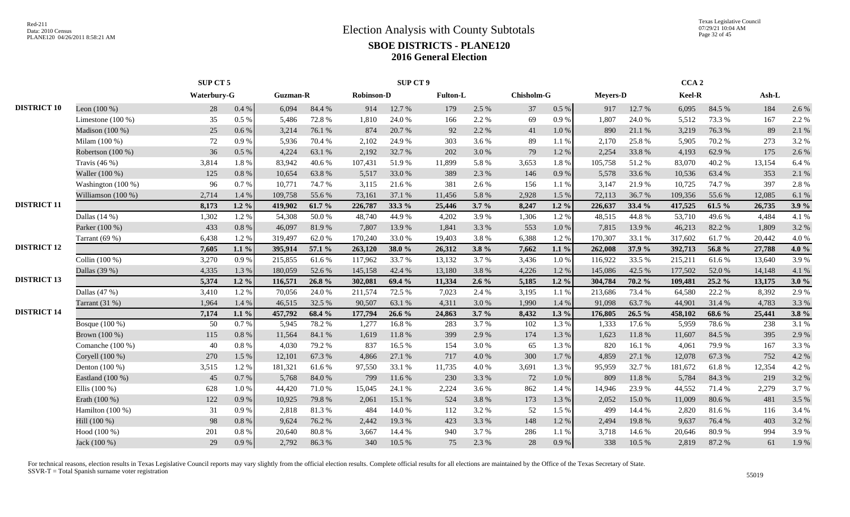|                    |                      | SUP CT 5    |          |                 |        |                   | <b>SUP CT 9</b> |                 |         |            |           |                 |        | CCA <sub>2</sub> |        |        |         |
|--------------------|----------------------|-------------|----------|-----------------|--------|-------------------|-----------------|-----------------|---------|------------|-----------|-----------------|--------|------------------|--------|--------|---------|
|                    |                      | Waterbury-G |          | <b>Guzman-R</b> |        | <b>Robinson-D</b> |                 | <b>Fulton-L</b> |         | Chisholm-G |           | <b>Meyers-D</b> |        | Keel-R           |        | Ash-L  |         |
| <b>DISTRICT 10</b> | Leon $(100\%)$       | 28          | 0.4 %    | 6,094           | 84.4 % | 914               | 12.7 %          | 179             | 2.5 %   | 37         | 0.5 %     | 917             | 12.7 % | 6,095            | 84.5 % | 184    | 2.6 %   |
|                    | Limestone $(100\%)$  | 35          | 0.5 %    | 5,486           | 72.8%  | 1,810             | 24.0%           | 166             | 2.2 %   | 69         | 0.9%      | 1,807           | 24.0%  | 5,512            | 73.3 % | 167    | 2.2 %   |
|                    | Madison (100 %)      | 25          | 0.6 %    | 3,214           | 76.1 % | 874               | 20.7%           | 92              | 2.2 %   | 41         | $1.0\ \%$ | 890             | 21.1%  | 3,219            | 76.3%  | 89     | 2.1 %   |
|                    | Milam (100 %)        | 72          | 0.9%     | 5,936           | 70.4%  | 2,102             | 24.9%           | 303             | 3.6 %   | 89         | $1.1~\%$  | 2,170           | 25.8%  | 5,905            | 70.2%  | 273    | 3.2 %   |
|                    | Robertson (100 %)    | 36          | $0.5\%$  | 4,224           | 63.1 % | 2,192             | 32.7%           | 202             | 3.0%    | 79         | 1.2%      | 2,254           | 33.8%  | 4,193            | 62.9%  | 175    | 2.6 %   |
|                    | Travis $(46\%)$      | 3,814       | 1.8%     | 83,942          | 40.6%  | 107,431           | 51.9%           | 11,899          | 5.8%    | 3,653      | 1.8%      | 105,758         | 51.2%  | 83,070           | 40.2%  | 13,154 | 6.4 %   |
|                    | Waller (100 %)       | 125         | 0.8%     | 10,654          | 63.8%  | 5,517             | 33.0%           | 389             | 2.3 %   | 146        | 0.9%      | 5,578           | 33.6%  | 10,536           | 63.4 % | 353    | 2.1 %   |
|                    | Washington (100 %)   | 96          | 0.7%     | 10,771          | 74.7%  | 3,115             | 21.6 %          | 381             | 2.6 %   | 156        | 1.1 %     | 3,147           | 21.9%  | 10,725           | 74.7 % | 397    | 2.8%    |
|                    | Williamson $(100\%)$ | 2,714       | 1.4 %    | 109,758         | 55.6 % | 73,161            | 37.1 %          | 11,456          | 5.8 %   | 2,928      | 1.5 %     | 72,113          | 36.7%  | 109,356          | 55.6%  | 12,085 | 6.1 %   |
| <b>DISTRICT 11</b> |                      | 8,173       | $1.2\%$  | 419,902         | 61.7 % | 226,787           | 33.3 %          | 25,446          | 3.7%    | 8,247      | $1.2\%$   | 226,637         | 33.4 % | 417,525          | 61.5 % | 26,735 | 3.9%    |
|                    | Dallas $(14%)$       | 1,302       | 1.2%     | 54,308          | 50.0%  | 48,740            | 44.9%           | 4,202           | 3.9%    | 1,306      | 1.2%      | 48,515          | 44.8%  | 53,710           | 49.6%  | 4,484  | 4.1 %   |
|                    | Parker (100 %)       | 433         | 0.8%     | 46,097          | 81.9%  | 7,807             | 13.9%           | 1,841           | 3.3 %   | 553        | 1.0%      | 7,815           | 13.9%  | 46,213           | 82.2 % | 1,809  | 3.2 %   |
|                    | Tarrant $(69%$       | 6,438       | 1.2%     | 319,497         | 62.0%  | 170,240           | 33.0 %          | 19,403          | 3.8%    | 6,388      | 1.2%      | 170,307         | 33.1 % | 317,602          | 61.7%  | 20,442 | 4.0%    |
| <b>DISTRICT 12</b> |                      | 7,605       | $1.1\%$  | 395,914         | 57.1 % | 263,120           | 38.0%           | 26,312          | 3.8%    | 7,662      | $1.1\%$   | 262,008         | 37.9 % | 392,713          | 56.8%  | 27,788 | 4.0 %   |
|                    | Collin (100 %)       | 3,270       | 0.9%     | 215,855         | 61.6%  | 117,962           | 33.7%           | 13,132          | 3.7 %   | 3,436      | $1.0\ \%$ | 116,922         | 33.5 % | 215,211          | 61.6%  | 13,640 | 3.9%    |
|                    | Dallas (39 %)        | 4,335       | 1.3%     | 180,059         | 52.6 % | 145,158           | 42.4 %          | 13,180          | 3.8%    | 4,226      | 1.2%      | 145,086         | 42.5 % | 177,502          | 52.0%  | 14,148 | 4.1 %   |
| <b>DISTRICT 13</b> |                      | 5,374       | $1.2\%$  | 116,571         | 26.8%  | 302,081           | 69.4 %          | 11,334          | $2.6\%$ | 5,185      | $1.2\%$   | 304,784         | 70.2 % | 109,481          | 25.2 % | 13,175 | 3.0%    |
|                    | Dallas $(47%)$       | 3,410       | 1.2%     | 70,056          | 24.0 % | 211,574           | 72.5 %          | 7,023           | 2.4 %   | 3,195      | 1.1 %     | 213,686         | 73.4 % | 64,580           | 22.2 % | 8,392  | 2.9 %   |
|                    | Tarrant (31 %)       | 1,964       | 1.4 %    | 46,515          | 32.5 % | 90,507            | 63.1 %          | 4,311           | 3.0%    | 1,990      | 1.4 %     | 91,098          | 63.7%  | 44,901           | 31.4%  | 4,783  | 3.3 %   |
| <b>DISTRICT 14</b> |                      | 7,174       | $1.1\%$  | 457,792         | 68.4 % | 177,794           | 26.6 %          | 24,863          | 3.7%    | 8,432      | $1.3\%$   | 176,805         | 26.5 % | 458,102          | 68.6 % | 25,441 | $3.8\%$ |
|                    | Bosque (100 %)       | 50          | 0.7%     | 5,945           | 78.2%  | 1,277             | 16.8%           | 283             | 3.7 %   | 102        | 1.3%      | 1,333           | 17.6 % | 5,959            | 78.6%  | 238    | 3.1 %   |
|                    | Brown (100 %)        | 115         | 0.8%     | 11,564          | 84.1 % | 1,619             | 11.8%           | 399             | 2.9 %   | 174        | 1.3%      | 1,623           | 11.8%  | 11,607           | 84.5 % | 395    | 2.9 %   |
|                    | Comanche $(100\%)$   | 40          | 0.8%     | 4,030           | 79.2 % | 837               | 16.5 %          | 154             | 3.0%    | 65         | 1.3%      | 820             | 16.1 % | 4,061            | 79.9%  | 167    | 3.3 %   |
|                    | Coryell (100 %)      | 270         | 1.5 %    | 12,101          | 67.3%  | 4,866             | 27.1 %          | 717             | 4.0%    | 300        | 1.7%      | 4,859           | 27.1 % | 12,078           | 67.3%  | 752    | 4.2 %   |
|                    | Denton $(100\%)$     | 3,515       | 1.2%     | 181,321         | 61.6%  | 97,550            | 33.1 %          | 11,735          | 4.0%    | 3,691      | 1.3%      | 95,959          | 32.7 % | 181,672          | 61.8%  | 12,354 | 4.2 %   |
|                    | Eastland (100 %)     | 45          | 0.7%     | 5,768           | 84.0%  | 799               | 11.6 %          | 230             | 3.3 %   | 72         | 1.0%      | 809             | 11.8%  | 5,784            | 84.3 % | 219    | 3.2 %   |
|                    | Ellis $(100\%)$      | 628         | 1.0%     | 44,420          | 71.0%  | 15,045            | 24.1 %          | 2,224           | 3.6 %   | 862        | 1.4 %     | 14,946          | 23.9%  | 44,552           | 71.4 % | 2,279  | 3.7%    |
|                    | Erath (100 %)        | 122         | 0.9%     | 10,925          | 79.8%  | 2,061             | 15.1 %          | 524             | 3.8%    | 173        | 1.3 %     | 2,052           | 15.0%  | 11,009           | 80.6%  | 481    | 3.5 %   |
|                    | Hamilton $(100\%)$   | 31          | 0.9%     | 2,818           | 81.3%  | 484               | 14.0%           | 112             | 3.2 %   | 52         | 1.5 %     | 499             | 14.4 % | 2.820            | 81.6%  | 116    | 3.4 %   |
|                    | Hill (100 %)         | 98          | 0.8%     | 9,624           | 76.2%  | 2,442             | 19.3%           | 423             | 3.3 %   | 148        | 1.2%      | 2,494           | 19.8%  | 9,637            | 76.4%  | 403    | 3.2 %   |
|                    | Hood (100 %)         | 201         | $0.8~\%$ | 20,640          | 80.8%  | 3,667             | 14.4 %          | 940             | 3.7%    | 286        | $1.1~\%$  | 3,718           | 14.6 % | 20,646           | 80.9%  | 994    | 3.9%    |
|                    | Jack (100 %)         | 29          | 0.9%     | 2,792           | 86.3%  | 340               | 10.5 %          | 75              | 2.3 %   | 28         | 0.9%      | 338             | 10.5 % | 2,819            | 87.2 % | 61     | 1.9%    |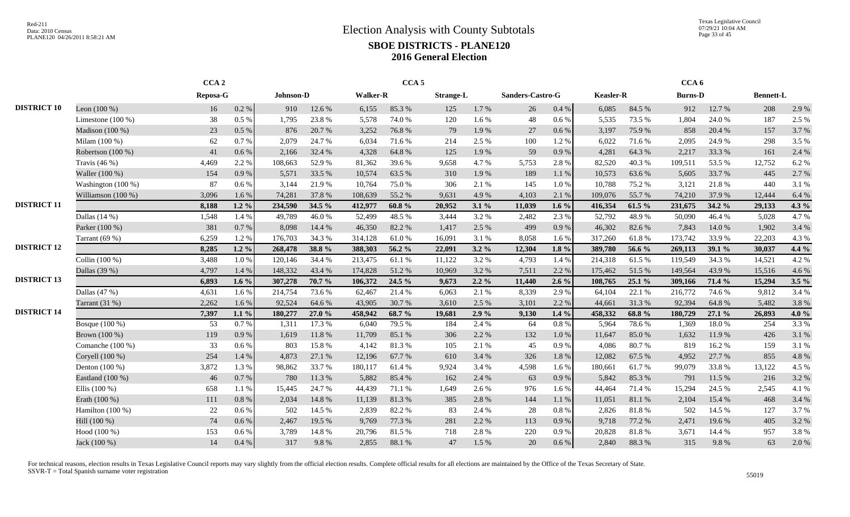Texas Legislative Council 07/29/21 10:04 AM Page 33 of 45

|                    |                     | CCA <sub>2</sub> |           |           |        |                 | CCA <sub>5</sub> |                  |         |                  |           |                  |        | CCA <sub>6</sub> |        |                  |          |
|--------------------|---------------------|------------------|-----------|-----------|--------|-----------------|------------------|------------------|---------|------------------|-----------|------------------|--------|------------------|--------|------------------|----------|
|                    |                     | Reposa-G         |           | Johnson-D |        | <b>Walker-R</b> |                  | <b>Strange-L</b> |         | Sanders-Castro-G |           | <b>Keasler-R</b> |        | <b>Burns-D</b>   |        | <b>Bennett-L</b> |          |
| <b>DISTRICT 10</b> | Leon $(100\%)$      | 16               | $0.2~\%$  | 910       | 12.6 % | 6,155           | 85.3%            | 125              | 1.7%    | 26               | 0.4 %     | 6,085            | 84.5 % | 912              | 12.7 % | 208              | 2.9 %    |
|                    | Limestone $(100\%)$ | 38               | $0.5\%$   | 1,795     | 23.8%  | 5,578           | 74.0%            | 120              | 1.6%    | 48               | 0.6 %     | 5,535            | 73.5 % | 1.804            | 24.0 % | 187              | 2.5 %    |
|                    | Madison (100 %)     | 23               | $0.5\%$   | 876       | 20.7 % | 3,252           | 76.8%            | 79               | 1.9%    | 27               | 0.6 %     | 3,197            | 75.9%  | 858              | 20.4 % | 157              | 3.7%     |
|                    | Milam (100 %)       | 62               | 0.7%      | 2,079     | 24.7 % | 6,034           | 71.6 %           | 214              | 2.5 %   | 100              | 1.2%      | 6,022            | 71.6%  | 2,095            | 24.9%  | 298              | 3.5 %    |
|                    | Robertson (100 %)   | 41               | 0.6%      | 2,166     | 32.4 % | 4,328           | 64.8%            | 125              | 1.9%    | 59               | 0.9%      | 4,281            | 64.3%  | 2,217            | 33.3 % | 161              | 2.4 %    |
|                    | Travis $(46%)$      | 4,469            | 2.2 %     | 108,663   | 52.9%  | 81,362          | 39.6%            | 9,658            | 4.7%    | 5,753            | 2.8%      | 82,520           | 40.3%  | 109,511          | 53.5%  | 12,752           | 6.2%     |
|                    | Waller (100 %)      | 154              | 0.9%      | 5,571     | 33.5 % | 10,574          | 63.5%            | 310              | 1.9%    | 189              | 1.1%      | 10,573           | 63.6%  | 5,605            | 33.7%  | 445              | 2.7 %    |
|                    | Washington (100 %)  | 87               | $0.6\%$   | 3,144     | 21.9%  | 10,764          | 75.0%            | 306              | 2.1 %   | 145              | 1.0%      | 10,788           | 75.2%  | 3,121            | 21.8%  | 440              | 3.1 %    |
|                    | Williamson (100 %)  | 3,096            | 1.6%      | 74,281    | 37.8%  | 108,639         | 55.2%            | 9,631            | 4.9%    | 4,103            | 2.1%      | 109,076          | 55.7%  | 74,210           | 37.9%  | 12,444           | 6.4 %    |
| <b>DISTRICT 11</b> |                     | 8,188            | $1.2\%$   | 234,590   | 34.5 % | 412,977         | $60.8 \%$        | 20,952           | 3.1%    | 11,039           | 1.6 $%$   | 416,354          | 61.5 % | 231,675          | 34.2 % | 29,133           | 4.3 %    |
|                    | Dallas $(14%)$      | 1,548            | 1.4 %     | 49,789    | 46.0%  | 52,499          | 48.5%            | 3,444            | 3.2%    | 2,482            | 2.3 %     | 52,792           | 48.9%  | 50,090           | 46.4%  | 5,028            | 4.7%     |
|                    | Parker (100 %)      | 381              | 0.7%      | 8,098     | 14.4 % | 46,350          | 82.2%            | 1,417            | 2.5 %   | 499              | 0.9%      | 46,302           | 82.6%  | 7,843            | 14.0 % | 1,902            | 3.4 %    |
|                    | Tarrant (69 %)      | 6,259            | 1.2%      | 176,703   | 34.3 % | 314,128         | 61.0%            | 16,091           | 3.1 %   | 8,058            | 1.6%      | 317,260          | 61.8%  | 173,742          | 33.9%  | 22,203           | 4.3 %    |
| <b>DISTRICT 12</b> |                     | 8,285            | $1.2 \%$  | 268,478   | 38.8%  | 388,303         | 56.2 %           | 22,091           | $3.2\%$ | 12,304           | $1.8 \%$  | 389,780          | 56.6 % | 269,113          | 39.1 % | 30,037           | 4.4 %    |
|                    | Collin (100 %)      | 3,488            | 1.0%      | 120,146   | 34.4 % | 213,475         | 61.1%            | 11,122           | 3.2 %   | 4,793            | 1.4 %     | 214,318          | 61.5%  | 119,549          | 34.3 % | 14,521           | 4.2 %    |
|                    | Dallas (39 %)       | 4,797            | 1.4 %     | 148,332   | 43.4 % | 174,828         | 51.2%            | 10,969           | 3.2 %   | 7,511            | 2.2 %     | 175,462          | 51.5%  | 149,564          | 43.9%  | 15,516           | 4.6 %    |
| <b>DISTRICT 13</b> |                     | 6,893            | $1.6\%$   | 307,278   | 70.7 % | 106.372         | 24.5 %           | 9.673            | $2.2\%$ | 11,440           | $2.6\%$   | 108,765          | 25.1%  | 309,166          | 71.4 % | 15,294           | $3.5 \%$ |
|                    | Dallas (47 %)       | 4,631            | 1.6%      | 214,754   | 73.6 % | 62,467          | 21.4 %           | 6,063            | 2.1 %   | 8,339            | 2.9 %     | 64.104           | 22.1 % | 216,772          | 74.6 % | 9,812            | 3.4 %    |
|                    | Tarrant (31 %)      | 2,262            | 1.6 %     | 92,524    | 64.6%  | 43,905          | 30.7%            | 3,610            | 2.5 %   | 3,101            | 2.2 %     | 44,661           | 31.3%  | 92,394           | 64.8%  | 5,482            | 3.8%     |
| <b>DISTRICT 14</b> |                     | 7,397            | $1.1\%$   | 180,277   | 27.0 % | 458,942         | 68.7 %           | 19,681           | 2.9%    | 9,130            | $1.4\%$   | 458,332          | 68.8%  | 180,729          | 27.1 % | 26,893           | 4.0 %    |
|                    | Bosque (100 %)      | 53               | 0.7%      | 1,311     | 17.3 % | 6,040           | 79.5 %           | 184              | 2.4 %   | 64               | 0.8 %     | 5,964            | 78.6%  | 1,369            | 18.0%  | 254              | 3.3 %    |
|                    | Brown (100 %)       | 119              | 0.9%      | 1,619     | 11.8%  | 11,709          | 85.1 %           | 306              | 2.2 %   | 132              | 1.0%      | 11,647           | 85.0%  | 1,632            | 11.9%  | 426              | 3.1 %    |
|                    | Comanche $(100\%)$  | 33               | $0.6\%$   | 803       | 15.8%  | 4,142           | 81.3%            | 105              | 2.1 %   | 45               | 0.9%      | 4,086            | 80.7%  | 819              | 16.2%  | 159              | 3.1 %    |
|                    | Coryell (100 %)     | 254              | 1.4 %     | 4,873     | 27.1 % | 12,196          | 67.7 %           | 610              | 3.4 %   | 326              | $1.8\ \%$ | 12,082           | 67.5 % | 4,952            | 27.7 % | 855              | 4.8 %    |
|                    | Denton $(100\%)$    | 3,872            | 1.3%      | 98,862    | 33.7%  | 180,117         | 61.4%            | 9,924            | 3.4 %   | 4,598            | 1.6 %     | 180,661          | 61.7%  | 99,079           | 33.8%  | 13,122           | 4.5 %    |
|                    | Eastland (100 %)    | 46               | 0.7%      | 780       | 11.3 % | 5,882           | 85.4 %           | 162              | 2.4 %   | 63               | 0.9%      | 5,842            | 85.3%  | 791              | 11.5 % | 216              | 3.2 %    |
|                    | Ellis $(100\%)$     | 658              | 1.1 %     | 15,445    | 24.7 % | 44,439          | 71.1 %           | 1,649            | 2.6 %   | 976              | 1.6 %     | 44,464           | 71.4 % | 15,294           | 24.5 % | 2,545            | 4.1 %    |
|                    | Erath (100 %)       | 111              | 0.8%      | 2,034     | 14.8%  | 11,139          | 81.3%            | 385              | 2.8%    | 144              | 1.1%      | 11,051           | 81.1%  | 2,104            | 15.4 % | 468              | 3.4 %    |
|                    | Hamilton $(100\%)$  | 22               | $0.6\%$   | 502       | 14.5 % | 2,839           | 82.2%            | 83               | 2.4 %   | 28               | 0.8 %     | 2,826            | 81.8%  | 502              | 14.5 % | 127              | 3.7%     |
|                    | Hill (100 %)        | 74               | $0.6\%$   | 2,467     | 19.5 % | 9,769           | 77.3 %           | 281              | 2.2 %   | 113              | 0.9%      | 9,718            | 77.2 % | 2,471            | 19.6%  | 405              | 3.2 %    |
|                    | Hood (100 %)        | 153              | $0.6\,\%$ | 3,789     | 14.8 % | 20,796          | 81.5%            | 718              | 2.8%    | 220              | 0.9%      | 20,828           | 81.8%  | 3,671            | 14.4 % | 957              | 3.8%     |
|                    | Jack (100 %)        | 14               | 0.4%      | 317       | 9.8%   | 2,855           | 88.1%            | 47               | 1.5 %   | 20               | 0.6 %     | 2,840            | 88.3%  | 315              | 9.8%   | 63               | 2.0%     |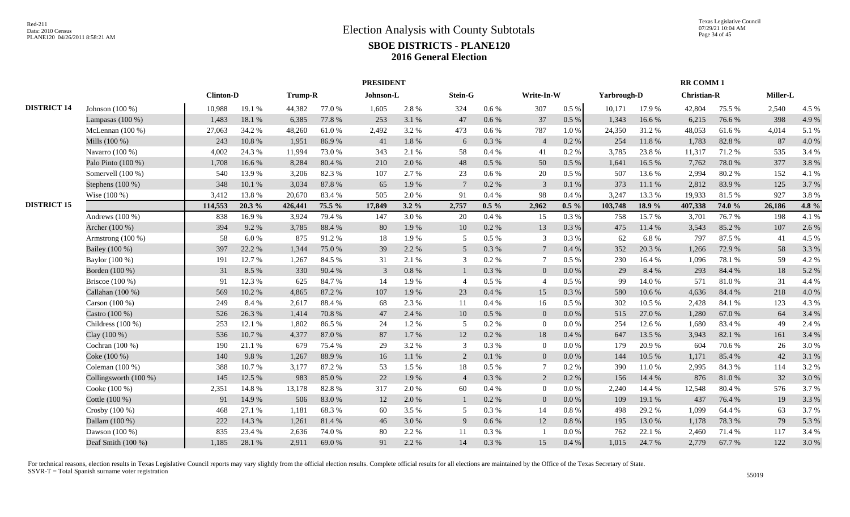|                    |                       |                  |        |         |        | <b>PRESIDENT</b> |           |                 |           |                 |         |             |        | <b>RR COMM1</b>    |        |          |       |
|--------------------|-----------------------|------------------|--------|---------|--------|------------------|-----------|-----------------|-----------|-----------------|---------|-------------|--------|--------------------|--------|----------|-------|
|                    |                       | <b>Clinton-D</b> |        | Trump-R |        | Johnson-L        |           | Stein-G         |           | Write-In-W      |         | Yarbrough-D |        | <b>Christian-R</b> |        | Miller-L |       |
| <b>DISTRICT 14</b> | Johnson $(100\%)$     | 10.988           | 19.1%  | 44,382  | 77.0 % | 1.605            | 2.8%      | 324             | $0.6\%$   | 307             | $0.5\%$ | 10,171      | 17.9%  | 42,804             | 75.5 % | 2,540    | 4.5 % |
|                    | Lampasas $(100\%)$    | 1,483            | 18.1%  | 6,385   | 77.8 % | 253              | 3.1 %     | 47              | 0.6 %     | 37              | $0.5\%$ | 1,343       | 16.6%  | 6,215              | 76.6%  | 398      | 4.9%  |
|                    | McLennan $(100\%)$    | 27,063           | 34.2 % | 48,260  | 61.0%  | 2,492            | 3.2 %     | 473             | $0.6\%$   | 787             | 1.0%    | 24,350      | 31.2%  | 48,053             | 61.6%  | 4,014    | 5.1 % |
|                    | Mills (100 %)         | 243              | 10.8%  | 1,951   | 86.9%  | 41               | $1.8\ \%$ | 6               | 0.3%      | $\overline{4}$  | 0.2 %   | 254         | 11.8 % | 1,783              | 82.8%  | 87       | 4.0%  |
|                    | Navarro (100 %)       | 4,002            | 24.3 % | 11,994  | 73.0 % | 343              | 2.1 %     | 58              | 0.4 %     | 41              | 0.2%    | 3,785       | 23.8%  | 11,317             | 71.2%  | 535      | 3.4 % |
|                    | Palo Pinto (100 %)    | 1,708            | 16.6%  | 8,284   | 80.4%  | 210              | 2.0%      | 48              | 0.5%      | 50              | $0.5\%$ | 1,641       | 16.5 % | 7,762              | 78.0%  | 377      | 3.8%  |
|                    | Somervell (100 %)     | 540              | 13.9%  | 3,206   | 82.3%  | 107              | 2.7 %     | 23              | $0.6\%$   | 20              | $0.5\%$ | 507         | 13.6 % | 2,994              | 80.2%  | 152      | 4.1 % |
|                    | Stephens $(100\%)$    | 348              | 10.1%  | 3,034   | 87.8%  | 65               | 1.9%      | $7\phantom{.0}$ | 0.2 %     | $\overline{3}$  | 0.1%    | 373         | 11.1 % | 2,812              | 83.9%  | 125      | 3.7%  |
|                    | Wise $(100\%)$        | 3,412            | 13.8%  | 20,670  | 83.4 % | 505              | 2.0 %     | 91              | 0.4 %     | 98              | 0.4%    | 3,247       | 13.3 % | 19,933             | 81.5 % | 927      | 3.8%  |
| <b>DISTRICT 15</b> |                       | 114,553          | 20.3%  | 426,441 | 75.5 % | 17,849           | $3.2\%$   | 2,757           | $0.5\%$   | 2,962           | $0.5\%$ | 103,748     | 18.9%  | 407,338            | 74.0 % | 26,186   | 4.8%  |
|                    | Andrews $(100\%)$     | 838              | 16.9%  | 3,924   | 79.4 % | 147              | 3.0%      | 20              | 0.4%      | 15              | 0.3%    | 758         | 15.7%  | 3,701              | 76.7%  | 198      | 4.1%  |
|                    | Archer (100 %)        | 394              | 9.2%   | 3,785   | 88.4 % | 80               | 1.9%      | 10              | 0.2 %     | 13              | 0.3%    | 475         | 11.4 % | 3,543              | 85.2%  | 107      | 2.6 % |
|                    | Armstrong (100 %)     | 58               | $6.0%$ | 875     | 91.2%  | 18               | 1.9%      | 5               | $0.5~\%$  | 3               | 0.3%    | 62          | 6.8%   | 797                | 87.5 % | 41       | 4.5 % |
|                    | Bailey (100 %)        | 397              | 22.2 % | 1,344   | 75.0%  | 39               | 2.2 %     | 5               | 0.3 %     | $7\phantom{.0}$ | 0.4%    | 352         | 20.3 % | 1,266              | 72.9%  | 58       | 3.3%  |
|                    | Baylor (100 %)        | 191              | 12.7%  | 1,267   | 84.5 % | 31               | 2.1 %     | 3               | $0.2~\%$  | $7\phantom{.0}$ | 0.5 %   | 230         | 16.4%  | 1,096              | 78.1 % | 59       | 4.2%  |
|                    | Borden (100 %)        | 31               | 8.5%   | 330     | 90.4%  | $\overline{3}$   | $0.8\ \%$ |                 | 0.3 %     | $\overline{0}$  | $0.0\%$ | 29          | 8.4 %  | 293                | 84.4 % | 18       | 5.2%  |
|                    | Briscoe $(100\%)$     | 91               | 12.3 % | 625     | 84.7%  | 14               | 1.9%      | $\overline{4}$  | $0.5\%$   | $\overline{4}$  | 0.5%    | 99          | 14.0%  | 571                | 81.0%  | 31       | 4.4 % |
|                    | Callahan (100 %)      | 569              | 10.2%  | 4,865   | 87.2%  | 107              | 1.9%      | 23              | 0.4%      | 15              | 0.3%    | 580         | 10.6%  | 4,636              | 84.4 % | 218      | 4.0%  |
|                    | Carson (100 %)        | 249              | 8.4%   | 2,617   | 88.4%  | 68               | 2.3 %     | 11              | 0.4 %     | 16              | 0.5 %   | 302         | 10.5 % | 2,428              | 84.1 % | 123      | 4.3 % |
|                    | Castro (100 %)        | 526              | 26.3 % | 1,414   | 70.8%  | 47               | 2.4 %     | 10              | 0.5%      | $\overline{0}$  | $0.0\%$ | 515         | 27.0 % | 1,280              | 67.0%  | 64       | 3.4 % |
|                    | Childress (100 %)     | 253              | 12.1 % | 1,802   | 86.5%  | 24               | 1.2%      | 5               | $0.2 \%$  | $\overline{0}$  | 0.0 %   | 254         | 12.6 % | 1,680              | 83.4 % | 49       | 2.4 % |
|                    | Clay (100 %)          | 536              | 10.7%  | 4,377   | 87.0%  | 87               | 1.7 %     | 12              | 0.2 %     | 18              | 0.4%    | 647         | 13.5 % | 3,943              | 82.1 % | 161      | 3.4 % |
|                    | Cochran (100 %)       | 190              | 21.1 % | 679     | 75.4 % | 29               | 3.2 %     | 3               | 0.3%      | $\overline{0}$  | 0.0 %   | 179         | 20.9%  | 604                | 70.6%  | 26       | 3.0%  |
|                    | Coke (100 %)          | 140              | 9.8%   | 1,267   | 88.9%  | 16               | 1.1%      | 2               | 0.1%      | $\overline{0}$  | $0.0\%$ | 144         | 10.5 % | 1,171              | 85.4%  | 42       | 3.1 % |
|                    | Coleman $(100\%)$     | 388              | 10.7%  | 3,177   | 87.2%  | 53               | 1.5 %     | 18              | $0.5\%$   | 7               | 0.2 %   | 390         | 11.0%  | 2,995              | 84.3%  | 114      | 3.2%  |
|                    | Collingsworth (100 %) | 145              | 12.5 % | 983     | 85.0%  | 22               | 1.9%      | $\overline{4}$  | 0.3%      | 2               | 0.2 %   | 156         | 14.4 % | 876                | 81.0%  | 32       | 3.0 % |
|                    | Cooke (100 %)         | 2,351            | 14.8%  | 13,178  | 82.8%  | 317              | 2.0%      | 60              | 0.4%      | $\overline{0}$  | 0.0 %   | 2,240       | 14.4 % | 12,548             | 80.4%  | 576      | 3.7 % |
|                    | Cottle (100 %)        | 91               | 14.9%  | 506     | 83.0%  | 12               | 2.0%      | $\mathbf{1}$    | 0.2 %     | $\overline{0}$  | 0.0 %   | 109         | 19.1 % | 437                | 76.4 % | 19       | 3.3 % |
|                    | Crosby (100 %)        | 468              | 27.1 % | 1,181   | 68.3%  | 60               | 3.5 %     | 5               | $0.3\ \%$ | 14              | 0.8%    | 498         | 29.2 % | 1,099              | 64.4 % | 63       | 3.7%  |
|                    | Dallam (100 %)        | 222              | 14.3 % | 1,261   | 81.4%  | 46               | 3.0%      | 9               | $0.6\%$   | 12              | 0.8%    | 195         | 13.0%  | 1,178              | 78.3%  | 79       | 5.3 % |
|                    | Dawson (100 %)        | 835              | 23.4 % | 2,636   | 74.0%  | 80               | 2.2 %     | 11              | 0.3%      |                 | $0.0\%$ | 762         | 22.1 % | 2,460              | 71.4%  | 117      | 3.4 % |
|                    | Deaf Smith (100 %)    | 1,185            | 28.1 % | 2,911   | 69.0%  | 91               | 2.2%      | 14              | 0.3%      | 15              | 0.4 %   | 1,015       | 24.7 % | 2,779              | 67.7%  | 122      | 3.0%  |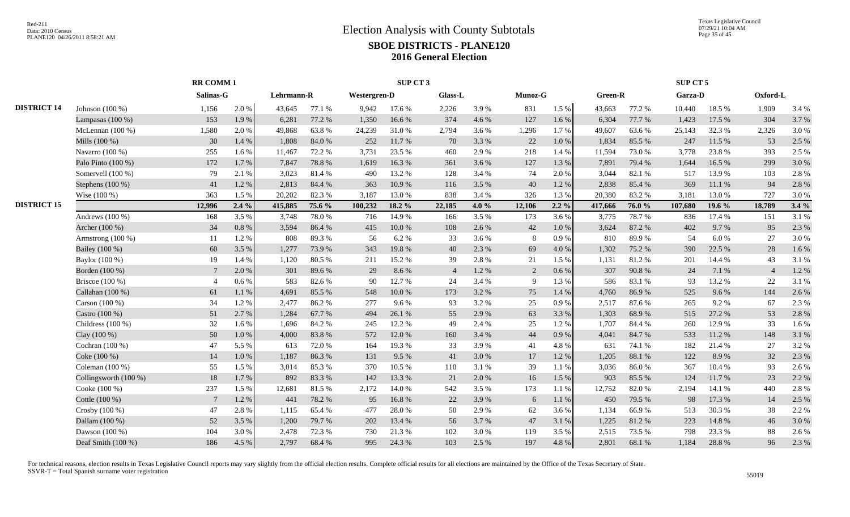|                    |                         | <b>RR COMM1</b> |       |            |        |              | SUP CT 3 |                |       |         |           |         |        | SUP CT 5 |        |                |         |
|--------------------|-------------------------|-----------------|-------|------------|--------|--------------|----------|----------------|-------|---------|-----------|---------|--------|----------|--------|----------------|---------|
|                    |                         | Salinas-G       |       | Lehrmann-R |        | Westergren-D |          | Glass-L        |       | Munoz-G |           | Green-R |        | Garza-D  |        | Oxford-L       |         |
| <b>DISTRICT 14</b> | Johnson $(100\%)$       | 1,156           | 2.0%  | 43,645     | 77.1 % | 9,942        | 17.6 %   | 2,226          | 3.9%  | 831     | 1.5 %     | 43,663  | 77.2 % | 10,440   | 18.5 % | 1,909          | 3.4 %   |
|                    | Lampasas $(100\%)$      | 153             | 1.9%  | 6,281      | 77.2 % | 1,350        | 16.6%    | 374            | 4.6 % | 127     | 1.6 %     | 6,304   | 77.7 % | 1,423    | 17.5 % | 304            | 3.7%    |
|                    | McLennan $(100\%)$      | 1,580           | 2.0 % | 49,868     | 63.8%  | 24,239       | 31.0%    | 2,794          | 3.6 % | 1,296   | 1.7 %     | 49,607  | 63.6 % | 25,143   | 32.3 % | 2,326          | 3.0%    |
|                    | Mills (100 %)           | 30              | 1.4 % | 1,808      | 84.0%  | 252          | 11.7%    | 70             | 3.3 % | 22      | $1.0\ \%$ | 1,834   | 85.5 % | 247      | 11.5 % | 53             | 2.5 %   |
|                    | Navarro (100 %)         | 255             | 1.6%  | 11,467     | 72.2 % | 3,731        | 23.5 %   | 460            | 2.9%  | 218     | 1.4 %     | 11,594  | 73.0%  | 3,778    | 23.8%  | 393            | 2.5 %   |
|                    | Palo Pinto (100 %)      | 172             | 1.7%  | 7,847      | 78.8%  | 1,619        | 16.3%    | 361            | 3.6 % | 127     | 1.3%      | 7,891   | 79.4 % | 1,644    | 16.5 % | 299            | 3.0%    |
|                    | Somervell (100 %)       | 79              | 2.1 % | 3,023      | 81.4%  | 490          | 13.2 %   | 128            | 3.4 % | 74      | 2.0%      | 3.044   | 82.1 % | 517      | 13.9%  | 103            | 2.8%    |
|                    | Stephens $(100\%)$      | 41              | 1.2%  | 2,813      | 84.4 % | 363          | 10.9%    | 116            | 3.5 % | 40      | 1.2%      | 2,838   | 85.4%  | 369      | 11.1 % | 94             | 2.8%    |
|                    | Wise (100 %)            | 363             | 1.5%  | 20,202     | 82.3%  | 3,187        | 13.0%    | 838            | 3.4 % | 326     | 1.3 %     | 20,380  | 83.2%  | 3,181    | 13.0%  | 727            | 3.0%    |
| <b>DISTRICT 15</b> |                         | 12,996          | 2.4%  | 415,885    | 75.6 % | 100,232      | 18.2 %   | 22,185         | 4.0%  | 12,106  | $2.2 \%$  | 417,666 | 76.0%  | 107,680  | 19.6 % | 18,789         | 3.4%    |
|                    | Andrews $(100\%)$       | 168             | 3.5 % | 3,748      | 78.0%  | 716          | 14.9%    | 166            | 3.5 % | 173     | 3.6%      | 3,775   | 78.7%  | 836      | 17.4 % | 151            | 3.1 %   |
|                    | Archer (100 %)          | 34              | 0.8%  | 3,594      | 86.4%  | 415          | 10.0%    | 108            | 2.6 % | 42      | 1.0%      | 3,624   | 87.2%  | 402      | 9.7%   | 95             | 2.3 %   |
|                    | Armstrong $(100\%)$     | -11             | 1.2%  | 808        | 89.3%  | 56           | 6.2 %    | 33             | 3.6%  | 8       | 0.9%      | 810     | 89.9%  | 54       | 6.0%   | 27             | 3.0%    |
|                    | Bailey (100 %)          | 60              | 3.5 % | 1,277      | 73.9%  | 343          | 19.8%    | 40             | 2.3 % | 69      | $4.0\,\%$ | 1,302   | 75.2 % | 390      | 22.5 % | 28             | 1.6%    |
|                    | Baylor (100 %)          | 19              | 1.4 % | 1,120      | 80.5%  | 211          | 15.2%    | 39             | 2.8%  | $21\,$  | 1.5 %     | 1,131   | 81.2%  | 201      | 14.4 % | 43             | 3.1 %   |
|                    | Borden (100 %)          | $7\phantom{.0}$ | 2.0 % | 301        | 89.6%  | 29           | 8.6%     | $\overline{4}$ | 1.2%  | 2       | 0.6 %     | 307     | 90.8%  | 24       | 7.1 %  | $\overline{4}$ | 1.2%    |
|                    | Briscoe $(100\%)$       | $\overline{4}$  | 0.6%  | 583        | 82.6%  | 90           | 12.7 %   | 24             | 3.4 % | -9      | 1.3%      | 586     | 83.1 % | 93       | 13.2 % | 22             | 3.1 %   |
|                    | Callahan (100 %)        | 61              | 1.1 % | 4,691      | 85.5 % | 548          | 10.0%    | 173            | 3.2 % | 75      | 1.4 %     | 4,760   | 86.9%  | 525      | 9.6%   | 144            | 2.6%    |
|                    | Carson (100 %)          | 34              | 1.2%  | 2,477      | 86.2%  | 277          | 9.6%     | 93             | 3.2 % | 25      | 0.9%      | 2,517   | 87.6%  | 265      | 9.2%   | 67             | 2.3 %   |
|                    | Castro (100 %)          | 51              | 2.7 % | 1,284      | 67.7%  | 494          | 26.1%    | 55             | 2.9 % | 63      | 3.3%      | 1,303   | 68.9%  | 515      | 27.2 % | 53             | 2.8 %   |
|                    | Childress $(100\%)$     | 32              | 1.6%  | 1.696      | 84.2%  | 245          | 12.2 %   | 49             | 2.4 % | 25      | 1.2%      | 1,707   | 84.4 % | 260      | 12.9 % | 33             | $1.6\%$ |
|                    | Clay (100 %)            | 50              | 1.0%  | 4,000      | 83.8%  | 572          | 12.0%    | 160            | 3.4 % | 44      | 0.9%      | 4,041   | 84.7%  | 533      | 11.2 % | 148            | 3.1%    |
|                    | Cochran (100 %)         | 47              | 5.5 % | 613        | 72.0%  | 164          | 19.3 %   | 33             | 3.9%  | 41      | 4.8 %     | 631     | 74.1 % | 182      | 21.4 % | 27             | 3.2%    |
|                    | Coke (100 %)            | 14              | 1.0%  | 1,187      | 86.3%  | 131          | 9.5%     | 41             | 3.0%  | 17      | 1.2%      | 1,205   | 88.1 % | 122      | 8.9%   | 32             | 2.3 %   |
|                    | Coleman $(100\%)$       | 55              | 1.5%  | 3,014      | 85.3%  | 370          | 10.5 %   | 110            | 3.1 % | 39      | 1.1%      | 3,036   | 86.0%  | 367      | 10.4 % | 93             | 2.6 %   |
|                    | Collingsworth $(100\%)$ | 18              | 1.7%  | 892        | 83.3%  | 142          | 13.3 %   | 21             | 2.0%  | 16      | 1.5 %     | 903     | 85.5 % | 124      | 11.7 % | 23             | 2.2 %   |
|                    | Cooke (100 %)           | 237             | 1.5 % | 12,681     | 81.5%  | 2,172        | 14.0%    | 542            | 3.5 % | 173     | 1.1%      | 12,752  | 82.0%  | 2,194    | 14.1 % | 440            | 2.8%    |
|                    | Cottle (100 %)          | $7\phantom{.0}$ | 1.2%  | 441        | 78.2%  | 95           | 16.8%    | 22             | 3.9%  | 6       | 1.1%      | 450     | 79.5 % | 98       | 17.3 % | 14             | 2.5 %   |
|                    | Crosby (100 %)          | 47              | 2.8%  | 1,115      | 65.4%  | 477          | 28.0%    | 50             | 2.9%  | 62      | 3.6%      | 1,134   | 66.9%  | 513      | 30.3%  | 38             | 2.2 %   |
|                    | Dallam (100 %)          | 52              | 3.5 % | 1,200      | 79.7%  | 202          | 13.4 %   | 56             | 3.7 % | 47      | 3.1 %     | 1,225   | 81.2%  | 223      | 14.8%  | 46             | 3.0%    |
|                    | Dawson $(100\%)$        | 104             | 3.0%  | 2,478      | 72.3 % | 730          | 21.3%    | 102            | 3.0%  | 119     | 3.5 %     | 2,515   | 73.5 % | 798      | 23.3 % | 88             | 2.6%    |
|                    | Deaf Smith (100 %)      | 186             | 4.5 % | 2,797      | 68.4%  | 995          | 24.3 %   | 103            | 2.5 % | 197     | 4.8%      | 2,801   | 68.1 % | 1,184    | 28.8%  | 96             | 2.3 %   |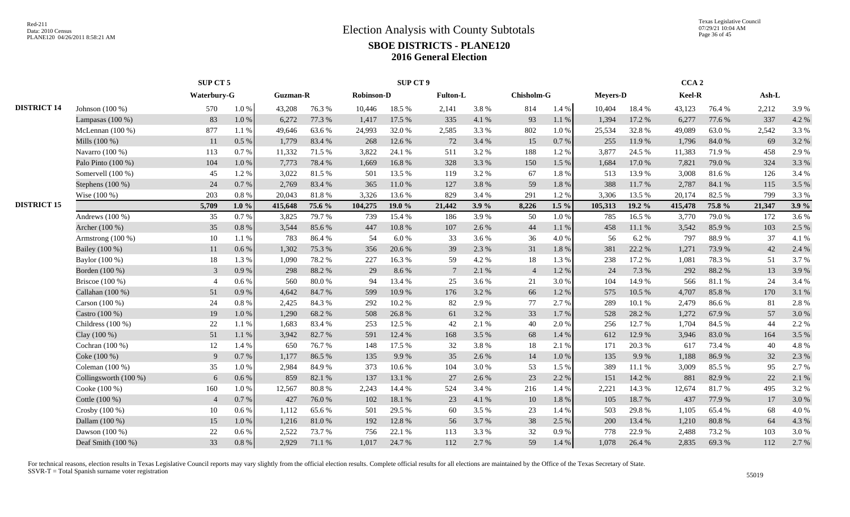Texas Legislative Council 07/29/21 10:04 AM Page 36 of 45

|                    |                       | SUP CT 5       |           |                 |        |                   | <b>SUP CT 9</b> |                 |       |                |         |                 |        | CCA <sub>2</sub> |        |         |       |
|--------------------|-----------------------|----------------|-----------|-----------------|--------|-------------------|-----------------|-----------------|-------|----------------|---------|-----------------|--------|------------------|--------|---------|-------|
|                    |                       | Waterbury-G    |           | <b>Guzman-R</b> |        | <b>Robinson-D</b> |                 | <b>Fulton-L</b> |       | Chisholm-G     |         | <b>Meyers-D</b> |        | Keel-R           |        | $Ash-L$ |       |
| <b>DISTRICT 14</b> | Johnson $(100\%)$     | 570            | 1.0%      | 43,208          | 76.3%  | 10,446            | 18.5 %          | 2,141           | 3.8%  | 814            | 1.4 %   | 10,404          | 18.4%  | 43,123           | 76.4 % | 2,212   | 3.9%  |
|                    | Lampasas $(100\%)$    | 83             | 1.0%      | 6,272           | 77.3 % | 1,417             | 17.5 %          | 335             | 4.1 % | 93             | 1.1%    | 1,394           | 17.2 % | 6,277            | 77.6 % | 337     | 4.2 % |
|                    | McLennan $(100\%)$    | 877            | 1.1%      | 49,646          | 63.6%  | 24,993            | 32.0%           | 2,585           | 3.3%  | 802            | 1.0%    | 25,534          | 32.8%  | 49,089           | 63.0%  | 2,542   | 3.3 % |
|                    | Mills (100 %)         | 11             | 0.5 %     | 1,779           | 83.4 % | 268               | 12.6 %          | 72              | 3.4 % | 15             | 0.7%    | 255             | 11.9%  | 1,796            | 84.0%  | 69      | 3.2 % |
|                    | Navarro (100 %)       | 113            | 0.7%      | 11,332          | 71.5 % | 3,822             | 24.1 %          | 511             | 3.2 % | 188            | 1.2%    | 3,877           | 24.5 % | 11,383           | 71.9%  | 458     | 2.9%  |
|                    | Palo Pinto (100 %)    | 104            | 1.0%      | 7,773           | 78.4%  | 1,669             | 16.8%           | 328             | 3.3 % | 150            | 1.5 %   | 1,684           | 17.0%  | 7,821            | 79.0%  | 324     | 3.3 % |
|                    | Somervell (100 %)     | 45             | 1.2%      | 3,022           | 81.5%  | 501               | 13.5 %          | 119             | 3.2 % | 67             | 1.8%    | 513             | 13.9%  | 3.008            | 81.6%  | 126     | 3.4 % |
|                    | Stephens $(100\%)$    | 24             | 0.7%      | 2,769           | 83.4 % | 365               | 11.0%           | 127             | 3.8%  | 59             | 1.8%    | 388             | 11.7%  | 2,787            | 84.1 % | 115     | 3.5 % |
|                    | Wise (100 %)          | 203            | 0.8%      | 20,043          | 81.8%  | 3,326             | 13.6 %          | 829             | 3.4 % | 291            | 1.2%    | 3,306           | 13.5 % | 20,174           | 82.5 % | 799     | 3.3 % |
| <b>DISTRICT 15</b> |                       | 5,709          | $1.0\%$   | 415,648         | 75.6 % | 104,275           | 19.0 %          | 21,442          | 3.9%  | 8,226          | $1.5\%$ | 105,313         | 19.2 % | 415,478          | 75.8%  | 21,347  | 3.9%  |
|                    | Andrews $(100\%)$     | 35             | 0.7 %     | 3,825           | 79.7%  | 739               | 15.4 %          | 186             | 3.9%  | 50             | 1.0%    | 785             | 16.5%  | 3,770            | 79.0%  | 172     | 3.6 % |
|                    | Archer (100 %)        | 35             | 0.8%      | 3,544           | 85.6%  | 447               | $10.8~\%$       | 107             | 2.6 % | 44             | 1.1 %   | 458             | 11.1 % | 3,542            | 85.9%  | 103     | 2.5 % |
|                    | Armstrong $(100\%)$   | 10             | 1.1%      | 783             | 86.4%  | 54                | 6.0%            | 33              | 3.6 % | 36             | 4.0%    | 56              | 6.2%   | 797              | 88.9%  | 37      | 4.1 % |
|                    | Bailey (100 %)        | 11             | 0.6%      | 1,302           | 75.3 % | 356               | 20.6 %          | 39              | 2.3%  | 31             | 1.8%    | 381             | 22.2 % | 1,271            | 73.9%  | 42      | 2.4 % |
|                    | Baylor (100 %)        | 18             | 1.3 %     | 1,090           | 78.2%  | 227               | 16.3%           | 59              | 4.2 % | 18             | 1.3%    | 238             | 17.2 % | 1,081            | 78.3%  | 51      | 3.7 % |
|                    | Borden (100 %)        | 3              | 0.9%      | 298             | 88.2%  | 29                | 8.6%            | 7               | 2.1 % | $\overline{4}$ | 1.2%    | 24              | 7.3 %  | 292              | 88.2%  | 13      | 3.9%  |
|                    | Briscoe (100 %)       | $\overline{4}$ | 0.6%      | 560             | 80.0%  | 94                | 13.4 %          | 25              | 3.6 % | 21             | 3.0%    | 104             | 14.9%  | 566              | 81.1%  | 24      | 3.4 % |
|                    | Callahan (100 %)      | 51             | 0.9%      | 4,642           | 84.7%  | 599               | 10.9%           | 176             | 3.2 % | 66             | 1.2%    | 575             | 10.5 % | 4,707            | 85.8%  | 170     | 3.1 % |
|                    | Carson (100 %)        | 24             | 0.8%      | 2,425           | 84.3 % | 292               | 10.2%           | 82              | 2.9%  | 77             | 2.7 %   | 289             | 10.1%  | 2,479            | 86.6%  | 81      | 2.8%  |
|                    | Castro (100 %)        | 19             | 1.0%      | 1,290           | 68.2%  | 508               | 26.8%           | 61              | 3.2%  | 33             | 1.7%    | 528             | 28.2%  | 1,272            | 67.9%  | 57      | 3.0%  |
|                    | Childress $(100\%)$   | 22             | 1.1%      | 1,683           | 83.4 % | 253               | 12.5 %          | 42              | 2.1 % | 40             | 2.0%    | 256             | 12.7%  | 1,704            | 84.5 % | 44      | 2.2 % |
|                    | Clay (100 %)          | 51             | 1.1 %     | 3,942           | 82.7%  | 591               | 12.4 %          | 168             | 3.5 % | 68             | 1.4 %   | 612             | 12.9 % | 3,946            | 83.0%  | 164     | 3.5 % |
|                    | Cochran (100 %)       | 12             | 1.4 %     | 650             | 76.7%  | 148               | 17.5 %          | 32              | 3.8%  | 18             | 2.1 %   | 171             | 20.3%  | 617              | 73.4 % | 40      | 4.8%  |
|                    | Coke (100 %)          | 9              | 0.7%      | 1,177           | 86.5%  | 135               | 9.9%            | 35              | 2.6%  | 14             | 1.0%    | 135             | 9.9%   | 1,188            | 86.9%  | 32      | 2.3 % |
|                    | Coleman (100 %)       | 35             | 1.0%      | 2,984           | 84.9%  | 373               | 10.6%           | 104             | 3.0%  | 53             | 1.5%    | 389             | 11.1 % | 3,009            | 85.5%  | 95      | 2.7 % |
|                    | Collingsworth (100 %) | 6              | 0.6%      | 859             | 82.1 % | 137               | 13.1 %          | 27              | 2.6 % | 23             | 2.2 %   | 151             | 14.2 % | 881              | 82.9%  | 22      | 2.1 % |
|                    | Cooke (100 %)         | 160            | 1.0%      | 12,567          | 80.8%  | 2,243             | 14.4 %          | 524             | 3.4 % | 216            | 1.4 %   | 2,221           | 14.3 % | 12,674           | 81.7%  | 495     | 3.2 % |
|                    | Cottle (100 %)        | $\overline{4}$ | 0.7%      | 427             | 76.0%  | 102               | 18.1 %          | 23              | 4.1 % | 10             | 1.8%    | 105             | 18.7%  | 437              | 77.9%  | 17      | 3.0%  |
|                    | Crosby (100 %)        | 10             | 0.6 %     | 1,112           | 65.6%  | 501               | 29.5 %          | 60              | 3.5 % | 23             | 1.4 %   | 503             | 29.8%  | 1,105            | 65.4 % | 68      | 4.0%  |
|                    | Dallam (100 %)        | 15             | 1.0%      | 1,216           | 81.0%  | 192               | 12.8 %          | 56              | 3.7%  | 38             | 2.5 %   | 200             | 13.4 % | 1,210            | 80.8%  | 64      | 4.3 % |
|                    | Dawson (100 %)        | 22             | $0.6\,\%$ | 2,522           | 73.7%  | 756               | 22.1 %          | 113             | 3.3%  | 32             | 0.9%    | 778             | 22.9 % | 2,488            | 73.2 % | 103     | 3.0%  |
|                    | Deaf Smith (100 %)    | 33             | 0.8%      | 2,929           | 71.1 % | 1,017             | 24.7 %          | 112             | 2.7%  | 59             | 1.4 %   | 1,078           | 26.4 % | 2,835            | 69.3%  | 112     | 2.7 % |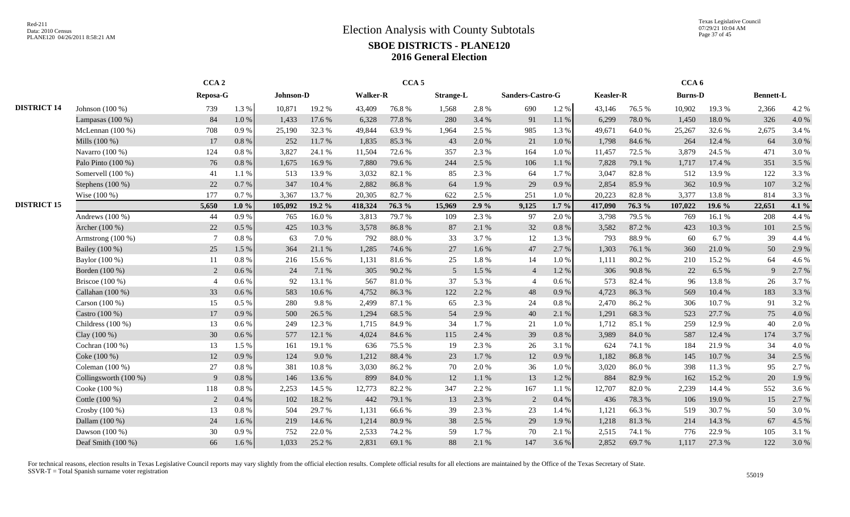Texas Legislative Council 07/29/21 10:04 AM Page 37 of 45

|                    |                       | CCA <sub>2</sub> |          |           |        |                 | CCA <sub>5</sub> |                  |       |                  |           |                  |        | CCA <sub>6</sub> |        |                  |       |
|--------------------|-----------------------|------------------|----------|-----------|--------|-----------------|------------------|------------------|-------|------------------|-----------|------------------|--------|------------------|--------|------------------|-------|
|                    |                       | Reposa-G         |          | Johnson-D |        | <b>Walker-R</b> |                  | <b>Strange-L</b> |       | Sanders-Castro-G |           | <b>Keasler-R</b> |        | <b>Burns-D</b>   |        | <b>Bennett-L</b> |       |
| <b>DISTRICT 14</b> | Johnson $(100\%)$     | 739              | 1.3 %    | 10.871    | 19.2 % | 43,409          | 76.8%            | 1,568            | 2.8%  | 690              | 1.2%      | 43,146           | 76.5 % | 10.902           | 19.3 % | 2,366            | 4.2 % |
|                    | Lampasas $(100\%)$    | 84               | 1.0 %    | 1,433     | 17.6 % | 6,328           | 77.8 %           | 280              | 3.4 % | 91               | $1.1\ \%$ | 6,299            | 78.0%  | 1,450            | 18.0%  | 326              | 4.0%  |
|                    | McLennan $(100\%)$    | 708              | 0.9%     | 25,190    | 32.3 % | 49,844          | 63.9%            | 1,964            | 2.5 % | 985              | 1.3 %     | 49,671           | 64.0%  | 25,267           | 32.6%  | 2,675            | 3.4 % |
|                    | Mills (100 %)         | 17               | 0.8%     | 252       | 11.7 % | 1,835           | 85.3%            | 43               | 2.0 % | 21               | $1.0\ \%$ | 1,798            | 84.6 % | 264              | 12.4 % | 64               | 3.0%  |
|                    | Navarro (100 %)       | 124              | $0.8~\%$ | 3,827     | 24.1 % | 11,504          | 72.6 %           | 357              | 2.3 % | 164              | 1.0%      | 11,457           | 72.5 % | 3,879            | 24.5 % | 471              | 3.0%  |
|                    | Palo Pinto (100 %)    | 76               | 0.8 %    | 1,675     | 16.9%  | 7,880           | 79.6%            | 244              | 2.5 % | 106              | $1.1\ \%$ | 7,828            | 79.1 % | 1,717            | 17.4 % | 351              | 3.5 % |
|                    | Somervell (100 %)     | 41               | 1.1%     | 513       | 13.9%  | 3,032           | 82.1 %           | 85               | 2.3 % | 64               | 1.7%      | 3,047            | 82.8%  | 512              | 13.9%  | 122              | 3.3 % |
|                    | Stephens (100 %)      | 22               | 0.7%     | 347       | 10.4 % | 2,882           | 86.8%            | 64               | 1.9%  | 29               | 0.9%      | 2,854            | 85.9%  | 362              | 10.9%  | 107              | 3.2 % |
|                    | Wise $(100\%)$        | 177              | 0.7%     | 3,367     | 13.7 % | 20,305          | 82.7%            | 622              | 2.5 % | 251              | 1.0%      | 20,223           | 82.8%  | 3,377            | 13.8%  | 814              | 3.3 % |
| <b>DISTRICT 15</b> |                       | 5,650            | $1.0\%$  | 105,092   | 19.2 % | 418,324         | 76.3 %           | 15,969           | 2.9%  | 9,125            | $1.7\%$   | 417,090          | 76.3 % | 107,022          | 19.6 % | 22,651           | 4.1 % |
|                    | Andrews $(100\%)$     | 44               | 0.9%     | 765       | 16.0%  | 3,813           | 79.7%            | 109              | 2.3 % | 97               | 2.0 %     | 3,798            | 79.5 % | 769              | 16.1 % | 208              | 4.4 % |
|                    | Archer (100 %)        | 22               | 0.5%     | 425       | 10.3%  | 3,578           | 86.8%            | 87               | 2.1 % | 32               | 0.8%      | 3,582            | 87.2%  | 423              | 10.3%  | 101              | 2.5 % |
|                    | Armstrong $(100\%)$   | $\overline{7}$   | 0.8%     | 63        | 7.0%   | 792             | 88.0%            | 33               | 3.7%  | 12               | 1.3%      | 793              | 88.9%  | 60               | 6.7 %  | 39               | 4.4 % |
|                    | Bailey (100 %)        | 25               | 1.5 %    | 364       | 21.1 % | 1,285           | 74.6 %           | 27               | 1.6%  | 47               | 2.7%      | 1,303            | 76.1%  | 360              | 21.0%  | 50               | 2.9 % |
|                    | Baylor (100 %)        | 11               | 0.8%     | 216       | 15.6 % | 1,131           | 81.6%            | 25               | 1.8%  | 14               | 1.0%      | 1,111            | 80.2%  | 210              | 15.2 % | 64               | 4.6 % |
|                    | Borden (100 %)        | 2                | 0.6 %    | 24        | 7.1 %  | 305             | 90.2%            | 5                | 1.5 % | $\overline{4}$   | 1.2%      | 306              | 90.8%  | 22               | 6.5 %  | 9                | 2.7 % |
|                    | Briscoe (100 %)       | $\overline{4}$   | 0.6 %    | 92        | 13.1 % | 567             | $81.0\ \%$       | 37               | 5.3%  | $\overline{4}$   | 0.6 %     | 573              | 82.4 % | 96               | 13.8%  | 26               | 3.7%  |
|                    | Callahan (100 %)      | 33               | $0.6\%$  | 583       | 10.6%  | 4,752           | 86.3%            | 122              | 2.2 % | 48               | 0.9%      | 4,723            | 86.3%  | 569              | 10.4 % | 183              | 3.3 % |
|                    | Carson (100 %)        | 15               | 0.5 %    | 280       | 9.8%   | 2,499           | 87.1 %           | 65               | 2.3 % | 24               | $0.8~\%$  | 2,470            | 86.2%  | 306              | 10.7%  | 91               | 3.2 % |
|                    | Castro (100 %)        | 17               | 0.9%     | 500       | 26.5 % | 1,294           | 68.5 %           | 54               | 2.9%  | 40               | 2.1 %     | 1,291            | 68.3%  | 523              | 27.7 % | 75               | 4.0%  |
|                    | Childress (100 %)     | 13               | 0.6 %    | 249       | 12.3 % | 1,715           | 84.9%            | 34               | 1.7%  | 21               | 1.0%      | 1,712            | 85.1%  | 259              | 12.9%  | 40               | 2.0%  |
|                    | Clay (100 %)          | 30               | 0.6 %    | 577       | 12.1 % | 4,024           | 84.6%            | 115              | 2.4 % | 39               | 0.8 %     | 3,989            | 84.0%  | 587              | 12.4 % | 174              | 3.7 % |
|                    | Cochran $(100\%)$     | 13               | 1.5 %    | 161       | 19.1 % | 636             | 75.5 %           | 19               | 2.3 % | 26               | 3.1 %     | 624              | 74.1 % | 184              | 21.9%  | 34               | 4.0%  |
|                    | Coke (100 %)          | 12               | 0.9%     | 124       | 9.0%   | 1,212           | 88.4%            | 23               | 1.7%  | 12               | 0.9%      | 1,182            | 86.8%  | 145              | 10.7%  | 34               | 2.5 % |
|                    | Coleman $(100\%)$     | 27               | 0.8%     | 381       | 10.8%  | 3,030           | 86.2%            | 70               | 2.0 % | 36               | 1.0%      | 3,020            | 86.0%  | 398              | 11.3 % | 95               | 2.7 % |
|                    | Collingsworth (100 %) | 9                | 0.8%     | 146       | 13.6 % | 899             | 84.0%            | 12               | 1.1 % | 13               | 1.2%      | 884              | 82.9%  | 162              | 15.2 % | 20               | 1.9%  |
|                    | Cooke (100 %)         | 118              | 0.8%     | 2,253     | 14.5 % | 12,773          | 82.2%            | 347              | 2.2 % | 167              | 1.1 %     | 12,707           | 82.0%  | 2,239            | 14.4 % | 552              | 3.6 % |
|                    | Cottle (100 %)        | 2                | 0.4%     | 102       | 18.2%  | 442             | 79.1 %           | 13               | 2.3 % | 2                | 0.4%      | 436              | 78.3%  | 106              | 19.0%  | 15               | 2.7 % |
|                    | Crosby (100 %)        | 13               | 0.8%     | 504       | 29.7%  | 1.131           | 66.6%            | 39               | 2.3 % | 23               | 1.4 %     | 1,121            | 66.3%  | 519              | 30.7 % | 50               | 3.0%  |
|                    | Dallam (100 %)        | 24               | 1.6%     | 219       | 14.6 % | 1,214           | 80.9%            | 38               | 2.5 % | 29               | 1.9%      | 1,218            | 81.3%  | 214              | 14.3 % | 67               | 4.5 % |
|                    | Dawson $(100\%)$      | 30               | 0.9%     | 752       | 22.0 % | 2,533           | 74.2 %           | 59               | 1.7%  | 70               | 2.1 %     | 2,515            | 74.1 % | 776              | 22.9%  | 105              | 3.1 % |
|                    | Deaf Smith $(100\%)$  | 66               | 1.6 %    | 1,033     | 25.2 % | 2,831           | 69.1 %           | 88               | 2.1 % | 147              | 3.6 %     | 2,852            | 69.7%  | 1,117            | 27.3 % | 122              | 3.0%  |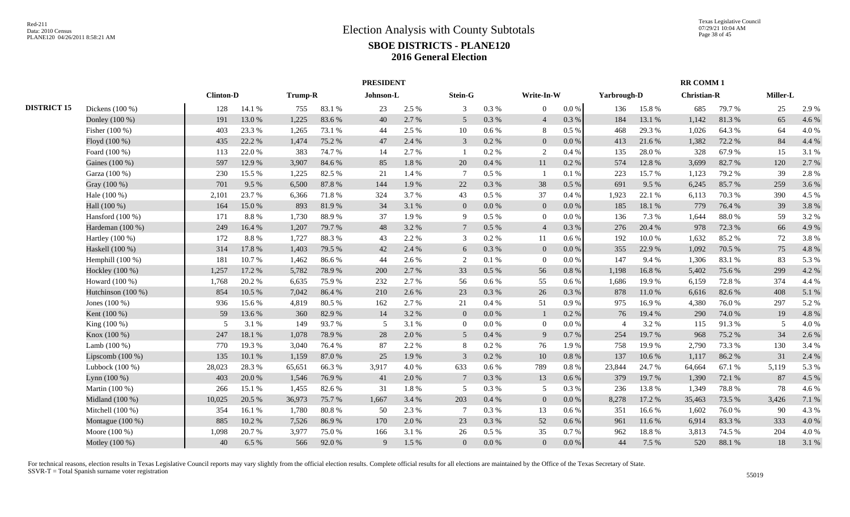|                    |                    |                  |          |         |        | <b>PRESIDENT</b> |       |                 |           |                 |           |                |        | <b>RR COMM1</b>    |        |          |       |
|--------------------|--------------------|------------------|----------|---------|--------|------------------|-------|-----------------|-----------|-----------------|-----------|----------------|--------|--------------------|--------|----------|-------|
|                    |                    | <b>Clinton-D</b> |          | Trump-R |        | Johnson-L        |       | Stein-G         |           | Write-In-W      |           | Yarbrough-D    |        | <b>Christian-R</b> |        | Miller-L |       |
| <b>DISTRICT 15</b> | Dickens (100 %)    | 128              | 14.1 %   | 755     | 83.1 % | 23               | 2.5 % | $\mathfrak{Z}$  | 0.3%      | $\overline{0}$  | $0.0\,\%$ | 136            | 15.8%  | 685                | 79.7%  | 25       | 2.9 % |
|                    | Donley (100 %)     | 191              | 13.0%    | 1,225   | 83.6%  | 40               | 2.7%  | 5               | $0.3\ \%$ | $\overline{4}$  | 0.3 %     | 184            | 13.1 % | 1,142              | 81.3%  | 65       | 4.6 % |
|                    | Fisher (100 %)     | 403              | 23.3 %   | 1,265   | 73.1 % | 44               | 2.5 % | 10              | $0.6\,\%$ | 8               | 0.5%      | 468            | 29.3 % | 1,026              | 64.3%  | 64       | 4.0%  |
|                    | Floyd (100 %)      | 435              | 22.2 %   | 1,474   | 75.2 % | 47               | 2.4 % | $\overline{3}$  | 0.2 %     | $\mathbf{0}$    | 0.0 %     | 413            | 21.6 % | 1,382              | 72.2 % | 84       | 4.4 % |
|                    | Foard (100 %)      | 113              | 22.0%    | 383     | 74.7%  | 14               | 2.7 % |                 | 0.2 %     | 2               | 0.4 %     | 135            | 28.0%  | 328                | 67.9%  | 15       | 3.1 % |
|                    | Gaines (100 %)     | 597              | 12.9%    | 3,907   | 84.6%  | 85               | 1.8%  | 20              | 0.4%      | 11              | 0.2 %     | 574            | 12.8%  | 3,699              | 82.7%  | 120      | 2.7%  |
|                    | Garza (100 %)      | 230              | 15.5 %   | 1,225   | 82.5 % | 21               | 1.4 % | $7\phantom{.0}$ | 0.5 %     |                 | 0.1%      | 223            | 15.7%  | 1,123              | 79.2 % | 39       | 2.8%  |
|                    | Gray (100 %)       | 701              | 9.5%     | 6,500   | 87.8%  | 144              | 1.9%  | 22              | $0.3\ \%$ | 38              | 0.5 %     | 691            | 9.5%   | 6,245              | 85.7%  | 259      | 3.6%  |
|                    | Hale (100 %)       | 2,101            | 23.7%    | 6,366   | 71.8%  | 324              | 3.7 % | 43              | $0.5\%$   | 37              | 0.4%      | 1,923          | 22.1 % | 6,113              | 70.3%  | 390      | 4.5 % |
|                    | Hall (100 %)       | 164              | 15.0%    | 893     | 81.9%  | 34               | 3.1 % | $\overline{0}$  | 0.0 %     | $\overline{0}$  | $0.0\,\%$ | 185            | 18.1 % | 779                | 76.4%  | 39       | 3.8%  |
|                    | Hansford $(100\%)$ | 171              | $8.8~\%$ | 1,730   | 88.9%  | 37               | 1.9%  | 9               | $0.5\%$   | $\mathbf{0}$    | 0.0 %     | 136            | 7.3 %  | 1,644              | 88.0%  | 59       | 3.2%  |
|                    | Hardeman (100 %)   | 249              | 16.4%    | 1,207   | 79.7%  | 48               | 3.2 % | $\tau$          | $0.5\ \%$ | $\overline{4}$  | 0.3%      | 276            | 20.4 % | 978                | 72.3 % | 66       | 4.9%  |
|                    | Hartley $(100\%)$  | 172              | 8.8%     | 1,727   | 88.3%  | 43               | 2.2%  | 3               | 0.2 %     | 11              | 0.6 %     | 192            | 10.0%  | 1,632              | 85.2%  | 72       | 3.8%  |
|                    | Haskell (100 %)    | 314              | 17.8%    | 1,403   | 79.5 % | 42               | 2.4 % | 6               | $0.3\ \%$ | $\overline{0}$  | 0.0 %     | 355            | 22.9%  | 1,092              | 70.5 % | 75       | 4.8%  |
|                    | Hemphill $(100\%)$ | 181              | 10.7%    | 1,462   | 86.6%  | 44               | 2.6 % | 2               | 0.1%      | $\bf{0}$        | 0.0 %     | 147            | 9.4 %  | 1,306              | 83.1%  | 83       | 5.3%  |
|                    | Hockley (100 %)    | 1,257            | 17.2 %   | 5,782   | 78.9%  | 200              | 2.7 % | 33              | 0.5%      | 56              | $0.8\ \%$ | 1,198          | 16.8%  | 5,402              | 75.6%  | 299      | 4.2 % |
|                    | Howard $(100\%)$   | 1,768            | 20.2%    | 6,635   | 75.9%  | 232              | 2.7 % | 56              | $0.6\%$   | 55              | 0.6 %     | 1,686          | 19.9%  | 6,159              | 72.8%  | 374      | 4.4 % |
|                    | Hutchinson (100 %) | 854              | 10.5 %   | 7,042   | 86.4%  | 210              | 2.6%  | 23              | 0.3%      | 26              | $0.3\%$   | 878            | 11.0%  | 6,616              | 82.6%  | 408      | 5.1%  |
|                    | Jones $(100\%)$    | 936              | 15.6%    | 4,819   | 80.5%  | 162              | 2.7 % | 21              | 0.4%      | 51              | 0.9%      | 975            | 16.9%  | 4.380              | 76.0%  | 297      | 5.2%  |
|                    | Kent (100 %)       | 59               | 13.6 %   | 360     | 82.9%  | 14               | 3.2 % | $\overline{0}$  | 0.0 %     |                 | 0.2 %     | 76             | 19.4 % | 290                | 74.0%  | 19       | 4.8%  |
|                    | King (100 %)       | 5                | 3.1 %    | 149     | 93.7%  | -5               | 3.1 % | $\overline{0}$  | $0.0\ \%$ | $\Omega$        | $0.0\%$   | $\overline{4}$ | 3.2 %  | 115                | 91.3%  | 5        | 4.0%  |
|                    | Knox (100 %)       | 247              | 18.1%    | 1,078   | 78.9%  | 28               | 2.0%  | $\overline{5}$  | 0.4%      | 9               | 0.7 %     | 254            | 19.7%  | 968                | 75.2 % | 34       | 2.6%  |
|                    | Lamb $(100\%)$     | 770              | 19.3%    | 3.040   | 76.4 % | 87               | 2.2 % | 8               | 0.2 %     | 76              | 1.9%      | 758            | 19.9%  | 2,790              | 73.3 % | 130      | 3.4 % |
|                    | Lipscomb $(100\%)$ | 135              | 10.1%    | 1,159   | 87.0%  | 25               | 1.9%  | 3               | 0.2 %     | 10              | 0.8 %     | 137            | 10.6 % | 1,117              | 86.2%  | 31       | 2.4 % |
|                    | Lubbock (100 %)    | 28,023           | 28.3 %   | 65,651  | 66.3%  | 3,917            | 4.0%  | 633             | $0.6\,\%$ | 789             | $0.8~\%$  | 23,844         | 24.7 % | 64,664             | 67.1 % | 5,119    | 5.3 % |
|                    | Lynn $(100\%)$     | 403              | 20.0%    | 1,546   | 76.9%  | 41               | 2.0%  | $7\phantom{.0}$ | 0.3 %     | 13              | $0.6\%$   | 379            | 19.7%  | 1,390              | 72.1 % | 87       | 4.5 % |
|                    | Martin (100 %)     | 266              | 15.1 %   | 1,455   | 82.6%  | 31               | 1.8 % | 5               | $0.3~\%$  | $5\overline{)}$ | 0.3 %     | 236            | 13.8%  | 1,349              | 78.8%  | 78       | 4.6%  |
|                    | Midland (100 %)    | 10,025           | 20.5 %   | 36,973  | 75.7%  | 1,667            | 3.4 % | 203             | 0.4%      | $\overline{0}$  | $0.0\,\%$ | 8,278          | 17.2 % | 35,463             | 73.5 % | 3,426    | 7.1 % |
|                    | Mitchell (100 %)   | 354              | 16.1%    | 1,780   | 80.8%  | 50               | 2.3 % | $7\phantom{.0}$ | $0.3~\%$  | 13              | $0.6\%$   | 351            | 16.6%  | 1,602              | 76.0%  | 90       | 4.3 % |
|                    | Montague (100 %)   | 885              | 10.2%    | 7,526   | 86.9%  | 170              | 2.0%  | 23              | $0.3\ \%$ | 52              | 0.6 %     | 961            | 11.6 % | 6,914              | 83.3%  | 333      | 4.0%  |
|                    | Moore (100 %)      | 1,098            | 20.7%    | 3,977   | 75.0%  | 166              | 3.1 % | 26              | $0.5 \%$  | 35              | 0.7%      | 962            | 18.8%  | 3,813              | 74.5 % | 204      | 4.0%  |
|                    | Motley (100 %)     | 40               | 6.5%     | 566     | 92.0 % | 9                | 1.5 % | $\overline{0}$  | $0.0\%$   | $\theta$        | $0.0\,\%$ | 44             | 7.5 %  | 520                | 88.1%  | 18       | 3.1 % |
|                    |                    |                  |          |         |        |                  |       |                 |           |                 |           |                |        |                    |        |          |       |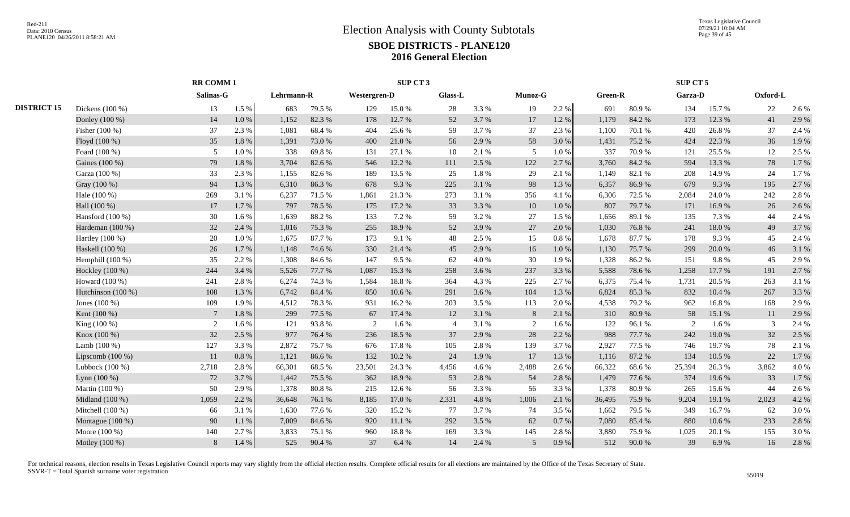|                    |                 |           |                              |        |            |        |                              |                     |                |           |         |        |               |            | Oxford-L            |       |
|--------------------|-----------------|-----------|------------------------------|--------|------------|--------|------------------------------|---------------------|----------------|-----------|---------|--------|---------------|------------|---------------------|-------|
| Dickens (100 %)    | 13              | 1.5 %     | 683                          | 79.5 % | 129        | 15.0%  | 28                           | 3.3%                | 19             | 2.2 %     | 691     | 80.9%  | 134           | 15.7%      | 22                  | 2.6 % |
| Donley (100 %)     | 14              | 1.0%      | 1,152                        | 82.3%  | 178        | 12.7 % | 52                           | 3.7 %               | 17             | 1.2 %     | 1,179   | 84.2%  | 173           | 12.3 %     | 41                  | 2.9%  |
| Fisher (100 %)     | 37              | 2.3 %     | 1,081                        | 68.4%  | 404        | 25.6 % | 59                           | 3.7 %               | 37             | 2.3 %     | 1,100   | 70.1 % | 420           | 26.8%      | 37                  | 2.4 % |
| Floyd (100 %)      | 35              | 1.8%      | 1,391                        | 73.0%  | 400        | 21.0%  | 56                           | 2.9 %               | 58             | 3.0%      | 1,431   | 75.2 % | 424           | 22.3 %     | 36                  | 1.9%  |
| Foard (100 %)      | 5               | $1.0\ \%$ | 338                          | 69.8%  | 131        | 27.1 % | 10                           | 2.1 %               | 5              | 1.0%      | 337     | 70.9%  | 121           | 25.5 %     | 12                  | 2.5 % |
| Gaines (100 %)     | 79              | 1.8%      | 3,704                        | 82.6%  | 546        | 12.2 % | 111                          | 2.5 %               | 122            | 2.7%      | 3,760   | 84.2 % | 594           | 13.3 %     | 78                  | 1.7%  |
| Garza (100 %)      | 33              | 2.3 %     | 1,155                        | 82.6%  | 189        | 13.5 % | 25                           | 1.8%                | 29             | 2.1%      | 1,149   | 82.1 % | 208           | 14.9%      | 24                  | 1.7%  |
| Gray (100 %)       | 94              | 1.3%      | 6,310                        | 86.3%  | 678        | 9.3%   | 225                          | 3.1 %               | 98             | 1.3 %     | 6,357   | 86.9%  | 679           | 9.3 %      | 195                 | 2.7%  |
| Hale (100 %)       | 269             | 3.1 %     | 6,237                        | 71.5 % | 1,861      | 21.3%  | 273                          | 3.1 %               | 356            | 4.1 %     | 6,306   | 72.5 % | 2.084         | 24.0 %     | 242                 | 2.8%  |
| Hall (100 %)       | 17              | 1.7%      | 797                          | 78.5 % | 175        | 17.2 % | 33                           | 3.3 %               | 10             | 1.0%      | 807     | 79.7%  | 171           | 16.9%      | 26                  | 2.6 % |
| Hansford $(100\%)$ | 30              | 1.6%      | 1.639                        | 88.2%  | 133        | 7.2 %  | 59                           | 3.2 %               | 27             | 1.5 %     | 1,656   | 89.1 % | 135           | 7.3 %      | 44                  | 2.4 % |
| Hardeman (100 %)   | 32              | 2.4 %     | 1,016                        | 75.3 % | 255        | 18.9%  | 52                           | 3.9%                | 27             | 2.0%      | 1,030   | 76.8%  | 241           | $18.0\ \%$ | 49                  | 3.7%  |
| Hartley (100 %)    | 20              | 1.0%      | 1,675                        | 87.7%  | 173        | 9.1 %  | 48                           | 2.5 %               | 15             | 0.8%      | 1,678   | 87.7%  | 178           | 9.3%       | 45                  | 2.4 % |
| Haskell (100 %)    | 26              | 1.7%      | 1,148                        | 74.6%  | 330        | 21.4 % | 45                           | 2.9%                | 16             | 1.0%      | 1,130   | 75.7%  | 299           | 20.0%      | 46                  | 3.1%  |
| Hemphill $(100\%)$ | 35              | 2.2 %     | 1,308                        | 84.6 % | 147        | 9.5%   | 62                           | 4.0%                | 30             | 1.9%      | 1,328   | 86.2%  | 151           | 9.8%       | 45                  | 2.9%  |
| Hockley (100 %)    | 244             | 3.4 %     | 5,526                        | 77.7 % | 1,087      | 15.3 % | 258                          | 3.6 %               | 237            | 3.3 %     | 5,588   | 78.6%  | 1,258         | 17.7 %     | 191                 | 2.7%  |
| Howard (100 %)     | 241             | 2.8%      | 6,274                        | 74.3 % | 1,584      | 18.8%  | 364                          | 4.3 %               | 225            | 2.7 %     | 6,375   | 75.4 % | 1,731         | 20.5 %     | 263                 | 3.1 % |
| Hutchinson (100 %) | 108             | 1.3%      | 6,742                        | 84.4 % | 850        | 10.6%  | 291                          | 3.6%                | 104            | 1.3%      | 6,824   | 85.3%  | 832           | 10.4 %     | 267                 | 3.3 % |
| Jones (100 %)      | 109             | 1.9%      | 4,512                        | 78.3%  | 931        |        | 203                          | 3.5 %               | 113            | 2.0%      | 4,538   | 79.2 % | 962           | 16.8%      | 168                 | 2.9%  |
| Kent (100 %)       | $7\phantom{.0}$ | 1.8%      | 299                          | 77.5 % | 67         | 17.4 % | 12                           | 3.1 %               | 8              | 2.1 %     | 310     | 80.9%  | 58            | 15.1 %     | 11                  | 2.9%  |
| King (100 %)       | 2               | 1.6%      | 121                          | 93.8%  | 2          | 1.6 %  | $\overline{4}$               | 3.1 %               | 2              | 1.6 %     | 122     | 96.1%  | $\mathcal{D}$ | 1.6 %      | 3                   | 2.4 % |
| Knox (100 %)       | 32              | 2.5 %     | 977                          | 76.4 % | 236        | 18.5 % | 37                           | 2.9 %               | 28             | 2.2 %     | 988     | 77.7 % | 242           | 19.0%      | 32                  | 2.5 % |
| Lamb $(100\%)$     | 127             | 3.3 %     | 2,872                        | 75.7%  | 676        | 17.8%  | 105                          | 2.8%                | 139            | 3.7 %     | 2,927   | 77.5 % | 746           | 19.7%      | 78                  | 2.1 % |
| Lipscomb $(100\%)$ | 11              | 0.8%      | 1,121                        | 86.6%  | 132        | 10.2%  | 24                           | 1.9%                | 17             | 1.3%      | 1,116   | 87.2 % | 134           | 10.5 %     | 22                  | 1.7%  |
| Lubbock (100 %)    | 2,718           | 2.8%      | 66,301                       | 68.5%  | 23,501     | 24.3 % | 4,456                        | 4.6%                | 2,488          | 2.6 %     | 66,322  | 68.6%  | 25,394        | 26.3%      | 3,862               | 4.0%  |
| Lynn (100 %)       | 72              | 3.7%      | 1,442                        | 75.5 % | 362        | 18.9%  | 53                           | 2.8%                | 54             | 2.8 %     | 1,479   | 77.6 % | 374           | 19.6 %     | 33                  | 1.7%  |
| Martin (100 %)     | 50              | 2.9 %     | 1,378                        | 80.8%  | 215        | 12.6 % | 56                           | 3.3%                | 56             | 3.3%      | 1,378   | 80.9%  | 265           | 15.6%      | 44                  | 2.6 % |
| Midland (100 %)    | 1,059           | 2.2 %     | 36,648                       | 76.1 % | 8,185      | 17.0 % | 2,331                        | 4.8 %               | 1,006          | 2.1 %     | 36,495  | 75.9%  | 9,204         | 19.1 %     | 2,023               | 4.2 % |
| Mitchell $(100\%)$ | 66              | 3.1 %     | 1,630                        | 77.6 % | 320        | 15.2 % | 77                           | 3.7 %               | -74            | 3.5 %     | 1,662   | 79.5 % | 349           | 16.7 %     | 62                  | 3.0%  |
| Montague $(100\%)$ | 90              | 1.1 %     | 7,009                        | 84.6 % | 920        | 11.1 % | 292                          | 3.5 %               | 62             | 0.7 %     | 7,080   | 85.4%  | 880           | 10.6%      | 233                 | 2.8%  |
| Moore (100 %)      | 140             | 2.7%      | 3,833                        | 75.1 % | 960        | 18.8%  | 169                          | 3.3%                | 145            | 2.8%      | 3,880   | 75.9%  | 1,025         | 20.1 %     | 155                 | 3.0%  |
| Motley (100 %)     | 8               | 1.4%      | 525                          | 90.4 % | 37         | 6.4 %  | 14                           | 2.4 %               | $\overline{5}$ | $0.9\ \%$ | 512     | 90.0%  | 39            | 6.9%       | 16                  | 2.8%  |
|                    |                 |           | <b>RR COMM1</b><br>Salinas-G |        | Lehrmann-R |        | <b>Westergren-D</b><br>16.2% | SUP CT <sub>3</sub> | Glass-L        |           | Munoz-G |        | Green-R       |            | SUP CT 5<br>Garza-D |       |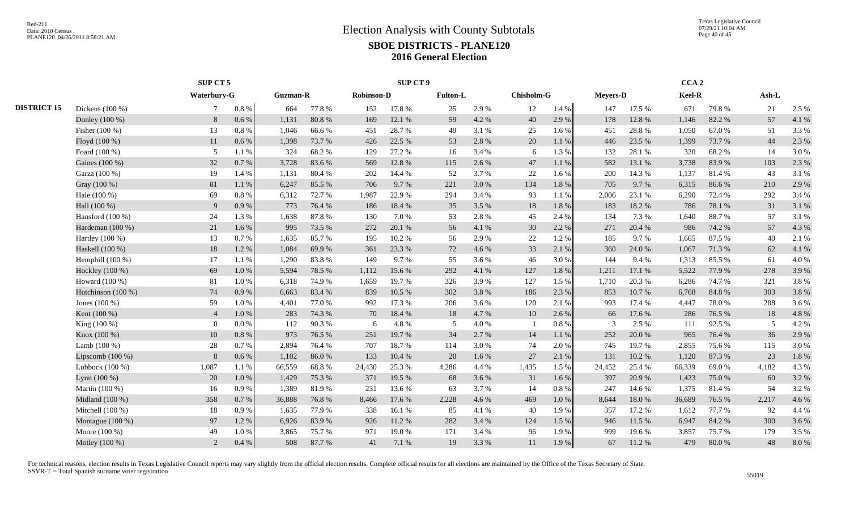|                    |                    | SUP CT 5       |           |                 |        |                   | <b>SUP CT 9</b> |                 |       |            |          |                 |        | CCA <sub>2</sub> |        |         |       |
|--------------------|--------------------|----------------|-----------|-----------------|--------|-------------------|-----------------|-----------------|-------|------------|----------|-----------------|--------|------------------|--------|---------|-------|
|                    |                    | Waterbury-G    |           | <b>Guzman-R</b> |        | <b>Robinson-D</b> |                 | <b>Fulton-L</b> |       | Chisholm-G |          | <b>Meyers-D</b> |        | Keel-R           |        | $Ash-L$ |       |
| <b>DISTRICT 15</b> | Dickens (100 %)    | 7              | $0.8~\%$  | 664             | 77.8%  | 152               | 17.8%           | 25              | 2.9%  | 12         | 1.4 %    | 147             | 17.5 % | 671              | 79.8%  | 21      | 2.5 % |
|                    | Donley (100 %)     | 8              | 0.6%      | 1,131           | 80.8%  | 169               | 12.1 %          | 59              | 4.2 % | 40         | 2.9%     | 178             | 12.8 % | 1,146            | 82.2 % | 57      | 4.1 % |
|                    | Fisher (100 %)     | 13             | 0.8 %     | 1,046           | 66.6%  | 451               | 28.7%           | 49              | 3.1 % | 25         | 1.6%     | 451             | 28.8%  | 1.050            | 67.0%  | 51      | 3.3%  |
|                    | Floyd (100 %)      | 11             | $0.6\%$   | 1,398           | 73.7%  | 426               | 22.5 %          | 53              | 2.8%  | 20         | 1.1%     | 446             | 23.5 % | 1,399            | 73.7%  | 44      | 2.3 % |
|                    | Foard (100 %)      | 5              | 1.1 %     | 324             | 68.2%  | 129               | 27.2 %          | 16              | 3.4 % | 6          | 1.3 %    | 132             | 28.1 % | 320              | 68.2%  | 14      | 3.0%  |
|                    | Gaines (100 %)     | 32             | 0.7%      | 3,728           | 83.6%  | 569               | 12.8 %          | 115             | 2.6 % | 47         | 1.1 %    | 582             | 13.1 % | 3,738            | 83.9%  | 103     | 2.3 % |
|                    | Garza (100 %)      | 19             | 1.4 %     | 1,131           | 80.4%  | 202               | 14.4 %          | 52              | 3.7%  | 22         | 1.6 %    | 200             | 14.3 % | 1,137            | 81.4%  | 43      | 3.1 % |
|                    | Gray (100 %)       | 81             | 1.1%      | 6,247           | 85.5%  | 706               | 9.7%            | 221             | 3.0%  | 134        | 1.8%     | 705             | 9.7%   | 6,315            | 86.6%  | 210     | 2.9%  |
|                    | Hale (100 %)       | 69             | $0.8\%$   | 6,312           | 72.7%  | 1,987             | 22.9%           | 294             | 3.4 % | 93         | 1.1 %    | 2,006           | 23.1 % | 6,290            | 72.4 % | 292     | 3.4 % |
|                    | Hall (100 %)       | 9              | 0.9%      | 773             | 76.4%  | 186               | 18.4%           | 35              | 3.5 % | 18         | 1.8%     | 183             | 18.2%  | 786              | 78.1 % | 31      | 3.1%  |
|                    | Hansford $(100\%)$ | 24             | 1.3 %     | 1,638           | 87.8%  | 130               | 7.0%            | 53              | 2.8%  | 45         | 2.4 %    | 134             | 7.3 %  | 1,640            | 88.7%  | 57      | 3.1 % |
|                    | Hardeman (100 %)   | 21             | 1.6%      | 995             | 73.5 % | 272               | 20.1 %          | 56              | 4.1 % | 30         | 2.2 %    | 271             | 20.4 % | 986              | 74.2 % | 57      | 4.3 % |
|                    | Hartley $(100\%)$  | 13             | 0.7%      | 1,635           | 85.7%  | 195               | 10.2%           | 56              | 2.9%  | 22         | 1.2%     | 185             | 9.7%   | 1,665            | 87.5 % | 40      | 2.1 % |
|                    | Haskell (100 %)    | 18             | 1.2%      | 1,084           | 69.9%  | 361               | 23.3 %          | 72              | 4.6 % | 33         | 2.1 %    | 360             | 24.0 % | 1,067            | 71.3 % | 62      | 4.1%  |
|                    | Hemphill (100 %)   | 17             | 1.1 %     | 1,290           | 83.8%  | 149               | 9.7%            | 55              | 3.6 % | 46         | 3.0%     | 144             | 9.4 %  | 1,313            | 85.5%  | 61      | 4.0%  |
|                    | Hockley (100 %)    | 69             | 1.0%      | 5,594           | 78.5%  | 1.112             | 15.6%           | 292             | 4.1 % | 127        | 1.8%     | 1,211           | 17.1 % | 5,522            | 77.9 % | 278     | 3.9%  |
|                    | Howard (100 %)     | 81             | 1.0%      | 6,318           | 74.9%  | 1.659             | 19.7%           | 326             | 3.9%  | 127        | 1.5 %    | 1,710           | 20.3 % | 6.286            | 74.7 % | 321     | 3.8%  |
|                    | Hutchinson (100 %) | 74             | 0.9%      | 6,663           | 83.4%  | 839               | 10.5 %          | 302             | 3.8%  | 186        | 2.3 %    | 853             | 10.7%  | 6,768            | 84.8%  | 303     | 3.8%  |
|                    | Jones $(100\%)$    | 59             | 1.0%      | 4,401           | 77.0%  | 992               | 17.3 %          | 206             | 3.6%  | 120        | 2.1%     | 993             | 17.4 % | 4,447            | 78.0%  | 208     | 3.6%  |
|                    | Kent (100 %)       | $\overline{4}$ | 1.0%      | 283             | 74.3 % | 70                | 18.4 %          | 18              | 4.7%  | 10         | 2.6%     | 66              | 17.6 % | 286              | 76.5 % | 18      | 4.8 % |
|                    | King (100 %)       | $\Omega$       | $0.0\%$   | 112             | 90.3%  | 6                 | 4.8%            | 5               | 4.0%  |            | 0.8%     | 3               | 2.5 %  | 111              | 92.5%  | 5       | 4.2%  |
|                    | Knox (100 %)       | 10             | 0.8 %     | 973             | 76.5 % | 251               | 19.7%           | 34              | 2.7 % | 14         | 1.1 %    | 252             | 20.0%  | 965              | 76.4%  | 36      | 2.9%  |
|                    | Lamb $(100\%)$     | 28             | 0.7%      | 2,894           | 76.4%  | 707               | 18.7%           | 114             | 3.0%  | 74         | 2.0%     | 745             | 19.7%  | 2,855            | 75.6%  | 115     | 3.0%  |
|                    | Lipscomb $(100\%)$ | 8              | 0.6 %     | 1,102           | 86.0%  | 133               | 10.4 %          | 20              | 1.6%  | 27         | 2.1 %    | 131             | 10.2 % | 1,120            | 87.3%  | 23      | 1.8%  |
|                    | Lubbock $(100\%)$  | 1,087          | 1.1 %     | 66,559          | 68.8%  | 24,430            | 25.3 %          | 4,286           | 4.4 % | 1,435      | 1.5 %    | 24,452          | 25.4 % | 66,339           | 69.0%  | 4,182   | 4.3 % |
|                    | Lynn (100 %)       | 20             | 1.0%      | 1,429           | 75.3%  | 371               | 19.5 %          | 68              | 3.6%  | 31         | 1.6 %    | 397             | 20.9%  | 1,423            | 75.0%  | 60      | 3.2%  |
|                    | Martin (100 %)     | 16             | $0.9\ \%$ | 1,389           | 81.9%  | 231               | 13.6%           | 63              | 3.7%  | 14         | $0.8~\%$ | 247             | 14.6 % | 1,375            | 81.4%  | 54      | 3.2%  |
|                    | Midland (100 %)    | 358            | 0.7%      | 36,888          | 76.8%  | 8,466             | 17.6 %          | 2,228           | 4.6 % | 469        | 1.0%     | 8,644           | 18.0%  | 36,689           | 76.5 % | 2,217   | 4.6%  |
|                    | Mitchell (100 %)   | 18             | 0.9%      | 1,635           | 77.9 % | 338               | 16.1 %          | 85              | 4.1 % | 40         | 1.9%     | 357             | 17.2 % | 1,612            | 77.7 % | 92      | 4.4 % |
|                    | Montague (100 %)   | 97             | 1.2%      | 6,926           | 83.9%  | 926               | 11.2%           | 282             | 3.4 % | 124        | 1.5 %    | 946             | 11.5 % | 6.947            | 84.2%  | 300     | 3.6%  |
|                    | Moore (100 %)      | 49             | 1.0%      | 3,865           | 75.7%  | 971               | 19.0%           | 171             | 3.4 % | 96         | 1.9%     | 999             | 19.6%  | 3,857            | 75.7%  | 179     | 3.5 % |
|                    | Motley (100 %)     | 2              | $0.4~\%$  | 508             | 87.7%  | 41                | 7.1 %           | 19              | 3.3%  | 11         | 1.9%     | 67              | 11.2 % | 479              | 80.0%  | 48      | 8.0%  |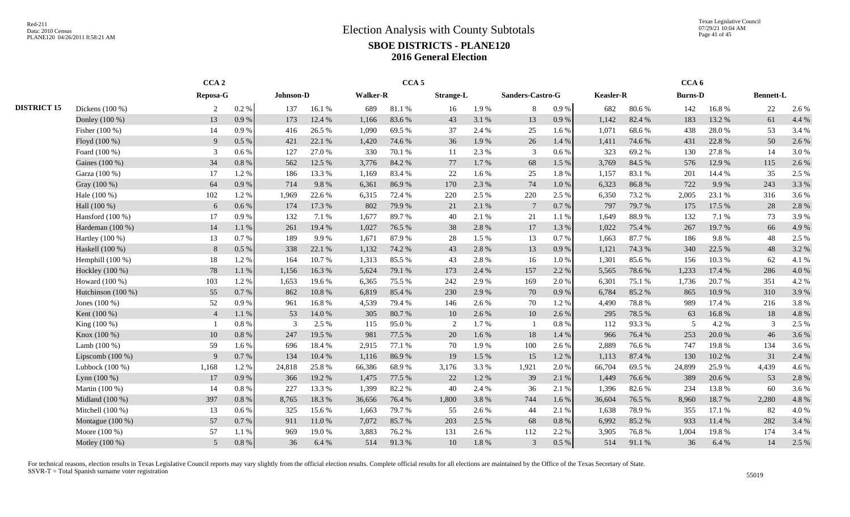Texas Legislative Council 07/29/21 10:04 AM Page 41 of 45

|                    |                    | CCA <sub>2</sub> |           |           |        |                 | CCA <sub>5</sub> |                  |       |                  |           |                  |        | CCA <sub>6</sub> |        |                  |       |
|--------------------|--------------------|------------------|-----------|-----------|--------|-----------------|------------------|------------------|-------|------------------|-----------|------------------|--------|------------------|--------|------------------|-------|
|                    |                    | Reposa-G         |           | Johnson-D |        | <b>Walker-R</b> |                  | <b>Strange-L</b> |       | Sanders-Castro-G |           | <b>Keasler-R</b> |        | <b>Burns-D</b>   |        | <b>Bennett-L</b> |       |
| <b>DISTRICT 15</b> | Dickens (100 %)    | 2                | 0.2 %     | 137       | 16.1%  | 689             | 81.1 %           | 16               | 1.9%  | 8                | $0.9\ \%$ | 682              | 80.6%  | 142              | 16.8%  | 22               | 2.6 % |
|                    | Donley (100 %)     | 13               | 0.9%      | 173       | 12.4 % | 1,166           | 83.6%            | 43               | 3.1 % | 13               | 0.9%      | 1,142            | 82.4 % | 183              | 13.2 % | 61               | 4.4 % |
|                    | Fisher (100 %)     | 14               | 0.9%      | 416       | 26.5 % | 1,090           | 69.5%            | 37               | 2.4 % | 25               | 1.6 %     | 1,071            | 68.6%  | 438              | 28.0%  | 53               | 3.4 % |
|                    | Floyd (100 %)      | 9                | 0.5 %     | 421       | 22.1 % | 1,420           | 74.6 %           | 36               | 1.9%  | 26               | 1.4 %     | 1,411            | 74.6%  | 431              | 22.8%  | 50               | 2.6 % |
|                    | Foard (100 %)      | $\mathfrak{Z}$   | $0.6\%$   | 127       | 27.0%  | 330             | 70.1 %           | 11               | 2.3 % | 3                | 0.6 %     | 323              | 69.2%  | 130              | 27.8%  | 14               | 3.0%  |
|                    | Gaines (100 %)     | 34               | 0.8%      | 562       | 12.5 % | 3,776           | 84.2%            | 77               | 1.7 % | 68               | 1.5 %     | 3,769            | 84.5 % | 576              | 12.9%  | 115              | 2.6 % |
|                    | Garza (100 %)      | 17               | 1.2%      | 186       | 13.3 % | 1,169           | 83.4%            | 22               | 1.6%  | 25               | 1.8%      | 1,157            | 83.1%  | 201              | 14.4 % | 35               | 2.5 % |
|                    | Gray (100 %)       | 64               | 0.9%      | 714       | 9.8%   | 6,361           | 86.9%            | 170              | 2.3 % | 74               | 1.0%      | 6,323            | 86.8%  | 722              | 9.9%   | 243              | 3.3 % |
|                    | Hale (100 %)       | 102              | 1.2%      | 1,969     | 22.6%  | 6,315           | 72.4 %           | 220              | 2.5 % | 220              | 2.5 %     | 6,350            | 73.2 % | 2,005            | 23.1 % | 316              | 3.6 % |
|                    | Hall (100 %)       | 6                | $0.6\%$   | 174       | 17.3 % | 802             | 79.9%            | 21               | 2.1%  | $7\phantom{.0}$  | 0.7 %     | 797              | 79.7%  | 175              | 17.5 % | 28               | 2.8 % |
|                    | Hansford $(100\%)$ | 17               | 0.9%      | 132       | 7.1 %  | 1,677           | 89.7%            | 40               | 2.1 % | 21               | 1.1 %     | 1,649            | 88.9%  | 132              | 7.1 %  | 73               | 3.9%  |
|                    | Hardeman (100 %)   | 14               | 1.1 %     | 261       | 19.4 % | 1,027           | 76.5 %           | 38               | 2.8 % | 17               | 1.3%      | 1,022            | 75.4 % | 267              | 19.7%  | 66               | 4.9%  |
|                    | Hartley (100 %)    | 13               | 0.7%      | 189       | 9.9%   | 1,671           | 87.9%            | 28               | 1.5 % | 13               | 0.7%      | 1,663            | 87.7%  | 186              | 9.8%   | 48               | 2.5 % |
|                    | Haskell (100 %)    | 8                | 0.5%      | 338       | 22.1 % | 1,132           | 74.2 %           | 43               | 2.8 % | 13               | 0.9%      | 1,121            | 74.3 % | 340              | 22.5 % | 48               | 3.2 % |
|                    | Hemphill $(100\%)$ | 18               | 1.2 %     | 164       | 10.7%  | 1,313           | 85.5%            | 43               | 2.8%  | 16               | 1.0%      | 1,301            | 85.6%  | 156              | 10.3%  | 62               | 4.1 % |
|                    | Hockley (100 %)    | 78               | 1.1 %     | 1,156     | 16.3%  | 5,624           | 79.1 %           | 173              | 2.4 % | 157              | 2.2 %     | 5,565            | 78.6%  | 1,233            | 17.4 % | 286              | 4.0%  |
|                    | Howard (100 %)     | 103              | 1.2%      | 1,653     | 19.6%  | 6,365           | 75.5 %           | 242              | 2.9%  | 169              | 2.0 %     | 6,301            | 75.1 % | 1,736            | 20.7 % | 351              | 4.2 % |
|                    | Hutchinson (100 %) | 55               | 0.7%      | 862       | 10.8%  | 6,819           | 85.4 %           | 230              | 2.9%  | 70               | 0.9%      | 6,784            | 85.2%  | 865              | 10.9%  | 310              | 3.9%  |
|                    | Jones $(100\%)$    | 52               | 0.9%      | 961       | 16.8%  | 4,539           | 79.4 %           | 146              | 2.6 % | 70               | 1.2%      | 4,490            | 78.8%  | 989              | 17.4 % | 216              | 3.8%  |
|                    | Kent (100 %)       | $\overline{4}$   | 1.1 %     | 53        | 14.0 % | 305             | 80.7%            | 10               | 2.6 % | 10               | 2.6%      | 295              | 78.5 % | 63               | 16.8%  | 18               | 4.8 % |
|                    | King (100 %)       |                  | 0.8%      | 3         | 2.5 %  | 115             | 95.0%            | 2                | 1.7%  |                  | 0.8%      | 112              | 93.3%  | .5               | 4.2 %  | 3                | 2.5 % |
|                    | Knox (100 %)       | 10               | 0.8%      | 247       | 19.5 % | 981             | 77.5 %           | 20               | 1.6 % | 18               | 1.4 %     | 966              | 76.4%  | 253              | 20.0%  | 46               | 3.6 % |
|                    | Lamb $(100\%)$     | 59               | $1.6\%$   | 696       | 18.4 % | 2,915           | 77.1 %           | 70               | 1.9%  | 100              | 2.6 %     | 2,889            | 76.6%  | 747              | 19.8%  | 134              | 3.6 % |
|                    | Lipscomb $(100\%)$ | 9                | 0.7%      | 134       | 10.4 % | 1,116           | 86.9%            | 19               | 1.5 % | 15               | 1.2%      | 1,113            | 87.4 % | 130              | 10.2%  | 31               | 2.4 % |
|                    | Lubbock $(100\%)$  | 1,168            | 1.2 %     | 24,818    | 25.8%  | 66,386          | 68.9%            | 3,176            | 3.3 % | 1,921            | 2.0 %     | 66,704           | 69.5 % | 24,899           | 25.9%  | 4,439            | 4.6 % |
|                    | Lynn $(100\%)$     | 17               | 0.9%      | 366       | 19.2%  | 1,475           | 77.5 %           | 22               | 1.2%  | 39               | 2.1 %     | 1,449            | 76.6%  | 389              | 20.6%  | 53               | 2.8%  |
|                    | Martin (100 %)     | 14               | 0.8 %     | 227       | 13.3 % | 1,399           | 82.2%            | 40               | 2.4 % | 36               | 2.1 %     | 1,396            | 82.6%  | 234              | 13.8%  | 60               | 3.6 % |
|                    | Midland (100 %)    | 397              | 0.8 %     | 8,765     | 18.3 % | 36,656          | 76.4%            | 1,800            | 3.8%  | 744              | 1.6%      | 36,604           | 76.5 % | 8,960            | 18.7%  | 2,280            | 4.8 % |
|                    | Mitchell (100 %)   | 13               | $0.6\%$   | 325       | 15.6%  | 1,663           | 79.7%            | 55               | 2.6%  | 44               | 2.1 %     | 1,638            | 78.9%  | 355              | 17.1 % | 82               | 4.0%  |
|                    | Montague $(100\%)$ | 57               | 0.7%      | 911       | 11.0%  | 7,072           | 85.7%            | 203              | 2.5 % | 68               | 0.8%      | 6,992            | 85.2%  | 933              | 11.4 % | 282              | 3.4 % |
|                    | Moore (100 %)      | 57               | 1.1 %     | 969       | 19.0%  | 3,883           | 76.2%            | 131              | 2.6%  | 112              | 2.2 %     | 3,905            | 76.8%  | 1,004            | 19.8%  | 174              | 3.4 % |
|                    | Motley (100 %)     | 5 <sup>5</sup>   | $0.8\ \%$ | 36        | 6.4 %  | 514             | 91.3%            | 10               | 1.8%  | 3                | $0.5\%$   | 514              | 91.1%  | 36               | 6.4 %  | 14               | 2.5 % |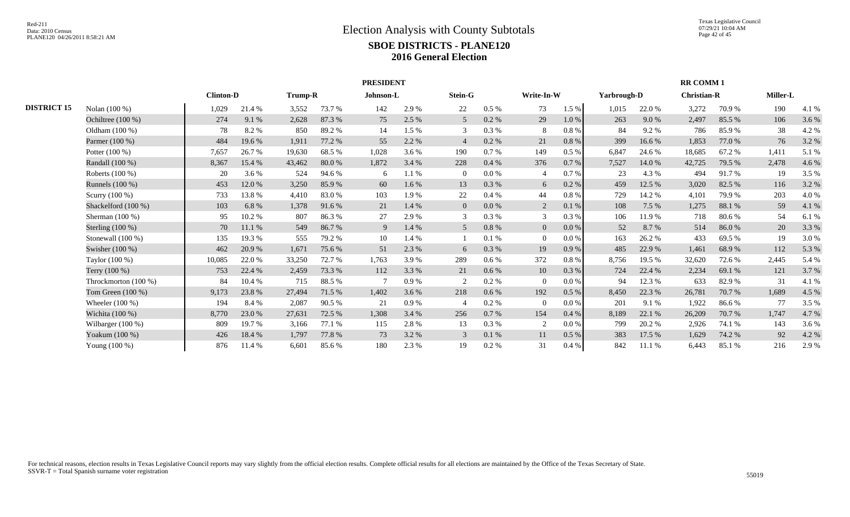|                    |                      |                  |        |         |        | <b>PRESIDENT</b> |       |                |           |                |           |             |        | <b>RR COMM 1</b>   |        |                 |       |
|--------------------|----------------------|------------------|--------|---------|--------|------------------|-------|----------------|-----------|----------------|-----------|-------------|--------|--------------------|--------|-----------------|-------|
|                    |                      | <b>Clinton-D</b> |        | Trump-R |        | Johnson-L        |       | <b>Stein-G</b> |           | Write-In-W     |           | Yarbrough-D |        | <b>Christian-R</b> |        | <b>Miller-L</b> |       |
| <b>DISTRICT 15</b> | Nolan (100 %)        | 1,029            | 21.4 % | 3,552   | 73.7 % | 142              | 2.9%  | 22             | 0.5 %     | 73             | 1.5 %     | 1,015       | 22.0%  | 3,272              | 70.9%  | 190             | 4.1 % |
|                    | Ochiltree (100 %)    | 274              | 9.1%   | 2,628   | 87.3%  | 75               | 2.5 % | 5              | $0.2 \%$  | 29             | $1.0\ \%$ | 263         | 9.0%   | 2,497              | 85.5 % | 106             | 3.6 % |
|                    | Oldham (100 %)       | 78               | 8.2%   | 850     | 89.2%  | 14               | 1.5 % | 3              | $0.3\ \%$ | 8              | $0.8\ \%$ | 84          | 9.2%   | 786                | 85.9%  | 38              | 4.2 % |
|                    | Parmer (100 %)       | 484              | 19.6 % | 1,911   | 77.2 % | 55               | 2.2 % | $\overline{4}$ | $0.2 \%$  | 21             | $0.8~\%$  | 399         | 16.6 % | 1,853              | 77.0 % | 76              | 3.2 % |
|                    | Potter $(100\%)$     | 7,657            | 26.7 % | 19,630  | 68.5 % | 1,028            | 3.6 % | 190            | 0.7%      | 149            | 0.5%      | 6,847       | 24.6 % | 18,685             | 67.2 % | 1,411           | 5.1 % |
|                    | Randall (100 %)      | 8,367            | 15.4 % | 43,462  | 80.0%  | 1,872            | 3.4 % | 228            | 0.4%      | 376            | $0.7\,\%$ | 7,527       | 14.0%  | 42,725             | 79.5 % | 2,478           | 4.6 % |
|                    | Roberts $(100\%)$    | 20               | 3.6%   | 524     | 94.6 % | 6                | 1.1%  | $\overline{0}$ | 0.0 %     |                | 0.7%      | 23          | 4.3 %  | 494                | 91.7%  | 19              | 3.5 % |
|                    | Runnels (100 %)      | 453              | 12.0 % | 3,250   | 85.9%  | 60               | 1.6%  | 13             | 0.3%      | 6              | 0.2 %     | 459         | 12.5 % | 3,020              | 82.5 % | 116             | 3.2 % |
|                    | Scurry $(100\%)$     | 733              | 13.8%  | 4,410   | 83.0%  | 103              | 1.9%  | 22             | 0.4%      | 44             | $0.8\ \%$ | 729         | 14.2 % | 4,101              | 79.9%  | 203             | 4.0 % |
|                    | Shackelford (100 %)  | 103              | 6.8%   | 1,378   | 91.6 % | 21               | 1.4 % | $\overline{0}$ | 0.0 %     | 2              | $0.1\ \%$ | 108         | 7.5 %  | 1,275              | 88.1 % | 59              | 4.1 % |
|                    | Sherman $(100\%)$    | 95               | 10.2%  | 807     | 86.3%  | 27               | 2.9%  | 3              | 0.3 %     | $\mathbf{3}$   | $0.3~\%$  | 106         | 11.9%  | 718                | 80.6%  | 54              | 6.1 % |
|                    | Sterling $(100\%)$   | 70               | 11.1 % | 549     | 86.7%  | 9                | 1.4 % | 5              | 0.8%      | $\overline{0}$ | 0.0 %     | 52          | 8.7%   | 514                | 86.0%  | 20              | 3.3 % |
|                    | Stonewall (100 %)    | 135              | 19.3%  | 555     | 79.2 % | 10               | 1.4 % |                | 0.1%      | $\overline{0}$ | $0.0\%$   | 163         | 26.2 % | 433                | 69.5 % | 19              | 3.0%  |
|                    | Swisher (100 %)      | 462              | 20.9%  | 1,671   | 75.6 % | 51               | 2.3 % | 6              | 0.3%      | 19             | 0.9%      | 485         | 22.9 % | 1,461              | 68.9%  | 112             | 5.3 % |
|                    | Taylor (100 %)       | 10,085           | 22.0 % | 33,250  | 72.7 % | 1,763            | 3.9%  | 289            | $0.6\%$   | 372            | 0.8%      | 8,756       | 19.5 % | 32,620             | 72.6 % | 2,445           | 5.4 % |
|                    | Terry $(100\%)$      | 753              | 22.4 % | 2,459   | 73.3 % | 112              | 3.3 % | 21             | 0.6%      | 10             | 0.3 %     | 724         | 22.4 % | 2,234              | 69.1 % | 121             | 3.7%  |
|                    | Throckmorton (100 %) | 84               | 10.4 % | 715     | 88.5 % |                  | 0.9%  | 2              | 0.2 %     | $\Omega$       | 0.0 %     | 94          | 12.3 % | 633                | 82.9%  | 31              | 4.1 % |
|                    | Tom Green $(100\%)$  | 9,173            | 23.8%  | 27,494  | 71.5 % | 1.402            | 3.6 % | 218            | $0.6\%$   | 192            | 0.5 %     | 8,450       | 22.3 % | 26,781             | 70.7 % | 1,689           | 4.5 % |
|                    | Wheeler $(100\%)$    | 194              | 8.4%   | 2,087   | 90.5 % | 21               | 0.9%  |                | 0.2 %     | $\Omega$       | 0.0 %     | 201         | 9.1 %  | 1,922              | 86.6%  | 77              | 3.5 % |
|                    | Wichita (100 %)      | 8,770            | 23.0%  | 27,631  | 72.5 % | 1,308            | 3.4 % | 256            | 0.7 %     | 154            | $0.4\ \%$ | 8,189       | 22.1 % | 26,209             | 70.7%  | 1,747           | 4.7%  |
|                    | Wilbarger $(100\%)$  | 809              | 19.7%  | 3,166   | 77.1 % | 115              | 2.8%  | 13             | $0.3\ \%$ | $\overline{2}$ | 0.0 %     | 799         | 20.2 % | 2,926              | 74.1 % | 143             | 3.6 % |
|                    | Yoakum (100 %)       | 426              | 18.4 % | 1,797   | 77.8%  | 73               | 3.2 % | 3              | 0.1 %     | 11             | $0.5\ \%$ | 383         | 17.5 % | 1,629              | 74.2 % | 92              | 4.2 % |
|                    | Young (100 %)        | 876              | 11.4 % | 6,601   | 85.6%  | 180              | 2.3%  | 19             | 0.2 %     | 31             | 0.4%      | 842         | 11.1 % | 6,443              | 85.1 % | 216             | 2.9%  |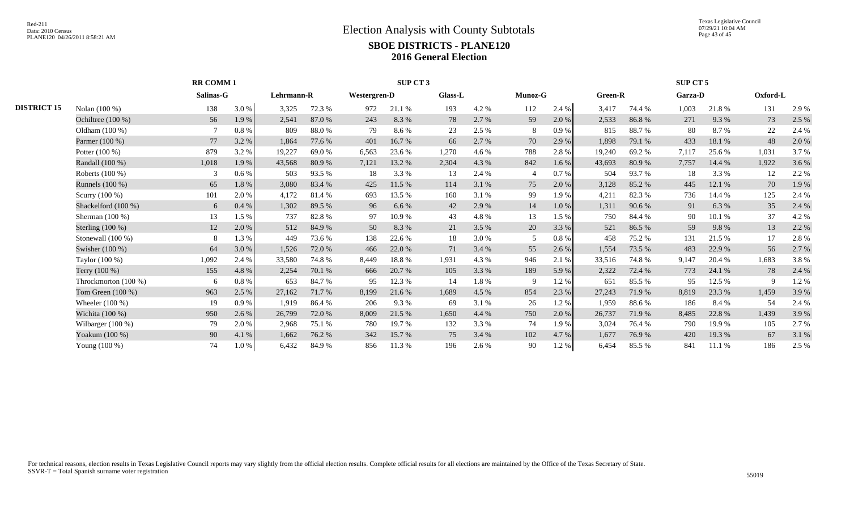Texas Legislative Council 07/29/21 10:04 AM Page 43 of 45

|                    |                      | <b>RR COMM1</b> |       |            |        |              | SUP CT 3 |         |       |                |           |         |        | SUP CT 5       |        |          |       |
|--------------------|----------------------|-----------------|-------|------------|--------|--------------|----------|---------|-------|----------------|-----------|---------|--------|----------------|--------|----------|-------|
|                    |                      | Salinas-G       |       | Lehrmann-R |        | Westergren-D |          | Glass-L |       | <b>Munoz-G</b> |           | Green-R |        | <b>Garza-D</b> |        | Oxford-L |       |
| <b>DISTRICT 15</b> | Nolan (100 %)        | 138             | 3.0%  | 3,325      | 72.3 % | 972          | 21.1 %   | 193     | 4.2 % | 112            | 2.4 %     | 3,417   | 74.4 % | 1,003          | 21.8%  | 131      | 2.9 % |
|                    | Ochiltree $(100\%)$  | 56              | 1.9%  | 2,541      | 87.0 % | 243          | 8.3%     | 78      | 2.7 % | 59             | 2.0%      | 2,533   | 86.8%  | 271            | 9.3 %  | 73       | 2.5 % |
|                    | Oldham $(100\%)$     |                 | 0.8%  | 809        | 88.0%  | 79           | 8.6%     | 23      | 2.5 % | 8              | 0.9%      | 815     | 88.7%  | 80             | 8.7%   | 22       | 2.4 % |
|                    | Parmer (100 %)       | 77              | 3.2 % | 1,864      | 77.6 % | 401          | 16.7%    | 66      | 2.7 % | 70             | 2.9%      | 1,898   | 79.1 % | 433            | 18.1 % | 48       | 2.0 % |
|                    | Potter (100 %)       | 879             | 3.2 % | 19,227     | 69.0%  | 6,563        | 23.6 %   | 1,270   | 4.6 % | 788            | 2.8%      | 19,240  | 69.2%  | 7,117          | 25.6 % | 1,031    | 3.7%  |
|                    | Randall (100 %)      | 1,018           | 1.9%  | 43,568     | 80.9%  | 7,121        | 13.2 %   | 2,304   | 4.3 % | 842            | 1.6 %     | 43,693  | 80.9%  | 7,757          | 14.4 % | 1,922    | 3.6 % |
|                    | Roberts (100 %)      | 3               | 0.6%  | 503        | 93.5 % | 18           | 3.3 %    | 13      | 2.4 % |                | 0.7%      | 504     | 93.7%  | 18             | 3.3 %  | 12       | 2.2 % |
|                    | Runnels (100 %)      | 65              | 1.8%  | 3,080      | 83.4 % | 425          | 11.5 %   | 114     | 3.1 % | 75             | 2.0%      | 3,128   | 85.2%  | 445            | 12.1 % | 70       | 1.9%  |
|                    | Scurry $(100\%)$     | 101             | 2.0%  | 4,172      | 81.4 % | 693          | 13.5 %   | 160     | 3.1 % | 99             | 1.9 %     | 4,211   | 82.3%  | 736            | 14.4 % | 125      | 2.4 % |
|                    | Shackelford (100 %)  | 6               | 0.4%  | 1,302      | 89.5 % | 96           | 6.6 %    | 42      | 2.9 % | 14             | $1.0\ \%$ | 1,311   | 90.6%  | 91             | 6.3%   | 35       | 2.4 % |
|                    | Sherman $(100\%)$    | 13              | 1.5 % | 737        | 82.8%  | 97           | 10.9%    | 43      | 4.8%  | 13             | 1.5 %     | 750     | 84.4 % | 90             | 10.1 % | 37       | 4.2 % |
|                    | Sterling $(100\%)$   | 12              | 2.0 % | 512        | 84.9%  | 50           | 8.3%     | 21      | 3.5 % | 20             | 3.3 %     | 521     | 86.5 % | 59             | 9.8%   | 13       | 2.2 % |
|                    | Stonewall $(100\%)$  | 8               | 1.3 % | 449        | 73.6 % | 138          | 22.6 %   | 18      | 3.0%  | .5             | $0.8 \%$  | 458     | 75.2 % | 131            | 21.5 % | 17       | 2.8 % |
|                    | Swisher (100 %)      | 64              | 3.0%  | 1,526      | 72.0 % | 466          | 22.0 %   | 71      | 3.4 % | 55             | 2.6 %     | 1,554   | 73.5 % | 483            | 22.9 % | 56       | 2.7 % |
|                    | Taylor $(100\%)$     | 1,092           | 2.4 % | 33,580     | 74.8%  | 8,449        | 18.8%    | 1,931   | 4.3 % | 946            | 2.1 %     | 33,516  | 74.8%  | 9,147          | 20.4 % | 1,683    | 3.8%  |
|                    | Terry $(100\%)$      | 155             | 4.8%  | 2,254      | 70.1 % | 666          | 20.7 %   | 105     | 3.3 % | 189            | 5.9%      | 2,322   | 72.4 % | 773            | 24.1 % | 78       | 2.4 % |
|                    | Throckmorton (100 %) | 6               | 0.8%  | 653        | 84.7%  | 95           | 12.3 %   | 14      | 1.8%  | -9             | 1.2%      | 651     | 85.5 % | 95             | 12.5 % | -9       | 1.2%  |
|                    | Tom Green $(100\%)$  | 963             | 2.5 % | 27,162     | 71.7 % | 8,199        | 21.6 %   | 1,689   | 4.5 % | 854            | 2.3 %     | 27,243  | 71.9 % | 8,819          | 23.3 % | 1,459    | 3.9%  |
|                    | Wheeler $(100\%)$    | 19              | 0.9%  | 1,919      | 86.4 % | 206          | 9.3 %    | -69     | 3.1 % | 26             | 1.2%      | 1,959   | 88.6 % | 186            | 8.4 %  | 54       | 2.4 % |
|                    | Wichita (100 %)      | 950             | 2.6 % | 26,799     | 72.0 % | 8,009        | 21.5 %   | 1,650   | 4.4 % | 750            | 2.0%      | 26,737  | 71.9 % | 8,485          | 22.8 % | 1,439    | 3.9%  |
|                    | Wilbarger $(100\%)$  | 79              | 2.0%  | 2,968      | 75.1 % | 780          | 19.7 %   | 132     | 3.3 % | 74             | 1.9%      | 3,024   | 76.4 % | 790            | 19.9%  | 105      | 2.7 % |
|                    | Yoakum (100 %)       | 90              | 4.1 % | 1,662      | 76.2 % | 342          | 15.7 %   | 75      | 3.4 % | 102            | 4.7 %     | 1,677   | 76.9%  | 420            | 19.3 % | 67       | 3.1 % |
|                    | Young (100 %)        | 74              | 1.0%  | 6,432      | 84.9%  | 856          | 11.3 %   | 196     | 2.6 % | 90             | 1.2%      | 6,454   | 85.5 % | 841            | 11.1 % | 186      | 2.5 % |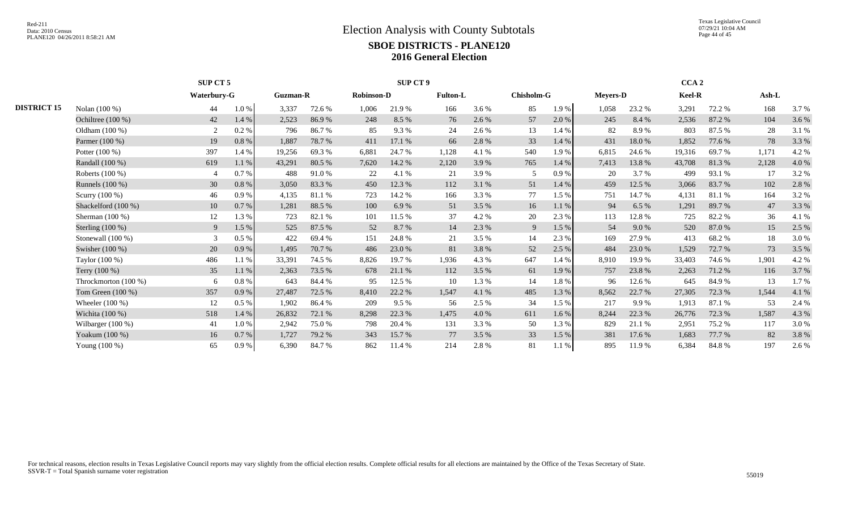Texas Legislative Council 07/29/21 10:04 AM Page 44 of 45

|                      |     |           |                         |        |                 |         |                   |          |                 |       |                   |        |                 |        | $Ash-L$                    |       |
|----------------------|-----|-----------|-------------------------|--------|-----------------|---------|-------------------|----------|-----------------|-------|-------------------|--------|-----------------|--------|----------------------------|-------|
| Nolan (100 %)        | 44  | 1.0%      | 3,337                   | 72.6 % | 1,006           | 21.9%   | 166               | 3.6 %    | 85              | 1.9%  | 1,058             | 23.2 % | 3,291           | 72.2 % | 168                        | 3.7%  |
| Ochiltree (100 %)    | 42  | 1.4 %     | 2,523                   | 86.9%  | 248             | 8.5 %   | 76                | 2.6 %    | 57              | 2.0%  | 245               | 8.4 %  | 2,536           | 87.2%  | 104                        | 3.6 % |
| Oldham (100 %)       | 2   | 0.2 %     | 796                     | 86.7%  | 85              | 9.3%    | 24                | 2.6 %    | 13              | 1.4 % | 82                | 8.9%   | 803             | 87.5 % | 28                         | 3.1%  |
| Parmer (100 %)       | 19  | 0.8%      | 1,887                   | 78.7%  | 411             | 17.1%   | 66                | 2.8%     | 33              | 1.4 % | 431               | 18.0%  | 1,852           | 77.6 % | 78                         | 3.3 % |
| Potter (100 %)       | 397 | 1.4 %     | 19,256                  | 69.3%  | 6,881           | 24.7 %  | 1,128             | 4.1 %    | 540             | 1.9%  | 6,815             | 24.6 % | 19,316          | 69.7 % | 1,171                      | 4.2 % |
| Randall (100 %)      | 619 | 1.1%      | 43,291                  | 80.5 % | 7,620           | 14.2 %  | 2,120             | 3.9%     | 765             | 1.4 % | 7,413             | 13.8%  | 43,708          | 81.3%  | 2,128                      | 4.0%  |
| Roberts (100 %)      |     | $0.7\%$   | 488                     | 91.0%  | 22              | 4.1 %   | 21                | 3.9%     | 5               | 0.9%  | 20                | 3.7 %  | 499             | 93.1 % | 17                         | 3.2%  |
| Runnels $(100\%)$    | 30  | $0.8\ \%$ | 3,050                   | 83.3%  | 450             | 12.3 %  | 112               | 3.1 %    | 51              | 1.4 % | 459               | 12.5 % | 3,066           | 83.7 % | 102                        | 2.8%  |
| Scurry (100 %)       | 46  | 0.9%      | 4,135                   | 81.1%  | 723             | 14.2 %  | 166               | 3.3 %    | 77              | 1.5 % | 751               | 14.7 % | 4,131           | 81.1 % | 164                        | 3.2%  |
| Shackelford (100 %)  | 10  | 0.7 %     | 1,281                   | 88.5 % | 100             | 6.9%    | 51                | 3.5 %    | 16              | 1.1 % | 94                | 6.5 %  | 1,291           | 89.7%  | 47                         | 3.3 % |
| Sherman $(100\%)$    | 12  | 1.3 %     | 723                     | 82.1 % | 101             | 11.5 %  | 37                | 4.2%     | 20              | 2.3 % | 113               | 12.8%  | 725             | 82.2%  | 36                         | 4.1 % |
| Sterling $(100\%)$   | 9   | 1.5 %     | 525                     | 87.5 % | 52              | 8.7 %   | 14                | 2.3 %    | 9               | 1.5 % | 54                | 9.0%   | 520             | 87.0%  | 15                         | 2.5 % |
| Stonewall $(100\%)$  | 3   | $0.5\%$   | 422                     | 69.4%  | 151             | 24.8 %  | 21                | 3.5%     | 14              | 2.3 % | 169               | 27.9 % | 413             | 68.2 % | 18                         | 3.0 % |
| Swisher $(100\%)$    | 20  | 0.9%      | 1,495                   | 70.7 % | 486             | 23.0 %  | 81                | 3.8%     | 52              | 2.5 % | 484               | 23.0 % | 1,529           | 72.7 % | 73                         | 3.5 % |
| Taylor (100 %)       | 486 | 1.1%      | 33,391                  | 74.5 % | 8,826           | 19.7 %  | 1,936             | 4.3 %    | 647             | 1.4 % | 8,910             | 19.9%  | 33,403          | 74.6 % | 1,901                      | 4.2 % |
| Terry $(100\%)$      | 35  | 1.1 %     | 2,363                   | 73.5 % | 678             | 21.1 %  | 112               | 3.5 %    | 61              | 1.9%  | 757               | 23.8%  | 2,263           | 71.2 % | 116                        | 3.7%  |
| Throckmorton (100 %) | 6   | 0.8 %     | 643                     | 84.4 % | 95              | 12.5 %  | 10                | 1.3 %    | 14              | 1.8%  | 96                | 12.6 % | 645             | 84.9 % | 13                         | 1.7%  |
| Tom Green (100 %)    | 357 | 0.9%      | 27,487                  | 72.5 % | 8.410           | 22.2 %  | 1,547             | 4.1 %    | 485             | 1.3%  | 8,562             | 22.7 % | 27,305          | 72.3 % | 1,544                      | 4.1 % |
| Wheeler $(100\%)$    | 12  | $0.5\%$   | 1,902                   | 86.4%  | 209             | $9.5\%$ | 56                | 2.5 %    | 34              | 1.5 % | 217               | 9.9%   | 1,913           | 87.1 % | 53                         | 2.4 % |
| Wichita (100 %)      | 518 | 1.4 %     | 26,832                  | 72.1 % | 8,298           | 22.3 %  | 1,475             | 4.0 %    | 611             | 1.6 % | 8,244             | 22.3 % | 26,776          | 72.3 % | 1,587                      | 4.3 % |
| Wilbarger $(100\%)$  | 41  | 1.0%      | 2,942                   | 75.0%  | 798             | 20.4 %  | 131               | 3.3 %    | 50              | 1.3%  | 829               | 21.1 % | 2,951           | 75.2 % | 117                        | 3.0%  |
| Yoakum (100 %)       | 16  | 0.7 %     | 1,727                   | 79.2 % | 343             | 15.7 %  | 77                | 3.5 %    | 33              | 1.5 % | 381               | 17.6 % | 1,683           | 77.7 % | 82                         | 3.8%  |
| Young (100 %)        | 65  | 0.9%      | 6.390                   | 84.7%  | 862             | 11.4 %  | 214               | 2.8%     | 81              | 1.1%  | 895               | 11.9%  | 6,384           | 84.8%  | 197                        | 2.6%  |
|                      |     |           | SUP CT 5<br>Waterbury-G |        | <b>Guzman-R</b> |         | <b>Robinson-D</b> | SUP CT 9 | <b>Fulton-L</b> |       | <b>Chisholm-G</b> |        | <b>Mevers-D</b> |        | CCA <sub>2</sub><br>Keel-R |       |